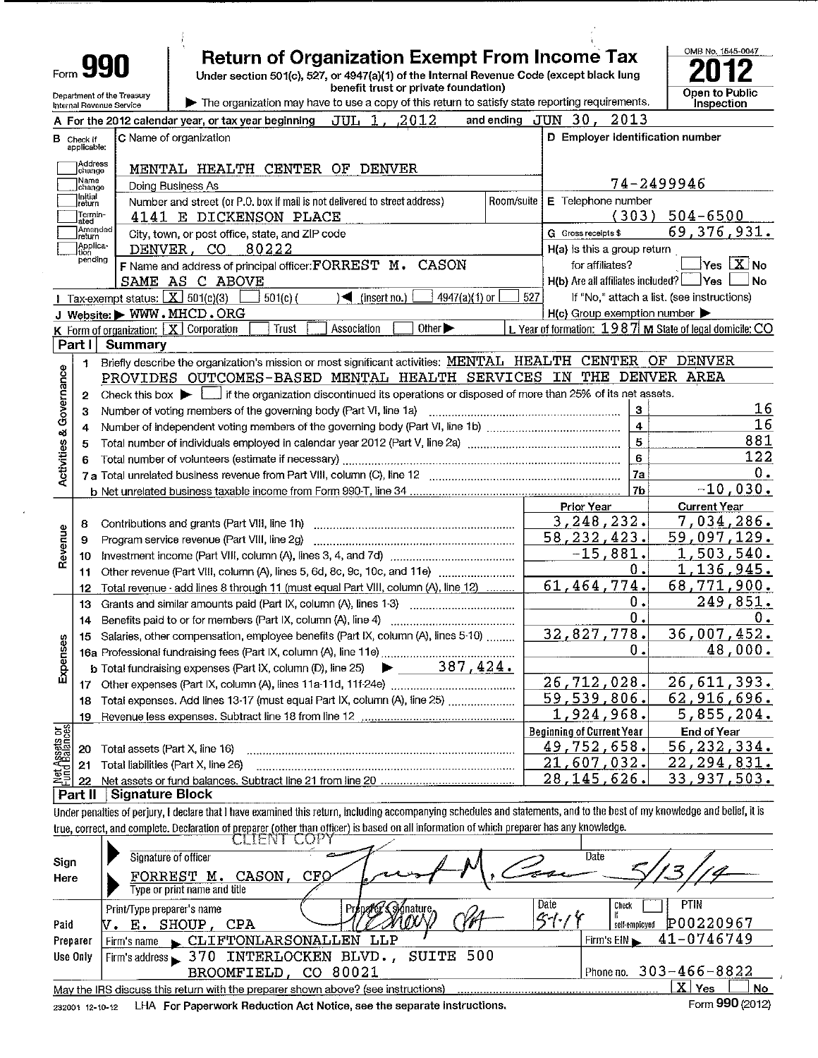| Form 990                   |
|----------------------------|
| Department of the Treasury |

Internal Revenue Service

# **Return of Organization Exempt From Income Tax**

Under section 501(c), 527, or 4947(a)(1) of the Internal Revenue Code (except black lung<br>benefit trust or private foundation)



The organization may have to use a copy of this return to satisfy state reporting requirements.

|                       |                          | A For the 2012 calendar year, or tax year beginning $JUL$ 1, 2012                                                                           |                                  | and ending JUN 30, 2013                             |                                                               |
|-----------------------|--------------------------|---------------------------------------------------------------------------------------------------------------------------------------------|----------------------------------|-----------------------------------------------------|---------------------------------------------------------------|
| в                     | Check if<br>applicable:  | C Name of organization                                                                                                                      | D Employer identification number |                                                     |                                                               |
|                       | )<br>Address<br>Jchange  | MENTAL HEALTH CENTER OF DENVER                                                                                                              |                                  |                                                     |                                                               |
|                       | .<br> Name<br> change    | Doing Business As                                                                                                                           |                                  |                                                     | 74-2499946                                                    |
|                       | Initiai<br>return        | Number and street (or P.O. box if mail is not delivered to street address)                                                                  |                                  | Room/suite   E Telephone number                     |                                                               |
|                       | Termin-<br>ated          | 4141 E DICKENSON PLACE                                                                                                                      |                                  |                                                     | $(303) 504 - 6500$                                            |
|                       | n<br>]Amended<br>]return | City, town, or post office, state, and ZIP code                                                                                             |                                  | G Gross receipts \$                                 | 69,376,931.                                                   |
|                       | Applica-<br>Ition        | 80222<br>DENVER, CO                                                                                                                         | $H(a)$ is this a group return    |                                                     |                                                               |
|                       | pending                  | F Name and address of principal officer: FORREST M.<br>CASON                                                                                |                                  | for affiliates?                                     | $\overline{\mathsf{Yes} \mathrel{\sqsubseteq} \mathsf{X}}$ No |
|                       |                          | SAME AS C ABOVE                                                                                                                             |                                  | $H(b)$ Are all affiliates included? $\Box$ Yes      | No                                                            |
|                       |                          | Tax-exempt status: $X \ 501(c)(3)$<br>$\sqrt{\frac{1}{1}}$ (insert no.)<br>4947(a)(1) or<br>$501(c)$ (                                      | 527                              |                                                     | If "No," attach a list. (see instructions)                    |
|                       |                          | J Website: WWW.MHCD.ORG                                                                                                                     |                                  | $H(c)$ Group exemption number $\blacktriangleright$ |                                                               |
|                       |                          | Other $\blacktriangleright$<br>Association<br>K Form of organization: $\boxed{\mathbf{X}}$ Corporation<br>Trust                             |                                  |                                                     | L Year of formation: $1987$ M State of legal domicile: CO     |
|                       | Part II                  | Summary                                                                                                                                     |                                  |                                                     |                                                               |
|                       | $\mathbf{1}$             | Briefly describe the organization's mission or most significant activities: MENTAL HEALTH CENTER OF DENVER                                  |                                  |                                                     |                                                               |
|                       |                          | PROVIDES OUTCOMES-BASED MENTAL HEALTH SERVICES IN THE DENVER AREA                                                                           |                                  |                                                     |                                                               |
| Governance            | $\overline{2}$           | Check this box $\blacktriangleright$ $\Box$ if the organization discontinued its operations or disposed of more than 25% of its net assets. |                                  |                                                     |                                                               |
|                       | з                        | Number of voting members of the governing body (Part VI, line 1a)                                                                           |                                  | з                                                   | 16<br>16                                                      |
|                       | 4                        |                                                                                                                                             | $\overline{\mathbf{4}}$          |                                                     |                                                               |
| Activities &          | 5                        |                                                                                                                                             | $\overline{5}$                   | 881<br>122                                          |                                                               |
|                       | 6                        |                                                                                                                                             | 6                                |                                                     |                                                               |
|                       |                          |                                                                                                                                             | <b>7a</b>                        | 0.<br>$-10,030.$                                    |                                                               |
|                       |                          |                                                                                                                                             |                                  | 7b<br>Prior Year                                    | <b>Current Year</b>                                           |
|                       | 8                        |                                                                                                                                             |                                  | 3,248,232.                                          | 7,034,286.                                                    |
| Revenue               | 9                        | Program service revenue (Part VIII, line 2g)                                                                                                |                                  | 58, 232, 423.                                       | 59,097,129.                                                   |
|                       | 10                       |                                                                                                                                             |                                  | $-15,881.$                                          | <u>1,503,540.</u>                                             |
|                       | 11                       | Other revenue (Part VIII, column (A), lines 5, 6d, 8c, 9c, 10c, and 11e)                                                                    |                                  | 0.                                                  | 1,136,945.                                                    |
|                       | 12                       | Total revenue - add lines 8 through 11 (must equal Part VIII, column (A), line 12)                                                          |                                  | 61,464,774.                                         | 68,771,900.                                                   |
|                       | 13                       | Grants and similar amounts paid (Part IX, column (A), lines 1-3) <i></i>                                                                    |                                  | 0.                                                  | 249,851.                                                      |
|                       | 14                       |                                                                                                                                             |                                  | Ο.                                                  | ο.                                                            |
|                       | 15                       | Salaries, other compensation, employee benefits (Part IX, column (A), lines 5-10)                                                           |                                  | 32,827,778.                                         | 36,007,452.                                                   |
| Expenses              |                          |                                                                                                                                             |                                  | Ο.                                                  | 48,000.                                                       |
|                       |                          | <b>b</b> Total fundraising expenses (Part IX, column (D), line 25) $\rightarrow$ ______387, 424.                                            |                                  |                                                     |                                                               |
|                       |                          |                                                                                                                                             |                                  | 26,712,028.                                         | 26,611,393.                                                   |
|                       | 18                       | Total expenses. Add lines 13-17 (must equal Part IX, column (A), line 25)                                                                   |                                  | 59, 539, 806.                                       | 62, 916, 696.                                                 |
|                       | 19                       |                                                                                                                                             |                                  | 1,924,968.                                          | 5,855,204.                                                    |
| bes                   |                          |                                                                                                                                             |                                  | <b>Beginning of Current Year</b>                    | <b>End of Year</b>                                            |
| t Assets<br>Id Balanc | 20                       | Total assets (Part X, line 16)                                                                                                              |                                  | 49,752,658.                                         | 56, 232, 334.                                                 |
|                       | 21                       | Total liabilities (Part X, line 26)                                                                                                         |                                  | 21,607,032.                                         | 22, 294, 831.                                                 |
| y                     | 22                       |                                                                                                                                             |                                  | 28, 145, 626.                                       | 33,937,503.                                                   |
|                       | Part II                  | <b>Signature Block</b>                                                                                                                      |                                  |                                                     |                                                               |
|                       |                          | a sure a contractor                                                                                                                         |                                  |                                                     | of the Heath Milts                                            |

Under penalties of perjury, I declare that I have examined this return, including accompanying schedules and statements, and to the best of my knowledge and belief, it is true, correct, and complete. Declaration of preparer (other than officer) is based on all information of which preparer has any knowledge.

|          | CLIEIV I<br>A UMI                                                                  |                              |
|----------|------------------------------------------------------------------------------------|------------------------------|
| Sign     | Signature of officer                                                               | Date                         |
| Here     | CFO<br>FORREST<br>CASON.<br>м.                                                     |                              |
|          | Type or print name and title I                                                     |                              |
|          | Date<br>Print/Type preparer's name                                                 | <b>PTIN</b><br>Check         |
| Paid     | $\mathcal{K}$ - $\int$<br>CPA<br>SHOUP<br>Е.                                       | P00220967<br>self-employed   |
| Preparer | CLIFTONLARSONALLEN<br>LLP<br>Firm's name                                           | 41-0746749<br>Firm's $EIN$   |
| Use Only | SUITE 500<br>Firm's address 370 INTERLOCKEN BLVD.,                                 |                              |
|          | BROOMFIELD, CO 80021                                                               | Phone no. $303 - 466 - 8822$ |
|          | May the IRS discuss this return with the preparer shown above? (see instructions)  | X<br>Yes<br>l No             |
|          | coses is in the Lor Danorwork Doduction Act Notice, see the congrate instructions. | Form 990 (2012)              |

232001 12-10-12 LHA For Paperwork Reduction Act Notice, see the separate instructions. Form 990 (2012)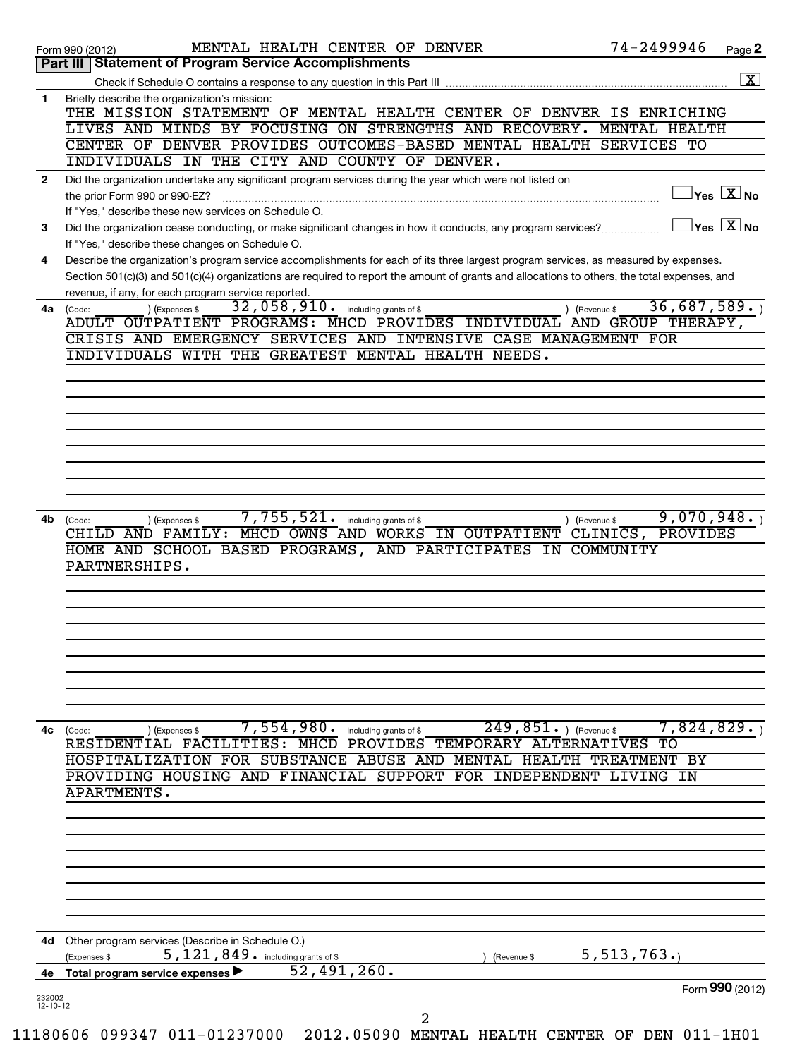|                          | 74-2499946<br>MENTAL HEALTH CENTER OF DENVER<br>Page 2<br>Form 990 (2012)                                                                                                                        |
|--------------------------|--------------------------------------------------------------------------------------------------------------------------------------------------------------------------------------------------|
|                          | Part III   Statement of Program Service Accomplishments                                                                                                                                          |
|                          | $\overline{\mathbf{X}}$                                                                                                                                                                          |
| $\mathbf{1}$             | Briefly describe the organization's mission:<br>THE MISSION STATEMENT OF MENTAL HEALTH CENTER OF DENVER IS ENRICHING                                                                             |
|                          | LIVES AND MINDS BY FOCUSING ON STRENGTHS AND RECOVERY. MENTAL HEALTH                                                                                                                             |
|                          | CENTER OF DENVER PROVIDES OUTCOMES-BASED MENTAL HEALTH SERVICES TO                                                                                                                               |
|                          | INDIVIDUALS IN THE CITY AND COUNTY OF DENVER.                                                                                                                                                    |
| $\mathbf{2}$             | Did the organization undertake any significant program services during the year which were not listed on                                                                                         |
|                          | $\vert$ Yes $\boxed{\text{X}}$ No<br>the prior Form 990 or 990-EZ?                                                                                                                               |
|                          | If "Yes," describe these new services on Schedule O.<br>$Yes \  \  \boxed{X} No$<br>Did the organization cease conducting, or make significant changes in how it conducts, any program services? |
| 3                        | If "Yes," describe these changes on Schedule O.                                                                                                                                                  |
| 4                        | Describe the organization's program service accomplishments for each of its three largest program services, as measured by expenses.                                                             |
|                          | Section 501(c)(3) and 501(c)(4) organizations are required to report the amount of grants and allocations to others, the total expenses, and                                                     |
|                          | revenue, if any, for each program service reported.                                                                                                                                              |
| 4a                       | 36,687,589.<br>32,058,910. including grants of \$<br>) (Expenses \$<br>(Revenue \$<br>(Code:                                                                                                     |
|                          | ADULT OUTPATIENT PROGRAMS: MHCD PROVIDES INDIVIDUAL AND GROUP THERAPY,<br>CRISIS AND EMERGENCY SERVICES AND INTENSIVE CASE MANAGEMENT FOR                                                        |
|                          | INDIVIDUALS WITH THE GREATEST MENTAL HEALTH NEEDS.                                                                                                                                               |
|                          |                                                                                                                                                                                                  |
|                          |                                                                                                                                                                                                  |
|                          |                                                                                                                                                                                                  |
|                          |                                                                                                                                                                                                  |
|                          |                                                                                                                                                                                                  |
|                          |                                                                                                                                                                                                  |
|                          |                                                                                                                                                                                                  |
|                          |                                                                                                                                                                                                  |
| 4b                       | 9,070,948.<br>$7,755,521$ $\cdot$ including grants of \$<br>) (Revenue \$<br>(Code:<br>(Expenses \$                                                                                              |
|                          | CHILD AND FAMILY: MHCD OWNS AND WORKS IN OUTPATIENT CLINICS, PROVIDES                                                                                                                            |
|                          | HOME AND SCHOOL BASED PROGRAMS, AND PARTICIPATES<br>IN COMMUNITY                                                                                                                                 |
|                          | PARTNERSHIPS.                                                                                                                                                                                    |
|                          |                                                                                                                                                                                                  |
|                          |                                                                                                                                                                                                  |
|                          |                                                                                                                                                                                                  |
|                          |                                                                                                                                                                                                  |
|                          |                                                                                                                                                                                                  |
|                          |                                                                                                                                                                                                  |
|                          |                                                                                                                                                                                                  |
|                          |                                                                                                                                                                                                  |
| 4c                       | 7,824,829.<br>$249,851.$ ) (Revenue \$<br>$7,554,980$ $\cdot$ including grants of \$<br>(Code:<br>(Expenses \$<br>RESIDENTIAL FACILITIES: MHCD PROVIDES TEMPORARY ALTERNATIVES<br>TО             |
|                          | HOSPITALIZATION FOR SUBSTANCE ABUSE AND MENTAL HEALTH TREATMENT BY                                                                                                                               |
|                          | PROVIDING HOUSING AND FINANCIAL SUPPORT FOR INDEPENDENT LIVING IN                                                                                                                                |
|                          | <b>APARTMENTS.</b>                                                                                                                                                                               |
|                          |                                                                                                                                                                                                  |
|                          |                                                                                                                                                                                                  |
|                          |                                                                                                                                                                                                  |
|                          |                                                                                                                                                                                                  |
|                          |                                                                                                                                                                                                  |
|                          |                                                                                                                                                                                                  |
|                          |                                                                                                                                                                                                  |
| 4d                       | Other program services (Describe in Schedule O.)                                                                                                                                                 |
|                          | 5, 513, 763.<br>5, 121, 849. including grants of \$<br>(Expenses \$<br>(Revenue \$                                                                                                               |
| 4е                       | 52,491,260.<br>Total program service expenses                                                                                                                                                    |
| 232002<br>$12 - 10 - 12$ | Form 990 (2012)                                                                                                                                                                                  |
|                          | $\overline{a}$                                                                                                                                                                                   |
|                          | 180606 099347 011-01237000 2012.05090 MENTAL HEALTH CENTER OF DEN 011-1H01                                                                                                                       |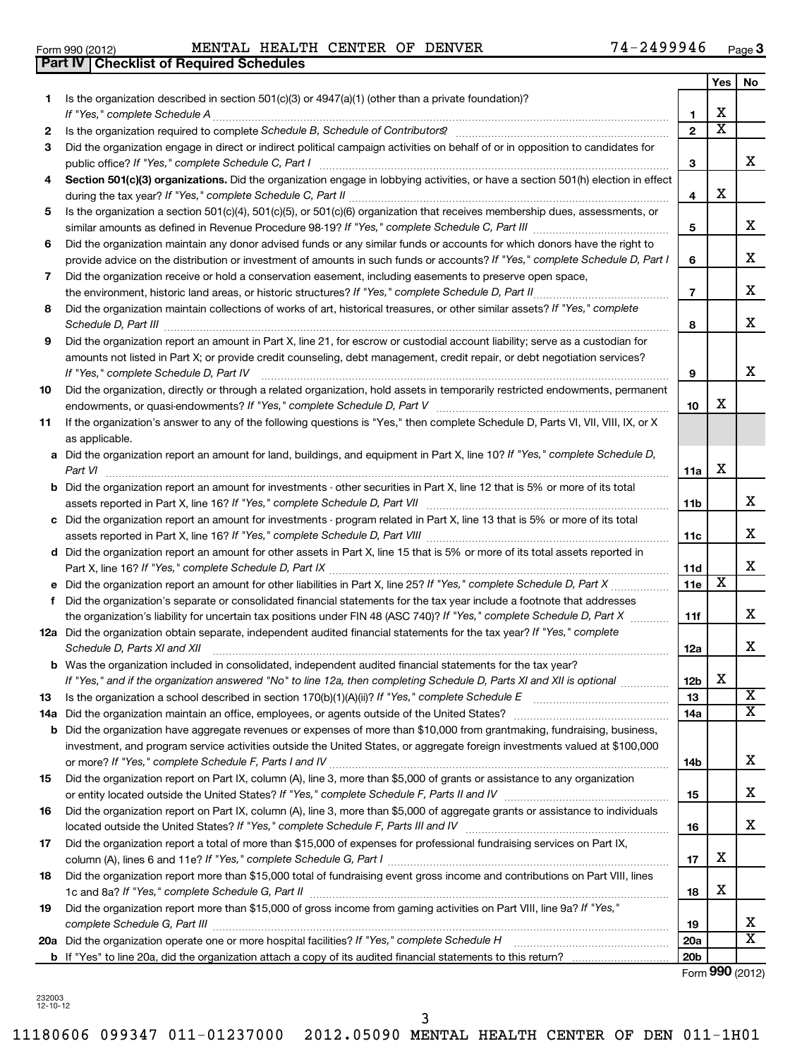| ן בו טבע וווט ו |                                                  |  |
|-----------------|--------------------------------------------------|--|
|                 | <b>Part IV   Checklist of Required Schedules</b> |  |

|     |                                                                                                                                                                     |                 | Yes                   | No                      |
|-----|---------------------------------------------------------------------------------------------------------------------------------------------------------------------|-----------------|-----------------------|-------------------------|
| 1.  | Is the organization described in section $501(c)(3)$ or $4947(a)(1)$ (other than a private foundation)?                                                             |                 |                       |                         |
|     | If "Yes," complete Schedule A                                                                                                                                       | 1.              | х                     |                         |
| 2   |                                                                                                                                                                     | $\mathbf{2}$    | $\overline{\text{x}}$ |                         |
| 3   | Did the organization engage in direct or indirect political campaign activities on behalf of or in opposition to candidates for                                     | З               |                       | x                       |
| 4   | Section 501(c)(3) organizations. Did the organization engage in lobbying activities, or have a section 501(h) election in effect                                    |                 |                       |                         |
|     |                                                                                                                                                                     | 4               | х                     |                         |
| 5   | Is the organization a section 501(c)(4), 501(c)(5), or 501(c)(6) organization that receives membership dues, assessments, or                                        | 5               |                       | x                       |
| 6   | Did the organization maintain any donor advised funds or any similar funds or accounts for which donors have the right to                                           |                 |                       |                         |
|     | provide advice on the distribution or investment of amounts in such funds or accounts? If "Yes," complete Schedule D, Part I                                        | 6               |                       | х                       |
| 7   | Did the organization receive or hold a conservation easement, including easements to preserve open space,                                                           |                 |                       |                         |
|     |                                                                                                                                                                     | $\overline{7}$  |                       | х                       |
| 8   | Did the organization maintain collections of works of art, historical treasures, or other similar assets? If "Yes," complete<br>Schedule D, Part III                | 8               |                       | x                       |
| 9   | Did the organization report an amount in Part X, line 21, for escrow or custodial account liability; serve as a custodian for                                       |                 |                       |                         |
|     | amounts not listed in Part X; or provide credit counseling, debt management, credit repair, or debt negotiation services?<br>If "Yes," complete Schedule D, Part IV | 9               |                       | х                       |
| 10  | Did the organization, directly or through a related organization, hold assets in temporarily restricted endowments, permanent                                       |                 |                       |                         |
|     |                                                                                                                                                                     | 10              | х                     |                         |
| 11  | If the organization's answer to any of the following questions is "Yes," then complete Schedule D, Parts VI, VII, VIII, IX, or X                                    |                 |                       |                         |
|     | as applicable.                                                                                                                                                      |                 |                       |                         |
|     | a Did the organization report an amount for land, buildings, and equipment in Part X, line 10? If "Yes," complete Schedule D,<br>Part VI                            | 11a             | х                     |                         |
|     | <b>b</b> Did the organization report an amount for investments - other securities in Part X, line 12 that is 5% or more of its total                                |                 |                       |                         |
|     |                                                                                                                                                                     | 11b             |                       | х                       |
|     | c Did the organization report an amount for investments - program related in Part X, line 13 that is 5% or more of its total                                        |                 |                       |                         |
|     |                                                                                                                                                                     | 11c             |                       | x                       |
|     | d Did the organization report an amount for other assets in Part X, line 15 that is 5% or more of its total assets reported in                                      |                 |                       |                         |
|     |                                                                                                                                                                     | 11d             |                       | x                       |
|     |                                                                                                                                                                     | 11e             | х                     |                         |
| f   | Did the organization's separate or consolidated financial statements for the tax year include a footnote that addresses                                             |                 |                       | x                       |
|     | the organization's liability for uncertain tax positions under FIN 48 (ASC 740)? If "Yes," complete Schedule D, Part X                                              | 11f             |                       |                         |
|     | 12a Did the organization obtain separate, independent audited financial statements for the tax year? If "Yes," complete<br>Schedule D, Parts XI and XII             | 12a             |                       | х                       |
|     | <b>b</b> Was the organization included in consolidated, independent audited financial statements for the tax year?                                                  |                 |                       |                         |
|     | If "Yes," and if the organization answered "No" to line 12a, then completing Schedule D, Parts XI and XII is optional                                               | 12 <sub>b</sub> | х                     |                         |
| 13  |                                                                                                                                                                     | 13              |                       | X                       |
| 14a |                                                                                                                                                                     | 14a             |                       | $\overline{\mathtt{x}}$ |
|     | <b>b</b> Did the organization have aggregate revenues or expenses of more than \$10,000 from grantmaking, fundraising, business,                                    |                 |                       |                         |
|     | investment, and program service activities outside the United States, or aggregate foreign investments valued at \$100,000                                          |                 |                       |                         |
|     |                                                                                                                                                                     | 14b             |                       | х                       |
| 15  | Did the organization report on Part IX, column (A), line 3, more than \$5,000 of grants or assistance to any organization                                           |                 |                       |                         |
|     |                                                                                                                                                                     | 15              |                       | х                       |
| 16  | Did the organization report on Part IX, column (A), line 3, more than \$5,000 of aggregate grants or assistance to individuals                                      |                 |                       |                         |
|     |                                                                                                                                                                     | 16              |                       | x                       |
| 17  | Did the organization report a total of more than \$15,000 of expenses for professional fundraising services on Part IX,                                             | 17              | х                     |                         |
| 18  | Did the organization report more than \$15,000 total of fundraising event gross income and contributions on Part VIII, lines                                        |                 |                       |                         |
|     | 1c and 8a? If "Yes," complete Schedule G, Part II                                                                                                                   | 18              | х                     |                         |
| 19  | Did the organization report more than \$15,000 of gross income from gaming activities on Part VIII, line 9a? If "Yes,"                                              |                 |                       |                         |
|     | complete Schedule G, Part III                                                                                                                                       | 19              |                       | x                       |
|     | 20a Did the organization operate one or more hospital facilities? If "Yes," complete Schedule H                                                                     | 20a             |                       | $\overline{\texttt{X}}$ |
|     |                                                                                                                                                                     | 20 <sub>b</sub> |                       |                         |

Form (2012) **990**

232003 12-10-12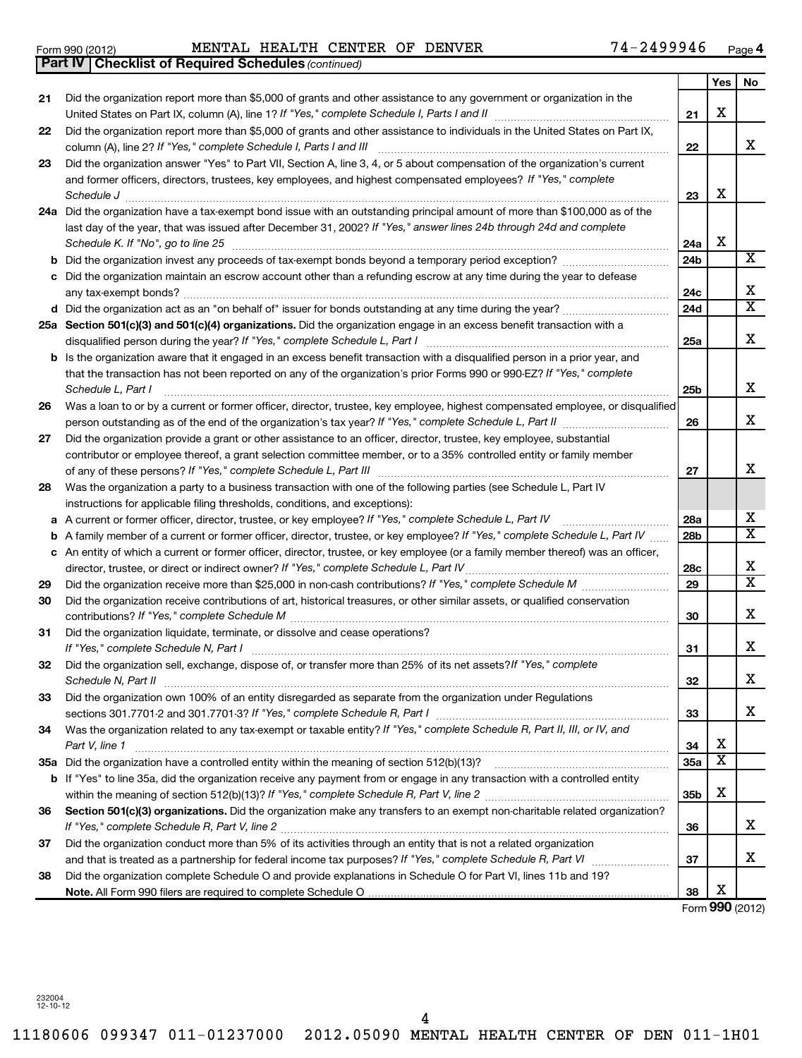11180606 099347 011-01237000 2012.05090 MENTAL HEALTH CENTER OF DEN 011-1H01 4

| Form 990 (2012)                     | <b>MENTAL</b> | <b>HEALTH</b> | CENTER | OF | <b>DENVER</b> | -<br>Page |
|-------------------------------------|---------------|---------------|--------|----|---------------|-----------|
| $R_{\text{out}}$ $N/L_{\text{out}}$ |               |               |        |    |               |           |

**4**

| Yes<br>No<br>Did the organization report more than \$5,000 of grants and other assistance to any government or organization in the<br>21<br>х<br>21<br>Did the organization report more than \$5,000 of grants and other assistance to individuals in the United States on Part IX,<br>22<br>x<br>column (A), line 2? If "Yes," complete Schedule I, Parts I and III<br>22<br>Did the organization answer "Yes" to Part VII, Section A, line 3, 4, or 5 about compensation of the organization's current<br>23<br>and former officers, directors, trustees, key employees, and highest compensated employees? If "Yes," complete<br>х<br>Schedule J<br>23<br>24a Did the organization have a tax-exempt bond issue with an outstanding principal amount of more than \$100,000 as of the<br>last day of the year, that was issued after December 31, 2002? If "Yes," answer lines 24b through 24d and complete<br>X<br>Schedule K. If "No", go to line 25<br>24a<br>X<br>b Did the organization invest any proceeds of tax-exempt bonds beyond a temporary period exception?<br>24b<br>c Did the organization maintain an escrow account other than a refunding escrow at any time during the year to defease<br>х<br>24c<br>$\overline{\texttt{x}}$<br>24d<br>25a Section 501(c)(3) and 501(c)(4) organizations. Did the organization engage in an excess benefit transaction with a<br>x<br>25a<br><b>b</b> Is the organization aware that it engaged in an excess benefit transaction with a disqualified person in a prior year, and<br>that the transaction has not been reported on any of the organization's prior Forms 990 or 990-EZ? If "Yes," complete<br>x<br>Schedule L, Part I<br>25b<br>Was a loan to or by a current or former officer, director, trustee, key employee, highest compensated employee, or disqualified<br>26<br>X.<br>26<br>Did the organization provide a grant or other assistance to an officer, director, trustee, key employee, substantial<br>27<br>contributor or employee thereof, a grant selection committee member, or to a 35% controlled entity or family member<br>x<br>27<br>Was the organization a party to a business transaction with one of the following parties (see Schedule L, Part IV<br>28<br>instructions for applicable filing thresholds, conditions, and exceptions):<br>X<br>A current or former officer, director, trustee, or key employee? If "Yes," complete Schedule L, Part IV<br>28a<br>а<br>$\overline{\mathtt{x}}$<br>A family member of a current or former officer, director, trustee, or key employee? If "Yes," complete Schedule L, Part IV<br>28 <sub>b</sub><br>b<br>c An entity of which a current or former officer, director, trustee, or key employee (or a family member thereof) was an officer,<br>х<br>director, trustee, or direct or indirect owner? If "Yes," complete Schedule L, Part IV<br>28c<br>$\overline{\mathtt{x}}$<br>29<br>29<br>Did the organization receive contributions of art, historical treasures, or other similar assets, or qualified conservation<br>30<br>x<br>30<br>Did the organization liquidate, terminate, or dissolve and cease operations?<br>31<br>x<br>31<br>Did the organization sell, exchange, dispose of, or transfer more than 25% of its net assets?/f "Yes," complete<br>32<br>х<br>Schedule N, Part II<br>32<br>Did the organization own 100% of an entity disregarded as separate from the organization under Regulations<br>33<br>x<br>33<br>Was the organization related to any tax-exempt or taxable entity? If "Yes," complete Schedule R, Part II, III, or IV, and<br>34<br>х<br>Part V, line 1<br>34<br>$\overline{\textbf{X}}$<br>35a<br>b If "Yes" to line 35a, did the organization receive any payment from or engage in any transaction with a controlled entity<br>х<br>35b<br>Section 501(c)(3) organizations. Did the organization make any transfers to an exempt non-charitable related organization?<br>36<br>x<br>36<br>Did the organization conduct more than 5% of its activities through an entity that is not a related organization<br>37<br>x<br>37<br>Did the organization complete Schedule O and provide explanations in Schedule O for Part VI, lines 11b and 19?<br>38<br>х<br>38 | <b>Part IV   Checklist of Required Schedules (continued)</b> |  |  |
|--------------------------------------------------------------------------------------------------------------------------------------------------------------------------------------------------------------------------------------------------------------------------------------------------------------------------------------------------------------------------------------------------------------------------------------------------------------------------------------------------------------------------------------------------------------------------------------------------------------------------------------------------------------------------------------------------------------------------------------------------------------------------------------------------------------------------------------------------------------------------------------------------------------------------------------------------------------------------------------------------------------------------------------------------------------------------------------------------------------------------------------------------------------------------------------------------------------------------------------------------------------------------------------------------------------------------------------------------------------------------------------------------------------------------------------------------------------------------------------------------------------------------------------------------------------------------------------------------------------------------------------------------------------------------------------------------------------------------------------------------------------------------------------------------------------------------------------------------------------------------------------------------------------------------------------------------------------------------------------------------------------------------------------------------------------------------------------------------------------------------------------------------------------------------------------------------------------------------------------------------------------------------------------------------------------------------------------------------------------------------------------------------------------------------------------------------------------------------------------------------------------------------------------------------------------------------------------------------------------------------------------------------------------------------------------------------------------------------------------------------------------------------------------------------------------------------------------------------------------------------------------------------------------------------------------------------------------------------------------------------------------------------------------------------------------------------------------------------------------------------------------------------------------------------------------------------------------------------------------------------------------------------------------------------------------------------------------------------------------------------------------------------------------------------------------------------------------------------------------------------------------------------------------------------------------------------------------------------------------------------------------------------------------------------------------------------------------------------------------------------------------------------------------------------------------------------------------------------------------------------------------------------------------------------------------------------------------------------------------------------------------------------------------------------------------------------------------------------------------------------------------------------------------------------------------------------------------------------------------------------|--------------------------------------------------------------|--|--|
|                                                                                                                                                                                                                                                                                                                                                                                                                                                                                                                                                                                                                                                                                                                                                                                                                                                                                                                                                                                                                                                                                                                                                                                                                                                                                                                                                                                                                                                                                                                                                                                                                                                                                                                                                                                                                                                                                                                                                                                                                                                                                                                                                                                                                                                                                                                                                                                                                                                                                                                                                                                                                                                                                                                                                                                                                                                                                                                                                                                                                                                                                                                                                                                                                                                                                                                                                                                                                                                                                                                                                                                                                                                                                                                                                                                                                                                                                                                                                                                                                                                                                                                                                                                                                                                  |                                                              |  |  |
|                                                                                                                                                                                                                                                                                                                                                                                                                                                                                                                                                                                                                                                                                                                                                                                                                                                                                                                                                                                                                                                                                                                                                                                                                                                                                                                                                                                                                                                                                                                                                                                                                                                                                                                                                                                                                                                                                                                                                                                                                                                                                                                                                                                                                                                                                                                                                                                                                                                                                                                                                                                                                                                                                                                                                                                                                                                                                                                                                                                                                                                                                                                                                                                                                                                                                                                                                                                                                                                                                                                                                                                                                                                                                                                                                                                                                                                                                                                                                                                                                                                                                                                                                                                                                                                  |                                                              |  |  |
|                                                                                                                                                                                                                                                                                                                                                                                                                                                                                                                                                                                                                                                                                                                                                                                                                                                                                                                                                                                                                                                                                                                                                                                                                                                                                                                                                                                                                                                                                                                                                                                                                                                                                                                                                                                                                                                                                                                                                                                                                                                                                                                                                                                                                                                                                                                                                                                                                                                                                                                                                                                                                                                                                                                                                                                                                                                                                                                                                                                                                                                                                                                                                                                                                                                                                                                                                                                                                                                                                                                                                                                                                                                                                                                                                                                                                                                                                                                                                                                                                                                                                                                                                                                                                                                  |                                                              |  |  |
|                                                                                                                                                                                                                                                                                                                                                                                                                                                                                                                                                                                                                                                                                                                                                                                                                                                                                                                                                                                                                                                                                                                                                                                                                                                                                                                                                                                                                                                                                                                                                                                                                                                                                                                                                                                                                                                                                                                                                                                                                                                                                                                                                                                                                                                                                                                                                                                                                                                                                                                                                                                                                                                                                                                                                                                                                                                                                                                                                                                                                                                                                                                                                                                                                                                                                                                                                                                                                                                                                                                                                                                                                                                                                                                                                                                                                                                                                                                                                                                                                                                                                                                                                                                                                                                  |                                                              |  |  |
|                                                                                                                                                                                                                                                                                                                                                                                                                                                                                                                                                                                                                                                                                                                                                                                                                                                                                                                                                                                                                                                                                                                                                                                                                                                                                                                                                                                                                                                                                                                                                                                                                                                                                                                                                                                                                                                                                                                                                                                                                                                                                                                                                                                                                                                                                                                                                                                                                                                                                                                                                                                                                                                                                                                                                                                                                                                                                                                                                                                                                                                                                                                                                                                                                                                                                                                                                                                                                                                                                                                                                                                                                                                                                                                                                                                                                                                                                                                                                                                                                                                                                                                                                                                                                                                  |                                                              |  |  |
|                                                                                                                                                                                                                                                                                                                                                                                                                                                                                                                                                                                                                                                                                                                                                                                                                                                                                                                                                                                                                                                                                                                                                                                                                                                                                                                                                                                                                                                                                                                                                                                                                                                                                                                                                                                                                                                                                                                                                                                                                                                                                                                                                                                                                                                                                                                                                                                                                                                                                                                                                                                                                                                                                                                                                                                                                                                                                                                                                                                                                                                                                                                                                                                                                                                                                                                                                                                                                                                                                                                                                                                                                                                                                                                                                                                                                                                                                                                                                                                                                                                                                                                                                                                                                                                  |                                                              |  |  |
|                                                                                                                                                                                                                                                                                                                                                                                                                                                                                                                                                                                                                                                                                                                                                                                                                                                                                                                                                                                                                                                                                                                                                                                                                                                                                                                                                                                                                                                                                                                                                                                                                                                                                                                                                                                                                                                                                                                                                                                                                                                                                                                                                                                                                                                                                                                                                                                                                                                                                                                                                                                                                                                                                                                                                                                                                                                                                                                                                                                                                                                                                                                                                                                                                                                                                                                                                                                                                                                                                                                                                                                                                                                                                                                                                                                                                                                                                                                                                                                                                                                                                                                                                                                                                                                  |                                                              |  |  |
|                                                                                                                                                                                                                                                                                                                                                                                                                                                                                                                                                                                                                                                                                                                                                                                                                                                                                                                                                                                                                                                                                                                                                                                                                                                                                                                                                                                                                                                                                                                                                                                                                                                                                                                                                                                                                                                                                                                                                                                                                                                                                                                                                                                                                                                                                                                                                                                                                                                                                                                                                                                                                                                                                                                                                                                                                                                                                                                                                                                                                                                                                                                                                                                                                                                                                                                                                                                                                                                                                                                                                                                                                                                                                                                                                                                                                                                                                                                                                                                                                                                                                                                                                                                                                                                  |                                                              |  |  |
|                                                                                                                                                                                                                                                                                                                                                                                                                                                                                                                                                                                                                                                                                                                                                                                                                                                                                                                                                                                                                                                                                                                                                                                                                                                                                                                                                                                                                                                                                                                                                                                                                                                                                                                                                                                                                                                                                                                                                                                                                                                                                                                                                                                                                                                                                                                                                                                                                                                                                                                                                                                                                                                                                                                                                                                                                                                                                                                                                                                                                                                                                                                                                                                                                                                                                                                                                                                                                                                                                                                                                                                                                                                                                                                                                                                                                                                                                                                                                                                                                                                                                                                                                                                                                                                  |                                                              |  |  |
|                                                                                                                                                                                                                                                                                                                                                                                                                                                                                                                                                                                                                                                                                                                                                                                                                                                                                                                                                                                                                                                                                                                                                                                                                                                                                                                                                                                                                                                                                                                                                                                                                                                                                                                                                                                                                                                                                                                                                                                                                                                                                                                                                                                                                                                                                                                                                                                                                                                                                                                                                                                                                                                                                                                                                                                                                                                                                                                                                                                                                                                                                                                                                                                                                                                                                                                                                                                                                                                                                                                                                                                                                                                                                                                                                                                                                                                                                                                                                                                                                                                                                                                                                                                                                                                  |                                                              |  |  |
|                                                                                                                                                                                                                                                                                                                                                                                                                                                                                                                                                                                                                                                                                                                                                                                                                                                                                                                                                                                                                                                                                                                                                                                                                                                                                                                                                                                                                                                                                                                                                                                                                                                                                                                                                                                                                                                                                                                                                                                                                                                                                                                                                                                                                                                                                                                                                                                                                                                                                                                                                                                                                                                                                                                                                                                                                                                                                                                                                                                                                                                                                                                                                                                                                                                                                                                                                                                                                                                                                                                                                                                                                                                                                                                                                                                                                                                                                                                                                                                                                                                                                                                                                                                                                                                  |                                                              |  |  |
|                                                                                                                                                                                                                                                                                                                                                                                                                                                                                                                                                                                                                                                                                                                                                                                                                                                                                                                                                                                                                                                                                                                                                                                                                                                                                                                                                                                                                                                                                                                                                                                                                                                                                                                                                                                                                                                                                                                                                                                                                                                                                                                                                                                                                                                                                                                                                                                                                                                                                                                                                                                                                                                                                                                                                                                                                                                                                                                                                                                                                                                                                                                                                                                                                                                                                                                                                                                                                                                                                                                                                                                                                                                                                                                                                                                                                                                                                                                                                                                                                                                                                                                                                                                                                                                  |                                                              |  |  |
|                                                                                                                                                                                                                                                                                                                                                                                                                                                                                                                                                                                                                                                                                                                                                                                                                                                                                                                                                                                                                                                                                                                                                                                                                                                                                                                                                                                                                                                                                                                                                                                                                                                                                                                                                                                                                                                                                                                                                                                                                                                                                                                                                                                                                                                                                                                                                                                                                                                                                                                                                                                                                                                                                                                                                                                                                                                                                                                                                                                                                                                                                                                                                                                                                                                                                                                                                                                                                                                                                                                                                                                                                                                                                                                                                                                                                                                                                                                                                                                                                                                                                                                                                                                                                                                  |                                                              |  |  |
|                                                                                                                                                                                                                                                                                                                                                                                                                                                                                                                                                                                                                                                                                                                                                                                                                                                                                                                                                                                                                                                                                                                                                                                                                                                                                                                                                                                                                                                                                                                                                                                                                                                                                                                                                                                                                                                                                                                                                                                                                                                                                                                                                                                                                                                                                                                                                                                                                                                                                                                                                                                                                                                                                                                                                                                                                                                                                                                                                                                                                                                                                                                                                                                                                                                                                                                                                                                                                                                                                                                                                                                                                                                                                                                                                                                                                                                                                                                                                                                                                                                                                                                                                                                                                                                  |                                                              |  |  |
|                                                                                                                                                                                                                                                                                                                                                                                                                                                                                                                                                                                                                                                                                                                                                                                                                                                                                                                                                                                                                                                                                                                                                                                                                                                                                                                                                                                                                                                                                                                                                                                                                                                                                                                                                                                                                                                                                                                                                                                                                                                                                                                                                                                                                                                                                                                                                                                                                                                                                                                                                                                                                                                                                                                                                                                                                                                                                                                                                                                                                                                                                                                                                                                                                                                                                                                                                                                                                                                                                                                                                                                                                                                                                                                                                                                                                                                                                                                                                                                                                                                                                                                                                                                                                                                  |                                                              |  |  |
|                                                                                                                                                                                                                                                                                                                                                                                                                                                                                                                                                                                                                                                                                                                                                                                                                                                                                                                                                                                                                                                                                                                                                                                                                                                                                                                                                                                                                                                                                                                                                                                                                                                                                                                                                                                                                                                                                                                                                                                                                                                                                                                                                                                                                                                                                                                                                                                                                                                                                                                                                                                                                                                                                                                                                                                                                                                                                                                                                                                                                                                                                                                                                                                                                                                                                                                                                                                                                                                                                                                                                                                                                                                                                                                                                                                                                                                                                                                                                                                                                                                                                                                                                                                                                                                  |                                                              |  |  |
|                                                                                                                                                                                                                                                                                                                                                                                                                                                                                                                                                                                                                                                                                                                                                                                                                                                                                                                                                                                                                                                                                                                                                                                                                                                                                                                                                                                                                                                                                                                                                                                                                                                                                                                                                                                                                                                                                                                                                                                                                                                                                                                                                                                                                                                                                                                                                                                                                                                                                                                                                                                                                                                                                                                                                                                                                                                                                                                                                                                                                                                                                                                                                                                                                                                                                                                                                                                                                                                                                                                                                                                                                                                                                                                                                                                                                                                                                                                                                                                                                                                                                                                                                                                                                                                  |                                                              |  |  |
|                                                                                                                                                                                                                                                                                                                                                                                                                                                                                                                                                                                                                                                                                                                                                                                                                                                                                                                                                                                                                                                                                                                                                                                                                                                                                                                                                                                                                                                                                                                                                                                                                                                                                                                                                                                                                                                                                                                                                                                                                                                                                                                                                                                                                                                                                                                                                                                                                                                                                                                                                                                                                                                                                                                                                                                                                                                                                                                                                                                                                                                                                                                                                                                                                                                                                                                                                                                                                                                                                                                                                                                                                                                                                                                                                                                                                                                                                                                                                                                                                                                                                                                                                                                                                                                  |                                                              |  |  |
|                                                                                                                                                                                                                                                                                                                                                                                                                                                                                                                                                                                                                                                                                                                                                                                                                                                                                                                                                                                                                                                                                                                                                                                                                                                                                                                                                                                                                                                                                                                                                                                                                                                                                                                                                                                                                                                                                                                                                                                                                                                                                                                                                                                                                                                                                                                                                                                                                                                                                                                                                                                                                                                                                                                                                                                                                                                                                                                                                                                                                                                                                                                                                                                                                                                                                                                                                                                                                                                                                                                                                                                                                                                                                                                                                                                                                                                                                                                                                                                                                                                                                                                                                                                                                                                  |                                                              |  |  |
|                                                                                                                                                                                                                                                                                                                                                                                                                                                                                                                                                                                                                                                                                                                                                                                                                                                                                                                                                                                                                                                                                                                                                                                                                                                                                                                                                                                                                                                                                                                                                                                                                                                                                                                                                                                                                                                                                                                                                                                                                                                                                                                                                                                                                                                                                                                                                                                                                                                                                                                                                                                                                                                                                                                                                                                                                                                                                                                                                                                                                                                                                                                                                                                                                                                                                                                                                                                                                                                                                                                                                                                                                                                                                                                                                                                                                                                                                                                                                                                                                                                                                                                                                                                                                                                  |                                                              |  |  |
|                                                                                                                                                                                                                                                                                                                                                                                                                                                                                                                                                                                                                                                                                                                                                                                                                                                                                                                                                                                                                                                                                                                                                                                                                                                                                                                                                                                                                                                                                                                                                                                                                                                                                                                                                                                                                                                                                                                                                                                                                                                                                                                                                                                                                                                                                                                                                                                                                                                                                                                                                                                                                                                                                                                                                                                                                                                                                                                                                                                                                                                                                                                                                                                                                                                                                                                                                                                                                                                                                                                                                                                                                                                                                                                                                                                                                                                                                                                                                                                                                                                                                                                                                                                                                                                  |                                                              |  |  |
|                                                                                                                                                                                                                                                                                                                                                                                                                                                                                                                                                                                                                                                                                                                                                                                                                                                                                                                                                                                                                                                                                                                                                                                                                                                                                                                                                                                                                                                                                                                                                                                                                                                                                                                                                                                                                                                                                                                                                                                                                                                                                                                                                                                                                                                                                                                                                                                                                                                                                                                                                                                                                                                                                                                                                                                                                                                                                                                                                                                                                                                                                                                                                                                                                                                                                                                                                                                                                                                                                                                                                                                                                                                                                                                                                                                                                                                                                                                                                                                                                                                                                                                                                                                                                                                  |                                                              |  |  |
|                                                                                                                                                                                                                                                                                                                                                                                                                                                                                                                                                                                                                                                                                                                                                                                                                                                                                                                                                                                                                                                                                                                                                                                                                                                                                                                                                                                                                                                                                                                                                                                                                                                                                                                                                                                                                                                                                                                                                                                                                                                                                                                                                                                                                                                                                                                                                                                                                                                                                                                                                                                                                                                                                                                                                                                                                                                                                                                                                                                                                                                                                                                                                                                                                                                                                                                                                                                                                                                                                                                                                                                                                                                                                                                                                                                                                                                                                                                                                                                                                                                                                                                                                                                                                                                  |                                                              |  |  |
|                                                                                                                                                                                                                                                                                                                                                                                                                                                                                                                                                                                                                                                                                                                                                                                                                                                                                                                                                                                                                                                                                                                                                                                                                                                                                                                                                                                                                                                                                                                                                                                                                                                                                                                                                                                                                                                                                                                                                                                                                                                                                                                                                                                                                                                                                                                                                                                                                                                                                                                                                                                                                                                                                                                                                                                                                                                                                                                                                                                                                                                                                                                                                                                                                                                                                                                                                                                                                                                                                                                                                                                                                                                                                                                                                                                                                                                                                                                                                                                                                                                                                                                                                                                                                                                  |                                                              |  |  |
|                                                                                                                                                                                                                                                                                                                                                                                                                                                                                                                                                                                                                                                                                                                                                                                                                                                                                                                                                                                                                                                                                                                                                                                                                                                                                                                                                                                                                                                                                                                                                                                                                                                                                                                                                                                                                                                                                                                                                                                                                                                                                                                                                                                                                                                                                                                                                                                                                                                                                                                                                                                                                                                                                                                                                                                                                                                                                                                                                                                                                                                                                                                                                                                                                                                                                                                                                                                                                                                                                                                                                                                                                                                                                                                                                                                                                                                                                                                                                                                                                                                                                                                                                                                                                                                  |                                                              |  |  |
|                                                                                                                                                                                                                                                                                                                                                                                                                                                                                                                                                                                                                                                                                                                                                                                                                                                                                                                                                                                                                                                                                                                                                                                                                                                                                                                                                                                                                                                                                                                                                                                                                                                                                                                                                                                                                                                                                                                                                                                                                                                                                                                                                                                                                                                                                                                                                                                                                                                                                                                                                                                                                                                                                                                                                                                                                                                                                                                                                                                                                                                                                                                                                                                                                                                                                                                                                                                                                                                                                                                                                                                                                                                                                                                                                                                                                                                                                                                                                                                                                                                                                                                                                                                                                                                  |                                                              |  |  |
|                                                                                                                                                                                                                                                                                                                                                                                                                                                                                                                                                                                                                                                                                                                                                                                                                                                                                                                                                                                                                                                                                                                                                                                                                                                                                                                                                                                                                                                                                                                                                                                                                                                                                                                                                                                                                                                                                                                                                                                                                                                                                                                                                                                                                                                                                                                                                                                                                                                                                                                                                                                                                                                                                                                                                                                                                                                                                                                                                                                                                                                                                                                                                                                                                                                                                                                                                                                                                                                                                                                                                                                                                                                                                                                                                                                                                                                                                                                                                                                                                                                                                                                                                                                                                                                  |                                                              |  |  |
|                                                                                                                                                                                                                                                                                                                                                                                                                                                                                                                                                                                                                                                                                                                                                                                                                                                                                                                                                                                                                                                                                                                                                                                                                                                                                                                                                                                                                                                                                                                                                                                                                                                                                                                                                                                                                                                                                                                                                                                                                                                                                                                                                                                                                                                                                                                                                                                                                                                                                                                                                                                                                                                                                                                                                                                                                                                                                                                                                                                                                                                                                                                                                                                                                                                                                                                                                                                                                                                                                                                                                                                                                                                                                                                                                                                                                                                                                                                                                                                                                                                                                                                                                                                                                                                  |                                                              |  |  |
|                                                                                                                                                                                                                                                                                                                                                                                                                                                                                                                                                                                                                                                                                                                                                                                                                                                                                                                                                                                                                                                                                                                                                                                                                                                                                                                                                                                                                                                                                                                                                                                                                                                                                                                                                                                                                                                                                                                                                                                                                                                                                                                                                                                                                                                                                                                                                                                                                                                                                                                                                                                                                                                                                                                                                                                                                                                                                                                                                                                                                                                                                                                                                                                                                                                                                                                                                                                                                                                                                                                                                                                                                                                                                                                                                                                                                                                                                                                                                                                                                                                                                                                                                                                                                                                  |                                                              |  |  |
|                                                                                                                                                                                                                                                                                                                                                                                                                                                                                                                                                                                                                                                                                                                                                                                                                                                                                                                                                                                                                                                                                                                                                                                                                                                                                                                                                                                                                                                                                                                                                                                                                                                                                                                                                                                                                                                                                                                                                                                                                                                                                                                                                                                                                                                                                                                                                                                                                                                                                                                                                                                                                                                                                                                                                                                                                                                                                                                                                                                                                                                                                                                                                                                                                                                                                                                                                                                                                                                                                                                                                                                                                                                                                                                                                                                                                                                                                                                                                                                                                                                                                                                                                                                                                                                  |                                                              |  |  |
|                                                                                                                                                                                                                                                                                                                                                                                                                                                                                                                                                                                                                                                                                                                                                                                                                                                                                                                                                                                                                                                                                                                                                                                                                                                                                                                                                                                                                                                                                                                                                                                                                                                                                                                                                                                                                                                                                                                                                                                                                                                                                                                                                                                                                                                                                                                                                                                                                                                                                                                                                                                                                                                                                                                                                                                                                                                                                                                                                                                                                                                                                                                                                                                                                                                                                                                                                                                                                                                                                                                                                                                                                                                                                                                                                                                                                                                                                                                                                                                                                                                                                                                                                                                                                                                  |                                                              |  |  |
|                                                                                                                                                                                                                                                                                                                                                                                                                                                                                                                                                                                                                                                                                                                                                                                                                                                                                                                                                                                                                                                                                                                                                                                                                                                                                                                                                                                                                                                                                                                                                                                                                                                                                                                                                                                                                                                                                                                                                                                                                                                                                                                                                                                                                                                                                                                                                                                                                                                                                                                                                                                                                                                                                                                                                                                                                                                                                                                                                                                                                                                                                                                                                                                                                                                                                                                                                                                                                                                                                                                                                                                                                                                                                                                                                                                                                                                                                                                                                                                                                                                                                                                                                                                                                                                  |                                                              |  |  |
|                                                                                                                                                                                                                                                                                                                                                                                                                                                                                                                                                                                                                                                                                                                                                                                                                                                                                                                                                                                                                                                                                                                                                                                                                                                                                                                                                                                                                                                                                                                                                                                                                                                                                                                                                                                                                                                                                                                                                                                                                                                                                                                                                                                                                                                                                                                                                                                                                                                                                                                                                                                                                                                                                                                                                                                                                                                                                                                                                                                                                                                                                                                                                                                                                                                                                                                                                                                                                                                                                                                                                                                                                                                                                                                                                                                                                                                                                                                                                                                                                                                                                                                                                                                                                                                  |                                                              |  |  |
|                                                                                                                                                                                                                                                                                                                                                                                                                                                                                                                                                                                                                                                                                                                                                                                                                                                                                                                                                                                                                                                                                                                                                                                                                                                                                                                                                                                                                                                                                                                                                                                                                                                                                                                                                                                                                                                                                                                                                                                                                                                                                                                                                                                                                                                                                                                                                                                                                                                                                                                                                                                                                                                                                                                                                                                                                                                                                                                                                                                                                                                                                                                                                                                                                                                                                                                                                                                                                                                                                                                                                                                                                                                                                                                                                                                                                                                                                                                                                                                                                                                                                                                                                                                                                                                  |                                                              |  |  |
|                                                                                                                                                                                                                                                                                                                                                                                                                                                                                                                                                                                                                                                                                                                                                                                                                                                                                                                                                                                                                                                                                                                                                                                                                                                                                                                                                                                                                                                                                                                                                                                                                                                                                                                                                                                                                                                                                                                                                                                                                                                                                                                                                                                                                                                                                                                                                                                                                                                                                                                                                                                                                                                                                                                                                                                                                                                                                                                                                                                                                                                                                                                                                                                                                                                                                                                                                                                                                                                                                                                                                                                                                                                                                                                                                                                                                                                                                                                                                                                                                                                                                                                                                                                                                                                  |                                                              |  |  |
|                                                                                                                                                                                                                                                                                                                                                                                                                                                                                                                                                                                                                                                                                                                                                                                                                                                                                                                                                                                                                                                                                                                                                                                                                                                                                                                                                                                                                                                                                                                                                                                                                                                                                                                                                                                                                                                                                                                                                                                                                                                                                                                                                                                                                                                                                                                                                                                                                                                                                                                                                                                                                                                                                                                                                                                                                                                                                                                                                                                                                                                                                                                                                                                                                                                                                                                                                                                                                                                                                                                                                                                                                                                                                                                                                                                                                                                                                                                                                                                                                                                                                                                                                                                                                                                  |                                                              |  |  |
|                                                                                                                                                                                                                                                                                                                                                                                                                                                                                                                                                                                                                                                                                                                                                                                                                                                                                                                                                                                                                                                                                                                                                                                                                                                                                                                                                                                                                                                                                                                                                                                                                                                                                                                                                                                                                                                                                                                                                                                                                                                                                                                                                                                                                                                                                                                                                                                                                                                                                                                                                                                                                                                                                                                                                                                                                                                                                                                                                                                                                                                                                                                                                                                                                                                                                                                                                                                                                                                                                                                                                                                                                                                                                                                                                                                                                                                                                                                                                                                                                                                                                                                                                                                                                                                  |                                                              |  |  |
|                                                                                                                                                                                                                                                                                                                                                                                                                                                                                                                                                                                                                                                                                                                                                                                                                                                                                                                                                                                                                                                                                                                                                                                                                                                                                                                                                                                                                                                                                                                                                                                                                                                                                                                                                                                                                                                                                                                                                                                                                                                                                                                                                                                                                                                                                                                                                                                                                                                                                                                                                                                                                                                                                                                                                                                                                                                                                                                                                                                                                                                                                                                                                                                                                                                                                                                                                                                                                                                                                                                                                                                                                                                                                                                                                                                                                                                                                                                                                                                                                                                                                                                                                                                                                                                  |                                                              |  |  |
|                                                                                                                                                                                                                                                                                                                                                                                                                                                                                                                                                                                                                                                                                                                                                                                                                                                                                                                                                                                                                                                                                                                                                                                                                                                                                                                                                                                                                                                                                                                                                                                                                                                                                                                                                                                                                                                                                                                                                                                                                                                                                                                                                                                                                                                                                                                                                                                                                                                                                                                                                                                                                                                                                                                                                                                                                                                                                                                                                                                                                                                                                                                                                                                                                                                                                                                                                                                                                                                                                                                                                                                                                                                                                                                                                                                                                                                                                                                                                                                                                                                                                                                                                                                                                                                  |                                                              |  |  |
|                                                                                                                                                                                                                                                                                                                                                                                                                                                                                                                                                                                                                                                                                                                                                                                                                                                                                                                                                                                                                                                                                                                                                                                                                                                                                                                                                                                                                                                                                                                                                                                                                                                                                                                                                                                                                                                                                                                                                                                                                                                                                                                                                                                                                                                                                                                                                                                                                                                                                                                                                                                                                                                                                                                                                                                                                                                                                                                                                                                                                                                                                                                                                                                                                                                                                                                                                                                                                                                                                                                                                                                                                                                                                                                                                                                                                                                                                                                                                                                                                                                                                                                                                                                                                                                  |                                                              |  |  |
|                                                                                                                                                                                                                                                                                                                                                                                                                                                                                                                                                                                                                                                                                                                                                                                                                                                                                                                                                                                                                                                                                                                                                                                                                                                                                                                                                                                                                                                                                                                                                                                                                                                                                                                                                                                                                                                                                                                                                                                                                                                                                                                                                                                                                                                                                                                                                                                                                                                                                                                                                                                                                                                                                                                                                                                                                                                                                                                                                                                                                                                                                                                                                                                                                                                                                                                                                                                                                                                                                                                                                                                                                                                                                                                                                                                                                                                                                                                                                                                                                                                                                                                                                                                                                                                  |                                                              |  |  |
|                                                                                                                                                                                                                                                                                                                                                                                                                                                                                                                                                                                                                                                                                                                                                                                                                                                                                                                                                                                                                                                                                                                                                                                                                                                                                                                                                                                                                                                                                                                                                                                                                                                                                                                                                                                                                                                                                                                                                                                                                                                                                                                                                                                                                                                                                                                                                                                                                                                                                                                                                                                                                                                                                                                                                                                                                                                                                                                                                                                                                                                                                                                                                                                                                                                                                                                                                                                                                                                                                                                                                                                                                                                                                                                                                                                                                                                                                                                                                                                                                                                                                                                                                                                                                                                  |                                                              |  |  |
|                                                                                                                                                                                                                                                                                                                                                                                                                                                                                                                                                                                                                                                                                                                                                                                                                                                                                                                                                                                                                                                                                                                                                                                                                                                                                                                                                                                                                                                                                                                                                                                                                                                                                                                                                                                                                                                                                                                                                                                                                                                                                                                                                                                                                                                                                                                                                                                                                                                                                                                                                                                                                                                                                                                                                                                                                                                                                                                                                                                                                                                                                                                                                                                                                                                                                                                                                                                                                                                                                                                                                                                                                                                                                                                                                                                                                                                                                                                                                                                                                                                                                                                                                                                                                                                  |                                                              |  |  |
|                                                                                                                                                                                                                                                                                                                                                                                                                                                                                                                                                                                                                                                                                                                                                                                                                                                                                                                                                                                                                                                                                                                                                                                                                                                                                                                                                                                                                                                                                                                                                                                                                                                                                                                                                                                                                                                                                                                                                                                                                                                                                                                                                                                                                                                                                                                                                                                                                                                                                                                                                                                                                                                                                                                                                                                                                                                                                                                                                                                                                                                                                                                                                                                                                                                                                                                                                                                                                                                                                                                                                                                                                                                                                                                                                                                                                                                                                                                                                                                                                                                                                                                                                                                                                                                  |                                                              |  |  |
|                                                                                                                                                                                                                                                                                                                                                                                                                                                                                                                                                                                                                                                                                                                                                                                                                                                                                                                                                                                                                                                                                                                                                                                                                                                                                                                                                                                                                                                                                                                                                                                                                                                                                                                                                                                                                                                                                                                                                                                                                                                                                                                                                                                                                                                                                                                                                                                                                                                                                                                                                                                                                                                                                                                                                                                                                                                                                                                                                                                                                                                                                                                                                                                                                                                                                                                                                                                                                                                                                                                                                                                                                                                                                                                                                                                                                                                                                                                                                                                                                                                                                                                                                                                                                                                  |                                                              |  |  |
|                                                                                                                                                                                                                                                                                                                                                                                                                                                                                                                                                                                                                                                                                                                                                                                                                                                                                                                                                                                                                                                                                                                                                                                                                                                                                                                                                                                                                                                                                                                                                                                                                                                                                                                                                                                                                                                                                                                                                                                                                                                                                                                                                                                                                                                                                                                                                                                                                                                                                                                                                                                                                                                                                                                                                                                                                                                                                                                                                                                                                                                                                                                                                                                                                                                                                                                                                                                                                                                                                                                                                                                                                                                                                                                                                                                                                                                                                                                                                                                                                                                                                                                                                                                                                                                  |                                                              |  |  |
|                                                                                                                                                                                                                                                                                                                                                                                                                                                                                                                                                                                                                                                                                                                                                                                                                                                                                                                                                                                                                                                                                                                                                                                                                                                                                                                                                                                                                                                                                                                                                                                                                                                                                                                                                                                                                                                                                                                                                                                                                                                                                                                                                                                                                                                                                                                                                                                                                                                                                                                                                                                                                                                                                                                                                                                                                                                                                                                                                                                                                                                                                                                                                                                                                                                                                                                                                                                                                                                                                                                                                                                                                                                                                                                                                                                                                                                                                                                                                                                                                                                                                                                                                                                                                                                  |                                                              |  |  |
|                                                                                                                                                                                                                                                                                                                                                                                                                                                                                                                                                                                                                                                                                                                                                                                                                                                                                                                                                                                                                                                                                                                                                                                                                                                                                                                                                                                                                                                                                                                                                                                                                                                                                                                                                                                                                                                                                                                                                                                                                                                                                                                                                                                                                                                                                                                                                                                                                                                                                                                                                                                                                                                                                                                                                                                                                                                                                                                                                                                                                                                                                                                                                                                                                                                                                                                                                                                                                                                                                                                                                                                                                                                                                                                                                                                                                                                                                                                                                                                                                                                                                                                                                                                                                                                  |                                                              |  |  |
|                                                                                                                                                                                                                                                                                                                                                                                                                                                                                                                                                                                                                                                                                                                                                                                                                                                                                                                                                                                                                                                                                                                                                                                                                                                                                                                                                                                                                                                                                                                                                                                                                                                                                                                                                                                                                                                                                                                                                                                                                                                                                                                                                                                                                                                                                                                                                                                                                                                                                                                                                                                                                                                                                                                                                                                                                                                                                                                                                                                                                                                                                                                                                                                                                                                                                                                                                                                                                                                                                                                                                                                                                                                                                                                                                                                                                                                                                                                                                                                                                                                                                                                                                                                                                                                  |                                                              |  |  |
|                                                                                                                                                                                                                                                                                                                                                                                                                                                                                                                                                                                                                                                                                                                                                                                                                                                                                                                                                                                                                                                                                                                                                                                                                                                                                                                                                                                                                                                                                                                                                                                                                                                                                                                                                                                                                                                                                                                                                                                                                                                                                                                                                                                                                                                                                                                                                                                                                                                                                                                                                                                                                                                                                                                                                                                                                                                                                                                                                                                                                                                                                                                                                                                                                                                                                                                                                                                                                                                                                                                                                                                                                                                                                                                                                                                                                                                                                                                                                                                                                                                                                                                                                                                                                                                  |                                                              |  |  |
|                                                                                                                                                                                                                                                                                                                                                                                                                                                                                                                                                                                                                                                                                                                                                                                                                                                                                                                                                                                                                                                                                                                                                                                                                                                                                                                                                                                                                                                                                                                                                                                                                                                                                                                                                                                                                                                                                                                                                                                                                                                                                                                                                                                                                                                                                                                                                                                                                                                                                                                                                                                                                                                                                                                                                                                                                                                                                                                                                                                                                                                                                                                                                                                                                                                                                                                                                                                                                                                                                                                                                                                                                                                                                                                                                                                                                                                                                                                                                                                                                                                                                                                                                                                                                                                  |                                                              |  |  |

Form (2012) **990**

232004 12-10-12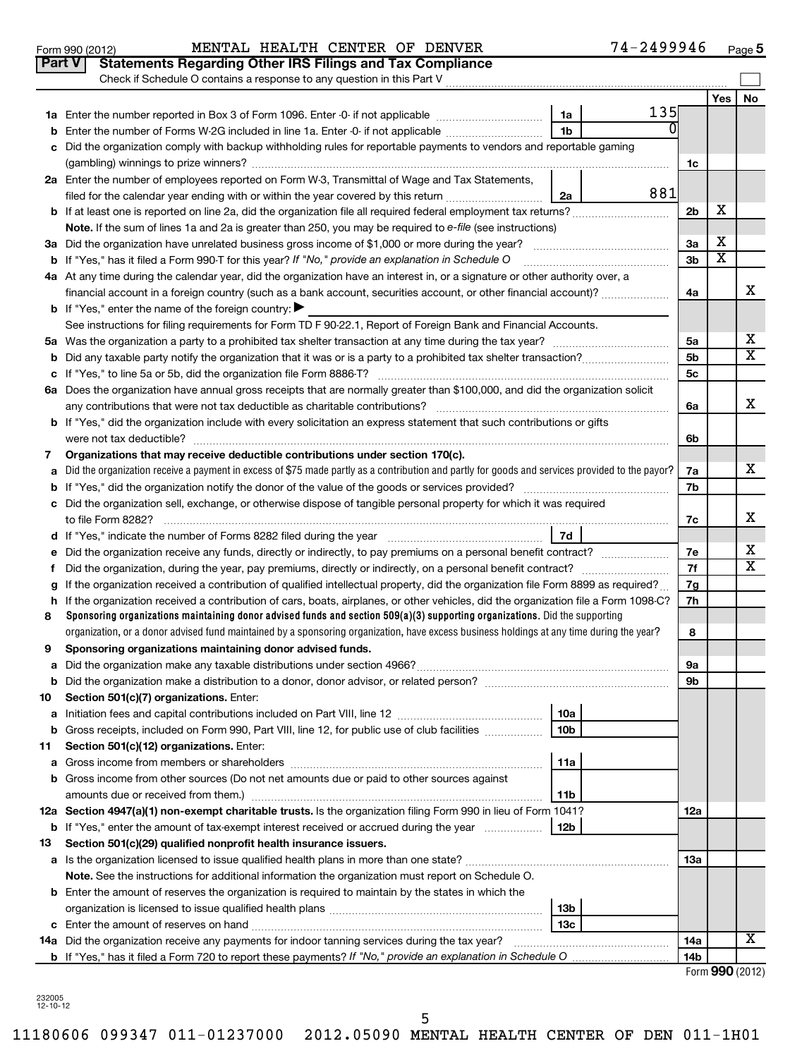| <b>Part V</b> | <b>Statements Regarding Other IRS Filings and Tax Compliance</b>                                                                                |                |     |    |
|---------------|-------------------------------------------------------------------------------------------------------------------------------------------------|----------------|-----|----|
|               | Check if Schedule O contains a response to any question in this Part V                                                                          |                |     |    |
|               |                                                                                                                                                 |                | Yes | No |
|               | 135<br>1a Enter the number reported in Box 3 of Form 1096. Enter -0- if not applicable<br>1a                                                    |                |     |    |
| b             | 0<br>Enter the number of Forms W-2G included in line 1a. Enter -0- if not applicable<br>1b                                                      |                |     |    |
| c             | Did the organization comply with backup withholding rules for reportable payments to vendors and reportable gaming                              |                |     |    |
|               |                                                                                                                                                 | 1c             |     |    |
|               | 2a Enter the number of employees reported on Form W-3, Transmittal of Wage and Tax Statements,                                                  |                |     |    |
|               | 881<br>filed for the calendar year ending with or within the year covered by this return <i>manumumumum</i><br>2a                               |                |     |    |
|               | <b>b</b> If at least one is reported on line 2a, did the organization file all required federal employment tax returns?                         | 2 <sub>b</sub> | X   |    |
|               | Note. If the sum of lines 1a and 2a is greater than 250, you may be required to e-file (see instructions)                                       |                |     |    |
|               | 3a Did the organization have unrelated business gross income of \$1,000 or more during the year?                                                | За             | х   |    |
|               | <b>b</b> If "Yes," has it filed a Form 990-T for this year? If "No," provide an explanation in Schedule O                                       | 3b             | Χ   |    |
|               | 4a At any time during the calendar year, did the organization have an interest in, or a signature or other authority over, a                    |                |     |    |
|               | financial account in a foreign country (such as a bank account, securities account, or other financial account)?                                | 4a             |     | X  |
|               | <b>b</b> If "Yes," enter the name of the foreign country: $\blacktriangleright$                                                                 |                |     |    |
|               | See instructions for filing requirements for Form TD F 90-22.1, Report of Foreign Bank and Financial Accounts.                                  |                |     |    |
|               |                                                                                                                                                 | 5a             |     | х  |
|               |                                                                                                                                                 | 5b             |     | x  |
|               |                                                                                                                                                 | 5c             |     |    |
|               | 6a Does the organization have annual gross receipts that are normally greater than \$100,000, and did the organization solicit                  |                |     |    |
|               | any contributions that were not tax deductible as charitable contributions?                                                                     | 6a             |     | х  |
|               | <b>b</b> If "Yes," did the organization include with every solicitation an express statement that such contributions or gifts                   |                |     |    |
|               |                                                                                                                                                 | 6b             |     |    |
| 7             | Organizations that may receive deductible contributions under section 170(c).                                                                   |                |     |    |
| a             | Did the organization receive a payment in excess of \$75 made partly as a contribution and partly for goods and services provided to the payor? | 7a             |     | x  |
|               |                                                                                                                                                 | 7b             |     |    |
|               | c Did the organization sell, exchange, or otherwise dispose of tangible personal property for which it was required                             |                |     |    |
|               | to file Form 8282?                                                                                                                              | 7c             |     | х  |
|               | 7d                                                                                                                                              |                |     |    |
| е             | Did the organization receive any funds, directly or indirectly, to pay premiums on a personal benefit contract?                                 | 7e             |     | х  |
| f.            |                                                                                                                                                 | 7f             |     | х  |
| g             | If the organization received a contribution of qualified intellectual property, did the organization file Form 8899 as required?                | 7g             |     |    |
|               | h If the organization received a contribution of cars, boats, airplanes, or other vehicles, did the organization file a Form 1098-C?            | 7h             |     |    |
| 8             | Sponsoring organizations maintaining donor advised funds and section 509(a)(3) supporting organizations. Did the supporting                     |                |     |    |
|               | organization, or a donor advised fund maintained by a sponsoring organization, have excess business holdings at any time during the year?       | 8              |     |    |
| 9             | Sponsoring organizations maintaining donor advised funds.                                                                                       |                |     |    |
| а             |                                                                                                                                                 | 9а             |     |    |
| b             |                                                                                                                                                 | 9b             |     |    |
| 10            | Section 501(c)(7) organizations. Enter:                                                                                                         |                |     |    |
| а             | 10a                                                                                                                                             |                |     |    |
| b             | Gross receipts, included on Form 990, Part VIII, line 12, for public use of club facilities<br>10 <sub>b</sub>                                  |                |     |    |
| 11            | Section 501(c)(12) organizations. Enter:                                                                                                        |                |     |    |
| а             | 11a                                                                                                                                             |                |     |    |
| b             | Gross income from other sources (Do not net amounts due or paid to other sources against                                                        |                |     |    |
|               | 11b                                                                                                                                             |                |     |    |
|               | 12a Section 4947(a)(1) non-exempt charitable trusts. Is the organization filing Form 990 in lieu of Form 1041?                                  | 12a            |     |    |
| b             | If "Yes," enter the amount of tax-exempt interest received or accrued during the year<br>12b                                                    |                |     |    |
| 13            | Section 501(c)(29) qualified nonprofit health insurance issuers.                                                                                |                |     |    |
| а             |                                                                                                                                                 | 13a            |     |    |
|               | Note. See the instructions for additional information the organization must report on Schedule O.                                               |                |     |    |
|               | <b>b</b> Enter the amount of reserves the organization is required to maintain by the states in which the                                       |                |     |    |
|               | 13 <sub>b</sub>                                                                                                                                 |                |     |    |
|               | 13с                                                                                                                                             |                |     | х  |
|               | <b>14a</b> Did the organization receive any payments for indoor tanning services during the tax year?                                           | 14a            |     |    |
|               |                                                                                                                                                 | 14b            |     |    |

Form 990 (2012) **MENTAL HEALTH CENTER OF DENVER 7 4**-2499946 <sub>Page</sub>

Form **990** (2012)

**5**

232005 12-10-12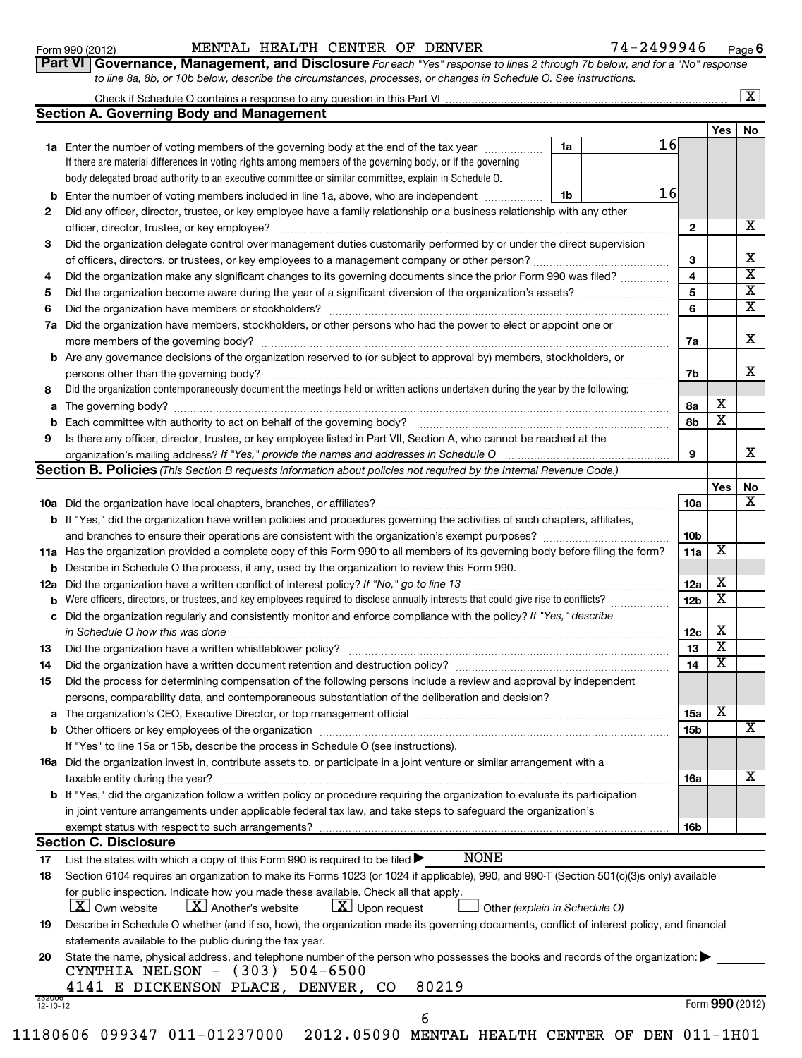# Form 990 (2012) **MENTAL HEALTH CENTER OF DENVER** 7 4-2 4 9 9 9 4 6 <sub>Page</sub>

*For each "Yes" response to lines 2 through 7b below, and for a "No" response* **6**

| L VI   QOVETHANCE, MANAGEMENT, AND DISCIOSULE FOR each "Yes" response to lines 2 through 7D below, and for a "No" respons |  |
|---------------------------------------------------------------------------------------------------------------------------|--|
| to line 8a, 8b, or 10b below, describe the circumstances, processes, or changes in Schedule O. See instructions.          |  |

|     | to line 8a, 8b, or 10b below, describe the circumstances, processes, or changes in Schedule O. See instructions.                                                                                                               |                 |                         |                         |
|-----|--------------------------------------------------------------------------------------------------------------------------------------------------------------------------------------------------------------------------------|-----------------|-------------------------|-------------------------|
|     |                                                                                                                                                                                                                                |                 |                         | $\overline{\mathbf{x}}$ |
|     | <b>Section A. Governing Body and Management</b>                                                                                                                                                                                |                 |                         |                         |
|     |                                                                                                                                                                                                                                |                 | Yes                     | No                      |
|     | 16<br>1a<br>1a Enter the number of voting members of the governing body at the end of the tax year <i>manumum</i>                                                                                                              |                 |                         |                         |
|     | If there are material differences in voting rights among members of the governing body, or if the governing                                                                                                                    |                 |                         |                         |
|     | body delegated broad authority to an executive committee or similar committee, explain in Schedule O.                                                                                                                          |                 |                         |                         |
|     | 16<br>Enter the number of voting members included in line 1a, above, who are independent<br>1b                                                                                                                                 |                 |                         |                         |
| 2   | Did any officer, director, trustee, or key employee have a family relationship or a business relationship with any other                                                                                                       |                 |                         |                         |
|     | officer, director, trustee, or key employee?                                                                                                                                                                                   | $\mathbf{2}$    |                         | х                       |
| 3   | Did the organization delegate control over management duties customarily performed by or under the direct supervision                                                                                                          |                 |                         |                         |
|     |                                                                                                                                                                                                                                | 3               |                         | X                       |
| 4   | Did the organization make any significant changes to its governing documents since the prior Form 990 was filed?                                                                                                               | 4               |                         | X                       |
| 5   |                                                                                                                                                                                                                                | 5               |                         | X                       |
| 6   |                                                                                                                                                                                                                                | 6               |                         | X                       |
| 7а  | Did the organization have members, stockholders, or other persons who had the power to elect or appoint one or                                                                                                                 |                 |                         |                         |
|     |                                                                                                                                                                                                                                |                 |                         | X                       |
|     |                                                                                                                                                                                                                                | 7a              |                         |                         |
|     | <b>b</b> Are any governance decisions of the organization reserved to (or subject to approval by) members, stockholders, or                                                                                                    |                 |                         | x                       |
|     | persons other than the governing body?                                                                                                                                                                                         | 7b              |                         |                         |
| 8   | Did the organization contemporaneously document the meetings held or written actions undertaken during the year by the following:                                                                                              |                 | х                       |                         |
| a   |                                                                                                                                                                                                                                | 8а              | X                       |                         |
| b   |                                                                                                                                                                                                                                | 8b              |                         |                         |
| 9   | Is there any officer, director, trustee, or key employee listed in Part VII, Section A, who cannot be reached at the                                                                                                           |                 |                         |                         |
|     | organization's mailing address? If "Yes," provide the names and addresses in Schedule O                                                                                                                                        | 9               |                         | X                       |
|     | <b>Section B. Policies</b> (This Section B requests information about policies not required by the Internal Revenue Code.)                                                                                                     |                 |                         |                         |
|     |                                                                                                                                                                                                                                |                 | Yes                     | No                      |
|     |                                                                                                                                                                                                                                | 10a             |                         | x                       |
|     | <b>b</b> If "Yes," did the organization have written policies and procedures governing the activities of such chapters, affiliates,                                                                                            |                 |                         |                         |
|     |                                                                                                                                                                                                                                | 10 <sub>b</sub> |                         |                         |
|     | 11a Has the organization provided a complete copy of this Form 990 to all members of its governing body before filing the form?                                                                                                | 11a             | х                       |                         |
| b   | Describe in Schedule O the process, if any, used by the organization to review this Form 990.                                                                                                                                  |                 |                         |                         |
| 12a | Did the organization have a written conflict of interest policy? If "No," go to line 13                                                                                                                                        | 12a             | X                       |                         |
| b   | Were officers, directors, or trustees, and key employees required to disclose annually interests that could give rise to conflicts?                                                                                            | 12 <sub>b</sub> | х                       |                         |
|     | c Did the organization regularly and consistently monitor and enforce compliance with the policy? If "Yes," describe                                                                                                           |                 |                         |                         |
|     | in Schedule O how this was done                                                                                                                                                                                                | 12c             | х                       |                         |
| 13  |                                                                                                                                                                                                                                | 13              | X                       |                         |
| 14  | Did the organization have a written document retention and destruction policy? [11] manufaction model of the organization have a written document retention and destruction policy?                                            | 14              | $\overline{\textbf{X}}$ |                         |
| 15  | Did the process for determining compensation of the following persons include a review and approval by independent                                                                                                             |                 |                         |                         |
|     | persons, comparability data, and contemporaneous substantiation of the deliberation and decision?                                                                                                                              |                 |                         |                         |
|     | a The organization's CEO, Executive Director, or top management official manufactured content content of the organization's CEO, Executive Director, or top management official manufactured content of the state of the state | 15a             | X                       |                         |
|     | <b>b</b> Other officers or key employees of the organization                                                                                                                                                                   | 15 <sub>b</sub> |                         | X                       |
|     | If "Yes" to line 15a or 15b, describe the process in Schedule O (see instructions).                                                                                                                                            |                 |                         |                         |
|     | 16a Did the organization invest in, contribute assets to, or participate in a joint venture or similar arrangement with a                                                                                                      |                 |                         |                         |
|     | taxable entity during the year?                                                                                                                                                                                                | <b>16a</b>      |                         | х                       |
|     | <b>b</b> If "Yes," did the organization follow a written policy or procedure requiring the organization to evaluate its participation                                                                                          |                 |                         |                         |
|     | in joint venture arrangements under applicable federal tax law, and take steps to safeguard the organization's                                                                                                                 |                 |                         |                         |
|     | exempt status with respect to such arrangements?                                                                                                                                                                               | <b>16b</b>      |                         |                         |
|     | <b>Section C. Disclosure</b>                                                                                                                                                                                                   |                 |                         |                         |
| 17  | <b>NONE</b><br>List the states with which a copy of this Form 990 is required to be filed >                                                                                                                                    |                 |                         |                         |
| 18  | Section 6104 requires an organization to make its Forms 1023 (or 1024 if applicable), 990, and 990-T (Section 501(c)(3)s only) available                                                                                       |                 |                         |                         |
|     | for public inspection. Indicate how you made these available. Check all that apply.                                                                                                                                            |                 |                         |                         |
|     | $\lfloor \underline{X} \rfloor$ Another's website<br>$\lfloor x \rfloor$ Upon request<br>$ \underline{X} $ Own website<br>Other (explain in Schedule O)                                                                        |                 |                         |                         |
| 19  | Describe in Schedule O whether (and if so, how), the organization made its governing documents, conflict of interest policy, and financial                                                                                     |                 |                         |                         |
|     | statements available to the public during the tax year.                                                                                                                                                                        |                 |                         |                         |
|     | sical address, and telephone number of the nerson who pessesses the books and reserve of the examin                                                                                                                            |                 |                         |                         |

| CYNTHIA NELSON $-$ (303) 504-6500 | 20 State the name, physical address, and telephone number of the person who possesses the books and records of the organization: |  |
|-----------------------------------|----------------------------------------------------------------------------------------------------------------------------------|--|
|                                   |                                                                                                                                  |  |

|                |  | 4141 E DICKENSON PLACE, DENVER, CO |  | 80219 |
|----------------|--|------------------------------------|--|-------|
| 232006         |  |                                    |  |       |
| $12 - 10 - 12$ |  |                                    |  |       |

|  |                                                                                |  |  | $   \sqrt{ }$ |
|--|--------------------------------------------------------------------------------|--|--|---------------|
|  | $11180606$ 099347 011-01237000 2012.05090 MENTAL HEALTH CENTER OF DEN 011-1H01 |  |  |               |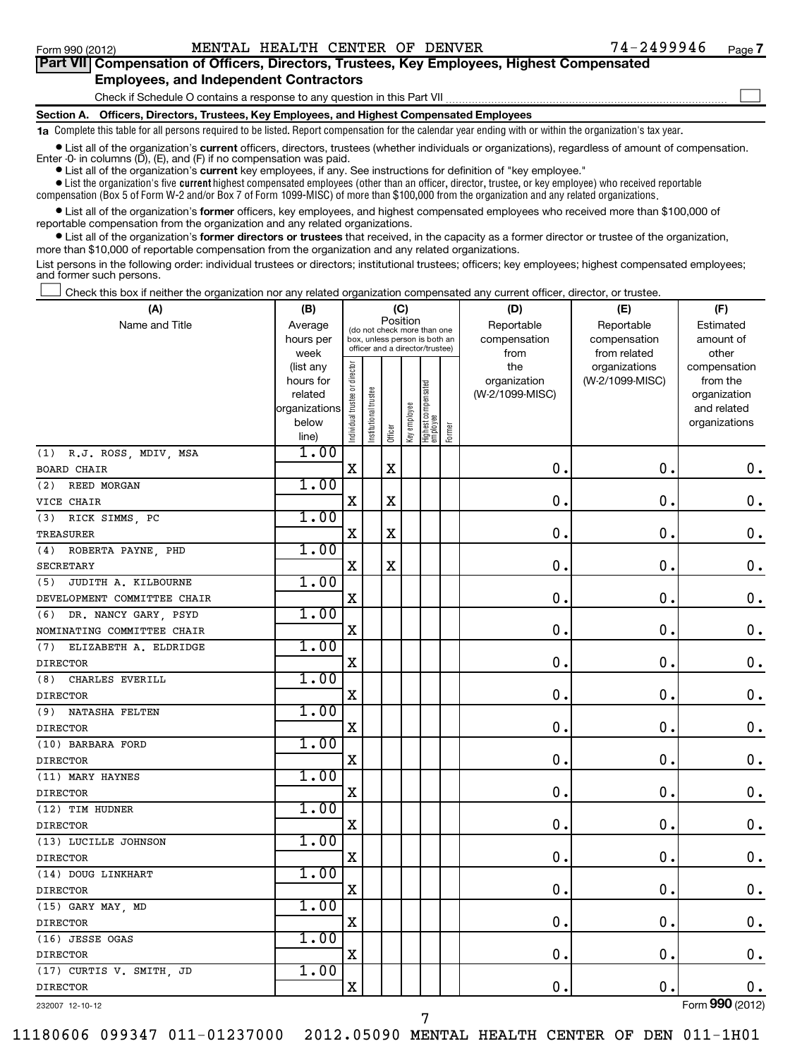| Part VII Compensation of Officers, Directors, Trustees, Key Employees, Highest Compensated                                                                                                                                           |
|--------------------------------------------------------------------------------------------------------------------------------------------------------------------------------------------------------------------------------------|
| <b>Employees, and Independent Contractors</b>                                                                                                                                                                                        |
| Check if Schedule O contains a response to any question in this Part VII                                                                                                                                                             |
| Section A. Officers, Directors, Trustees, Key Employees, and Highest Compensated Employees                                                                                                                                           |
| 1a Complete this table for all persons required to be listed. Report compensation for the calendar year ending with or within the organization's tax year.                                                                           |
| • List all of the organization's current officers, directors, trustees (whether individuals or organizations), regardless of amount of compensation.<br>Enter $-0$ in columns $(D)$ , $(E)$ , and $(F)$ if no compensation was paid. |

**•** List all of the organization's **current** key employees, if any. See instructions for definition of "key employee."

 $\bullet$  List the organization's five  $\tt current$  highest compensated employees (other than an officer, director, trustee, or key employee) who received reportable compensation (Box 5 of Form W-2 and/or Box 7 of Form 1099-MISC) of more than \$100,000 from the organization and any related organizations .

 $\bullet$  List all of the organization's former officers, key employees, and highest compensated employees who received more than \$100,000 of reportable compensation from the organization and any related organizations.

**•** List all of the organization's former directors or trustees that received, in the capacity as a former director or trustee of the organization, more than \$10,000 of reportable compensation from the organization and any related organizations.

List persons in the following order: individual trustees or directors; institutional trustees; officers; key employees; highest compensated employees; and former such persons.

Check this box if neither the organization nor any related organization compensated any current officer, director, or trustee.  $\pm$ 

| Position<br>Name and Title<br>Average<br>Reportable<br>Reportable<br>Estimated<br>(do not check more than one<br>hours per<br>box, unless person is both an<br>compensation<br>compensation<br>amount of<br>officer and a director/trustee)<br>week<br>from<br>from related<br>other<br>Individual trustee or director<br>the<br>(list any<br>organizations<br>compensation<br>hours for<br>organization<br>(W-2/1099-MISC)<br>from the<br>  Highest compensated<br>  employee<br>Institutional trustee<br>(W-2/1099-MISC)<br>related<br>organization<br>Key employee<br>organizations<br>and related<br>below<br>organizations<br>Former<br>Officer<br>line)<br>1.00<br>(1) R.J. ROSS, MDIV, MSA<br>$\mathbf X$<br>$\mathbf X$<br>$\mathbf 0$ .<br>$\mathbf 0$ .<br>$\mathbf 0$ .<br><b>BOARD CHAIR</b><br>1.00<br>REED MORGAN<br>(2)<br>$\mathbf X$<br>$\mathbf X$<br>$\mathbf 0$<br>0<br>$\mathbf 0$ .<br>VICE CHAIR<br>1.00<br>(3) RICK SIMMS, PC<br>$\mathbf X$<br>$\mathbf X$<br>$\mathbf 0$<br>0<br>$\mathbf 0$ .<br><b>TREASURER</b><br>1.00<br>(4) ROBERTA PAYNE, PHD<br>$\mathbf X$<br>$\mathbf X$<br>$\mathbf 0$ .<br>$\mathbf 0$<br>$\mathbf 0$ .<br><b>SECRETARY</b><br>1.00<br>(5) JUDITH A. KILBOURNE<br>$\mathbf X$<br>0<br>$\mathbf 0$ .<br>$\mathbf 0$<br>DEVELOPMENT COMMITTEE CHAIR<br>1.00<br>DR. NANCY GARY, PSYD<br>(6)<br>$\mathbf X$<br>$\mathbf 0$<br>0<br>$\mathbf 0$ .<br>NOMINATING COMMITTEE CHAIR<br>1.00<br>(7) ELIZABETH A. ELDRIDGE<br>$\mathbf 0$<br>$\mathbf 0$ .<br>$\mathbf X$<br>$\mathbf 0$ .<br><b>DIRECTOR</b><br>1.00<br>CHARLES EVERILL<br>(8)<br>$\mathbf X$<br>0.<br>$\mathbf 0$<br>$\mathbf 0$ .<br><b>DIRECTOR</b><br>1.00<br>(9) NATASHA FELTEN<br>$\mathbf X$<br>$\mathbf 0$<br>0.<br>$\mathbf 0$ .<br><b>DIRECTOR</b><br>1.00<br>(10) BARBARA FORD<br>0<br>0<br>$\mathbf X$<br>$\mathbf 0$ .<br><b>DIRECTOR</b><br>1.00<br>(11) MARY HAYNES<br>0<br>$\mathbf 0$<br>$\mathbf 0$ .<br>$\mathbf X$<br><b>DIRECTOR</b><br>1.00<br>(12) TIM HUDNER<br>$\mathbf 0$ .<br>$\mathbf 0$ .<br>$\mathbf X$<br>$\mathbf 0$<br><b>DIRECTOR</b><br>1.00<br>(13) LUCILLE JOHNSON<br>$\mathbf X$<br>0<br>0.<br>$\mathbf 0$ .<br><b>DIRECTOR</b><br>1.00<br>(14) DOUG LINKHART<br>0<br>$\mathbf 0$ .<br>$\mathbf 0$ .<br>$\mathbf X$<br><b>DIRECTOR</b><br>1.00<br>(15) GARY MAY, MD<br>$\mathbf 0$<br>$\mathbf 0$ .<br>$\mathbf 0$ .<br>X<br><b>DIRECTOR</b><br>1.00<br>(16) JESSE OGAS<br>$\mathbf 0$ .<br>$\mathbf 0$ .<br>$\mathbf 0$ .<br>$\mathbf X$<br><b>DIRECTOR</b><br>1.00<br>(17) CURTIS V. SMITH, JD<br>0<br>0.<br>$0$ .<br>$\mathbf X$<br><b>DIRECTOR</b> | (A) | (B) | (C) |  |  |  |  | (D) | (E) | (F) |  |  |
|----------------------------------------------------------------------------------------------------------------------------------------------------------------------------------------------------------------------------------------------------------------------------------------------------------------------------------------------------------------------------------------------------------------------------------------------------------------------------------------------------------------------------------------------------------------------------------------------------------------------------------------------------------------------------------------------------------------------------------------------------------------------------------------------------------------------------------------------------------------------------------------------------------------------------------------------------------------------------------------------------------------------------------------------------------------------------------------------------------------------------------------------------------------------------------------------------------------------------------------------------------------------------------------------------------------------------------------------------------------------------------------------------------------------------------------------------------------------------------------------------------------------------------------------------------------------------------------------------------------------------------------------------------------------------------------------------------------------------------------------------------------------------------------------------------------------------------------------------------------------------------------------------------------------------------------------------------------------------------------------------------------------------------------------------------------------------------------------------------------------------------------------------------------------------------------------------------------------------------------------------------------------------------------------------------------------------------------------------------------------------------------------------------------------------------------------------------------------------------------------------------------------------------------------------------------------------------------------------------|-----|-----|-----|--|--|--|--|-----|-----|-----|--|--|
|                                                                                                                                                                                                                                                                                                                                                                                                                                                                                                                                                                                                                                                                                                                                                                                                                                                                                                                                                                                                                                                                                                                                                                                                                                                                                                                                                                                                                                                                                                                                                                                                                                                                                                                                                                                                                                                                                                                                                                                                                                                                                                                                                                                                                                                                                                                                                                                                                                                                                                                                                                                                          |     |     |     |  |  |  |  |     |     |     |  |  |
|                                                                                                                                                                                                                                                                                                                                                                                                                                                                                                                                                                                                                                                                                                                                                                                                                                                                                                                                                                                                                                                                                                                                                                                                                                                                                                                                                                                                                                                                                                                                                                                                                                                                                                                                                                                                                                                                                                                                                                                                                                                                                                                                                                                                                                                                                                                                                                                                                                                                                                                                                                                                          |     |     |     |  |  |  |  |     |     |     |  |  |
|                                                                                                                                                                                                                                                                                                                                                                                                                                                                                                                                                                                                                                                                                                                                                                                                                                                                                                                                                                                                                                                                                                                                                                                                                                                                                                                                                                                                                                                                                                                                                                                                                                                                                                                                                                                                                                                                                                                                                                                                                                                                                                                                                                                                                                                                                                                                                                                                                                                                                                                                                                                                          |     |     |     |  |  |  |  |     |     |     |  |  |
|                                                                                                                                                                                                                                                                                                                                                                                                                                                                                                                                                                                                                                                                                                                                                                                                                                                                                                                                                                                                                                                                                                                                                                                                                                                                                                                                                                                                                                                                                                                                                                                                                                                                                                                                                                                                                                                                                                                                                                                                                                                                                                                                                                                                                                                                                                                                                                                                                                                                                                                                                                                                          |     |     |     |  |  |  |  |     |     |     |  |  |
|                                                                                                                                                                                                                                                                                                                                                                                                                                                                                                                                                                                                                                                                                                                                                                                                                                                                                                                                                                                                                                                                                                                                                                                                                                                                                                                                                                                                                                                                                                                                                                                                                                                                                                                                                                                                                                                                                                                                                                                                                                                                                                                                                                                                                                                                                                                                                                                                                                                                                                                                                                                                          |     |     |     |  |  |  |  |     |     |     |  |  |
|                                                                                                                                                                                                                                                                                                                                                                                                                                                                                                                                                                                                                                                                                                                                                                                                                                                                                                                                                                                                                                                                                                                                                                                                                                                                                                                                                                                                                                                                                                                                                                                                                                                                                                                                                                                                                                                                                                                                                                                                                                                                                                                                                                                                                                                                                                                                                                                                                                                                                                                                                                                                          |     |     |     |  |  |  |  |     |     |     |  |  |
|                                                                                                                                                                                                                                                                                                                                                                                                                                                                                                                                                                                                                                                                                                                                                                                                                                                                                                                                                                                                                                                                                                                                                                                                                                                                                                                                                                                                                                                                                                                                                                                                                                                                                                                                                                                                                                                                                                                                                                                                                                                                                                                                                                                                                                                                                                                                                                                                                                                                                                                                                                                                          |     |     |     |  |  |  |  |     |     |     |  |  |
|                                                                                                                                                                                                                                                                                                                                                                                                                                                                                                                                                                                                                                                                                                                                                                                                                                                                                                                                                                                                                                                                                                                                                                                                                                                                                                                                                                                                                                                                                                                                                                                                                                                                                                                                                                                                                                                                                                                                                                                                                                                                                                                                                                                                                                                                                                                                                                                                                                                                                                                                                                                                          |     |     |     |  |  |  |  |     |     |     |  |  |
|                                                                                                                                                                                                                                                                                                                                                                                                                                                                                                                                                                                                                                                                                                                                                                                                                                                                                                                                                                                                                                                                                                                                                                                                                                                                                                                                                                                                                                                                                                                                                                                                                                                                                                                                                                                                                                                                                                                                                                                                                                                                                                                                                                                                                                                                                                                                                                                                                                                                                                                                                                                                          |     |     |     |  |  |  |  |     |     |     |  |  |
|                                                                                                                                                                                                                                                                                                                                                                                                                                                                                                                                                                                                                                                                                                                                                                                                                                                                                                                                                                                                                                                                                                                                                                                                                                                                                                                                                                                                                                                                                                                                                                                                                                                                                                                                                                                                                                                                                                                                                                                                                                                                                                                                                                                                                                                                                                                                                                                                                                                                                                                                                                                                          |     |     |     |  |  |  |  |     |     |     |  |  |
|                                                                                                                                                                                                                                                                                                                                                                                                                                                                                                                                                                                                                                                                                                                                                                                                                                                                                                                                                                                                                                                                                                                                                                                                                                                                                                                                                                                                                                                                                                                                                                                                                                                                                                                                                                                                                                                                                                                                                                                                                                                                                                                                                                                                                                                                                                                                                                                                                                                                                                                                                                                                          |     |     |     |  |  |  |  |     |     |     |  |  |
|                                                                                                                                                                                                                                                                                                                                                                                                                                                                                                                                                                                                                                                                                                                                                                                                                                                                                                                                                                                                                                                                                                                                                                                                                                                                                                                                                                                                                                                                                                                                                                                                                                                                                                                                                                                                                                                                                                                                                                                                                                                                                                                                                                                                                                                                                                                                                                                                                                                                                                                                                                                                          |     |     |     |  |  |  |  |     |     |     |  |  |
|                                                                                                                                                                                                                                                                                                                                                                                                                                                                                                                                                                                                                                                                                                                                                                                                                                                                                                                                                                                                                                                                                                                                                                                                                                                                                                                                                                                                                                                                                                                                                                                                                                                                                                                                                                                                                                                                                                                                                                                                                                                                                                                                                                                                                                                                                                                                                                                                                                                                                                                                                                                                          |     |     |     |  |  |  |  |     |     |     |  |  |
|                                                                                                                                                                                                                                                                                                                                                                                                                                                                                                                                                                                                                                                                                                                                                                                                                                                                                                                                                                                                                                                                                                                                                                                                                                                                                                                                                                                                                                                                                                                                                                                                                                                                                                                                                                                                                                                                                                                                                                                                                                                                                                                                                                                                                                                                                                                                                                                                                                                                                                                                                                                                          |     |     |     |  |  |  |  |     |     |     |  |  |
|                                                                                                                                                                                                                                                                                                                                                                                                                                                                                                                                                                                                                                                                                                                                                                                                                                                                                                                                                                                                                                                                                                                                                                                                                                                                                                                                                                                                                                                                                                                                                                                                                                                                                                                                                                                                                                                                                                                                                                                                                                                                                                                                                                                                                                                                                                                                                                                                                                                                                                                                                                                                          |     |     |     |  |  |  |  |     |     |     |  |  |
|                                                                                                                                                                                                                                                                                                                                                                                                                                                                                                                                                                                                                                                                                                                                                                                                                                                                                                                                                                                                                                                                                                                                                                                                                                                                                                                                                                                                                                                                                                                                                                                                                                                                                                                                                                                                                                                                                                                                                                                                                                                                                                                                                                                                                                                                                                                                                                                                                                                                                                                                                                                                          |     |     |     |  |  |  |  |     |     |     |  |  |
|                                                                                                                                                                                                                                                                                                                                                                                                                                                                                                                                                                                                                                                                                                                                                                                                                                                                                                                                                                                                                                                                                                                                                                                                                                                                                                                                                                                                                                                                                                                                                                                                                                                                                                                                                                                                                                                                                                                                                                                                                                                                                                                                                                                                                                                                                                                                                                                                                                                                                                                                                                                                          |     |     |     |  |  |  |  |     |     |     |  |  |
|                                                                                                                                                                                                                                                                                                                                                                                                                                                                                                                                                                                                                                                                                                                                                                                                                                                                                                                                                                                                                                                                                                                                                                                                                                                                                                                                                                                                                                                                                                                                                                                                                                                                                                                                                                                                                                                                                                                                                                                                                                                                                                                                                                                                                                                                                                                                                                                                                                                                                                                                                                                                          |     |     |     |  |  |  |  |     |     |     |  |  |
|                                                                                                                                                                                                                                                                                                                                                                                                                                                                                                                                                                                                                                                                                                                                                                                                                                                                                                                                                                                                                                                                                                                                                                                                                                                                                                                                                                                                                                                                                                                                                                                                                                                                                                                                                                                                                                                                                                                                                                                                                                                                                                                                                                                                                                                                                                                                                                                                                                                                                                                                                                                                          |     |     |     |  |  |  |  |     |     |     |  |  |
|                                                                                                                                                                                                                                                                                                                                                                                                                                                                                                                                                                                                                                                                                                                                                                                                                                                                                                                                                                                                                                                                                                                                                                                                                                                                                                                                                                                                                                                                                                                                                                                                                                                                                                                                                                                                                                                                                                                                                                                                                                                                                                                                                                                                                                                                                                                                                                                                                                                                                                                                                                                                          |     |     |     |  |  |  |  |     |     |     |  |  |
|                                                                                                                                                                                                                                                                                                                                                                                                                                                                                                                                                                                                                                                                                                                                                                                                                                                                                                                                                                                                                                                                                                                                                                                                                                                                                                                                                                                                                                                                                                                                                                                                                                                                                                                                                                                                                                                                                                                                                                                                                                                                                                                                                                                                                                                                                                                                                                                                                                                                                                                                                                                                          |     |     |     |  |  |  |  |     |     |     |  |  |
|                                                                                                                                                                                                                                                                                                                                                                                                                                                                                                                                                                                                                                                                                                                                                                                                                                                                                                                                                                                                                                                                                                                                                                                                                                                                                                                                                                                                                                                                                                                                                                                                                                                                                                                                                                                                                                                                                                                                                                                                                                                                                                                                                                                                                                                                                                                                                                                                                                                                                                                                                                                                          |     |     |     |  |  |  |  |     |     |     |  |  |
|                                                                                                                                                                                                                                                                                                                                                                                                                                                                                                                                                                                                                                                                                                                                                                                                                                                                                                                                                                                                                                                                                                                                                                                                                                                                                                                                                                                                                                                                                                                                                                                                                                                                                                                                                                                                                                                                                                                                                                                                                                                                                                                                                                                                                                                                                                                                                                                                                                                                                                                                                                                                          |     |     |     |  |  |  |  |     |     |     |  |  |
|                                                                                                                                                                                                                                                                                                                                                                                                                                                                                                                                                                                                                                                                                                                                                                                                                                                                                                                                                                                                                                                                                                                                                                                                                                                                                                                                                                                                                                                                                                                                                                                                                                                                                                                                                                                                                                                                                                                                                                                                                                                                                                                                                                                                                                                                                                                                                                                                                                                                                                                                                                                                          |     |     |     |  |  |  |  |     |     |     |  |  |
|                                                                                                                                                                                                                                                                                                                                                                                                                                                                                                                                                                                                                                                                                                                                                                                                                                                                                                                                                                                                                                                                                                                                                                                                                                                                                                                                                                                                                                                                                                                                                                                                                                                                                                                                                                                                                                                                                                                                                                                                                                                                                                                                                                                                                                                                                                                                                                                                                                                                                                                                                                                                          |     |     |     |  |  |  |  |     |     |     |  |  |
|                                                                                                                                                                                                                                                                                                                                                                                                                                                                                                                                                                                                                                                                                                                                                                                                                                                                                                                                                                                                                                                                                                                                                                                                                                                                                                                                                                                                                                                                                                                                                                                                                                                                                                                                                                                                                                                                                                                                                                                                                                                                                                                                                                                                                                                                                                                                                                                                                                                                                                                                                                                                          |     |     |     |  |  |  |  |     |     |     |  |  |
|                                                                                                                                                                                                                                                                                                                                                                                                                                                                                                                                                                                                                                                                                                                                                                                                                                                                                                                                                                                                                                                                                                                                                                                                                                                                                                                                                                                                                                                                                                                                                                                                                                                                                                                                                                                                                                                                                                                                                                                                                                                                                                                                                                                                                                                                                                                                                                                                                                                                                                                                                                                                          |     |     |     |  |  |  |  |     |     |     |  |  |
|                                                                                                                                                                                                                                                                                                                                                                                                                                                                                                                                                                                                                                                                                                                                                                                                                                                                                                                                                                                                                                                                                                                                                                                                                                                                                                                                                                                                                                                                                                                                                                                                                                                                                                                                                                                                                                                                                                                                                                                                                                                                                                                                                                                                                                                                                                                                                                                                                                                                                                                                                                                                          |     |     |     |  |  |  |  |     |     |     |  |  |
|                                                                                                                                                                                                                                                                                                                                                                                                                                                                                                                                                                                                                                                                                                                                                                                                                                                                                                                                                                                                                                                                                                                                                                                                                                                                                                                                                                                                                                                                                                                                                                                                                                                                                                                                                                                                                                                                                                                                                                                                                                                                                                                                                                                                                                                                                                                                                                                                                                                                                                                                                                                                          |     |     |     |  |  |  |  |     |     |     |  |  |
|                                                                                                                                                                                                                                                                                                                                                                                                                                                                                                                                                                                                                                                                                                                                                                                                                                                                                                                                                                                                                                                                                                                                                                                                                                                                                                                                                                                                                                                                                                                                                                                                                                                                                                                                                                                                                                                                                                                                                                                                                                                                                                                                                                                                                                                                                                                                                                                                                                                                                                                                                                                                          |     |     |     |  |  |  |  |     |     |     |  |  |
|                                                                                                                                                                                                                                                                                                                                                                                                                                                                                                                                                                                                                                                                                                                                                                                                                                                                                                                                                                                                                                                                                                                                                                                                                                                                                                                                                                                                                                                                                                                                                                                                                                                                                                                                                                                                                                                                                                                                                                                                                                                                                                                                                                                                                                                                                                                                                                                                                                                                                                                                                                                                          |     |     |     |  |  |  |  |     |     |     |  |  |
|                                                                                                                                                                                                                                                                                                                                                                                                                                                                                                                                                                                                                                                                                                                                                                                                                                                                                                                                                                                                                                                                                                                                                                                                                                                                                                                                                                                                                                                                                                                                                                                                                                                                                                                                                                                                                                                                                                                                                                                                                                                                                                                                                                                                                                                                                                                                                                                                                                                                                                                                                                                                          |     |     |     |  |  |  |  |     |     |     |  |  |
|                                                                                                                                                                                                                                                                                                                                                                                                                                                                                                                                                                                                                                                                                                                                                                                                                                                                                                                                                                                                                                                                                                                                                                                                                                                                                                                                                                                                                                                                                                                                                                                                                                                                                                                                                                                                                                                                                                                                                                                                                                                                                                                                                                                                                                                                                                                                                                                                                                                                                                                                                                                                          |     |     |     |  |  |  |  |     |     |     |  |  |
|                                                                                                                                                                                                                                                                                                                                                                                                                                                                                                                                                                                                                                                                                                                                                                                                                                                                                                                                                                                                                                                                                                                                                                                                                                                                                                                                                                                                                                                                                                                                                                                                                                                                                                                                                                                                                                                                                                                                                                                                                                                                                                                                                                                                                                                                                                                                                                                                                                                                                                                                                                                                          |     |     |     |  |  |  |  |     |     |     |  |  |
|                                                                                                                                                                                                                                                                                                                                                                                                                                                                                                                                                                                                                                                                                                                                                                                                                                                                                                                                                                                                                                                                                                                                                                                                                                                                                                                                                                                                                                                                                                                                                                                                                                                                                                                                                                                                                                                                                                                                                                                                                                                                                                                                                                                                                                                                                                                                                                                                                                                                                                                                                                                                          |     |     |     |  |  |  |  |     |     |     |  |  |
|                                                                                                                                                                                                                                                                                                                                                                                                                                                                                                                                                                                                                                                                                                                                                                                                                                                                                                                                                                                                                                                                                                                                                                                                                                                                                                                                                                                                                                                                                                                                                                                                                                                                                                                                                                                                                                                                                                                                                                                                                                                                                                                                                                                                                                                                                                                                                                                                                                                                                                                                                                                                          |     |     |     |  |  |  |  |     |     |     |  |  |
|                                                                                                                                                                                                                                                                                                                                                                                                                                                                                                                                                                                                                                                                                                                                                                                                                                                                                                                                                                                                                                                                                                                                                                                                                                                                                                                                                                                                                                                                                                                                                                                                                                                                                                                                                                                                                                                                                                                                                                                                                                                                                                                                                                                                                                                                                                                                                                                                                                                                                                                                                                                                          |     |     |     |  |  |  |  |     |     |     |  |  |
|                                                                                                                                                                                                                                                                                                                                                                                                                                                                                                                                                                                                                                                                                                                                                                                                                                                                                                                                                                                                                                                                                                                                                                                                                                                                                                                                                                                                                                                                                                                                                                                                                                                                                                                                                                                                                                                                                                                                                                                                                                                                                                                                                                                                                                                                                                                                                                                                                                                                                                                                                                                                          |     |     |     |  |  |  |  |     |     |     |  |  |
|                                                                                                                                                                                                                                                                                                                                                                                                                                                                                                                                                                                                                                                                                                                                                                                                                                                                                                                                                                                                                                                                                                                                                                                                                                                                                                                                                                                                                                                                                                                                                                                                                                                                                                                                                                                                                                                                                                                                                                                                                                                                                                                                                                                                                                                                                                                                                                                                                                                                                                                                                                                                          |     |     |     |  |  |  |  |     |     |     |  |  |
|                                                                                                                                                                                                                                                                                                                                                                                                                                                                                                                                                                                                                                                                                                                                                                                                                                                                                                                                                                                                                                                                                                                                                                                                                                                                                                                                                                                                                                                                                                                                                                                                                                                                                                                                                                                                                                                                                                                                                                                                                                                                                                                                                                                                                                                                                                                                                                                                                                                                                                                                                                                                          |     |     |     |  |  |  |  |     |     |     |  |  |
|                                                                                                                                                                                                                                                                                                                                                                                                                                                                                                                                                                                                                                                                                                                                                                                                                                                                                                                                                                                                                                                                                                                                                                                                                                                                                                                                                                                                                                                                                                                                                                                                                                                                                                                                                                                                                                                                                                                                                                                                                                                                                                                                                                                                                                                                                                                                                                                                                                                                                                                                                                                                          |     |     |     |  |  |  |  |     |     |     |  |  |
|                                                                                                                                                                                                                                                                                                                                                                                                                                                                                                                                                                                                                                                                                                                                                                                                                                                                                                                                                                                                                                                                                                                                                                                                                                                                                                                                                                                                                                                                                                                                                                                                                                                                                                                                                                                                                                                                                                                                                                                                                                                                                                                                                                                                                                                                                                                                                                                                                                                                                                                                                                                                          |     |     |     |  |  |  |  |     |     |     |  |  |

7

232007 12-10-12

11180606 099347 011-01237000 2012.05090 MENTAL HEALTH CENTER OF DEN 011-1H01

Form (2012) **990**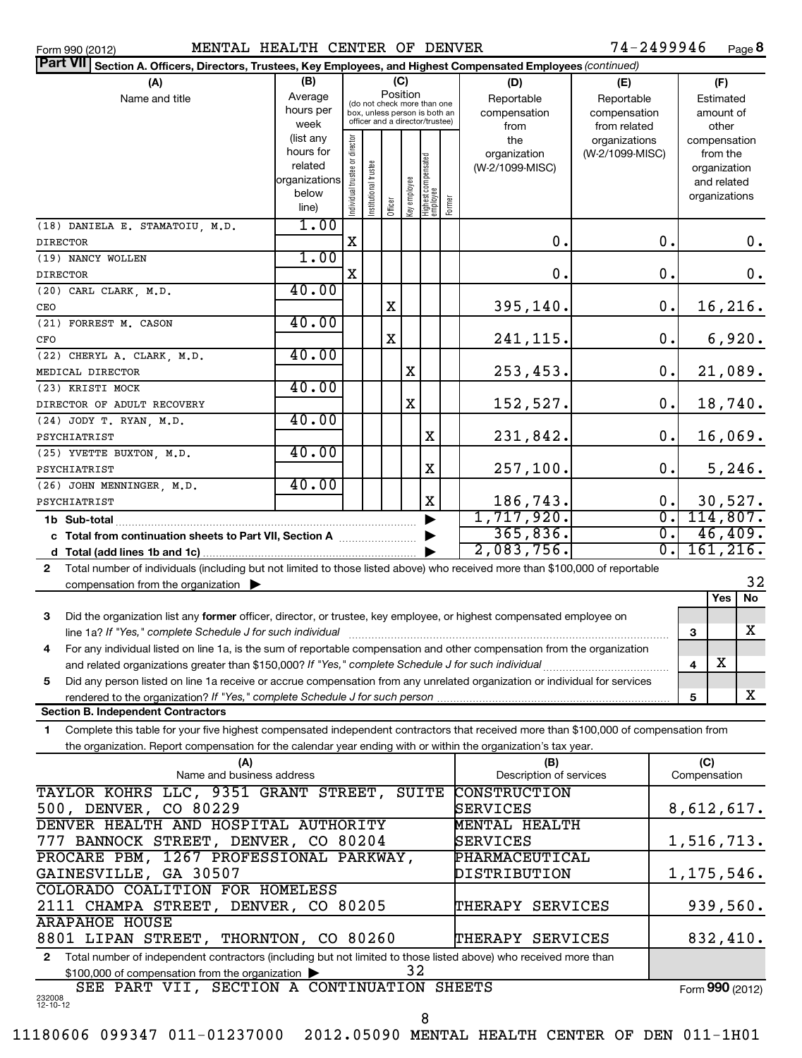Form 990 (2012) **MENTAL HEALTH CENTER OF DENVER** 7 4-2499946 Page

 $74 - 2499946$  Page 8

| Part VII Section A. Officers, Directors, Trustees, Key Employees, and Highest Compensated Employees (continued)                              |                                      |                                |                                                                  |         |              |                                  |        |                                |                               |                  |                     |                       |          |
|----------------------------------------------------------------------------------------------------------------------------------------------|--------------------------------------|--------------------------------|------------------------------------------------------------------|---------|--------------|----------------------------------|--------|--------------------------------|-------------------------------|------------------|---------------------|-----------------------|----------|
| (A)                                                                                                                                          | (B)                                  |                                |                                                                  |         | (C)          |                                  |        | (D)<br>(E)                     |                               |                  |                     | (F)                   |          |
| Name and title                                                                                                                               | Average                              |                                | (do not check more than one                                      |         | Position     |                                  |        | Reportable                     | Reportable                    |                  |                     | Estimated             |          |
|                                                                                                                                              | hours per<br>week                    |                                | box, unless person is both an<br>officer and a director/trustee) |         |              |                                  |        | compensation                   | compensation                  |                  |                     | amount of             |          |
|                                                                                                                                              | (list any                            |                                |                                                                  |         |              |                                  |        | from<br>the                    | from related<br>organizations |                  |                     | other<br>compensation |          |
|                                                                                                                                              | hours for                            | Individual trustee or director |                                                                  |         |              |                                  |        | organization                   | (W-2/1099-MISC)               |                  |                     | from the              |          |
|                                                                                                                                              | related                              |                                |                                                                  |         |              |                                  |        | (W-2/1099-MISC)                |                               |                  |                     | organization          |          |
|                                                                                                                                              | organizations                        |                                | Institutional trustee                                            |         |              | Highest compensated<br> employee |        |                                |                               |                  |                     | and related           |          |
|                                                                                                                                              | below                                |                                |                                                                  | Officer | Key employee |                                  | Former |                                |                               |                  |                     | organizations         |          |
|                                                                                                                                              | line)                                |                                |                                                                  |         |              |                                  |        |                                |                               |                  |                     |                       |          |
| (18) DANIELA E. STAMATOIU, M.D.                                                                                                              | 1.00                                 |                                |                                                                  |         |              |                                  |        |                                |                               |                  |                     |                       |          |
| <b>DIRECTOR</b>                                                                                                                              |                                      | X                              |                                                                  |         |              |                                  |        | 0.                             |                               | $\mathbf 0$ .    |                     |                       | 0.       |
| (19) NANCY WOLLEN                                                                                                                            | 1.00                                 | X                              |                                                                  |         |              |                                  |        |                                |                               | $\mathbf 0$ .    |                     |                       |          |
| <b>DIRECTOR</b><br>$(20)$ CARL CLARK, M.D.                                                                                                   | 40.00                                |                                |                                                                  |         |              |                                  |        | 0.                             |                               |                  |                     |                       | 0.       |
| CEO                                                                                                                                          |                                      |                                |                                                                  | X       |              |                                  |        |                                |                               | $\mathbf 0$ .    |                     |                       |          |
| (21) FORREST M. CASON                                                                                                                        | 40.00                                |                                |                                                                  |         |              |                                  |        | 395,140.                       |                               |                  |                     |                       | 16, 216. |
| CFO                                                                                                                                          |                                      |                                |                                                                  | X       |              |                                  |        | 241,115.                       |                               | $\mathbf 0$ .    |                     |                       | 6,920.   |
| (22) CHERYL A. CLARK, M.D.                                                                                                                   | 40.00                                |                                |                                                                  |         |              |                                  |        |                                |                               |                  |                     |                       |          |
| MEDICAL DIRECTOR                                                                                                                             |                                      |                                |                                                                  |         | X            |                                  |        | 253,453.                       |                               | $\mathbf 0$ .    |                     |                       | 21,089.  |
| (23) KRISTI MOCK                                                                                                                             | 40.00                                |                                |                                                                  |         |              |                                  |        |                                |                               |                  |                     |                       |          |
| DIRECTOR OF ADULT RECOVERY                                                                                                                   |                                      |                                |                                                                  |         | X            |                                  |        | 152,527.                       |                               | $\mathbf 0$ .    |                     |                       | 18,740.  |
| (24) JODY T. RYAN, M.D.                                                                                                                      | 40.00                                |                                |                                                                  |         |              |                                  |        |                                |                               |                  |                     |                       |          |
| PSYCHIATRIST                                                                                                                                 |                                      |                                |                                                                  |         |              | Χ                                |        | 231,842.                       |                               | $\mathbf 0$ .    |                     |                       | 16,069.  |
| (25) YVETTE BUXTON, M.D.                                                                                                                     | 40.00                                |                                |                                                                  |         |              |                                  |        |                                |                               |                  |                     |                       |          |
| PSYCHIATRIST                                                                                                                                 |                                      |                                |                                                                  |         |              | X                                |        | 257,100.                       |                               | $\mathbf 0$ .    |                     |                       | 5,246.   |
| (26) JOHN MENNINGER, M.D.                                                                                                                    | 40.00                                |                                |                                                                  |         |              |                                  |        |                                |                               |                  |                     |                       |          |
| PSYCHIATRIST                                                                                                                                 |                                      |                                |                                                                  |         |              | X                                |        | 186,743.                       |                               | О.               |                     | 30,527.               |          |
| 1b Sub-total                                                                                                                                 |                                      |                                |                                                                  |         |              |                                  |        | 1,717,920.                     |                               | σ.               |                     | 114,807.              |          |
| c Total from continuation sheets to Part VII, Section A                                                                                      |                                      |                                |                                                                  |         |              |                                  |        | 365,836.                       |                               | $\overline{0}$ . |                     | 46,409.               |          |
|                                                                                                                                              |                                      |                                |                                                                  |         |              |                                  |        | 2,083,756.                     |                               | σ.               |                     | 161, 216.             |          |
| Total number of individuals (including but not limited to those listed above) who received more than \$100,000 of reportable<br>$\mathbf{2}$ |                                      |                                |                                                                  |         |              |                                  |        |                                |                               |                  |                     |                       |          |
| compensation from the organization $\blacktriangleright$                                                                                     |                                      |                                |                                                                  |         |              |                                  |        |                                |                               |                  |                     |                       | 32       |
|                                                                                                                                              |                                      |                                |                                                                  |         |              |                                  |        |                                |                               |                  |                     | Yes                   | No       |
| Did the organization list any former officer, director, or trustee, key employee, or highest compensated employee on<br>3                    |                                      |                                |                                                                  |         |              |                                  |        |                                |                               |                  |                     |                       |          |
| line 1a? If "Yes," complete Schedule J for such individual                                                                                   |                                      |                                |                                                                  |         |              |                                  |        |                                |                               |                  | 3                   |                       | X        |
| For any individual listed on line 1a, is the sum of reportable compensation and other compensation from the organization<br>4                |                                      |                                |                                                                  |         |              |                                  |        |                                |                               |                  |                     |                       |          |
|                                                                                                                                              |                                      |                                |                                                                  |         |              |                                  |        |                                |                               |                  | 4                   | $\mathbf X$           |          |
| Did any person listed on line 1a receive or accrue compensation from any unrelated organization or individual for services<br>5              |                                      |                                |                                                                  |         |              |                                  |        |                                |                               |                  |                     |                       |          |
| rendered to the organization? If "Yes," complete Schedule J for such person                                                                  |                                      |                                |                                                                  |         |              |                                  |        |                                |                               |                  | 5                   |                       | X        |
| <b>Section B. Independent Contractors</b>                                                                                                    |                                      |                                |                                                                  |         |              |                                  |        |                                |                               |                  |                     |                       |          |
| Complete this table for your five highest compensated independent contractors that received more than \$100,000 of compensation from<br>1    |                                      |                                |                                                                  |         |              |                                  |        |                                |                               |                  |                     |                       |          |
| the organization. Report compensation for the calendar year ending with or within the organization's tax year.                               |                                      |                                |                                                                  |         |              |                                  |        |                                |                               |                  |                     |                       |          |
| (A)<br>Name and business address                                                                                                             |                                      |                                |                                                                  |         |              |                                  |        | (B)<br>Description of services |                               |                  | (C)<br>Compensation |                       |          |
| TAYLOR KOHRS LLC, 9351 GRANT STREET, SUITE                                                                                                   |                                      |                                |                                                                  |         |              |                                  |        | CONSTRUCTION                   |                               |                  |                     |                       |          |
| 500, DENVER, CO 80229                                                                                                                        |                                      |                                |                                                                  |         |              |                                  |        | SERVICES                       |                               |                  | 8,612,617.          |                       |          |
| DENVER HEALTH AND HOSPITAL AUTHORITY                                                                                                         |                                      |                                |                                                                  |         |              |                                  |        | MENTAL HEALTH                  |                               |                  |                     |                       |          |
|                                                                                                                                              | 777 BANNOCK STREET, DENVER, CO 80204 |                                |                                                                  |         |              |                                  |        | SERVICES                       |                               |                  | 1,516,713.          |                       |          |
| PROCARE PBM, 1267 PROFESSIONAL PARKWAY,                                                                                                      |                                      |                                |                                                                  |         |              |                                  |        | PHARMACEUTICAL                 |                               |                  |                     |                       |          |
| GAINESVILLE, GA 30507                                                                                                                        |                                      |                                |                                                                  |         |              |                                  |        | DISTRIBUTION                   |                               |                  | 1, 175, 546.        |                       |          |
| COLORADO COALITION FOR HOMELESS                                                                                                              |                                      |                                |                                                                  |         |              |                                  |        |                                |                               |                  |                     |                       |          |
| 2111 CHAMPA STREET, DENVER, CO 80205<br>THERAPY SERVICES                                                                                     |                                      |                                |                                                                  |         |              |                                  |        |                                |                               | 939,560.         |                     |                       |          |
| <b>ARAPAHOE HOUSE</b>                                                                                                                        |                                      |                                |                                                                  |         |              |                                  |        |                                |                               |                  |                     |                       |          |
| 8801 LIPAN STREET, THORNTON, CO 80260<br>THERAPY SERVICES                                                                                    |                                      |                                |                                                                  |         |              |                                  |        | 832,410.                       |                               |                  |                     |                       |          |
| Total number of independent contractors (including but not limited to those listed above) who received more than<br>$\mathbf{2}$             |                                      |                                |                                                                  |         |              |                                  |        |                                |                               |                  |                     |                       |          |
| 32<br>\$100,000 of compensation from the organization >                                                                                      |                                      |                                |                                                                  |         |              |                                  |        |                                |                               |                  |                     |                       |          |

232008 12-10-12 SEE PART VII, SECTION A CONTINUATION SHEETS Form (2012) **990**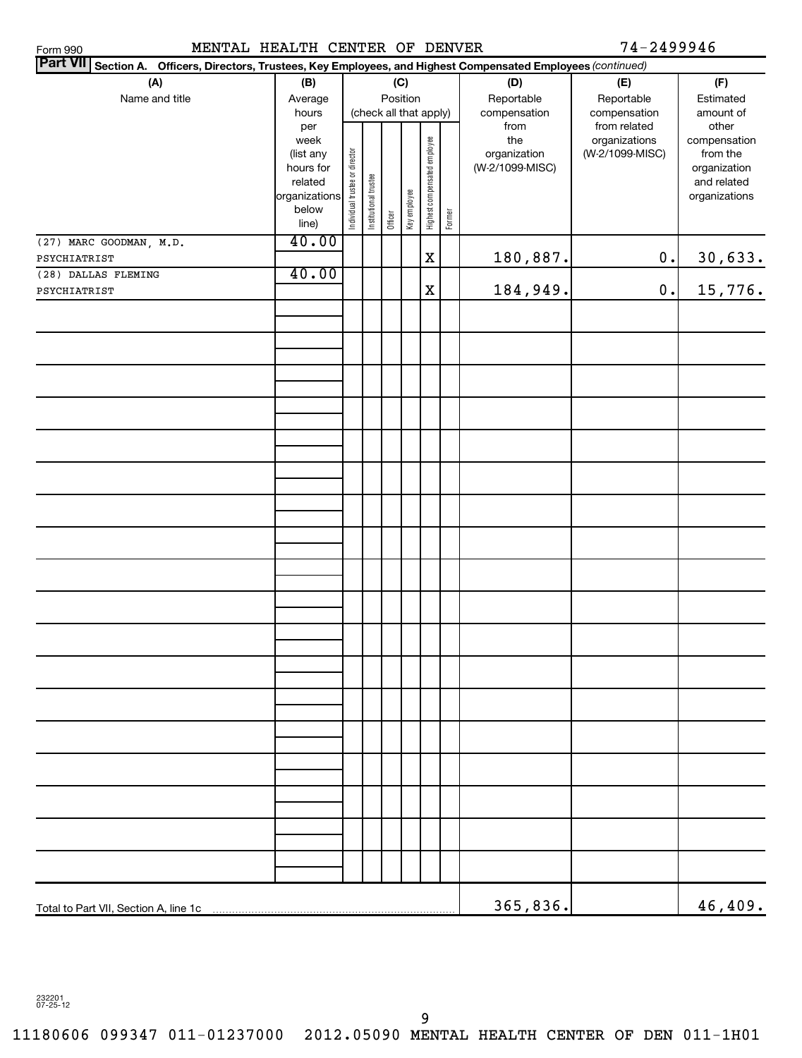MENTAL HEALTH CENTER OF DENVER 74-2499946

| Part VII Section A. Officers, Directors, Trustees, Key Employees, and Highest Compensated Employees (continued) |                                                                                     |                                |                        |          |              |                              |        |                                                |                                                  |                                                                                   |  |
|-----------------------------------------------------------------------------------------------------------------|-------------------------------------------------------------------------------------|--------------------------------|------------------------|----------|--------------|------------------------------|--------|------------------------------------------------|--------------------------------------------------|-----------------------------------------------------------------------------------|--|
| (A)<br>Name and title                                                                                           | (B)<br>Average<br>hours                                                             |                                | (check all that apply) | Position | (C)          |                              |        | (D)<br>Reportable<br>compensation              | (E)<br>Reportable<br>compensation                | (F)<br>Estimated<br>amount of                                                     |  |
|                                                                                                                 | per<br>week<br>(list any<br>hours for<br>related<br>organizations<br>below<br>line) | Individual trustee or director | Institutional trustee  | Officer  | Key employee | Highest compensated employee | Former | from<br>the<br>organization<br>(W-2/1099-MISC) | from related<br>organizations<br>(W-2/1099-MISC) | other<br>compensation<br>from the<br>organization<br>and related<br>organizations |  |
| (27) MARC GOODMAN, M.D.<br>PSYCHIATRIST                                                                         | 40.00                                                                               |                                |                        |          |              | $\mathbf X$                  |        | 180,887.                                       | $\mathbf 0$ .                                    | 30,633.                                                                           |  |
| (28) DALLAS FLEMING                                                                                             | 40.00                                                                               |                                |                        |          |              |                              |        |                                                |                                                  |                                                                                   |  |
| PSYCHIATRIST                                                                                                    |                                                                                     |                                |                        |          |              | $\mathbf X$                  |        | 184,949.                                       | $0$ .                                            | 15,776.                                                                           |  |
|                                                                                                                 |                                                                                     |                                |                        |          |              |                              |        |                                                |                                                  |                                                                                   |  |
|                                                                                                                 |                                                                                     |                                |                        |          |              |                              |        |                                                |                                                  |                                                                                   |  |
|                                                                                                                 |                                                                                     |                                |                        |          |              |                              |        |                                                |                                                  |                                                                                   |  |
|                                                                                                                 |                                                                                     |                                |                        |          |              |                              |        |                                                |                                                  |                                                                                   |  |
|                                                                                                                 |                                                                                     |                                |                        |          |              |                              |        |                                                |                                                  |                                                                                   |  |
|                                                                                                                 |                                                                                     |                                |                        |          |              |                              |        |                                                |                                                  |                                                                                   |  |
|                                                                                                                 |                                                                                     |                                |                        |          |              |                              |        |                                                |                                                  |                                                                                   |  |
|                                                                                                                 |                                                                                     |                                |                        |          |              |                              |        |                                                |                                                  |                                                                                   |  |
|                                                                                                                 |                                                                                     |                                |                        |          |              |                              |        |                                                |                                                  |                                                                                   |  |
|                                                                                                                 |                                                                                     |                                |                        |          |              |                              |        |                                                |                                                  |                                                                                   |  |
|                                                                                                                 |                                                                                     |                                |                        |          |              |                              |        |                                                |                                                  |                                                                                   |  |
|                                                                                                                 |                                                                                     |                                |                        |          |              |                              |        |                                                |                                                  |                                                                                   |  |
|                                                                                                                 |                                                                                     |                                |                        |          |              |                              |        |                                                |                                                  |                                                                                   |  |
|                                                                                                                 |                                                                                     |                                |                        |          |              |                              |        |                                                |                                                  |                                                                                   |  |
|                                                                                                                 |                                                                                     |                                |                        |          |              |                              |        |                                                |                                                  |                                                                                   |  |
|                                                                                                                 |                                                                                     |                                |                        |          |              |                              |        |                                                |                                                  |                                                                                   |  |
|                                                                                                                 |                                                                                     |                                |                        |          |              |                              |        | 365,836.                                       |                                                  | 46, 409.                                                                          |  |

232201 07-25-12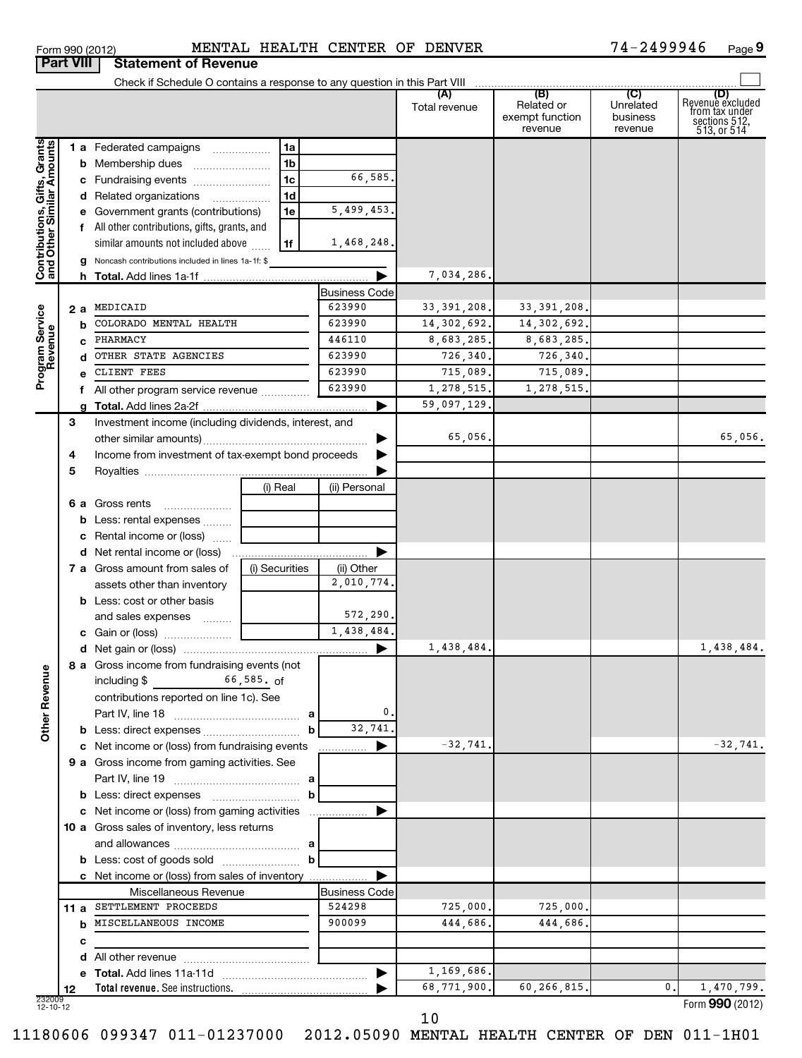| Form 990 (2012) | MENTAL                                |  |
|-----------------|---------------------------------------|--|
|                 | <b>Part VIII Statement of Revenue</b> |  |

# Form 990 (2012) **MENTAL HEALTH CENTER OF DENVER** 7 4-2499946 Page

**9**

|                                                           |    |                                                            |                |   |                      | Total revenue | (B)<br>Related or<br>exempt function<br>revenue | (C)<br>Unrelated<br>business<br>revenue | (D)<br>Revenue excluded<br>from tax under<br>sections 512,<br>513, or 514 |
|-----------------------------------------------------------|----|------------------------------------------------------------|----------------|---|----------------------|---------------|-------------------------------------------------|-----------------------------------------|---------------------------------------------------------------------------|
|                                                           |    | 1 a Federated campaigns                                    | 1a             |   |                      |               |                                                 |                                         |                                                                           |
|                                                           |    | <b>b</b> Membership dues                                   | 1 <sub>b</sub> |   |                      |               |                                                 |                                         |                                                                           |
|                                                           |    | c Fundraising events                                       | 1 <sub>c</sub> |   | 66,585.              |               |                                                 |                                         |                                                                           |
|                                                           |    | d Related organizations                                    | 1 <sub>d</sub> |   |                      |               |                                                 |                                         |                                                                           |
|                                                           |    | e Government grants (contributions)                        | 1e             |   | 5,499,453.           |               |                                                 |                                         |                                                                           |
|                                                           |    | f All other contributions, gifts, grants, and              |                |   |                      |               |                                                 |                                         |                                                                           |
|                                                           |    | similar amounts not included above                         | 1f             |   | 1,468,248.           |               |                                                 |                                         |                                                                           |
|                                                           |    | <b>g</b> Noncash contributions included in lines 1a-1f: \$ |                |   |                      |               |                                                 |                                         |                                                                           |
| Contributions, Gifts, Grants<br>and Other Similar Amounts |    |                                                            |                |   | ▶                    | 7,034,286.    |                                                 |                                         |                                                                           |
|                                                           |    |                                                            |                |   | <b>Business Code</b> |               |                                                 |                                         |                                                                           |
|                                                           |    | 2 a MEDICAID                                               |                |   | 623990               | 33, 391, 208. | 33, 391, 208.                                   |                                         |                                                                           |
| Program Service<br>Revenue                                |    | <b>b</b> COLORADO MENTAL HEALTH                            |                |   | 623990               | 14, 302, 692. | 14,302,692.                                     |                                         |                                                                           |
|                                                           |    | c PHARMACY                                                 |                |   | 446110               | 8,683,285.    | 8,683,285.                                      |                                         |                                                                           |
|                                                           |    | d OTHER STATE AGENCIES                                     |                |   | 623990               | 726,340.      | 726,340.                                        |                                         |                                                                           |
|                                                           |    | CLIENT FEES                                                |                |   | 623990               | 715,089.      | 715,089.                                        |                                         |                                                                           |
|                                                           |    | f All other program service revenue                        |                |   | 623990               | 1,278,515.    | 1,278,515.                                      |                                         |                                                                           |
|                                                           |    |                                                            |                |   | ▶                    | 59,097,129.   |                                                 |                                         |                                                                           |
|                                                           | 3  | Investment income (including dividends, interest, and      |                |   |                      |               |                                                 |                                         |                                                                           |
|                                                           |    |                                                            |                |   |                      | 65,056.       |                                                 |                                         | 65,056.                                                                   |
|                                                           | 4  | Income from investment of tax-exempt bond proceeds         |                |   |                      |               |                                                 |                                         |                                                                           |
|                                                           | 5  |                                                            |                |   |                      |               |                                                 |                                         |                                                                           |
|                                                           |    |                                                            | (i) Real       |   | (ii) Personal        |               |                                                 |                                         |                                                                           |
|                                                           |    | 6 a Gross rents                                            |                |   |                      |               |                                                 |                                         |                                                                           |
|                                                           |    | <b>b</b> Less: rental expenses                             |                |   |                      |               |                                                 |                                         |                                                                           |
|                                                           |    | c Rental income or (loss)                                  |                |   |                      |               |                                                 |                                         |                                                                           |
|                                                           |    |                                                            |                |   | ▶                    |               |                                                 |                                         |                                                                           |
|                                                           |    | <b>7 a</b> Gross amount from sales of                      | (i) Securities |   | (ii) Other           |               |                                                 |                                         |                                                                           |
|                                                           |    | assets other than inventory                                |                |   | 2,010,774.           |               |                                                 |                                         |                                                                           |
|                                                           |    | <b>b</b> Less: cost or other basis                         |                |   |                      |               |                                                 |                                         |                                                                           |
|                                                           |    | and sales expenses                                         |                |   | 572,290.             |               |                                                 |                                         |                                                                           |
|                                                           |    |                                                            |                |   | 1,438,484.           |               |                                                 |                                         |                                                                           |
|                                                           |    |                                                            |                |   | ▶                    | 1,438,484.    |                                                 |                                         | 1,438,484.                                                                |
| 9U                                                        |    | 8 a Gross income from fundraising events (not              |                |   |                      |               |                                                 |                                         |                                                                           |
|                                                           |    | including $\frac{2}{3}$ 66,585. of                         |                |   |                      |               |                                                 |                                         |                                                                           |
| Other Rever                                               |    | contributions reported on line 1c). See                    |                |   |                      |               |                                                 |                                         |                                                                           |
|                                                           |    |                                                            |                |   | 0.<br>32,741.        |               |                                                 |                                         |                                                                           |
|                                                           |    |                                                            |                | b |                      |               |                                                 |                                         |                                                                           |
|                                                           |    | c Net income or (loss) from fundraising events             |                |   | ▶                    | $-32,741.$    |                                                 |                                         | $-32,741.$                                                                |
|                                                           |    | 9 a Gross income from gaming activities. See               |                |   |                      |               |                                                 |                                         |                                                                           |
|                                                           |    |                                                            |                | b |                      |               |                                                 |                                         |                                                                           |
|                                                           |    | c Net income or (loss) from gaming activities              |                |   |                      |               |                                                 |                                         |                                                                           |
|                                                           |    | 10 a Gross sales of inventory, less returns                |                |   |                      |               |                                                 |                                         |                                                                           |
|                                                           |    |                                                            |                |   |                      |               |                                                 |                                         |                                                                           |
|                                                           |    |                                                            |                | b |                      |               |                                                 |                                         |                                                                           |
|                                                           |    | c Net income or (loss) from sales of inventory             |                |   |                      |               |                                                 |                                         |                                                                           |
|                                                           |    | Miscellaneous Revenue                                      |                |   | <b>Business Code</b> |               |                                                 |                                         |                                                                           |
|                                                           |    | 11 a SETTLEMENT PROCEEDS                                   |                |   | 524298               | 725,000.      | 725,000.                                        |                                         |                                                                           |
|                                                           |    | <b>b</b> MISCELLANEOUS INCOME                              |                |   | 900099               | 444,686.      | 444,686.                                        |                                         |                                                                           |
|                                                           | с  |                                                            |                |   |                      |               |                                                 |                                         |                                                                           |
|                                                           |    |                                                            |                |   |                      |               |                                                 |                                         |                                                                           |
|                                                           |    |                                                            |                |   | ▶                    | 1,169,686.    |                                                 |                                         |                                                                           |
|                                                           | 12 | Total revenue. See instructions.                           |                |   |                      | 68,771,900.   | 60,266,815.                                     | 0.                                      | 1,470,799.                                                                |
| 232009<br>12-10-12                                        |    |                                                            |                |   |                      |               |                                                 |                                         | Form 990 (2012)                                                           |

Form (2012) **990**

10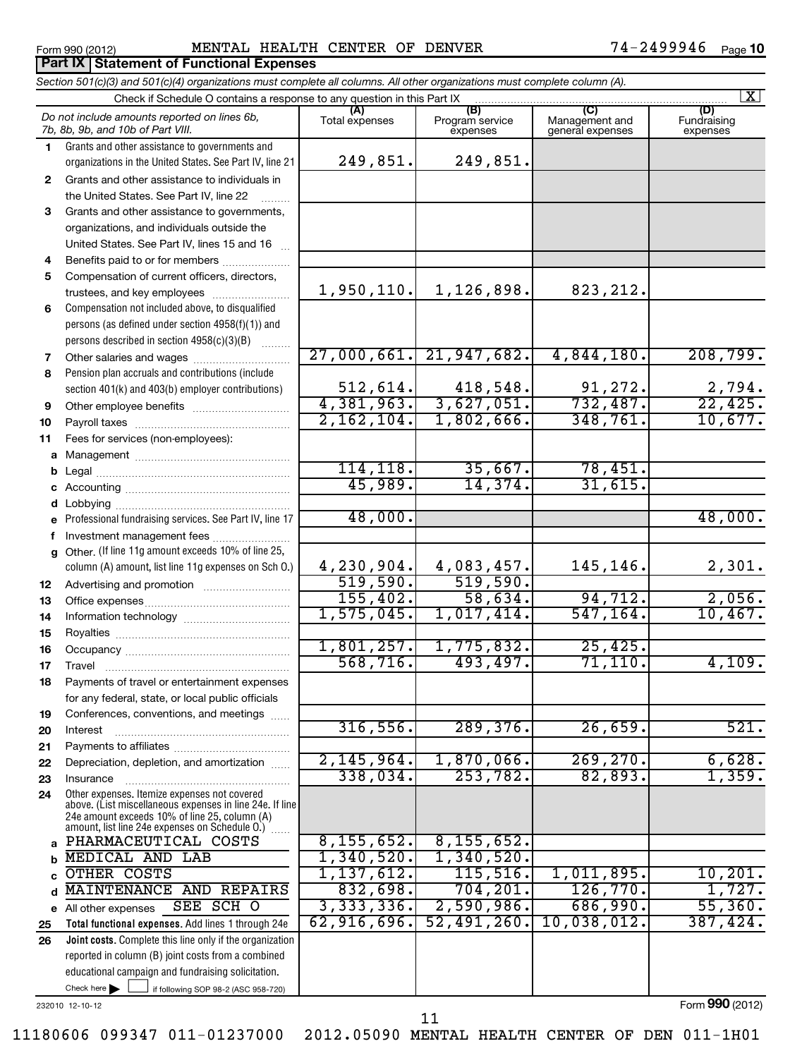**Part IX Statement of Functional Expenses**

# Form 990 (2012) MENTAL HEALTH CENTER OF DENVER 74-2499946  $_{\rm Page}$

74-2499946 <sub>Page</sub> 10

If following SOP 98-2 (ASC 958-720) 232010 12-10-12 **Total functional expenses.**  Add lines 1 through 24e **Joint costs.** Complete this line only if the organization **(A) (B) (C) (D) 1 2 3 4 5 6 7 8 9 10 11 a** Management ~~~~~~~~~~~~~~~~ **b c** Accounting ~~~~~~~~~~~~~~~~~ **d e f g 12 13 14 15 16 17 18 19 20 21 22 23 24 a b c** d MAINTENANCE AND REPAIRS 832,698. 704,201. 126,770. 1,727. **e 25 26** *Section 501(c)(3) and 501(c)(4) organizations must complete all columns. All other organizations must complete column (A).* Grants and other assistance to governments and organizations in the United States. See Part IV, line 21 Compensation not included above, to disqualified persons (as defined under section 4958(f)(1)) and persons described in section 4958(c)(3)(B)  $\quad \quad \ldots \ldots \ldots$ Pension plan accruals and contributions (include section 401(k) and 403(b) employer contributions) Professional fundraising services. See Part IV, line 17 Other. (If line 11g amount exceeds 10% of line 25, column (A) amount, list line 11g expenses on Sch O.) Other expenses. Itemize expenses not covered above. (List miscellaneous expenses in line 24e. If line 24e amount exceeds 10% of line 25, column (A) amount, list line 24e expenses on Schedule O.) reported in column (B) joint costs from a combined educational campaign and fundraising solicitation. Check if Schedule O contains a response to any question in this Part IX Total expenses | Program service expenses Management and general expenses Fundraising expenses Grants and other assistance to individuals in the United States. See Part IV, line 22 Grants and other assistance to governments, organizations, and individuals outside the United States. See Part IV, lines 15 and 16 ~ Benefits paid to or for members .................... Compensation of current officers, directors, trustees, and key employees ......................... Other salaries and wages ~~~~~~~~~~ Other employee benefits ............................... Payroll taxes ~~~~~~~~~~~~~~~~ Fees for services (non-employees): Legal ~~~~~~~~~~~~~~~~~~~~ Lobbying ~~~~~~~~~~~~~~~~~~ Investment management fees ........................ Advertising and promotion ~~~~~~~~~ Office expenses ~~~~~~~~~~~~~~~ Information technology ~~~~~~~~~~~ Royalties ~~~~~~~~~~~~~~~~~~ Occupancy ~~~~~~~~~~~~~~~~~ Travel ………………………………………………… Payments of travel or entertainment expenses for any federal, state, or local public officials Conferences, conventions, and meetings ...... Interest Payments to affiliates ~~~~~~~~~~~~ ~~~~~~~~~~~~~~~~~~ Depreciation, depletion, and amortization ...... Insurance ~~~~~~~~~~~~~~~~~ ~<br>…… All other expenses Check here  $\blacktriangleright$ *Do not include amounts reported on lines 6b, 7b, 8b, 9b, and 10b of Part VIII.*  $\lfloor x \rfloor$  $\Box$ 249,851. 249,851. 1,950,110. 1,126,898. 823,212. 27,000,661. 21,947,682. 4,844,180. 208,799. 512,614. 418,548. 91,272. 2,794. 4,381,963. 3,627,051. 732,487. 22,425. 2,162,104. 1,802,666. 348,761. 10,677. 114,118. 35,667. 78,451. 45,989. 14,374. 31,615. 48,000. 48,000. 4,230,904. 4,083,457. 145,146. 2,301. 519,590. 519,590. 155,402. 58,634. 94,712. 2,056. 1,575,045. 1,017,414. 547,164. 10,467. 1,801,257. 1,775,832. 25,425. 568,716. 493,497. 71,110. 4,109. 316,556. 289,376. 26,659. 521. 2,145,964. 1,870,066. 269,270. 6,628. 338,034. 253,782. 82,893. 1,359. PHARMACEUTICAL COSTS | 8,155,652. 8,155,652. MEDICAL AND LAB 1,340,520. 1,340,520. OTHER COSTS 1,137,612. 115,516. 1,011,895. 10,201. SEE SCH O 3,333,336. 2,590,986. 686,990. 55,360. 62,916,696. 52,491,260. 10,038,012. 387,424.

11180606 099347 011-01237000 2012.05090 MENTAL HEALTH CENTER OF DEN 011-1H01

11

Form **990** (2012)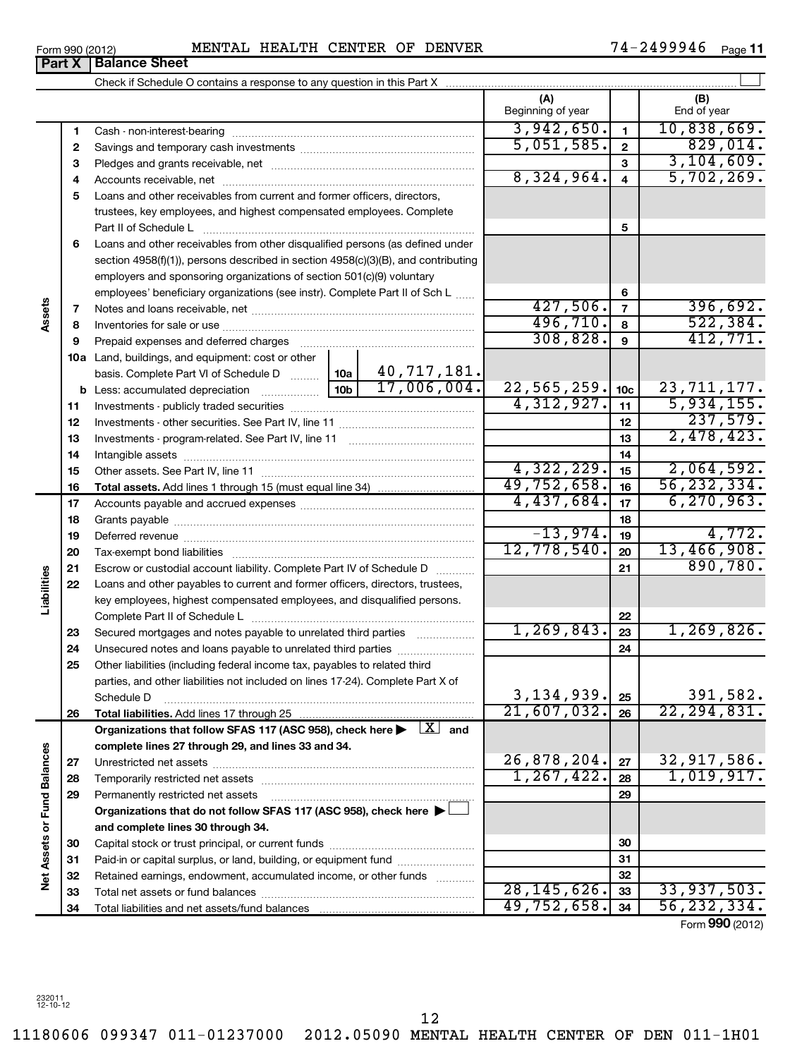| Form 990 (2012)                  |                      | <b>MENTAL</b> | <b>HEALTH</b> | CENTER | ΟF | <b>DENVER</b> | 'ሃ46<br>$\sqrt{ }$<br>$\mathbf{A}$<br>. | Page |
|----------------------------------|----------------------|---------------|---------------|--------|----|---------------|-----------------------------------------|------|
| Part<br>$\overline{\phantom{a}}$ | <b>Balance Sheet</b> |               |               |        |    |               |                                         |      |

|                             |          |                                                                                                                                      | (A)<br>Beginning of year  |                         | (B)<br>End of year          |
|-----------------------------|----------|--------------------------------------------------------------------------------------------------------------------------------------|---------------------------|-------------------------|-----------------------------|
|                             | 1        |                                                                                                                                      | 3,942,650.                | $\blacksquare$          | 10,838,669.                 |
|                             | 2        |                                                                                                                                      | 5,051,585.                | $\overline{2}$          | 829,014.                    |
|                             | 3        |                                                                                                                                      |                           | $\overline{\mathbf{3}}$ | 3,104,609.                  |
|                             | 4        |                                                                                                                                      | 8,324,964.                | $\overline{\mathbf{4}}$ | 5,702,269.                  |
|                             | 5        | Loans and other receivables from current and former officers, directors,                                                             |                           |                         |                             |
|                             |          | trustees, key employees, and highest compensated employees. Complete                                                                 |                           |                         |                             |
|                             |          | Part II of Schedule L                                                                                                                |                           | 5                       |                             |
|                             | 6        | Loans and other receivables from other disqualified persons (as defined under                                                        |                           |                         |                             |
|                             |          | section 4958(f)(1)), persons described in section 4958(c)(3)(B), and contributing                                                    |                           |                         |                             |
|                             |          | employers and sponsoring organizations of section 501(c)(9) voluntary                                                                |                           |                         |                             |
|                             |          | employees' beneficiary organizations (see instr). Complete Part II of Sch L                                                          |                           | 6                       |                             |
| Assets                      | 7        |                                                                                                                                      | 427,506.                  | $\overline{7}$          | 396,692.                    |
|                             | 8        |                                                                                                                                      | 496,710.                  | 8                       | 522, 384.                   |
|                             | 9        | Prepaid expenses and deferred charges                                                                                                | 308,828.                  | 9                       | 412,771.                    |
|                             |          | 10a Land, buildings, and equipment: cost or other                                                                                    |                           |                         |                             |
|                             |          | 40, 717, 181.<br>basis. Complete Part VI of Schedule D  10a<br>17,006,004.                                                           |                           |                         |                             |
|                             |          |                                                                                                                                      | 22,565,259.<br>4,312,927. | 10 <sub>c</sub>         | 23, 711, 177.<br>5,934,155. |
|                             | 11       |                                                                                                                                      |                           | 11                      | 237,579.                    |
|                             | 12       |                                                                                                                                      |                           | 12                      | 2,478,423.                  |
|                             | 13       |                                                                                                                                      |                           | 13                      |                             |
|                             | 14       |                                                                                                                                      | 4,322,229.                | 14<br>15                | 2,064,592.                  |
|                             | 15       |                                                                                                                                      | 49,752,658.               | 16                      | 56, 232, 334.               |
|                             | 16<br>17 |                                                                                                                                      | 4,437,684.                | 17                      | 6, 270, 963.                |
|                             | 18       |                                                                                                                                      |                           | 18                      |                             |
|                             | 19       |                                                                                                                                      | $-13,974.$                | 19                      | 4,772.                      |
|                             | 20       |                                                                                                                                      | 12,778,540.               | 20                      | 13,466,908.                 |
|                             | 21       | Escrow or custodial account liability. Complete Part IV of Schedule D                                                                |                           | 21                      | 890,780.                    |
| Liabilities                 | 22       | Loans and other payables to current and former officers, directors, trustees,                                                        |                           |                         |                             |
|                             |          | key employees, highest compensated employees, and disqualified persons.                                                              |                           |                         |                             |
|                             |          | Complete Part II of Schedule L                                                                                                       |                           | 22                      |                             |
|                             | 23       | Secured mortgages and notes payable to unrelated third parties                                                                       | 1, 269, 843.              | 23                      | 1, 269, 826.                |
|                             | 24       | Unsecured notes and loans payable to unrelated third parties                                                                         |                           | 24                      |                             |
|                             | 25       | Other liabilities (including federal income tax, payables to related third                                                           |                           |                         |                             |
|                             |          | parties, and other liabilities not included on lines 17-24). Complete Part X of                                                      |                           |                         |                             |
|                             |          | Schedule D                                                                                                                           | 3, 134, 939.              | 25                      | 391,582.                    |
|                             | 26       |                                                                                                                                      | 21,607,032.               | 26                      | 22, 294, 831.               |
|                             |          | Organizations that follow SFAS 117 (ASC 958), check here $\blacktriangleright$ $\Box X$ and                                          |                           |                         |                             |
|                             |          | complete lines 27 through 29, and lines 33 and 34.                                                                                   |                           |                         |                             |
|                             | 27       |                                                                                                                                      | 26,878,204.               | 27                      | 32,917,586.                 |
|                             | 28       |                                                                                                                                      | 1, 267, 422.              | 28                      | 1,019,917.                  |
|                             | 29       | Permanently restricted net assets                                                                                                    |                           | 29                      |                             |
|                             |          | Organizations that do not follow SFAS 117 (ASC 958), check here $\blacktriangleright\!\!\!\downarrow$                                |                           |                         |                             |
| Net Assets or Fund Balances |          | and complete lines 30 through 34.                                                                                                    |                           |                         |                             |
|                             | 30       |                                                                                                                                      |                           | 30<br>31                |                             |
|                             | 31       | Paid-in or capital surplus, or land, building, or equipment fund<br>Retained earnings, endowment, accumulated income, or other funds |                           | 32                      |                             |
|                             | 32<br>33 |                                                                                                                                      | 28, 145, 626.             | 33                      | 33,937,503.                 |
|                             | 34       |                                                                                                                                      | 49,752,658.               | 34                      | 56, 232, 334.               |
|                             |          |                                                                                                                                      |                           |                         |                             |

Form (2012) **990**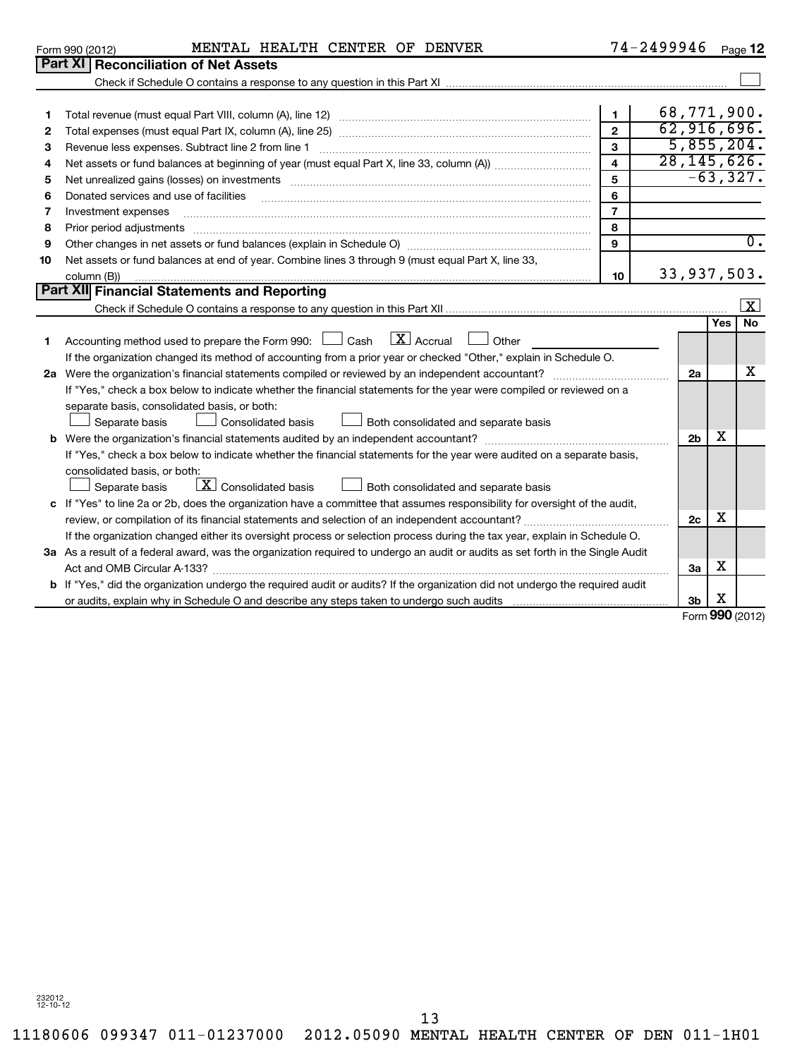separate basis, consolidated basis, or both:

consolidated basis, or both:

11180606 099347 011-01237000 2012.05090 MENTAL HEALTH CENTER OF DEN 011-1H01 13

| $\mathbf{2}$ |                                                                                                                                                                                                                                  |    | 62,916, |      |
|--------------|----------------------------------------------------------------------------------------------------------------------------------------------------------------------------------------------------------------------------------|----|---------|------|
| 3            | Revenue less expenses. Subtract line 2 from line 1                                                                                                                                                                               | 3  | 5,855,  |      |
| 4            |                                                                                                                                                                                                                                  | 4  | 28,145, |      |
| 5            | Net unrealized gains (losses) on investments                                                                                                                                                                                     | 5  |         | -63, |
| 6            | Donated services and use of facilities                                                                                                                                                                                           | 6  |         |      |
| 7            |                                                                                                                                                                                                                                  |    |         |      |
| 8            | Prior period adjustments                                                                                                                                                                                                         | 8  |         |      |
| 9            |                                                                                                                                                                                                                                  | 9  |         |      |
| 10           | Net assets or fund balances at end of year. Combine lines 3 through 9 (must equal Part X, line 33,                                                                                                                               |    |         |      |
|              |                                                                                                                                                                                                                                  | 10 | 33,937, |      |
|              | المسيسين العربي المسيرين المسيسين المسيسين المسيسين المسيسين المسيسين المسيرين المسيرين المسيرين المسيرين المس<br>المسيرين المسيرين المسيرين المسيرين المسيرين المسيرين المسيرين المسيرين المسيرين المسيرين المسيرين المسيرين ال |    |         |      |
|              |                                                                                                                                                                                                                                  |    |         |      |
|              |                                                                                                                                                                                                                                  |    |         | Ye   |
| 1.           | $ \mathbf{X} $ Accrual<br>Accounting method used to prepare the Form 990: $\Box$ Cash<br>Other                                                                                                                                   |    |         |      |

**2 a** Were the organization's financial statements compiled or reviewed by an independent accountant? ~~~~~~~~~~~~

If "Yes," check a box below to indicate whether the financial statements for the year were compiled or reviewed on a

If the organization changed its method of accounting from a prior year or checked "Other," explain in Schedule O.

Separate basis  $\Box$  Consolidated basis  $\Box$  Both consolidated and separate basis

Separate basis  $\Box$  Consolidated basis  $\Box$  Both consolidated and separate basis

or audits, explain why in Schedule O and describe any steps taken to undergo such audits

 $\Box$  Consolidated basis

 $\boxed{\phantom{a}}$  Separate basis  $\boxed{\phantom{a}}$  Consolidated basis

**b** Were the organization's financial statements audited by an independent accountant? ~~~~~~~~~~~~~~~~~~~

review, or compilation of its financial statements and selection of an independent accountant?~~~~~~~~~~~~~~~ If the organization changed either its oversight process or selection process during the tax year, explain in Schedule O.

Act and OMB Circular A-133? ~~~~~~~~~~~~~~~~~~~~~~~~~~~~~~~~~~~~~~~~~~~~~~~

If "Yes," check a box below to indicate whether the financial statements for the year were audited on a separate basis,

**3 a** As a result of a federal award, was the organization required to undergo an audit or audits as set forth in the Single Audit

**b** If "Yes," did the organization undergo the required audit or audits? If the organization did not undergo the required audit

**c** If "Yes" to line 2a or 2b, does the organization have a committee that assumes responsibility for oversight of the audit,

| Form 990 (2012) |  | MENTAL HEALTH CENTER OF DENVER |  |  |  | 74-2499946 | Page |
|-----------------|--|--------------------------------|--|--|--|------------|------|
|-----------------|--|--------------------------------|--|--|--|------------|------|

Total revenue (must equal Part VIII, column (A), line 12) ~~~~~~~~~~~~~~~~~~~~~~~~~~

Check if Schedule O contains a response to any question in this Part XI

**12**

68,771,900. 916,696 5,855,204. 28,145,626. -63,327.

**1**

Form **990** (2012) X

**Yes No**

33,937,503.

 $\lfloor x \rfloor$ 

X

 $\overline{0}$  .

 $\sim$ 

**2a**

**2b**

X

X

X

**2c**

**3a**

**3b**

**Part XI Reconciliation of Net Assets**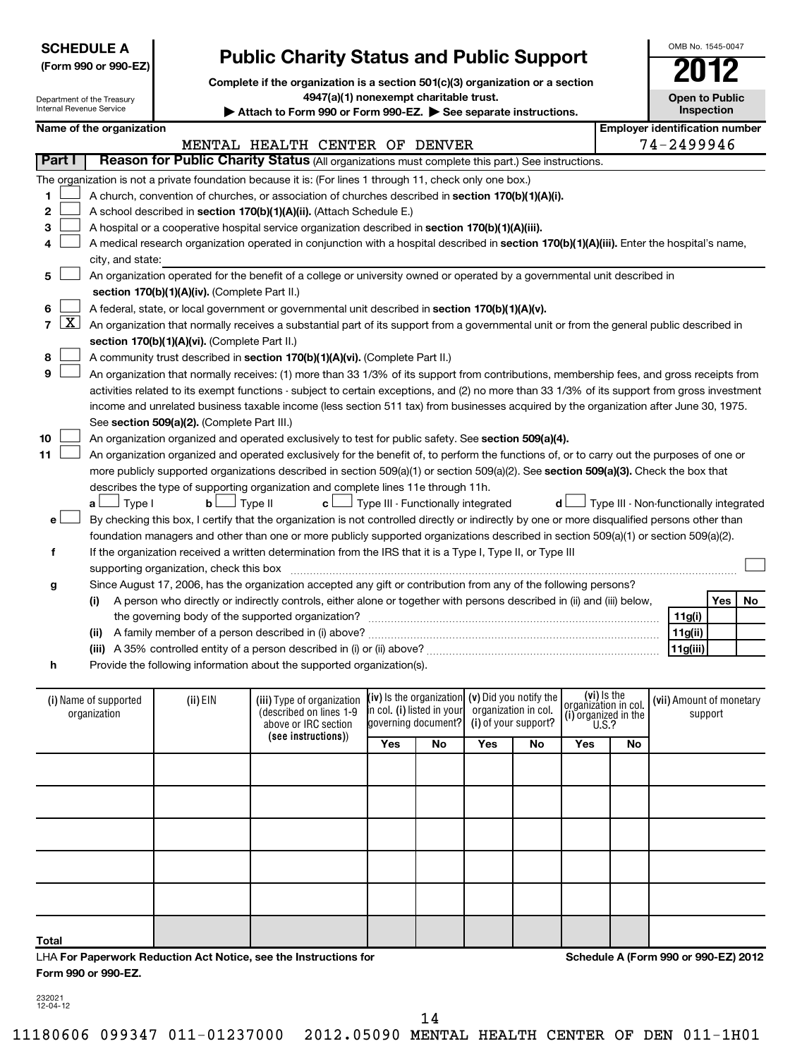|        | <b>SCHEDULE A</b><br><b>Public Charity Status and Public Support</b><br>(Form 990 or 990-EZ)<br>Complete if the organization is a section 501(c)(3) organization or a section<br>4947(a)(1) nonexempt charitable trust.<br>Department of the Treasury<br>Internal Revenue Service<br>Attach to Form 990 or Form 990-EZ. See separate instructions. |                                       |                                               |                                                                                                                                               |                                   | OMB No. 1545-0047<br><b>Open to Public</b>                                       | Inspection                  |                            |                                                                             |    |                                        |         |    |
|--------|----------------------------------------------------------------------------------------------------------------------------------------------------------------------------------------------------------------------------------------------------------------------------------------------------------------------------------------------------|---------------------------------------|-----------------------------------------------|-----------------------------------------------------------------------------------------------------------------------------------------------|-----------------------------------|----------------------------------------------------------------------------------|-----------------------------|----------------------------|-----------------------------------------------------------------------------|----|----------------------------------------|---------|----|
|        |                                                                                                                                                                                                                                                                                                                                                    | Name of the organization              |                                               |                                                                                                                                               |                                   |                                                                                  |                             |                            |                                                                             |    | <b>Employer identification number</b>  |         |    |
|        |                                                                                                                                                                                                                                                                                                                                                    |                                       |                                               | MENTAL HEALTH CENTER OF DENVER                                                                                                                |                                   |                                                                                  |                             |                            |                                                                             |    | 74-2499946                             |         |    |
| Part I |                                                                                                                                                                                                                                                                                                                                                    |                                       |                                               | Reason for Public Charity Status (All organizations must complete this part.) See instructions.                                               |                                   |                                                                                  |                             |                            |                                                                             |    |                                        |         |    |
|        |                                                                                                                                                                                                                                                                                                                                                    |                                       |                                               | The organization is not a private foundation because it is: (For lines 1 through 11, check only one box.)                                     |                                   |                                                                                  |                             |                            |                                                                             |    |                                        |         |    |
| 1      |                                                                                                                                                                                                                                                                                                                                                    |                                       |                                               | A church, convention of churches, or association of churches described in section 170(b)(1)(A)(i).                                            |                                   |                                                                                  |                             |                            |                                                                             |    |                                        |         |    |
| 2      |                                                                                                                                                                                                                                                                                                                                                    |                                       |                                               | A school described in section 170(b)(1)(A)(ii). (Attach Schedule E.)                                                                          |                                   |                                                                                  |                             |                            |                                                                             |    |                                        |         |    |
| 3      |                                                                                                                                                                                                                                                                                                                                                    |                                       |                                               | A hospital or a cooperative hospital service organization described in section 170(b)(1)(A)(iii).                                             |                                   |                                                                                  |                             |                            |                                                                             |    |                                        |         |    |
| 4      |                                                                                                                                                                                                                                                                                                                                                    |                                       |                                               | A medical research organization operated in conjunction with a hospital described in section 170(b)(1)(A)(iii). Enter the hospital's name,    |                                   |                                                                                  |                             |                            |                                                                             |    |                                        |         |    |
|        |                                                                                                                                                                                                                                                                                                                                                    | city, and state:                      |                                               |                                                                                                                                               |                                   |                                                                                  |                             |                            |                                                                             |    |                                        |         |    |
| 5      |                                                                                                                                                                                                                                                                                                                                                    |                                       |                                               | An organization operated for the benefit of a college or university owned or operated by a governmental unit described in                     |                                   |                                                                                  |                             |                            |                                                                             |    |                                        |         |    |
|        |                                                                                                                                                                                                                                                                                                                                                    |                                       | section 170(b)(1)(A)(iv). (Complete Part II.) |                                                                                                                                               |                                   |                                                                                  |                             |                            |                                                                             |    |                                        |         |    |
| 6      |                                                                                                                                                                                                                                                                                                                                                    |                                       |                                               | A federal, state, or local government or governmental unit described in section 170(b)(1)(A)(v).                                              |                                   |                                                                                  |                             |                            |                                                                             |    |                                        |         |    |
| 7      | <u>x  </u>                                                                                                                                                                                                                                                                                                                                         |                                       |                                               | An organization that normally receives a substantial part of its support from a governmental unit or from the general public described in     |                                   |                                                                                  |                             |                            |                                                                             |    |                                        |         |    |
|        |                                                                                                                                                                                                                                                                                                                                                    |                                       | section 170(b)(1)(A)(vi). (Complete Part II.) |                                                                                                                                               |                                   |                                                                                  |                             |                            |                                                                             |    |                                        |         |    |
| 8      |                                                                                                                                                                                                                                                                                                                                                    |                                       |                                               | A community trust described in section 170(b)(1)(A)(vi). (Complete Part II.)                                                                  |                                   |                                                                                  |                             |                            |                                                                             |    |                                        |         |    |
| 9      |                                                                                                                                                                                                                                                                                                                                                    |                                       |                                               | An organization that normally receives: (1) more than 33 1/3% of its support from contributions, membership fees, and gross receipts from     |                                   |                                                                                  |                             |                            |                                                                             |    |                                        |         |    |
|        |                                                                                                                                                                                                                                                                                                                                                    |                                       |                                               | activities related to its exempt functions - subject to certain exceptions, and (2) no more than 33 1/3% of its support from gross investment |                                   |                                                                                  |                             |                            |                                                                             |    |                                        |         |    |
|        |                                                                                                                                                                                                                                                                                                                                                    |                                       |                                               | income and unrelated business taxable income (less section 511 tax) from businesses acquired by the organization after June 30, 1975.         |                                   |                                                                                  |                             |                            |                                                                             |    |                                        |         |    |
|        |                                                                                                                                                                                                                                                                                                                                                    |                                       | See section 509(a)(2). (Complete Part III.)   |                                                                                                                                               |                                   |                                                                                  |                             |                            |                                                                             |    |                                        |         |    |
| 10     |                                                                                                                                                                                                                                                                                                                                                    |                                       |                                               | An organization organized and operated exclusively to test for public safety. See section 509(a)(4).                                          |                                   |                                                                                  |                             |                            |                                                                             |    |                                        |         |    |
| 11     |                                                                                                                                                                                                                                                                                                                                                    |                                       |                                               | An organization organized and operated exclusively for the benefit of, to perform the functions of, or to carry out the purposes of one or    |                                   |                                                                                  |                             |                            |                                                                             |    |                                        |         |    |
|        |                                                                                                                                                                                                                                                                                                                                                    |                                       |                                               | more publicly supported organizations described in section 509(a)(1) or section 509(a)(2). See section 509(a)(3). Check the box that          |                                   |                                                                                  |                             |                            |                                                                             |    |                                        |         |    |
|        |                                                                                                                                                                                                                                                                                                                                                    |                                       |                                               | describes the type of supporting organization and complete lines 11e through 11h.                                                             |                                   |                                                                                  |                             |                            |                                                                             |    |                                        |         |    |
|        |                                                                                                                                                                                                                                                                                                                                                    | Type I<br>a L                         | b <sub>1</sub>                                | Type II<br>c l                                                                                                                                |                                   | Type III - Functionally integrated                                               |                             | d l                        |                                                                             |    | Type III - Non-functionally integrated |         |    |
| e l    |                                                                                                                                                                                                                                                                                                                                                    |                                       |                                               | By checking this box, I certify that the organization is not controlled directly or indirectly by one or more disqualified persons other than |                                   |                                                                                  |                             |                            |                                                                             |    |                                        |         |    |
|        |                                                                                                                                                                                                                                                                                                                                                    |                                       |                                               | foundation managers and other than one or more publicly supported organizations described in section 509(a)(1) or section 509(a)(2).          |                                   |                                                                                  |                             |                            |                                                                             |    |                                        |         |    |
| f      |                                                                                                                                                                                                                                                                                                                                                    |                                       |                                               | If the organization received a written determination from the IRS that it is a Type I, Type II, or Type III                                   |                                   |                                                                                  |                             |                            |                                                                             |    |                                        |         |    |
|        |                                                                                                                                                                                                                                                                                                                                                    |                                       | supporting organization, check this box       |                                                                                                                                               |                                   |                                                                                  |                             |                            |                                                                             |    |                                        |         |    |
| g      |                                                                                                                                                                                                                                                                                                                                                    |                                       |                                               | Since August 17, 2006, has the organization accepted any gift or contribution from any of the following persons?                              |                                   |                                                                                  |                             |                            |                                                                             |    |                                        |         |    |
|        |                                                                                                                                                                                                                                                                                                                                                    | (i)                                   |                                               | A person who directly or indirectly controls, either alone or together with persons described in (ii) and (iii) below,                        |                                   |                                                                                  |                             |                            |                                                                             |    |                                        | Yes     | No |
|        | 11g(i)                                                                                                                                                                                                                                                                                                                                             |                                       |                                               |                                                                                                                                               |                                   |                                                                                  |                             |                            |                                                                             |    |                                        |         |    |
|        | 11g(ii)<br>(ii) A family member of a person described in (i) above?                                                                                                                                                                                                                                                                                |                                       |                                               |                                                                                                                                               |                                   |                                                                                  |                             |                            |                                                                             |    |                                        |         |    |
|        | 11g(iii)                                                                                                                                                                                                                                                                                                                                           |                                       |                                               |                                                                                                                                               |                                   |                                                                                  |                             |                            |                                                                             |    |                                        |         |    |
| h      |                                                                                                                                                                                                                                                                                                                                                    |                                       |                                               | Provide the following information about the supported organization(s).                                                                        |                                   |                                                                                  |                             |                            |                                                                             |    |                                        |         |    |
|        |                                                                                                                                                                                                                                                                                                                                                    | (i) Name of supported<br>organization | (ii) EIN                                      | (iii) Type of organization<br>(described on lines 1-9<br>above or IRC section<br>(see instructions))                                          | in col. (i) listed in your<br>Yes | $(iv)$ is the organization $(v)$ Did you notify the<br>governing document?<br>No | organization in col.<br>Yes | (i) of your support?<br>No | (vi) is the<br>organizátion in col.<br>(i) organized in the $U.S.$ ?<br>Yes | No | (vii) Amount of monetary               | support |    |

| Total               | LHA For Paperwork Reduction Act Notice, see the Instructions for |  |  |  |
|---------------------|------------------------------------------------------------------|--|--|--|
| Form 990 or 990-EZ. |                                                                  |  |  |  |

 $\mathbf{I}$ 

**Schedule A (Form 990 or 990-EZ) 2012**

232021 12-04-12

 $\mathbf{I}$ 

14

 $\mathbf{I}$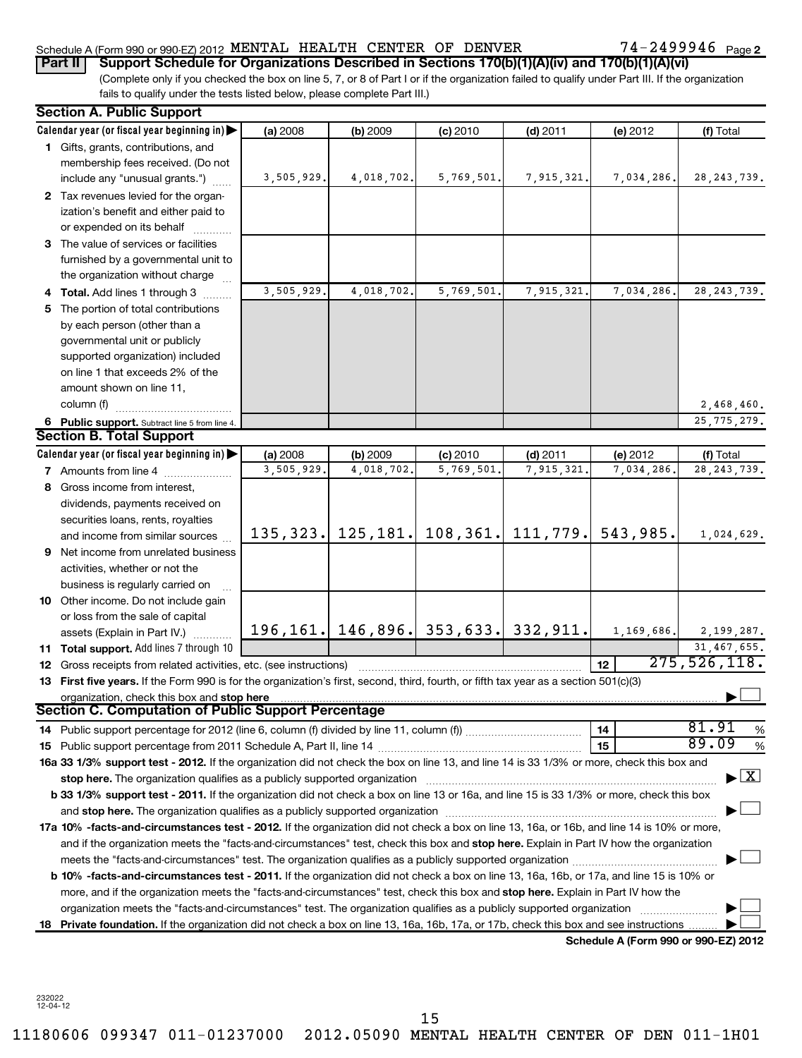# Schedule A (Form 990 or 990-EZ) 2012 MENTAL HEALTH CENTER OF DENVER  $74-2499946$  Page

(Complete only if you checked the box on line 5, 7, or 8 of Part I or if the organization failed to qualify under Part III. If the organization fails to qualify under the tests listed below, please complete Part III.) **Part II Support Schedule for Organizations Described in Sections 170(b)(1)(A)(iv) and 170(b)(1)(A)(vi)**

|    | <b>Section A. Public Support</b>                                                                                                           |            |                                               |                            |                       |                                      |                                          |
|----|--------------------------------------------------------------------------------------------------------------------------------------------|------------|-----------------------------------------------|----------------------------|-----------------------|--------------------------------------|------------------------------------------|
|    | Calendar year (or fiscal year beginning in)                                                                                                | (a) 2008   | (b) 2009                                      | $(c)$ 2010                 | $(d)$ 2011            | (e) 2012                             | (f) Total                                |
|    | 1 Gifts, grants, contributions, and                                                                                                        |            |                                               |                            |                       |                                      |                                          |
|    | membership fees received. (Do not                                                                                                          |            |                                               |                            |                       |                                      |                                          |
|    | include any "unusual grants.")                                                                                                             | 3,505,929. | 4,018,702.                                    | 5,769,501.                 | 7,915,321.            | 7,034,286.                           | 28, 243, 739.                            |
|    | 2 Tax revenues levied for the organ-                                                                                                       |            |                                               |                            |                       |                                      |                                          |
|    | ization's benefit and either paid to                                                                                                       |            |                                               |                            |                       |                                      |                                          |
|    | or expended on its behalf                                                                                                                  |            |                                               |                            |                       |                                      |                                          |
|    | 3 The value of services or facilities                                                                                                      |            |                                               |                            |                       |                                      |                                          |
|    | furnished by a governmental unit to                                                                                                        |            |                                               |                            |                       |                                      |                                          |
|    | the organization without charge                                                                                                            |            |                                               |                            |                       |                                      |                                          |
|    | 4 Total. Add lines 1 through 3                                                                                                             | 3,505,929. | 4,018,702.                                    | $\overline{5}$ , 769, 501. | 7,915,321.            | 7,034,286.                           | 28, 243, 739.                            |
| 5. | The portion of total contributions                                                                                                         |            |                                               |                            |                       |                                      |                                          |
|    | by each person (other than a                                                                                                               |            |                                               |                            |                       |                                      |                                          |
|    | governmental unit or publicly                                                                                                              |            |                                               |                            |                       |                                      |                                          |
|    | supported organization) included                                                                                                           |            |                                               |                            |                       |                                      |                                          |
|    | on line 1 that exceeds 2% of the                                                                                                           |            |                                               |                            |                       |                                      |                                          |
|    | amount shown on line 11,                                                                                                                   |            |                                               |                            |                       |                                      |                                          |
|    | column (f)                                                                                                                                 |            |                                               |                            |                       |                                      | 2,468,460.                               |
|    | 6 Public support. Subtract line 5 from line 4.                                                                                             |            |                                               |                            |                       |                                      | 25, 775, 279.                            |
|    | <b>Section B. Total Support</b>                                                                                                            |            |                                               |                            |                       |                                      |                                          |
|    | Calendar year (or fiscal year beginning in)                                                                                                | (a) 2008   | (b) 2009                                      | $(c)$ 2010                 | $(d)$ 2011            | (e) 2012                             | (f) Total                                |
|    | <b>7</b> Amounts from line 4                                                                                                               | 3,505,929. | 4,018,702.                                    | 5,769,501.                 | 7,915,321             | 7,034,286.                           | 28, 243, 739.                            |
|    | 8 Gross income from interest,                                                                                                              |            |                                               |                            |                       |                                      |                                          |
|    | dividends, payments received on                                                                                                            |            |                                               |                            |                       |                                      |                                          |
|    | securities loans, rents, royalties                                                                                                         |            |                                               |                            |                       |                                      |                                          |
|    | and income from similar sources                                                                                                            |            | $135, 323.$ 125, 181.                         |                            | $108, 361.$ 111, 779. | 543,985.                             | 1,024,629.                               |
|    | <b>9</b> Net income from unrelated business                                                                                                |            |                                               |                            |                       |                                      |                                          |
|    | activities, whether or not the                                                                                                             |            |                                               |                            |                       |                                      |                                          |
|    | business is regularly carried on                                                                                                           |            |                                               |                            |                       |                                      |                                          |
|    | 10 Other income. Do not include gain                                                                                                       |            |                                               |                            |                       |                                      |                                          |
|    | or loss from the sale of capital                                                                                                           |            |                                               |                            |                       |                                      |                                          |
|    | assets (Explain in Part IV.)                                                                                                               |            | 196, 161.   146, 896.   353, 633.   332, 911. |                            |                       | 1,169,686.                           | 2,199,287.                               |
|    | 11 Total support. Add lines 7 through 10                                                                                                   |            |                                               |                            |                       |                                      | 31,467,655.                              |
|    | <b>12</b> Gross receipts from related activities, etc. (see instructions)                                                                  |            |                                               |                            |                       | 12                                   | 275, 526, 118.                           |
|    | 13 First five years. If the Form 990 is for the organization's first, second, third, fourth, or fifth tax year as a section 501(c)(3)      |            |                                               |                            |                       |                                      |                                          |
|    |                                                                                                                                            |            |                                               |                            |                       |                                      |                                          |
|    | <b>Section C. Computation of Public Support Percentage</b>                                                                                 |            |                                               |                            |                       |                                      |                                          |
|    |                                                                                                                                            |            |                                               |                            |                       | 14                                   | 81.91<br>%                               |
|    |                                                                                                                                            |            |                                               |                            |                       | 15                                   | 89.09<br>%                               |
|    | 16a 33 1/3% support test - 2012. If the organization did not check the box on line 13, and line 14 is 33 1/3% or more, check this box and  |            |                                               |                            |                       |                                      |                                          |
|    |                                                                                                                                            |            |                                               |                            |                       |                                      | $\blacktriangleright$ $\boxed{\text{X}}$ |
|    | b 33 1/3% support test - 2011. If the organization did not check a box on line 13 or 16a, and line 15 is 33 1/3% or more, check this box   |            |                                               |                            |                       |                                      |                                          |
|    |                                                                                                                                            |            |                                               |                            |                       |                                      |                                          |
|    | 17a 10% -facts-and-circumstances test - 2012. If the organization did not check a box on line 13, 16a, or 16b, and line 14 is 10% or more, |            |                                               |                            |                       |                                      |                                          |
|    | and if the organization meets the "facts-and-circumstances" test, check this box and stop here. Explain in Part IV how the organization    |            |                                               |                            |                       |                                      |                                          |
|    |                                                                                                                                            |            |                                               |                            |                       |                                      |                                          |
|    | b 10% -facts-and-circumstances test - 2011. If the organization did not check a box on line 13, 16a, 16b, or 17a, and line 15 is 10% or    |            |                                               |                            |                       |                                      |                                          |
|    | more, and if the organization meets the "facts-and-circumstances" test, check this box and stop here. Explain in Part IV how the           |            |                                               |                            |                       |                                      |                                          |
|    | organization meets the "facts-and-circumstances" test. The organization qualifies as a publicly supported organization                     |            |                                               |                            |                       |                                      |                                          |
|    | 18 Private foundation. If the organization did not check a box on line 13, 16a, 16b, 17a, or 17b, check this box and see instructions      |            |                                               |                            |                       |                                      |                                          |
|    |                                                                                                                                            |            |                                               |                            |                       | Schedule A (Form 990 or 990-EZ) 2012 |                                          |

15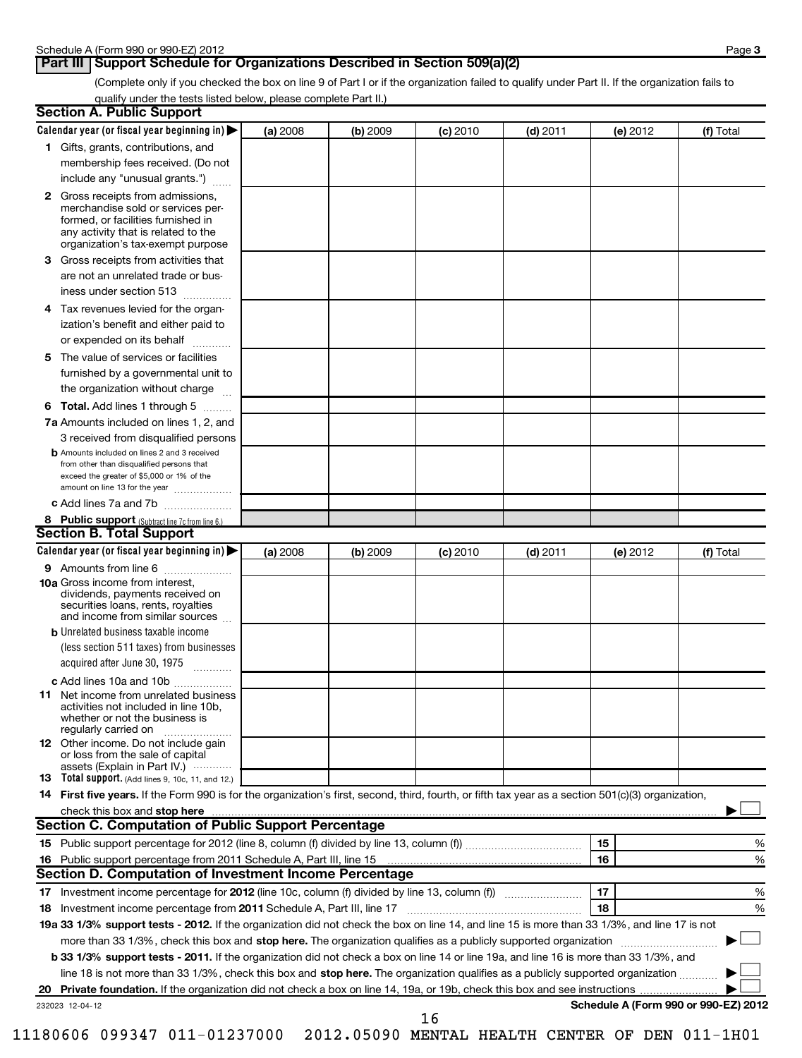# **Part III** Support Schedule for Organizations Described in Section 509(a)(2)

(Complete only if you checked the box on line 9 of Part I or if the organization failed to qualify under Part II. If the organization fails to qualify under the tests listed below, please complete Part II.)

| <b>Section A. Public Support</b>                                                                                                                                                                |          |          |            |            |                                      |           |
|-------------------------------------------------------------------------------------------------------------------------------------------------------------------------------------------------|----------|----------|------------|------------|--------------------------------------|-----------|
| Calendar year (or fiscal year beginning in)                                                                                                                                                     | (a) 2008 | (b) 2009 | $(c)$ 2010 | $(d)$ 2011 | (e) 2012                             | (f) Total |
| 1 Gifts, grants, contributions, and                                                                                                                                                             |          |          |            |            |                                      |           |
| membership fees received. (Do not                                                                                                                                                               |          |          |            |            |                                      |           |
| include any "unusual grants.")                                                                                                                                                                  |          |          |            |            |                                      |           |
| <b>2</b> Gross receipts from admissions,<br>merchandise sold or services per-<br>formed, or facilities furnished in<br>any activity that is related to the<br>organization's tax-exempt purpose |          |          |            |            |                                      |           |
| 3 Gross receipts from activities that<br>are not an unrelated trade or bus-                                                                                                                     |          |          |            |            |                                      |           |
| iness under section 513                                                                                                                                                                         |          |          |            |            |                                      |           |
| Tax revenues levied for the organ-<br>4<br>ization's benefit and either paid to<br>or expended on its behalf                                                                                    |          |          |            |            |                                      |           |
| 5 The value of services or facilities                                                                                                                                                           |          |          |            |            |                                      |           |
| furnished by a governmental unit to<br>the organization without charge                                                                                                                          |          |          |            |            |                                      |           |
| <b>6 Total.</b> Add lines 1 through 5                                                                                                                                                           |          |          |            |            |                                      |           |
| 7a Amounts included on lines 1, 2, and<br>3 received from disqualified persons                                                                                                                  |          |          |            |            |                                      |           |
| <b>b</b> Amounts included on lines 2 and 3 received<br>from other than disqualified persons that<br>exceed the greater of \$5,000 or 1% of the<br>amount on line 13 for the year                |          |          |            |            |                                      |           |
| c Add lines 7a and 7b                                                                                                                                                                           |          |          |            |            |                                      |           |
| 8 Public support (Subtract line 7c from line 6.)                                                                                                                                                |          |          |            |            |                                      |           |
| <b>Section B. Total Support</b>                                                                                                                                                                 |          |          |            |            |                                      |           |
| Calendar year (or fiscal year beginning in)                                                                                                                                                     | (a) 2008 | (b) 2009 | (c) 2010   | $(d)$ 2011 | (e) 2012                             | (f) Total |
| 9 Amounts from line 6                                                                                                                                                                           |          |          |            |            |                                      |           |
| <b>10a</b> Gross income from interest,<br>dividends, payments received on<br>securities loans, rents, royalties<br>and income from similar sources                                              |          |          |            |            |                                      |           |
| <b>b</b> Unrelated business taxable income                                                                                                                                                      |          |          |            |            |                                      |           |
| (less section 511 taxes) from businesses<br>acquired after June 30, 1975<br>$\overline{\phantom{a}}$                                                                                            |          |          |            |            |                                      |           |
| c Add lines 10a and 10b                                                                                                                                                                         |          |          |            |            |                                      |           |
| <b>11</b> Net income from unrelated business<br>activities not included in line 10b,<br>whether or not the business is<br>regularly carried on                                                  |          |          |            |            |                                      |           |
| 12 Other income. Do not include gain<br>or loss from the sale of capital<br>assets (Explain in Part IV.)                                                                                        |          |          |            |            |                                      |           |
| <b>13</b> Total support. (Add lines 9, 10c, 11, and 12.)                                                                                                                                        |          |          |            |            |                                      |           |
| 14 First five years. If the Form 990 is for the organization's first, second, third, fourth, or fifth tax year as a section 501(c)(3) organization,                                             |          |          |            |            |                                      |           |
| check this box and stop here www.communication.communication.com/                                                                                                                               |          |          |            |            |                                      |           |
| Section C. Computation of Public Support Percentage                                                                                                                                             |          |          |            |            |                                      |           |
|                                                                                                                                                                                                 |          |          |            |            | 15                                   | %         |
| Section D. Computation of Investment Income Percentage                                                                                                                                          |          |          |            |            | 16                                   | %         |
|                                                                                                                                                                                                 |          |          |            |            | 17                                   |           |
| 18 Investment income percentage from 2011 Schedule A, Part III, line 17                                                                                                                         |          |          |            |            | 18                                   | %<br>%    |
| 19a 33 1/3% support tests - 2012. If the organization did not check the box on line 14, and line 15 is more than 33 1/3%, and line 17 is not                                                    |          |          |            |            |                                      |           |
| more than 33 1/3%, check this box and stop here. The organization qualifies as a publicly supported organization                                                                                |          |          |            |            |                                      |           |
| b 33 1/3% support tests - 2011. If the organization did not check a box on line 14 or line 19a, and line 16 is more than 33 1/3%, and                                                           |          |          |            |            |                                      |           |
| line 18 is not more than 33 1/3%, check this box and stop here. The organization qualifies as a publicly supported organization                                                                 |          |          |            |            |                                      |           |
| 20                                                                                                                                                                                              |          |          |            |            |                                      |           |
| 232023 12-04-12                                                                                                                                                                                 |          |          |            |            | Schedule A (Form 990 or 990-EZ) 2012 |           |
|                                                                                                                                                                                                 |          |          | 16         |            |                                      |           |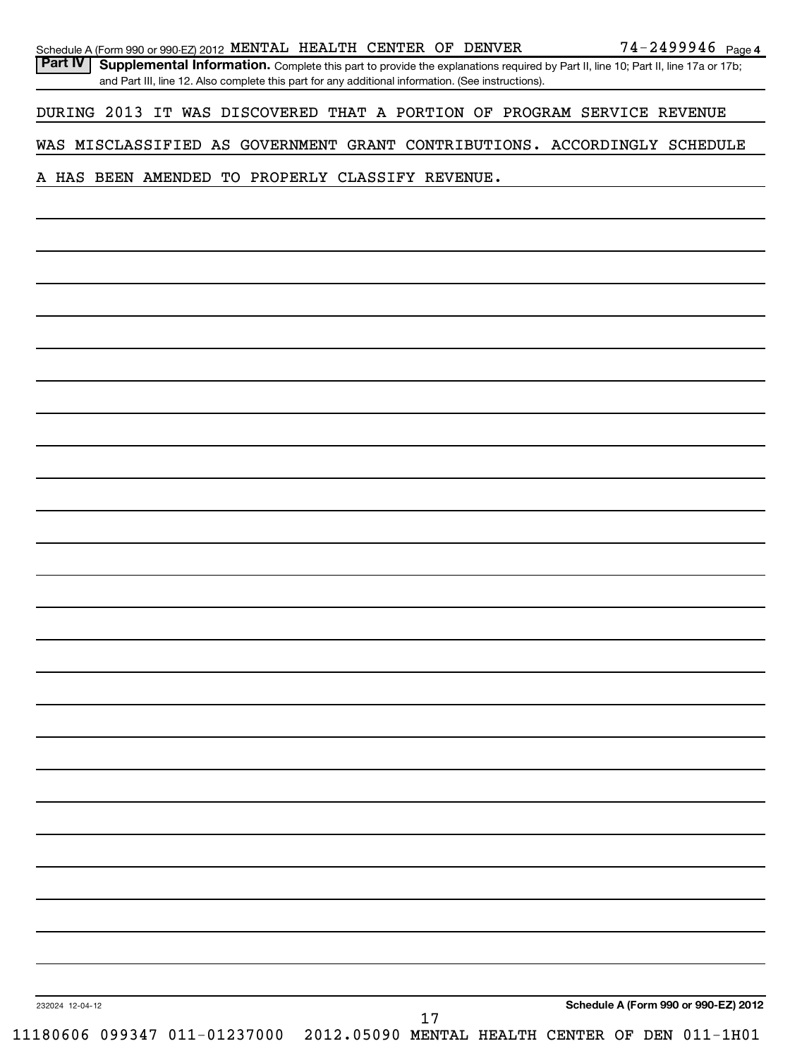|                 |  | Schedule A (Form 990 or 990-EZ) 2012 MENTAL HEALTH CENTER OF DENVER                                |  |    |  |  | 74-2499946 Page 4                                                                                                                |
|-----------------|--|----------------------------------------------------------------------------------------------------|--|----|--|--|----------------------------------------------------------------------------------------------------------------------------------|
| <b>Part IV</b>  |  | and Part III, line 12. Also complete this part for any additional information. (See instructions). |  |    |  |  | Supplemental Information. Complete this part to provide the explanations required by Part II, line 10; Part II, line 17a or 17b; |
|                 |  |                                                                                                    |  |    |  |  | DURING 2013 IT WAS DISCOVERED THAT A PORTION OF PROGRAM SERVICE REVENUE                                                          |
|                 |  |                                                                                                    |  |    |  |  | WAS MISCLASSIFIED AS GOVERNMENT GRANT CONTRIBUTIONS. ACCORDINGLY SCHEDULE                                                        |
|                 |  | A HAS BEEN AMENDED TO PROPERLY CLASSIFY REVENUE.                                                   |  |    |  |  |                                                                                                                                  |
|                 |  |                                                                                                    |  |    |  |  |                                                                                                                                  |
|                 |  |                                                                                                    |  |    |  |  |                                                                                                                                  |
|                 |  |                                                                                                    |  |    |  |  |                                                                                                                                  |
|                 |  |                                                                                                    |  |    |  |  |                                                                                                                                  |
|                 |  |                                                                                                    |  |    |  |  |                                                                                                                                  |
|                 |  |                                                                                                    |  |    |  |  |                                                                                                                                  |
|                 |  |                                                                                                    |  |    |  |  |                                                                                                                                  |
|                 |  |                                                                                                    |  |    |  |  |                                                                                                                                  |
|                 |  |                                                                                                    |  |    |  |  |                                                                                                                                  |
|                 |  |                                                                                                    |  |    |  |  |                                                                                                                                  |
|                 |  |                                                                                                    |  |    |  |  |                                                                                                                                  |
|                 |  |                                                                                                    |  |    |  |  |                                                                                                                                  |
|                 |  |                                                                                                    |  |    |  |  |                                                                                                                                  |
|                 |  |                                                                                                    |  |    |  |  |                                                                                                                                  |
|                 |  |                                                                                                    |  |    |  |  |                                                                                                                                  |
|                 |  |                                                                                                    |  |    |  |  |                                                                                                                                  |
|                 |  |                                                                                                    |  |    |  |  |                                                                                                                                  |
|                 |  |                                                                                                    |  |    |  |  |                                                                                                                                  |
|                 |  |                                                                                                    |  |    |  |  |                                                                                                                                  |
|                 |  |                                                                                                    |  |    |  |  |                                                                                                                                  |
|                 |  |                                                                                                    |  |    |  |  |                                                                                                                                  |
|                 |  |                                                                                                    |  |    |  |  |                                                                                                                                  |
|                 |  |                                                                                                    |  |    |  |  |                                                                                                                                  |
|                 |  |                                                                                                    |  |    |  |  |                                                                                                                                  |
|                 |  |                                                                                                    |  |    |  |  |                                                                                                                                  |
|                 |  |                                                                                                    |  |    |  |  |                                                                                                                                  |
|                 |  |                                                                                                    |  |    |  |  |                                                                                                                                  |
|                 |  |                                                                                                    |  |    |  |  |                                                                                                                                  |
|                 |  |                                                                                                    |  |    |  |  |                                                                                                                                  |
|                 |  |                                                                                                    |  |    |  |  |                                                                                                                                  |
| 232024 12-04-12 |  |                                                                                                    |  | 17 |  |  | Schedule A (Form 990 or 990-EZ) 2012                                                                                             |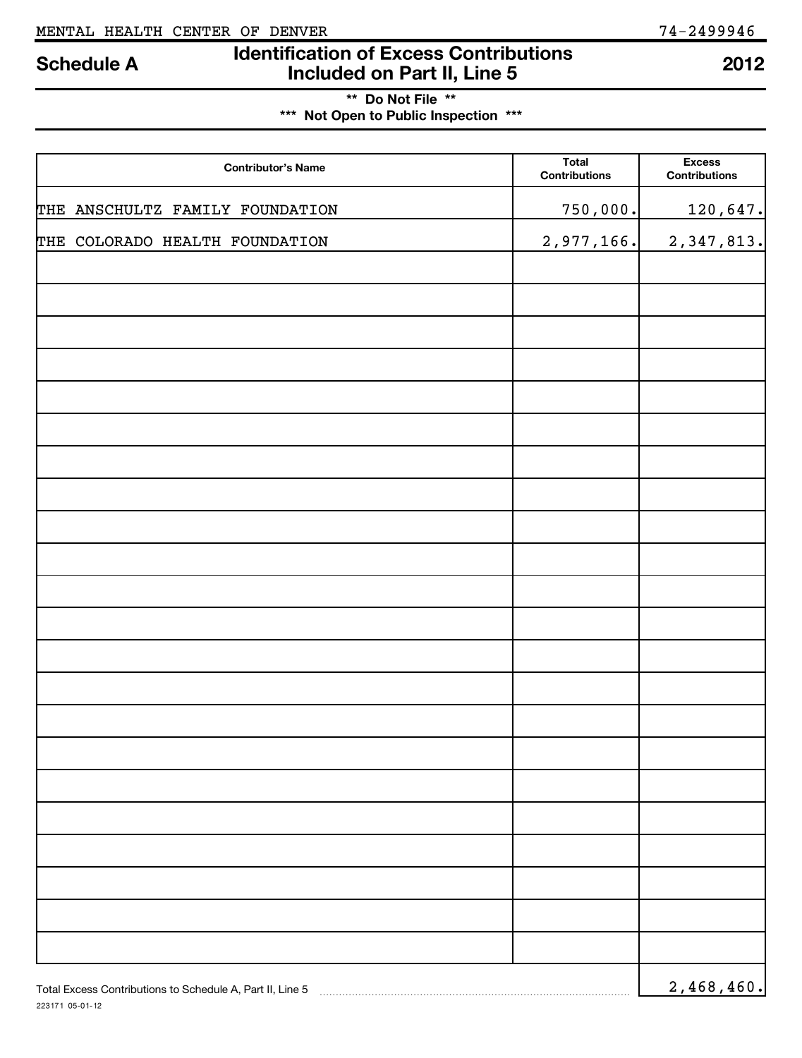223171 05-01-12

# **Identification of Excess Contributions Included on Part II, Line 5 Schedule A <sup>2012</sup>**

**\*\* Do Not File \*\***

**\*\*\* Not Open to Public Inspection \*\*\***

| <b>Contributor's Name</b>                                 | <b>Total</b><br><b>Contributions</b> | <b>Excess</b><br><b>Contributions</b> |
|-----------------------------------------------------------|--------------------------------------|---------------------------------------|
| THE ANSCHULTZ FAMILY FOUNDATION                           | 750,000.                             | 120,647.                              |
| THE COLORADO HEALTH FOUNDATION                            | 2,977,166.                           | 2,347,813.                            |
|                                                           |                                      |                                       |
|                                                           |                                      |                                       |
|                                                           |                                      |                                       |
|                                                           |                                      |                                       |
|                                                           |                                      |                                       |
|                                                           |                                      |                                       |
|                                                           |                                      |                                       |
|                                                           |                                      |                                       |
|                                                           |                                      |                                       |
|                                                           |                                      |                                       |
|                                                           |                                      |                                       |
|                                                           |                                      |                                       |
|                                                           |                                      |                                       |
|                                                           |                                      |                                       |
|                                                           |                                      |                                       |
|                                                           |                                      |                                       |
|                                                           |                                      |                                       |
|                                                           |                                      |                                       |
|                                                           |                                      |                                       |
|                                                           |                                      |                                       |
|                                                           |                                      |                                       |
| Total Excess Contributions to Schedule A, Part II, Line 5 |                                      | 2,468,460.                            |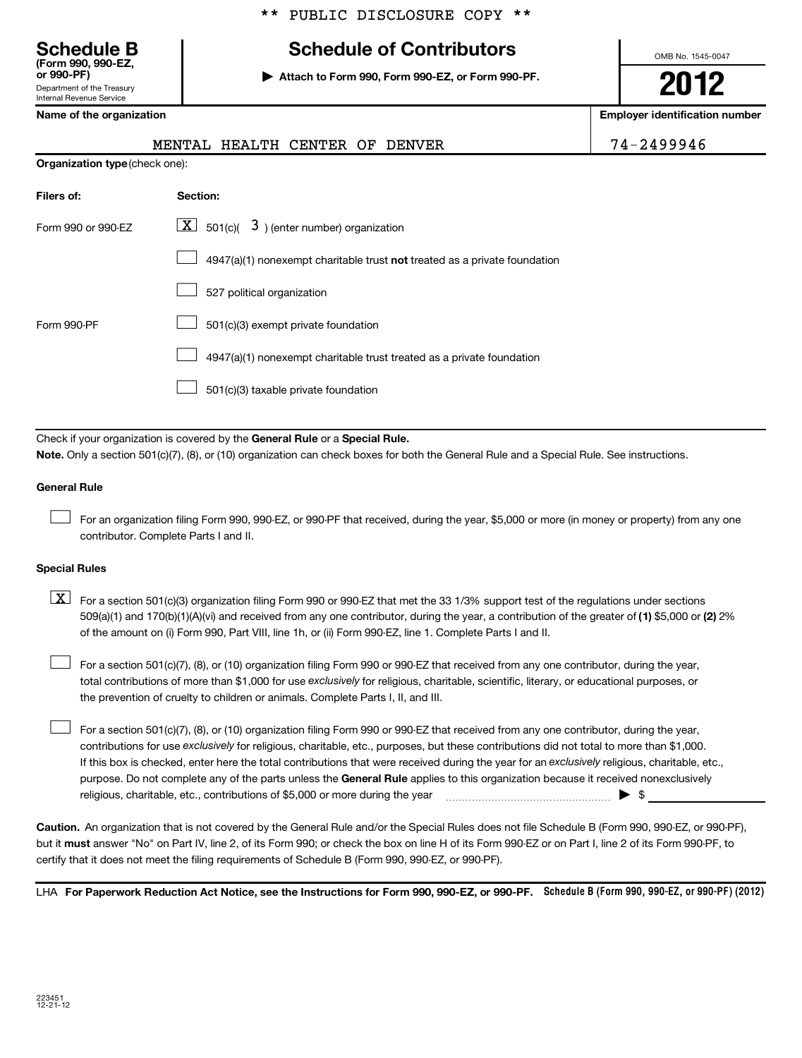# **Schedule B Schedule of Contributors**

**or 990-PF) | Attach to Form 990, Form 990-EZ, or Form 990-PF.**

OMB No. 1545-0047

**2012**

**Name of the organization Employer identification number**

| (Form 990, 990-EZ,<br>or 990-PF) |
|----------------------------------|
| Department of the Treasurv       |
| <b>Internal Revenue Service</b>  |

|                                | CENTER<br>HEALTH<br><b>MENTAL</b><br>OF<br>DENVER                         | 74-2499946 |
|--------------------------------|---------------------------------------------------------------------------|------------|
| Organization type (check one): |                                                                           |            |
| Filers of:                     | Section:                                                                  |            |
| Form 990 or 990-EZ             | $\boxed{\mathbf{X}}$ 501(c)( 3) (enter number) organization               |            |
|                                | 4947(a)(1) nonexempt charitable trust not treated as a private foundation |            |
|                                | 527 political organization                                                |            |
| Form 990-PF                    | 501(c)(3) exempt private foundation                                       |            |
|                                | 4947(a)(1) nonexempt charitable trust treated as a private foundation     |            |
|                                | 501(c)(3) taxable private foundation                                      |            |

Check if your organization is covered by the General Rule or a Special Rule. **Note.**  Only a section 501(c)(7), (8), or (10) organization can check boxes for both the General Rule and a Special Rule. See instructions.

### **General Rule**

For an organization filing Form 990, 990-EZ, or 990-PF that received, during the year, \$5,000 or more (in money or property) from any one contributor. Complete Parts I and II.  $\left\vert \cdot\right\vert$ 

### **Special Rules**

509(a)(1) and 170(b)(1)(A)(vi) and received from any one contributor, during the year, a contribution of the greater of (1**)** \$5,000 or (**2**) 2%  $\boxed{\textbf{X}}$  For a section 501(c)(3) organization filing Form 990 or 990-EZ that met the 33 1/3% support test of the regulations under sections of the amount on (i) Form 990, Part VIII, line 1h, or (ii) Form 990-EZ, line 1. Complete Parts I and II.

total contributions of more than \$1,000 for use exclusively for religious, charitable, scientific, literary, or educational purposes, or For a section 501(c)(7), (8), or (10) organization filing Form 990 or 990-EZ that received from any one contributor, during the year, the prevention of cruelty to children or animals. Complete Parts I, II, and III.  $\left\vert \cdot\right\vert$ 

purpose. Do not complete any of the parts unless the General Rule applies to this organization because it received nonexclusively contributions for use exclusively for religious, charitable, etc., purposes, but these contributions did not total to more than \$1,000. If this box is checked, enter here the total contributions that were received during the year for an exclusively religious, charitable, etc., For a section 501(c)(7), (8), or (10) organization filing Form 990 or 990-EZ that received from any one contributor, during the year, religious, charitable, etc., contributions of \$5,000 or more during the year  $\ldots$   $\ldots$   $\ldots$   $\ldots$   $\ldots$   $\ldots$   $\ldots$   $\ldots$   $\blacktriangleright$  \$  $\left\vert \cdot\right\vert$ 

**Caution.** An organization that is not covered by the General Rule and/or the Special Rules does not file Schedule B (Form 990, 990-EZ, or 990-PF), but it **must** answer "No" on Part IV, line 2, of its Form 990; or check the box on line H of its Form 990-EZ or on Part I, line 2 of its Form 990-PF, to certify that it does not meet the filing requirements of Schedule B (Form 990, 990-EZ, or 990-PF).

LHA For Paperwork Reduction Act Notice, see the Instructions for Form 990, 990-EZ, or 990-PF. Schedule B (Form 990, 990-EZ, or 990-PF) (2012)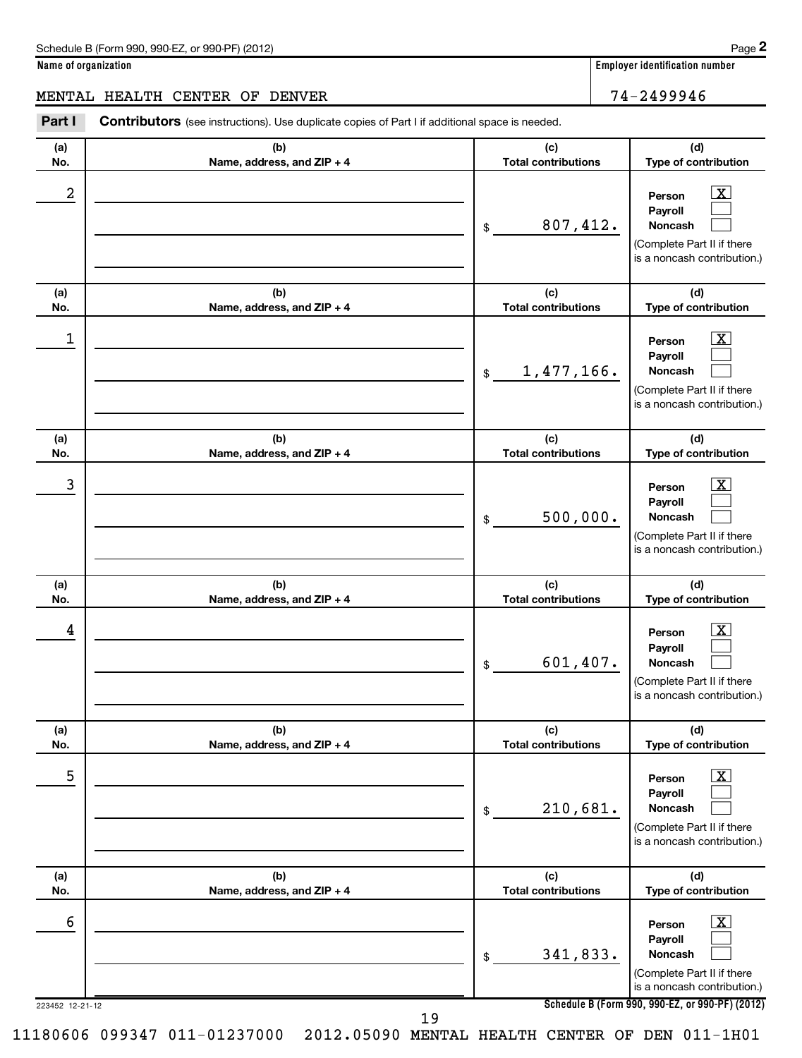**Name of organization Employer identification number**

MENTAL HEALTH CENTER OF DENVER 74-2499946

| Part I               | <b>Contributors</b> (see instructions). Use duplicate copies of Part I if additional space is needed. |                                   |                                                                                                                                                              |
|----------------------|-------------------------------------------------------------------------------------------------------|-----------------------------------|--------------------------------------------------------------------------------------------------------------------------------------------------------------|
| (a)<br>No.           | (b)<br>Name, address, and ZIP + 4                                                                     | (c)<br><b>Total contributions</b> | (d)<br>Type of contribution                                                                                                                                  |
| 2                    |                                                                                                       | 807,412.<br>\$                    | $\mathbf{X}$<br>Person<br>Payroll<br>Noncash<br>(Complete Part II if there<br>is a noncash contribution.)                                                    |
| (a)<br>No.           | (b)<br>Name, address, and ZIP + 4                                                                     | (c)<br><b>Total contributions</b> | (d)<br>Type of contribution                                                                                                                                  |
| 1                    |                                                                                                       | 1,477,166.<br>\$                  | $\mathbf{X}$<br>Person<br>Payroll<br>Noncash<br>(Complete Part II if there<br>is a noncash contribution.)                                                    |
| (a)<br>No.           | (b)<br>Name, address, and ZIP + 4                                                                     | (c)<br><b>Total contributions</b> | (d)<br>Type of contribution                                                                                                                                  |
| 3                    |                                                                                                       | 500,000.<br>\$                    | <u>  x</u><br>Person<br>Payroll<br>Noncash<br>(Complete Part II if there<br>is a noncash contribution.)                                                      |
| (a)<br>No.           | (b)<br>Name, address, and ZIP + 4                                                                     | (c)<br><b>Total contributions</b> | (d)<br>Type of contribution                                                                                                                                  |
| 4                    |                                                                                                       | 601,407.<br>\$                    | $\boxed{\text{X}}$<br>Person<br>Payroll<br>Noncash<br>(Complete Part II if there<br>is a noncash contribution.)                                              |
| (a)<br>No.           | (b)<br>Name, address, and ZIP + 4                                                                     | (c)<br><b>Total contributions</b> | (d)<br>Type of contribution                                                                                                                                  |
| 5                    |                                                                                                       | 210,681.<br>\$                    | $\boxed{\textbf{X}}$<br>Person<br>Payroll<br>Noncash<br>(Complete Part II if there<br>is a noncash contribution.)                                            |
| (a)<br>No.           | (b)<br>Name, address, and ZIP + 4                                                                     | (c)<br><b>Total contributions</b> | (d)<br>Type of contribution                                                                                                                                  |
| 6<br>223452 12-21-12 |                                                                                                       | 341,833.<br>\$                    | $\mathbf{X}$<br>Person<br>Payroll<br>Noncash<br>(Complete Part II if there<br>is a noncash contribution.)<br>Schedule B (Form 990, 990-EZ, or 990-PF) (2012) |

19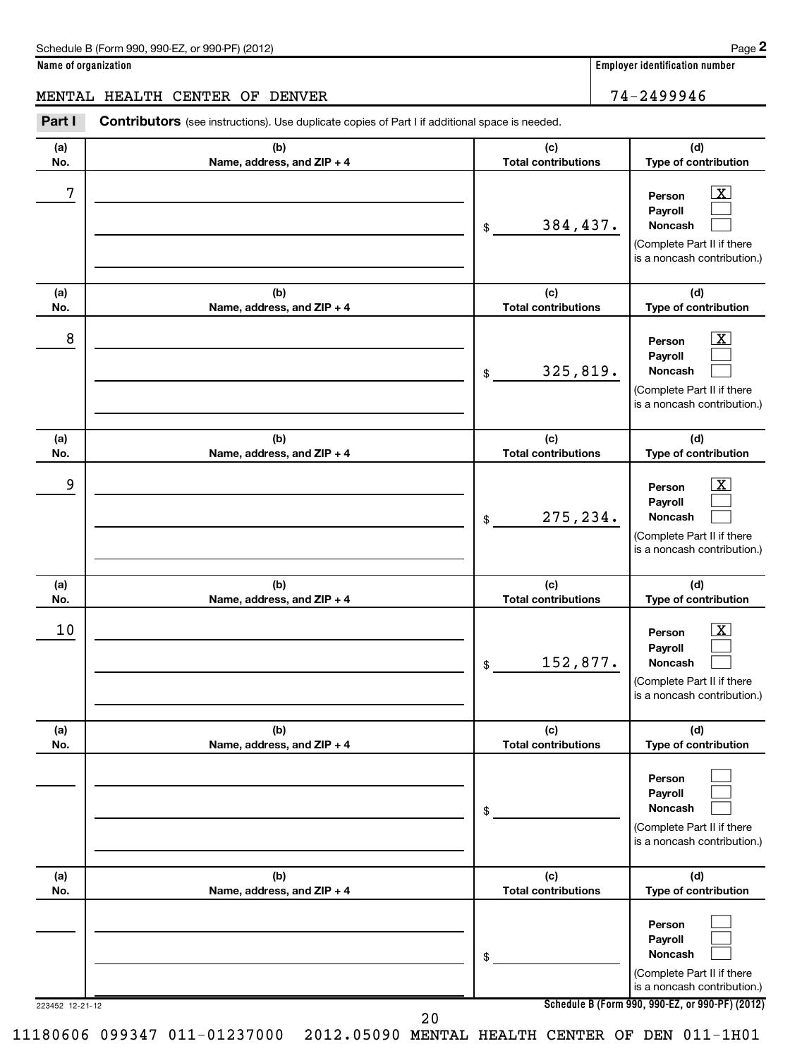## **Name of organization Employer identification number**

# MENTAL HEALTH CENTER OF DENVER 74-2499946

| Part I          | <b>Contributors</b> (see instructions). Use duplicate copies of Part I if additional space is needed. |                                   |                                                                                                                                              |
|-----------------|-------------------------------------------------------------------------------------------------------|-----------------------------------|----------------------------------------------------------------------------------------------------------------------------------------------|
| (a)<br>No.      | (b)<br>Name, address, and ZIP + 4                                                                     | (c)<br><b>Total contributions</b> | (d)<br>Type of contribution                                                                                                                  |
| 7               |                                                                                                       | 384,437.<br>\$                    | $\overline{\mathbf{X}}$<br>Person<br>Payroll<br><b>Noncash</b><br>(Complete Part II if there<br>is a noncash contribution.)                  |
| (a)<br>No.      | (b)<br>Name, address, and ZIP + 4                                                                     | (c)<br><b>Total contributions</b> | (d)<br>Type of contribution                                                                                                                  |
| 8               |                                                                                                       | 325,819.<br>\$                    | $\overline{\text{X}}$<br>Person<br>Payroll<br><b>Noncash</b><br>(Complete Part II if there<br>is a noncash contribution.)                    |
| (a)<br>No.      | (b)<br>Name, address, and ZIP + 4                                                                     | (c)<br><b>Total contributions</b> | (d)<br>Type of contribution                                                                                                                  |
| 9               |                                                                                                       | 275,234.<br>\$                    | $\overline{\text{X}}$<br>Person<br>Payroll<br><b>Noncash</b><br>(Complete Part II if there<br>is a noncash contribution.)                    |
| (a)<br>No.      | (b)<br>Name, address, and ZIP + 4                                                                     | (c)<br><b>Total contributions</b> | (d)<br>Type of contribution                                                                                                                  |
| 10              |                                                                                                       | 152,877.<br>\$                    | $\overline{\text{X}}$<br>Person<br>Payroll<br>Noncash<br>(Complete Part II if there<br>is a noncash contribution.)                           |
| (a)<br>No.      | (b)<br>Name, address, and ZIP + 4                                                                     | (c)<br><b>Total contributions</b> | (d)<br>Type of contribution                                                                                                                  |
|                 |                                                                                                       | \$                                | Person<br>Payroll<br>Noncash<br>(Complete Part II if there<br>is a noncash contribution.)                                                    |
| (a)<br>No.      | (b)<br>Name, address, and ZIP + 4                                                                     | (c)<br><b>Total contributions</b> | (d)<br>Type of contribution                                                                                                                  |
| 223452 12-21-12 |                                                                                                       | \$                                | Person<br>Payroll<br>Noncash<br>(Complete Part II if there<br>is a noncash contribution.)<br>Schedule B (Form 990, 990-EZ, or 990-PF) (2012) |

11180606 099347 011-01237000 2012.05090 MENTAL HEALTH CENTER OF DEN 011-1H01

20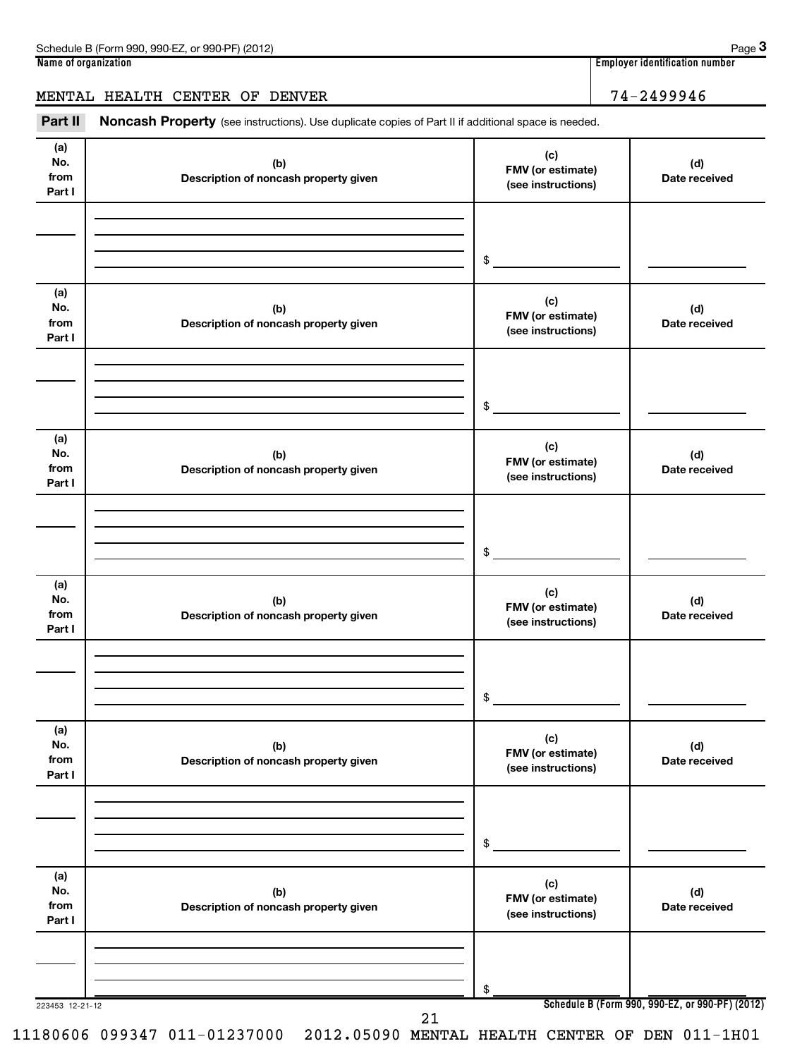| Schedule B (Form 990, 990-EZ, or 990-PF) (2012)                                                                | Page 3                         |
|----------------------------------------------------------------------------------------------------------------|--------------------------------|
| Name of organization                                                                                           | Employer identification number |
| MENTAL HEALTH CENTER OF DENVER                                                                                 | $74 - 2499946$                 |
| Part II<br>Noncash Property (see instructions). Use duplicate copies of Part II if additional space is needed. |                                |

| (a)<br>No.<br>from<br>Part I | (b)<br>Description of noncash property given | (c)<br>FMV (or estimate)<br>(see instructions) | (d)<br>Date received                            |
|------------------------------|----------------------------------------------|------------------------------------------------|-------------------------------------------------|
|                              |                                              | \$                                             |                                                 |
| (a)<br>No.<br>from<br>Part I | (b)<br>Description of noncash property given | (c)<br>FMV (or estimate)<br>(see instructions) | (d)<br>Date received                            |
|                              |                                              | \$                                             |                                                 |
| (a)<br>No.<br>from<br>Part I | (b)<br>Description of noncash property given | (c)<br>FMV (or estimate)<br>(see instructions) | (d)<br>Date received                            |
|                              |                                              | \$                                             |                                                 |
| (a)<br>No.<br>from<br>Part I | (b)<br>Description of noncash property given | (c)<br>FMV (or estimate)<br>(see instructions) | (d)<br>Date received                            |
|                              |                                              | \$                                             |                                                 |
| (a)<br>No.<br>from<br>Part I | (b)<br>Description of noncash property given | (c)<br>FMV (or estimate)<br>(see instructions) | (d)<br>Date received                            |
|                              |                                              | \$                                             |                                                 |
| (a)<br>No.<br>from<br>Part I | (b)<br>Description of noncash property given | (c)<br>FMV (or estimate)<br>(see instructions) | (d)<br>Date received                            |
|                              |                                              | \$                                             |                                                 |
| 223453 12-21-12              | 21                                           |                                                | Schedule B (Form 990, 990-EZ, or 990-PF) (2012) |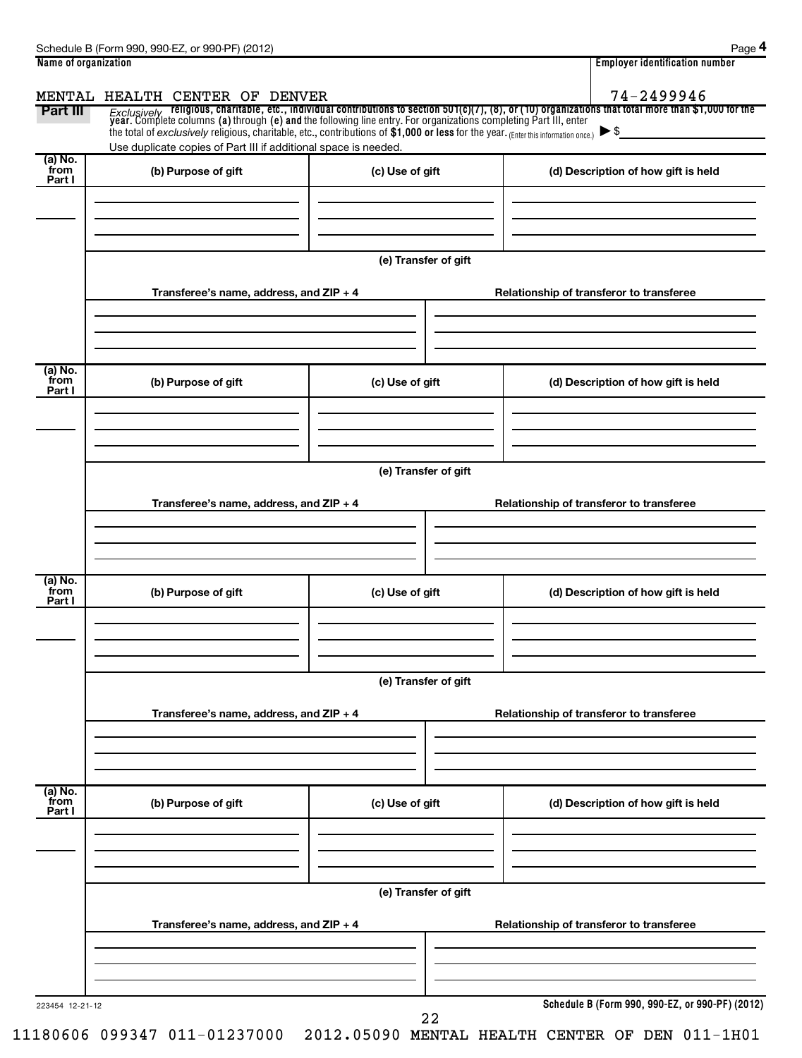| Name of organization |                                                                                                                                     |                      | <b>Employer identification number</b>                                                                                                                                                                                              |
|----------------------|-------------------------------------------------------------------------------------------------------------------------------------|----------------------|------------------------------------------------------------------------------------------------------------------------------------------------------------------------------------------------------------------------------------|
|                      | MENTAL HEALTH CENTER OF DENVER                                                                                                      |                      | 74-2499946                                                                                                                                                                                                                         |
| Part III             |                                                                                                                                     |                      | Exclusively religious, charitable, etc., individual contributions to section 501(c)(7), (8), or (10) organizations that total more than \$1,000 for the<br>year. Complete columns (a) through (e) and the following line entry. Fo |
|                      | the total of exclusively religious, charitable, etc., contributions of \$1,000 or less for the year. (Enter this information once.) |                      | $\blacktriangleright$ \$                                                                                                                                                                                                           |
|                      | Use duplicate copies of Part III if additional space is needed.                                                                     |                      |                                                                                                                                                                                                                                    |
| (a) No.<br>from      | (b) Purpose of gift                                                                                                                 | (c) Use of gift      | (d) Description of how gift is held                                                                                                                                                                                                |
| Part I               |                                                                                                                                     |                      |                                                                                                                                                                                                                                    |
|                      |                                                                                                                                     |                      |                                                                                                                                                                                                                                    |
|                      |                                                                                                                                     |                      |                                                                                                                                                                                                                                    |
|                      |                                                                                                                                     |                      |                                                                                                                                                                                                                                    |
|                      |                                                                                                                                     | (e) Transfer of gift |                                                                                                                                                                                                                                    |
|                      |                                                                                                                                     |                      |                                                                                                                                                                                                                                    |
|                      | Transferee's name, address, and ZIP + 4                                                                                             |                      | Relationship of transferor to transferee                                                                                                                                                                                           |
|                      |                                                                                                                                     |                      |                                                                                                                                                                                                                                    |
|                      |                                                                                                                                     |                      |                                                                                                                                                                                                                                    |
|                      |                                                                                                                                     |                      |                                                                                                                                                                                                                                    |
| (a) No.<br>from      | (b) Purpose of gift                                                                                                                 | (c) Use of gift      | (d) Description of how gift is held                                                                                                                                                                                                |
| Part I               |                                                                                                                                     |                      |                                                                                                                                                                                                                                    |
|                      |                                                                                                                                     |                      |                                                                                                                                                                                                                                    |
|                      |                                                                                                                                     |                      |                                                                                                                                                                                                                                    |
|                      |                                                                                                                                     |                      |                                                                                                                                                                                                                                    |
|                      |                                                                                                                                     | (e) Transfer of gift |                                                                                                                                                                                                                                    |
|                      | Transferee's name, address, and ZIP + 4                                                                                             |                      | Relationship of transferor to transferee                                                                                                                                                                                           |
|                      |                                                                                                                                     |                      |                                                                                                                                                                                                                                    |
|                      |                                                                                                                                     |                      |                                                                                                                                                                                                                                    |
|                      |                                                                                                                                     |                      |                                                                                                                                                                                                                                    |
| (a) No.              |                                                                                                                                     |                      |                                                                                                                                                                                                                                    |
| from<br>Part I       | (b) Purpose of gift                                                                                                                 | (c) Use of gift      | (d) Description of how gift is held                                                                                                                                                                                                |
|                      |                                                                                                                                     |                      |                                                                                                                                                                                                                                    |
|                      |                                                                                                                                     |                      |                                                                                                                                                                                                                                    |
|                      |                                                                                                                                     |                      |                                                                                                                                                                                                                                    |
|                      |                                                                                                                                     | (e) Transfer of gift |                                                                                                                                                                                                                                    |
|                      |                                                                                                                                     |                      |                                                                                                                                                                                                                                    |
|                      | Transferee's name, address, and ZIP + 4                                                                                             |                      | Relationship of transferor to transferee                                                                                                                                                                                           |
|                      |                                                                                                                                     |                      |                                                                                                                                                                                                                                    |
|                      |                                                                                                                                     |                      |                                                                                                                                                                                                                                    |
|                      |                                                                                                                                     |                      |                                                                                                                                                                                                                                    |
| (a) No.              |                                                                                                                                     |                      |                                                                                                                                                                                                                                    |
| from<br>Part I       | (b) Purpose of gift                                                                                                                 | (c) Use of gift      | (d) Description of how gift is held                                                                                                                                                                                                |
|                      |                                                                                                                                     |                      |                                                                                                                                                                                                                                    |
|                      |                                                                                                                                     |                      |                                                                                                                                                                                                                                    |
|                      |                                                                                                                                     |                      |                                                                                                                                                                                                                                    |
|                      |                                                                                                                                     | (e) Transfer of gift |                                                                                                                                                                                                                                    |
|                      |                                                                                                                                     |                      |                                                                                                                                                                                                                                    |
|                      | Transferee's name, address, and ZIP + 4                                                                                             |                      | Relationship of transferor to transferee                                                                                                                                                                                           |
|                      |                                                                                                                                     |                      |                                                                                                                                                                                                                                    |
|                      |                                                                                                                                     |                      |                                                                                                                                                                                                                                    |
|                      |                                                                                                                                     |                      |                                                                                                                                                                                                                                    |
| 223454 12-21-12      |                                                                                                                                     |                      | Schedule B (Form 990, 990-EZ, or 990-PF) (2012)                                                                                                                                                                                    |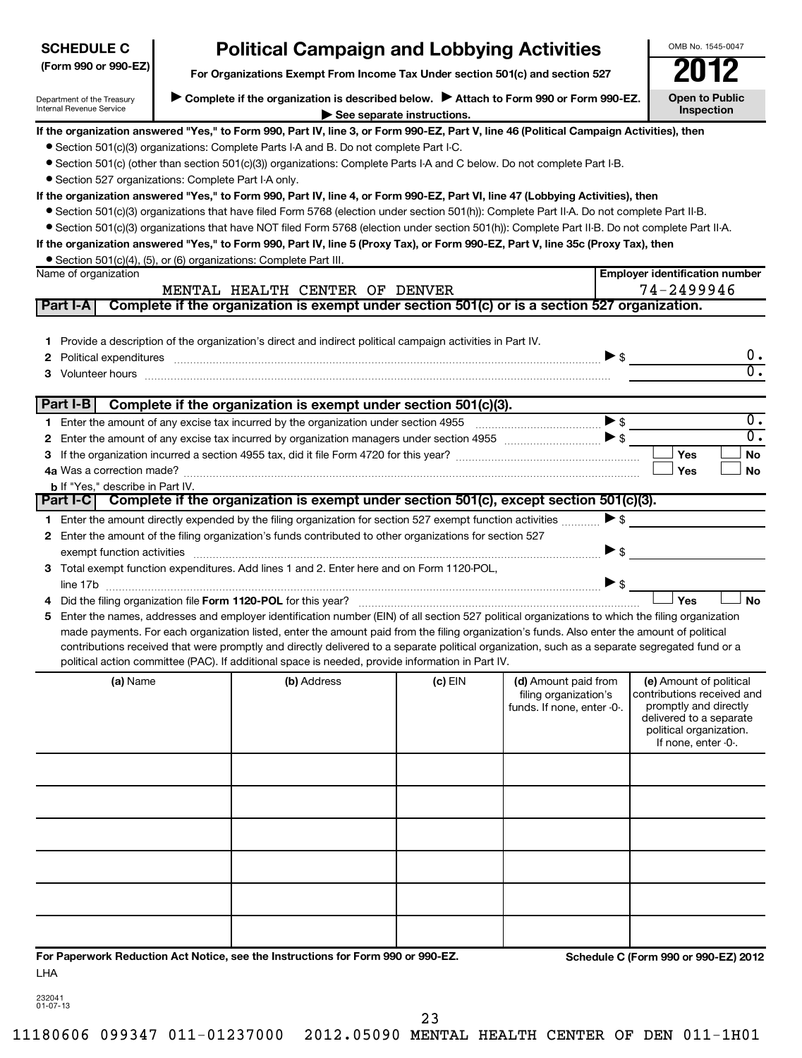| <b>SCHEDULE C</b>                                      |                                                                                                                                               | <b>Political Campaign and Lobbying Activities</b>                                                                                                                                                                                                                                                                                                                                                                                                                                                                                                                                                                                                                                                                                                                                                                                                                                                                                                                                                                                                                                                             |                            |                                                                             |                                                                                  | OMB No. 1545-0047                                                                                                                                           |  |  |
|--------------------------------------------------------|-----------------------------------------------------------------------------------------------------------------------------------------------|---------------------------------------------------------------------------------------------------------------------------------------------------------------------------------------------------------------------------------------------------------------------------------------------------------------------------------------------------------------------------------------------------------------------------------------------------------------------------------------------------------------------------------------------------------------------------------------------------------------------------------------------------------------------------------------------------------------------------------------------------------------------------------------------------------------------------------------------------------------------------------------------------------------------------------------------------------------------------------------------------------------------------------------------------------------------------------------------------------------|----------------------------|-----------------------------------------------------------------------------|----------------------------------------------------------------------------------|-------------------------------------------------------------------------------------------------------------------------------------------------------------|--|--|
| (Form 990 or 990-EZ)                                   |                                                                                                                                               |                                                                                                                                                                                                                                                                                                                                                                                                                                                                                                                                                                                                                                                                                                                                                                                                                                                                                                                                                                                                                                                                                                               |                            |                                                                             |                                                                                  |                                                                                                                                                             |  |  |
| Department of the Treasury<br>Internal Revenue Service | Complete if the organization is described below. Attach to Form 990 or Form 990-EZ.<br><b>Open to Public</b><br>Inspection                    |                                                                                                                                                                                                                                                                                                                                                                                                                                                                                                                                                                                                                                                                                                                                                                                                                                                                                                                                                                                                                                                                                                               |                            |                                                                             |                                                                                  |                                                                                                                                                             |  |  |
| • Section 527 organizations: Complete Part I-A only.   |                                                                                                                                               | If the organization answered "Yes," to Form 990, Part IV, line 3, or Form 990-EZ, Part V, line 46 (Political Campaign Activities), then<br>• Section 501(c)(3) organizations: Complete Parts I-A and B. Do not complete Part I-C.<br>• Section 501(c) (other than section 501(c)(3)) organizations: Complete Parts I-A and C below. Do not complete Part I-B.<br>If the organization answered "Yes," to Form 990, Part IV, line 4, or Form 990-EZ, Part VI, line 47 (Lobbying Activities), then<br>• Section 501(c)(3) organizations that have filed Form 5768 (election under section 501(h)): Complete Part II-A. Do not complete Part II-B.<br>• Section 501(c)(3) organizations that have NOT filed Form 5768 (election under section 501(h)): Complete Part II-B. Do not complete Part II-A.<br>If the organization answered "Yes," to Form 990, Part IV, line 5 (Proxy Tax), or Form 990-EZ, Part V, line 35c (Proxy Tax), then                                                                                                                                                                         | See separate instructions. |                                                                             |                                                                                  |                                                                                                                                                             |  |  |
| Name of organization                                   | • Section 501(c)(4), (5), or (6) organizations: Complete Part III.<br><b>Employer identification number</b><br>MENTAL HEALTH CENTER OF DENVER |                                                                                                                                                                                                                                                                                                                                                                                                                                                                                                                                                                                                                                                                                                                                                                                                                                                                                                                                                                                                                                                                                                               |                            |                                                                             |                                                                                  |                                                                                                                                                             |  |  |
| Part I-A                                               |                                                                                                                                               | Complete if the organization is exempt under section 501(c) or is a section 527 organization.                                                                                                                                                                                                                                                                                                                                                                                                                                                                                                                                                                                                                                                                                                                                                                                                                                                                                                                                                                                                                 |                            |                                                                             |                                                                                  | 74-2499946                                                                                                                                                  |  |  |
| $\mathbf{2}$<br>З                                      |                                                                                                                                               | 1 Provide a description of the organization's direct and indirect political campaign activities in Part IV.<br>Political expenditures <b>continuum contract and all contract and all contract and all contract and all contract and all contract and all contract and all contract and all contract and all contract and all contract and all c</b><br>Volunteer hours with an accommodal contract and contract and contract and contract and contract and contract and contract and contract and contract and contract and contract and contract and contract and contract and contr                                                                                                                                                                                                                                                                                                                                                                                                                                                                                                                         |                            |                                                                             |                                                                                  | 0.<br>σ.                                                                                                                                                    |  |  |
| Part I-B                                               |                                                                                                                                               | Complete if the organization is exempt under section 501(c)(3).                                                                                                                                                                                                                                                                                                                                                                                                                                                                                                                                                                                                                                                                                                                                                                                                                                                                                                                                                                                                                                               |                            |                                                                             |                                                                                  |                                                                                                                                                             |  |  |
| <b>b</b> If "Yes," describe in Part IV.                |                                                                                                                                               |                                                                                                                                                                                                                                                                                                                                                                                                                                                                                                                                                                                                                                                                                                                                                                                                                                                                                                                                                                                                                                                                                                               |                            |                                                                             | $\blacktriangleright$ s                                                          | $\overline{\mathfrak{0}}$ .<br>$\overline{\mathfrak{o}}$ .<br>Yes<br>No<br>Yes<br>No                                                                        |  |  |
| <b>Part I-CI</b>                                       |                                                                                                                                               | Complete if the organization is exempt under section 501(c), except section 501(c)(3).                                                                                                                                                                                                                                                                                                                                                                                                                                                                                                                                                                                                                                                                                                                                                                                                                                                                                                                                                                                                                        |                            |                                                                             |                                                                                  |                                                                                                                                                             |  |  |
| 5.                                                     |                                                                                                                                               | 1 Enter the amount directly expended by the filing organization for section 527 exempt function activities<br>2 Enter the amount of the filing organization's funds contributed to other organizations for section 527<br>exempt function activities with an activities and activities are activities and activities are activities and activities and activities and activities are activities and activities and activities and activities and activit<br>3 Total exempt function expenditures. Add lines 1 and 2. Enter here and on Form 1120-POL,<br>Enter the names, addresses and employer identification number (EIN) of all section 527 political organizations to which the filing organization<br>made payments. For each organization listed, enter the amount paid from the filing organization's funds. Also enter the amount of political<br>contributions received that were promptly and directly delivered to a separate political organization, such as a separate segregated fund or a<br>political action committee (PAC). If additional space is needed, provide information in Part IV. |                            |                                                                             | $\blacktriangleright$ \$<br>$\blacktriangleright$ \$<br>$\blacktriangleright$ \$ | Yes<br><b>No</b>                                                                                                                                            |  |  |
| (a) Name                                               |                                                                                                                                               | (b) Address                                                                                                                                                                                                                                                                                                                                                                                                                                                                                                                                                                                                                                                                                                                                                                                                                                                                                                                                                                                                                                                                                                   | $(c)$ EIN                  | (d) Amount paid from<br>filing organization's<br>funds. If none, enter -0-. |                                                                                  | (e) Amount of political<br>contributions received and<br>promptly and directly<br>delivered to a separate<br>political organization.<br>If none, enter -0-. |  |  |
| LHA                                                    |                                                                                                                                               | For Paperwork Reduction Act Notice, see the Instructions for Form 990 or 990-EZ.                                                                                                                                                                                                                                                                                                                                                                                                                                                                                                                                                                                                                                                                                                                                                                                                                                                                                                                                                                                                                              |                            |                                                                             |                                                                                  | Schedule C (Form 990 or 990-EZ) 2012                                                                                                                        |  |  |

232041 01-07-13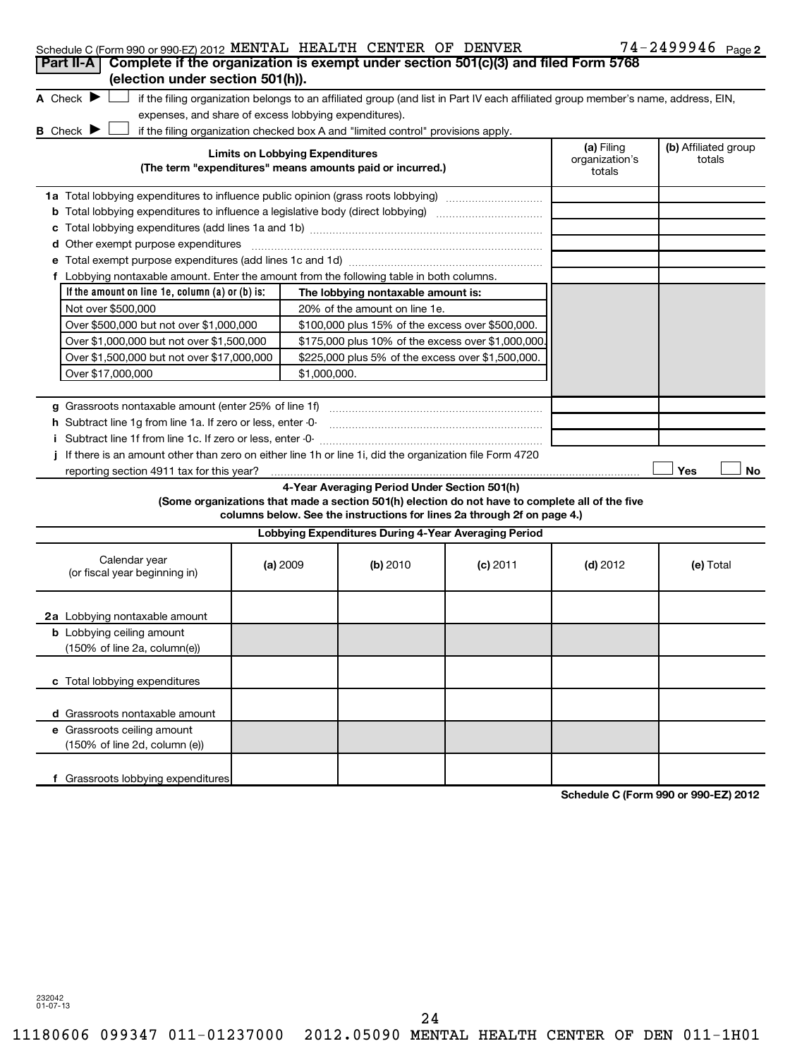|  | Schedule C (Form 990 or 990-EZ) 2012 MENTAL HEALTH CENTER OF DENVER |  |  |  |  |  | $74 - 2499946$ Page 2 |  |
|--|---------------------------------------------------------------------|--|--|--|--|--|-----------------------|--|
|--|---------------------------------------------------------------------|--|--|--|--|--|-----------------------|--|

| $300$ require C (Form $330$ or $330$ -C $2012$ <b>Terms that the final state</b><br>Part II-A   Complete if the organization is exempt under section 501(c)(3) and filed Form 5768<br>(election under section 501(h)).                                                                                                              |                                        |                                                      |                                                                                                                                                                            |                                        | $\frac{1}{2}$ 2 2 3 3 2 6 $\frac{1}{2}$ 6 $\frac{1}{2}$ 6 $\frac{1}{2}$ |
|-------------------------------------------------------------------------------------------------------------------------------------------------------------------------------------------------------------------------------------------------------------------------------------------------------------------------------------|----------------------------------------|------------------------------------------------------|----------------------------------------------------------------------------------------------------------------------------------------------------------------------------|----------------------------------------|-------------------------------------------------------------------------|
| A Check $\blacktriangleright$<br>if the filing organization belongs to an affiliated group (and list in Part IV each affiliated group member's name, address, EIN,<br>expenses, and share of excess lobbying expenditures).<br><b>B</b> Check ▶<br>if the filing organization checked box A and "limited control" provisions apply. |                                        |                                                      |                                                                                                                                                                            |                                        |                                                                         |
| (The term "expenditures" means amounts paid or incurred.)                                                                                                                                                                                                                                                                           | <b>Limits on Lobbying Expenditures</b> |                                                      |                                                                                                                                                                            | (a) Filing<br>organization's<br>totals | (b) Affiliated group<br>totals                                          |
|                                                                                                                                                                                                                                                                                                                                     |                                        |                                                      |                                                                                                                                                                            |                                        |                                                                         |
| <b>b</b> Total lobbying expenditures to influence a legislative body (direct lobbying) <i>manual content</i>                                                                                                                                                                                                                        |                                        |                                                      |                                                                                                                                                                            |                                        |                                                                         |
|                                                                                                                                                                                                                                                                                                                                     |                                        |                                                      |                                                                                                                                                                            |                                        |                                                                         |
| d Other exempt purpose expenditures                                                                                                                                                                                                                                                                                                 |                                        |                                                      |                                                                                                                                                                            |                                        |                                                                         |
|                                                                                                                                                                                                                                                                                                                                     |                                        |                                                      |                                                                                                                                                                            |                                        |                                                                         |
| f Lobbying nontaxable amount. Enter the amount from the following table in both columns.                                                                                                                                                                                                                                            |                                        |                                                      |                                                                                                                                                                            |                                        |                                                                         |
| If the amount on line 1e, column $(a)$ or $(b)$ is:                                                                                                                                                                                                                                                                                 |                                        | The lobbying nontaxable amount is:                   |                                                                                                                                                                            |                                        |                                                                         |
| Not over \$500,000                                                                                                                                                                                                                                                                                                                  |                                        | 20% of the amount on line 1e.                        |                                                                                                                                                                            |                                        |                                                                         |
| Over \$500,000 but not over \$1,000,000                                                                                                                                                                                                                                                                                             |                                        | \$100,000 plus 15% of the excess over \$500,000.     |                                                                                                                                                                            |                                        |                                                                         |
| Over \$1,000,000 but not over \$1,500,000                                                                                                                                                                                                                                                                                           |                                        | \$175,000 plus 10% of the excess over \$1,000,000    |                                                                                                                                                                            |                                        |                                                                         |
| Over \$1,500,000 but not over \$17,000,000                                                                                                                                                                                                                                                                                          |                                        | \$225,000 plus 5% of the excess over \$1,500,000.    |                                                                                                                                                                            |                                        |                                                                         |
| Over \$17,000,000                                                                                                                                                                                                                                                                                                                   | \$1,000,000.                           |                                                      |                                                                                                                                                                            |                                        |                                                                         |
|                                                                                                                                                                                                                                                                                                                                     |                                        |                                                      |                                                                                                                                                                            |                                        |                                                                         |
| g Grassroots nontaxable amount (enter 25% of line 1f)<br>h Subtract line 1g from line 1a. If zero or less, enter -0-                                                                                                                                                                                                                |                                        |                                                      |                                                                                                                                                                            |                                        |                                                                         |
| i Subtract line 1f from line 1c. If zero or less, enter -0-                                                                                                                                                                                                                                                                         |                                        |                                                      |                                                                                                                                                                            |                                        |                                                                         |
| j If there is an amount other than zero on either line 1h or line 1i, did the organization file Form 4720                                                                                                                                                                                                                           |                                        |                                                      |                                                                                                                                                                            |                                        |                                                                         |
| reporting section 4911 tax for this year?                                                                                                                                                                                                                                                                                           |                                        |                                                      |                                                                                                                                                                            |                                        | Yes<br>No                                                               |
|                                                                                                                                                                                                                                                                                                                                     |                                        | 4-Year Averaging Period Under Section 501(h)         | (Some organizations that made a section 501(h) election do not have to complete all of the five<br>columns below. See the instructions for lines 2a through 2f on page 4.) |                                        |                                                                         |
|                                                                                                                                                                                                                                                                                                                                     |                                        | Lobbying Expenditures During 4-Year Averaging Period |                                                                                                                                                                            |                                        |                                                                         |
| Calendar year<br>(or fiscal year beginning in)                                                                                                                                                                                                                                                                                      | (a) 2009                               | (b) 2010                                             | $(c)$ 2011                                                                                                                                                                 | $(d)$ 2012                             | (e) Total                                                               |
| 2a Lobbying nontaxable amount                                                                                                                                                                                                                                                                                                       |                                        |                                                      |                                                                                                                                                                            |                                        |                                                                         |
| <b>b</b> Lobbying ceiling amount<br>$(150\% \text{ of line } 2a, \text{column}(e))$                                                                                                                                                                                                                                                 |                                        |                                                      |                                                                                                                                                                            |                                        |                                                                         |
| c Total lobbying expenditures                                                                                                                                                                                                                                                                                                       |                                        |                                                      |                                                                                                                                                                            |                                        |                                                                         |
| d Grassroots nontaxable amount                                                                                                                                                                                                                                                                                                      |                                        |                                                      |                                                                                                                                                                            |                                        |                                                                         |
| e Grassroots ceiling amount<br>(150% of line 2d, column (e))                                                                                                                                                                                                                                                                        |                                        |                                                      |                                                                                                                                                                            |                                        |                                                                         |
| f Grassroots lobbying expenditures                                                                                                                                                                                                                                                                                                  |                                        |                                                      |                                                                                                                                                                            |                                        | 000.5200240                                                             |

**Schedule C (Form 990 or 990-EZ) 2012**

232042 01-07-13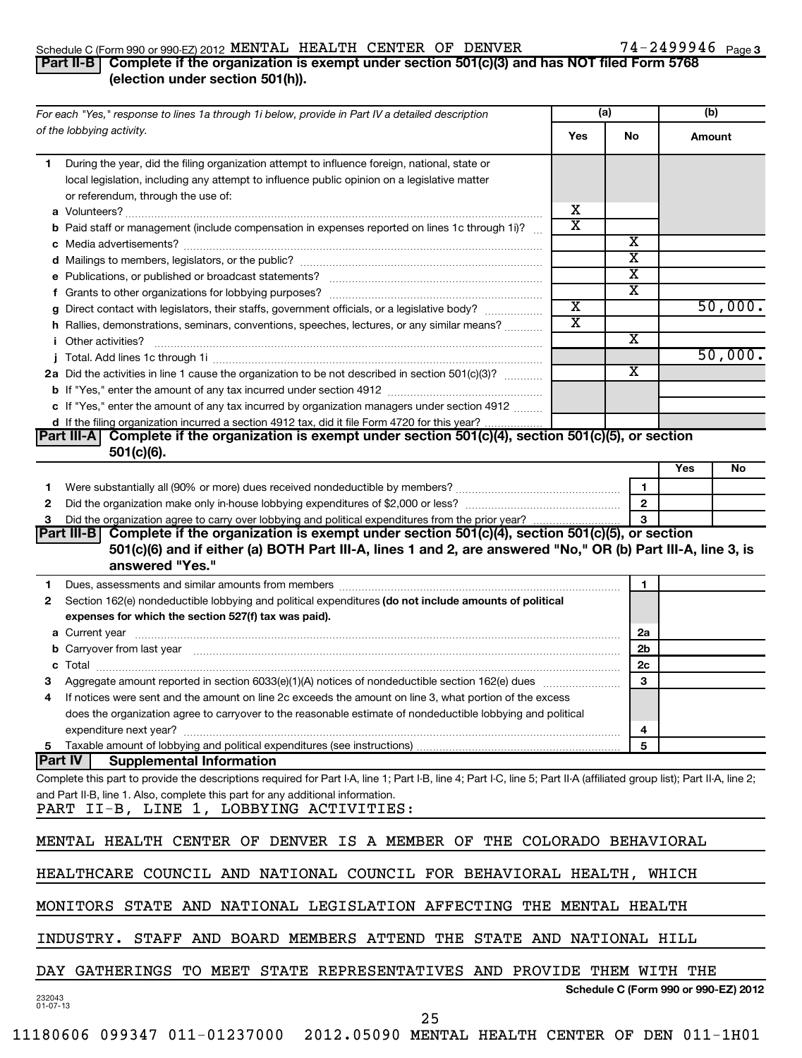### Schedule C (Form 990 or 990-EZ) 2012 MENTAL HEALTH CENTER OF DENVER / 4-Z4YYY46 Page MENTAL HEALTH CENTER OF DENVER 74-2499946

# 74-2499946 Page 3

# **Part II-B Complete if the organization is exempt under section 501(c)(3) and has NOT filed Form 5768 (election under section 501(h)).**

| For each "Yes," response to lines 1a through 1i below, provide in Part IV a detailed description                                                                                                                                    |                                                                        | (a)                     | (b)    |         |  |  |
|-------------------------------------------------------------------------------------------------------------------------------------------------------------------------------------------------------------------------------------|------------------------------------------------------------------------|-------------------------|--------|---------|--|--|
| of the lobbying activity.                                                                                                                                                                                                           | Yes                                                                    | No                      | Amount |         |  |  |
| During the year, did the filing organization attempt to influence foreign, national, state or<br>1.<br>local legislation, including any attempt to influence public opinion on a legislative matter                                 |                                                                        |                         |        |         |  |  |
| or referendum, through the use of:                                                                                                                                                                                                  | х                                                                      |                         |        |         |  |  |
| <b>b</b> Paid staff or management (include compensation in expenses reported on lines 1c through 1i)?                                                                                                                               | $\overline{\textbf{x}}$                                                |                         |        |         |  |  |
|                                                                                                                                                                                                                                     |                                                                        | x                       |        |         |  |  |
|                                                                                                                                                                                                                                     |                                                                        | х                       |        |         |  |  |
|                                                                                                                                                                                                                                     |                                                                        | х                       |        |         |  |  |
|                                                                                                                                                                                                                                     |                                                                        | х                       |        |         |  |  |
| g Direct contact with legislators, their staffs, government officials, or a legislative body?                                                                                                                                       | $\overline{\textbf{x}}$                                                |                         |        | 50,000. |  |  |
| h Rallies, demonstrations, seminars, conventions, speeches, lectures, or any similar means?                                                                                                                                         | $\overline{\textbf{x}}$                                                |                         |        |         |  |  |
| <i>i</i> Other activities?                                                                                                                                                                                                          |                                                                        | х                       |        |         |  |  |
|                                                                                                                                                                                                                                     |                                                                        |                         |        | 50,000. |  |  |
| 2a Did the activities in line 1 cause the organization to be not described in section 501(c)(3)?                                                                                                                                    |                                                                        | $\overline{\textbf{x}}$ |        |         |  |  |
|                                                                                                                                                                                                                                     |                                                                        |                         |        |         |  |  |
| c If "Yes," enter the amount of any tax incurred by organization managers under section 4912                                                                                                                                        |                                                                        |                         |        |         |  |  |
| d If the filing organization incurred a section 4912 tax, did it file Form 4720 for this year?                                                                                                                                      |                                                                        |                         |        |         |  |  |
| Complete if the organization is exempt under section 501(c)(4), section 501(c)(5), or section<br> Part III-A <br>$501(c)(6)$ .                                                                                                      |                                                                        |                         |        |         |  |  |
|                                                                                                                                                                                                                                     |                                                                        |                         | Yes    | No      |  |  |
| 1                                                                                                                                                                                                                                   |                                                                        | 1                       |        |         |  |  |
| 2                                                                                                                                                                                                                                   |                                                                        | $\overline{2}$          |        |         |  |  |
| Did the organization agree to carry over lobbying and political expenditures from the prior year?<br>з                                                                                                                              |                                                                        | 3                       |        |         |  |  |
| Complete if the organization is exempt under section 501(c)(4), section 501(c)(5), or section<br><b>Part III-B</b>                                                                                                                  |                                                                        |                         |        |         |  |  |
| 501(c)(6) and if either (a) BOTH Part III-A, lines 1 and 2, are answered "No," OR (b) Part III-A, line 3, is<br>answered "Yes."                                                                                                     |                                                                        |                         |        |         |  |  |
| Dues, assessments and similar amounts from members [11] matter contracts and similar amounts from members [11] matter contracts and similar amounts from members [11] matter contracts and similar amounts from members [11] m<br>1 |                                                                        | 1                       |        |         |  |  |
| Section 162(e) nondeductible lobbying and political expenditures (do not include amounts of political<br>2                                                                                                                          |                                                                        |                         |        |         |  |  |
| expenses for which the section 527(f) tax was paid).                                                                                                                                                                                |                                                                        |                         |        |         |  |  |
|                                                                                                                                                                                                                                     |                                                                        | 2a                      |        |         |  |  |
| b Carryover from last year manufactured and content to content the content of the content of the content of the content of the content of the content of the content of the content of the content of the content of the conte      |                                                                        | 2 <sub>b</sub>          |        |         |  |  |
|                                                                                                                                                                                                                                     |                                                                        | 2c                      |        |         |  |  |
| з                                                                                                                                                                                                                                   |                                                                        | 3                       |        |         |  |  |
| If notices were sent and the amount on line 2c exceeds the amount on line 3, what portion of the excess<br>4                                                                                                                        |                                                                        |                         |        |         |  |  |
| does the organization agree to carryover to the reasonable estimate of nondeductible lobbying and political                                                                                                                         |                                                                        |                         |        |         |  |  |
|                                                                                                                                                                                                                                     |                                                                        | $\overline{4}$          |        |         |  |  |
| Taxable amount of lobbying and political expenditures (see instructions)<br>5                                                                                                                                                       |                                                                        | 5                       |        |         |  |  |
| <b>Part IV</b><br><b>Supplemental Information</b>                                                                                                                                                                                   |                                                                        |                         |        |         |  |  |
| Complete this part to provide the descriptions required for Part I-A, line 1; Part I-B, line 4; Part I-C, line 5; Part II-A (affiliated group list); Part II-A, line 2;                                                             |                                                                        |                         |        |         |  |  |
| and Part II-B, line 1. Also, complete this part for any additional information.<br>PART II-B, LINE 1, LOBBYING ACTIVITIES:                                                                                                          |                                                                        |                         |        |         |  |  |
| MENTAL HEALTH CENTER OF DENVER IS A MEMBER OF THE COLORADO BEHAVIORAL                                                                                                                                                               |                                                                        |                         |        |         |  |  |
|                                                                                                                                                                                                                                     |                                                                        |                         |        |         |  |  |
| HEALTHCARE COUNCIL AND NATIONAL COUNCIL FOR BEHAVIORAL HEALTH, WHICH                                                                                                                                                                |                                                                        |                         |        |         |  |  |
| MONITORS STATE AND NATIONAL LEGISLATION AFFECTING THE MENTAL HEALTH                                                                                                                                                                 |                                                                        |                         |        |         |  |  |
| INDUSTRY. STAFF AND BOARD MEMBERS ATTEND THE STATE AND NATIONAL HILL                                                                                                                                                                |                                                                        |                         |        |         |  |  |
|                                                                                                                                                                                                                                     | DAY GATHERINGS TO MEET STATE REPRESENTATIVES AND PROVIDE THEM WITH THE |                         |        |         |  |  |
| Schedule C (Form 990 or 990-EZ) 2012<br>232043<br>$01 - 07 - 13$                                                                                                                                                                    |                                                                        |                         |        |         |  |  |
| 25                                                                                                                                                                                                                                  |                                                                        |                         |        |         |  |  |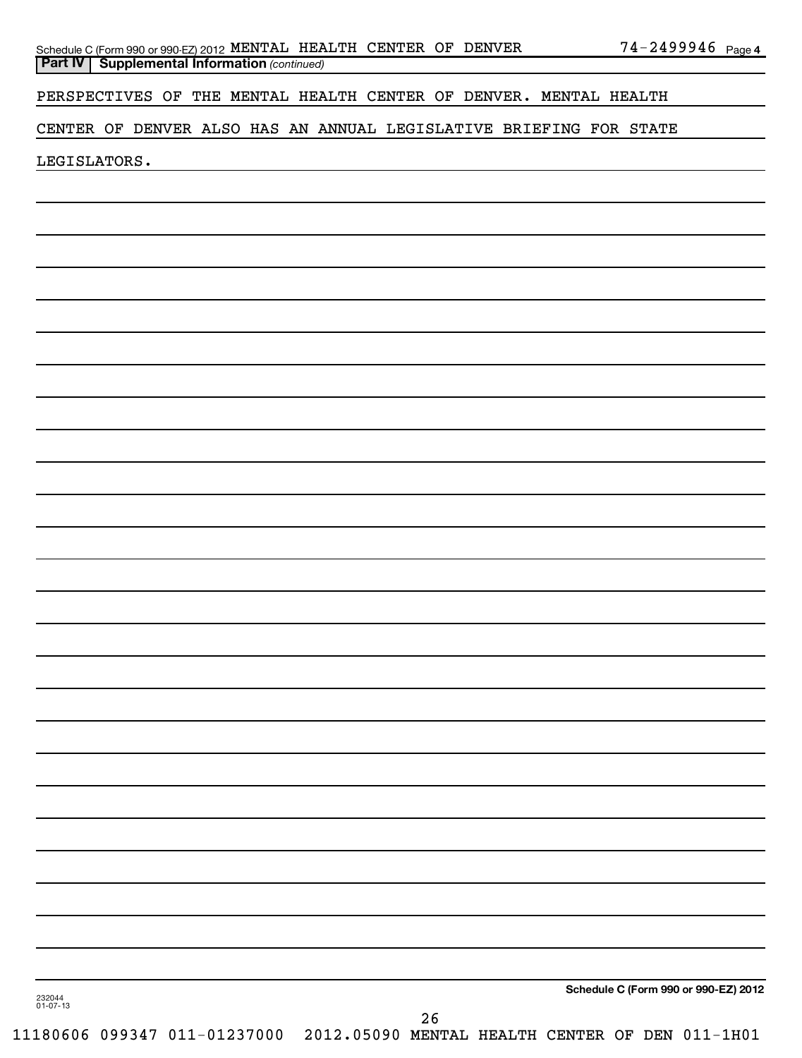| Schedule C (Form 990 or 990-EZ) 2012 MENTAL HEALTH CENTER OF DENVER |  |  | $74 - 2499946$ Page 4 |  |
|---------------------------------------------------------------------|--|--|-----------------------|--|
| <b>Part IV   Supplemental Information (continued)</b>               |  |  |                       |  |

PERSPECTIVES OF THE MENTAL HEALTH CENTER OF DENVER. MENTAL HEALTH

# CENTER OF DENVER ALSO HAS AN ANNUAL LEGISLATIVE BRIEFING FOR STATE

LEGISLATORS.

**Schedule C (Form 990 or 990-EZ) 2012**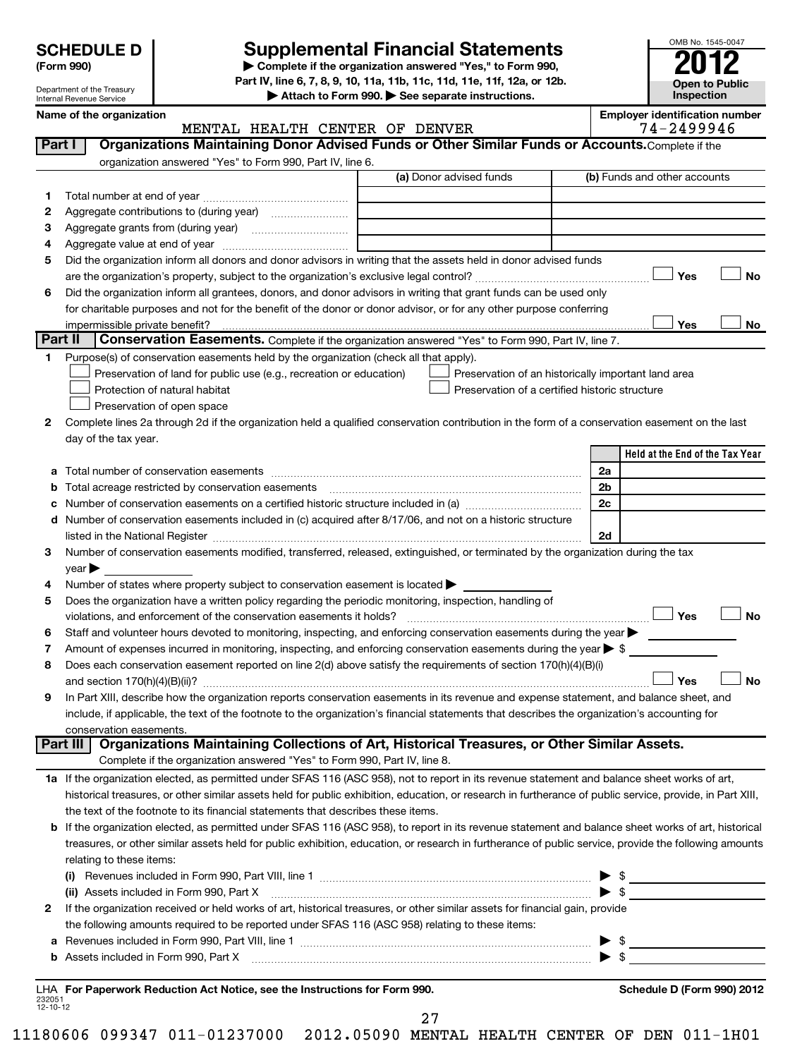Department of the Treasury Internal Revenue Service

# **Supplemental Financial Statements**

OMB No. 1545-0047

**Open to Public Inspection**

**(Form 990) | Complete if the organization answered "Yes," to Form 990, Part IV, line 6, 7, 8, 9, 10, 11a, 11b, 11c, 11d, 11e, 11f, 12a, or 12b.**

**| Attach to Form 990. | See separate instructions.**

232051 12-10-12 **Held at the End of the Tax Year Name of the organization Employer identification number (a)** Donor advised funds **1 2 3 4 5 6 Yes No** † † **Yes No** † † **1 2 3 4 5 6 7 8 9 a** Total number of conservation easements ~~~~~~~~~~~~~~~~~~~~~~~~~~~~~~~~ **b c** Number of conservation easements on a certified historic structure included in (a)  $\ldots$  $\ldots$  $\ldots$  $\ldots$  $\ldots$  $\ldots$ **d** Number of conservation easements included in (c) acquired after 8/17/06, and not on a historic structure **2a 2b 2c 2d Yes No Yes No** † † **1 a** If the organization elected, as permitted under SFAS 116 (ASC 958), not to report in its revenue statement and balance sheet works of art, **2** If the organization received or held works of art, historical treasures, or other similar assets for financial gain, provide **b** If the organization elected, as permitted under SFAS 116 (ASC 958), to report in its revenue statement and balance sheet works of art, historical **(i)** Revenues included in Form 990, Part VIII, line 1 ~~~~~~~~~~~~~~~~~~~~~~~~~~~~ | \$ **(ii)** Assets included in Form 990, Part X \$ **a** Revenues included in Form 990, Part VIII, line 1 ~~~~~~~~~~~~~~~~~~~~~~~~~~~~~~ | \$ **b** Assets included in Form 990, Part X ~~~~~~~~~~~~~~~~~~~~~~~~~~~~~~~~~~~ | \$ **For Paperwork Reduction Act Notice, see the Instructions for Form 990. Schedule D (Form 990) 2012** LHA **Part I** | Organizations Maintaining Donor Advised Funds or Other Similar Funds or Accounts. Complete if the organization answered "Yes" to Form 990, Part IV, line 6. (b) Funds and other accounts Total number at end of year ~~~~~~~~~~~~~~~ Aggregate contributions to (during year) \_\_\_\_\_\_\_\_\_\_\_\_\_\_\_\_\_\_\_ Aggregate grants from (during year) ~~~~~~~~~~ Aggregate value at end of year ~~~~~~~~~~~~~ Did the organization inform all donors and donor advisors in writing that the assets held in donor advised funds are the organization's property, subject to the organization's exclusive legal control?~~~~~~~~~~~~~~~~~~ Did the organization inform all grantees, donors, and donor advisors in writing that grant funds can be used only for charitable purposes and not for the benefit of the donor or donor advisor, or for any other purpose conferring impermissible private benefit? Part II | Conservation Easements. Complete if the organization answered "Yes" to Form 990, Part IV, line 7. Purpose(s) of conservation easements held by the organization (check all that apply). **Preservation of land for public use (e.g., recreation or education)** Protection of natural habitat † † **Preservation of open space** Preservation of an historically important land area Preservation of a certified historic structure Complete lines 2a through 2d if the organization held a qualified conservation contribution in the form of a conservation easement on the last day of the tax year. Total acreage restricted by conservation easements ~~~~~~~~~~~~~~~~~~~~~~~~~~ listed in the National Register ~~~~~~~~~~~~~~~~~~~~~~~~~~~~~~~~~~~~~~ Number of conservation easements modified, transferred, released, extinguished, or terminated by the organization during the tax  $\vee$  ear  $\blacktriangleright$ Number of states where property subject to conservation easement is located  $\blacktriangleright$ Does the organization have a written policy regarding the periodic monitoring, inspection, handling of violations, and enforcement of the conservation easements it holds? ~~~~~~~~~~~~~~~~~~~~~~~~~ Staff and volunteer hours devoted to monitoring, inspecting, and enforcing conservation easements during the year  $\blacktriangleright$ Amount of expenses incurred in monitoring, inspecting, and enforcing conservation easements during the year  $\triangleright$  \$ Does each conservation easement reported on line 2(d) above satisfy the requirements of section 170(h)(4)(B)(i) and section 170(h)(4)(B)(ii)? ~~~~~~~~~~~~~~~~~~~~~~~~~~~~~~~~~~~~~~~~~~~~~~ In Part XIII, describe how the organization reports conservation easements in its revenue and expense statement, and balance sheet, and include, if applicable, the text of the footnote to the organization's financial statements that describes the organization's accounting for conservation easements. Complete if the organization answered "Yes" to Form 990, Part IV, line 8. historical treasures, or other similar assets held for public exhibition, education, or research in furtherance of public service, provide, in Part XIII, the text of the footnote to its financial statements that describes these items. treasures, or other similar assets held for public exhibition, education, or research in furtherance of public service, provide the following amounts relating to these items: the following amounts required to be reported under SFAS 116 (ASC 958) relating to these items: **Part III Organizations Maintaining Collections of Art, Historical Treasures, or Other Similar Assets.**  $\mathsf{y}_{\mathsf{a}\mathsf{s}}$ MENTAL HEALTH CENTER OF DENVER THE 74-2499946

27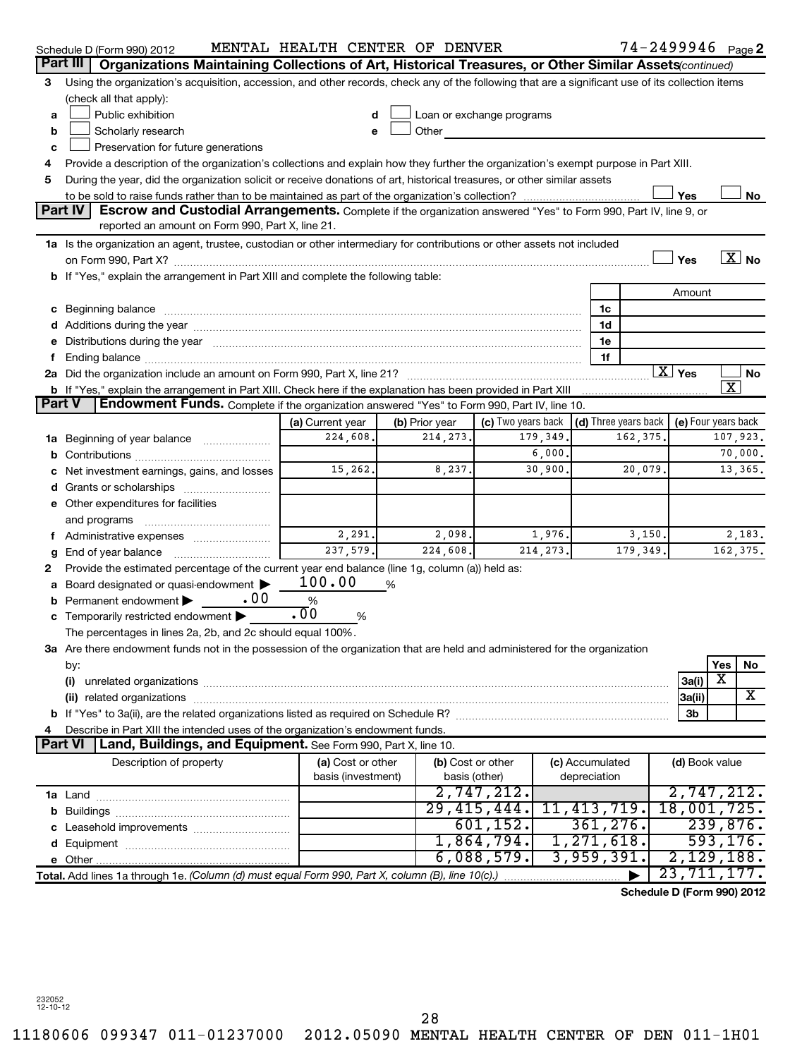|               | 74-2499946 <sub>Page</sub> 2<br>MENTAL HEALTH CENTER OF DENVER<br>Schedule D (Form 990) 2012                                                                                                                                           |                       |   |                           |                    |           |              |                      |                    |                            |           |          |
|---------------|----------------------------------------------------------------------------------------------------------------------------------------------------------------------------------------------------------------------------------------|-----------------------|---|---------------------------|--------------------|-----------|--------------|----------------------|--------------------|----------------------------|-----------|----------|
| Part III      | Organizations Maintaining Collections of Art, Historical Treasures, or Other Similar Assets (continued)                                                                                                                                |                       |   |                           |                    |           |              |                      |                    |                            |           |          |
| 3             | Using the organization's acquisition, accession, and other records, check any of the following that are a significant use of its collection items                                                                                      |                       |   |                           |                    |           |              |                      |                    |                            |           |          |
|               | (check all that apply):                                                                                                                                                                                                                |                       |   |                           |                    |           |              |                      |                    |                            |           |          |
| а             | Public exhibition                                                                                                                                                                                                                      | d                     |   | Loan or exchange programs |                    |           |              |                      |                    |                            |           |          |
| b             | Scholarly research                                                                                                                                                                                                                     | e                     |   | Other                     |                    |           |              |                      |                    |                            |           |          |
| c             | Preservation for future generations                                                                                                                                                                                                    |                       |   |                           |                    |           |              |                      |                    |                            |           |          |
| 4             | Provide a description of the organization's collections and explain how they further the organization's exempt purpose in Part XIII.                                                                                                   |                       |   |                           |                    |           |              |                      |                    |                            |           |          |
| 5             | During the year, did the organization solicit or receive donations of art, historical treasures, or other similar assets                                                                                                               |                       |   |                           |                    |           |              |                      |                    |                            |           |          |
|               | Yes<br>No                                                                                                                                                                                                                              |                       |   |                           |                    |           |              |                      |                    |                            |           |          |
|               | Part IV<br>Escrow and Custodial Arrangements. Complete if the organization answered "Yes" to Form 990, Part IV, line 9, or                                                                                                             |                       |   |                           |                    |           |              |                      |                    |                            |           |          |
|               | reported an amount on Form 990, Part X, line 21.                                                                                                                                                                                       |                       |   |                           |                    |           |              |                      |                    |                            |           |          |
|               | 1a Is the organization an agent, trustee, custodian or other intermediary for contributions or other assets not included                                                                                                               |                       |   |                           |                    |           |              |                      |                    |                            |           |          |
|               | $\boxed{\text{X}}$ No<br>Yes                                                                                                                                                                                                           |                       |   |                           |                    |           |              |                      |                    |                            |           |          |
|               | b If "Yes," explain the arrangement in Part XIII and complete the following table:                                                                                                                                                     |                       |   |                           |                    |           |              |                      |                    |                            |           |          |
|               |                                                                                                                                                                                                                                        |                       |   |                           |                    |           |              |                      |                    | Amount                     |           |          |
|               |                                                                                                                                                                                                                                        |                       |   |                           |                    |           |              | 1c                   |                    |                            |           |          |
|               | Additions during the year manufactured and an account of the year manufactured and account of the year manufactured and account of the year manufactured and account of the year manufactured and account of the year manufact         |                       |   |                           |                    |           |              | 1d                   |                    |                            |           |          |
|               | Distributions during the year manufactured and an account of the year manufactured and the year manufactured and the year manufactured and the year manufactured and the year manufactured and the year manufactured and the y         |                       |   |                           |                    |           |              | 1e                   |                    |                            |           |          |
|               |                                                                                                                                                                                                                                        |                       |   |                           |                    |           |              | 1f                   |                    |                            |           |          |
|               |                                                                                                                                                                                                                                        |                       |   |                           |                    |           |              |                      | $\overline{X}$ Yes |                            |           | No       |
|               | $\overline{\text{X}}$<br>b If "Yes," explain the arrangement in Part XIII. Check here if the explanation has been provided in Part XIII<br>Endowment Funds. Complete if the organization answered "Yes" to Form 990, Part IV, line 10. |                       |   |                           |                    |           |              |                      |                    |                            |           |          |
| <b>Part V</b> |                                                                                                                                                                                                                                        |                       |   |                           |                    |           |              |                      |                    |                            |           |          |
|               |                                                                                                                                                                                                                                        | (a) Current year      |   | (b) Prior year            | (c) Two years back |           |              | (d) Three years back |                    | (e) Four years back        |           |          |
| 1a            | 224,608.<br>162,375.<br>107,923.<br>214, 273.<br>179,349.<br>Beginning of year balance                                                                                                                                                 |                       |   |                           |                    |           |              |                      |                    |                            |           |          |
|               | 6,000.<br>70,000.<br>15,262.<br>30,900<br>13,365.<br>20,079.                                                                                                                                                                           |                       |   |                           |                    |           |              |                      |                    |                            |           |          |
|               | Net investment earnings, gains, and losses                                                                                                                                                                                             |                       |   | 8,237.                    |                    |           |              |                      |                    |                            |           |          |
|               |                                                                                                                                                                                                                                        |                       |   |                           |                    |           |              |                      |                    |                            |           |          |
|               | Other expenditures for facilities                                                                                                                                                                                                      |                       |   |                           |                    |           |              |                      |                    |                            |           |          |
|               | and programs                                                                                                                                                                                                                           | 2,291.                |   | 2,098.                    |                    | 1,976.    |              | 3,150.               |                    |                            |           | 2,183.   |
|               | Administrative expenses                                                                                                                                                                                                                | 237,579.              |   | 224,608.                  |                    | 214, 273. |              | 179,349.             |                    |                            |           | 162,375. |
|               | End of year balance                                                                                                                                                                                                                    |                       |   |                           |                    |           |              |                      |                    |                            |           |          |
| 2             | Provide the estimated percentage of the current year end balance (line 1g, column (a)) held as:                                                                                                                                        | 100.00                |   |                           |                    |           |              |                      |                    |                            |           |          |
|               | Board designated or quasi-endowment<br>.00<br>Permanent endowment                                                                                                                                                                      | %                     | % |                           |                    |           |              |                      |                    |                            |           |          |
|               | Temporarily restricted endowment                                                                                                                                                                                                       | $\overline{.00}$<br>% |   |                           |                    |           |              |                      |                    |                            |           |          |
|               | The percentages in lines 2a, 2b, and 2c should equal 100%.                                                                                                                                                                             |                       |   |                           |                    |           |              |                      |                    |                            |           |          |
|               | 3a Are there endowment funds not in the possession of the organization that are held and administered for the organization                                                                                                             |                       |   |                           |                    |           |              |                      |                    |                            |           |          |
|               | by:                                                                                                                                                                                                                                    |                       |   |                           |                    |           |              |                      |                    |                            | Yes       | No       |
|               | (i)                                                                                                                                                                                                                                    |                       |   |                           |                    |           |              |                      |                    | 3a(i)                      | х         |          |
|               |                                                                                                                                                                                                                                        |                       |   |                           |                    |           |              |                      |                    | 3a(ii)                     |           | X        |
|               | 3b                                                                                                                                                                                                                                     |                       |   |                           |                    |           |              |                      |                    |                            |           |          |
|               | Describe in Part XIII the intended uses of the organization's endowment funds.                                                                                                                                                         |                       |   |                           |                    |           |              |                      |                    |                            |           |          |
|               | <b>Part VI</b><br>Land, Buildings, and Equipment. See Form 990, Part X, line 10.                                                                                                                                                       |                       |   |                           |                    |           |              |                      |                    |                            |           |          |
|               | Description of property                                                                                                                                                                                                                | (a) Cost or other     |   | (b) Cost or other         |                    |           |              | (c) Accumulated      |                    | (d) Book value             |           |          |
|               |                                                                                                                                                                                                                                        | basis (investment)    |   |                           | basis (other)      |           | depreciation |                      |                    |                            |           |          |
|               |                                                                                                                                                                                                                                        |                       |   |                           | 2,747,212.         |           |              |                      |                    | 2,747,212.                 |           |          |
|               |                                                                                                                                                                                                                                        |                       |   |                           | 29,415,444.        |           |              | 11,413,719.          |                    | 18,001,725.                |           |          |
|               |                                                                                                                                                                                                                                        |                       |   |                           | 601, 152.          |           |              | 361,276.             |                    |                            | 239,876.  |          |
|               |                                                                                                                                                                                                                                        |                       |   |                           | 1,864,794.         |           |              | 1,271,618.           |                    |                            | 593, 176. |          |
|               |                                                                                                                                                                                                                                        |                       |   |                           | 6,088,579.         |           |              | 3,959,391            |                    | 2,129,188.                 |           |          |
|               | Total. Add lines 1a through 1e. (Column (d) must equal Form 990, Part X, column (B), line 10(c).)                                                                                                                                      |                       |   |                           |                    |           |              |                      |                    | 23, 711, 177.              |           |          |
|               |                                                                                                                                                                                                                                        |                       |   |                           |                    |           |              |                      |                    | Schedule D (Form 990) 2012 |           |          |
|               |                                                                                                                                                                                                                                        |                       |   |                           |                    |           |              |                      |                    |                            |           |          |

232052 12-10-12

28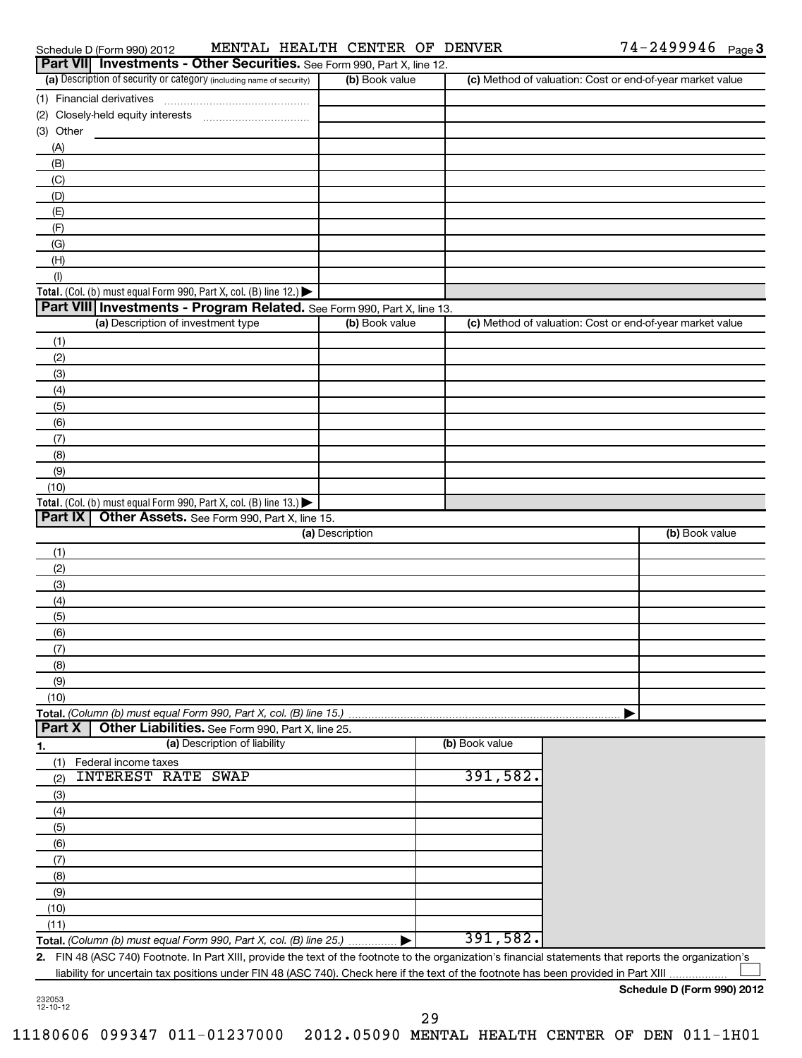|                | Schedule D (Form 990) 2012                                                             |                              | MENTAL HEALTH CENTER OF DENVER |                                                                                                                                                         |                                                           | $74 - 2499946$ Page 3                 |  |
|----------------|----------------------------------------------------------------------------------------|------------------------------|--------------------------------|---------------------------------------------------------------------------------------------------------------------------------------------------------|-----------------------------------------------------------|---------------------------------------|--|
|                | Part VII Investments - Other Securities. See Form 990, Part X, line 12.                |                              |                                |                                                                                                                                                         |                                                           |                                       |  |
|                | (a) Description of security or category (including name of security)                   |                              | (b) Book value                 |                                                                                                                                                         | (c) Method of valuation: Cost or end-of-year market value |                                       |  |
|                | (1) Financial derivatives                                                              |                              |                                |                                                                                                                                                         |                                                           |                                       |  |
|                |                                                                                        |                              |                                |                                                                                                                                                         |                                                           |                                       |  |
| (3) Other      |                                                                                        |                              |                                |                                                                                                                                                         |                                                           |                                       |  |
| (A)            |                                                                                        |                              |                                |                                                                                                                                                         |                                                           |                                       |  |
| (B)            |                                                                                        |                              |                                |                                                                                                                                                         |                                                           |                                       |  |
| (C)            |                                                                                        |                              |                                |                                                                                                                                                         |                                                           |                                       |  |
| (D)            |                                                                                        |                              |                                |                                                                                                                                                         |                                                           |                                       |  |
| (E)            |                                                                                        |                              |                                |                                                                                                                                                         |                                                           |                                       |  |
| (F)            |                                                                                        |                              |                                |                                                                                                                                                         |                                                           |                                       |  |
| (G)            |                                                                                        |                              |                                |                                                                                                                                                         |                                                           |                                       |  |
| (H)            |                                                                                        |                              |                                |                                                                                                                                                         |                                                           |                                       |  |
| (1)            |                                                                                        |                              |                                |                                                                                                                                                         |                                                           |                                       |  |
|                | Total. (Col. (b) must equal Form 990, Part X, col. (B) line 12.) $\blacktriangleright$ |                              |                                |                                                                                                                                                         |                                                           |                                       |  |
|                | Part VIII Investments - Program Related. See Form 990, Part X, line 13.                |                              |                                |                                                                                                                                                         |                                                           |                                       |  |
|                | (a) Description of investment type                                                     |                              | (b) Book value                 |                                                                                                                                                         | (c) Method of valuation: Cost or end-of-year market value |                                       |  |
| (1)            |                                                                                        |                              |                                |                                                                                                                                                         |                                                           |                                       |  |
| (2)            |                                                                                        |                              |                                |                                                                                                                                                         |                                                           |                                       |  |
| (3)            |                                                                                        |                              |                                |                                                                                                                                                         |                                                           |                                       |  |
| (4)            |                                                                                        |                              |                                |                                                                                                                                                         |                                                           |                                       |  |
| (5)            |                                                                                        |                              |                                |                                                                                                                                                         |                                                           |                                       |  |
| (6)            |                                                                                        |                              |                                |                                                                                                                                                         |                                                           |                                       |  |
| (7)            |                                                                                        |                              |                                |                                                                                                                                                         |                                                           |                                       |  |
| (8)            |                                                                                        |                              |                                |                                                                                                                                                         |                                                           |                                       |  |
| (9)            |                                                                                        |                              |                                |                                                                                                                                                         |                                                           |                                       |  |
| (10)           |                                                                                        |                              |                                |                                                                                                                                                         |                                                           |                                       |  |
|                | Total. (Col. (b) must equal Form 990, Part X, col. (B) line 13.) $\blacktriangleright$ |                              |                                |                                                                                                                                                         |                                                           |                                       |  |
| <b>Part IX</b> | Other Assets. See Form 990, Part X, line 15.                                           |                              |                                |                                                                                                                                                         |                                                           |                                       |  |
|                |                                                                                        |                              | (a) Description                |                                                                                                                                                         |                                                           | (b) Book value                        |  |
| (1)            |                                                                                        |                              |                                |                                                                                                                                                         |                                                           |                                       |  |
| (2)            |                                                                                        |                              |                                |                                                                                                                                                         |                                                           |                                       |  |
| (3)            |                                                                                        |                              |                                |                                                                                                                                                         |                                                           |                                       |  |
| (4)            |                                                                                        |                              |                                |                                                                                                                                                         |                                                           |                                       |  |
| (5)            |                                                                                        |                              |                                |                                                                                                                                                         |                                                           |                                       |  |
| (6)            |                                                                                        |                              |                                |                                                                                                                                                         |                                                           |                                       |  |
| (7)            |                                                                                        |                              |                                |                                                                                                                                                         |                                                           |                                       |  |
| (8)            |                                                                                        |                              |                                |                                                                                                                                                         |                                                           |                                       |  |
| (9)            |                                                                                        |                              |                                |                                                                                                                                                         |                                                           |                                       |  |
| (10)           |                                                                                        |                              |                                |                                                                                                                                                         |                                                           |                                       |  |
|                | Total. (Column (b) must equal Form 990, Part X, col. (B) line 15.)                     |                              |                                |                                                                                                                                                         |                                                           |                                       |  |
| <b>Part X</b>  | Other Liabilities. See Form 990, Part X, line 25.                                      |                              |                                |                                                                                                                                                         |                                                           |                                       |  |
| 1.             |                                                                                        | (a) Description of liability |                                | (b) Book value                                                                                                                                          |                                                           |                                       |  |
| (1)            | Federal income taxes                                                                   |                              |                                |                                                                                                                                                         |                                                           |                                       |  |
| (2)            | <b>INTEREST RATE SWAP</b>                                                              |                              |                                | 391,582.                                                                                                                                                |                                                           |                                       |  |
|                |                                                                                        |                              |                                |                                                                                                                                                         |                                                           |                                       |  |
| (3)            |                                                                                        |                              |                                |                                                                                                                                                         |                                                           |                                       |  |
| (4)            |                                                                                        |                              |                                |                                                                                                                                                         |                                                           |                                       |  |
| (5)            |                                                                                        |                              |                                |                                                                                                                                                         |                                                           |                                       |  |
| (6)            |                                                                                        |                              |                                |                                                                                                                                                         |                                                           |                                       |  |
| (7)            |                                                                                        |                              |                                |                                                                                                                                                         |                                                           |                                       |  |
| (8)            |                                                                                        |                              |                                |                                                                                                                                                         |                                                           |                                       |  |
| (9)            |                                                                                        |                              |                                |                                                                                                                                                         |                                                           |                                       |  |
| (10)           |                                                                                        |                              |                                |                                                                                                                                                         |                                                           |                                       |  |
| (11)           |                                                                                        |                              |                                |                                                                                                                                                         |                                                           |                                       |  |
|                | Total. (Column (b) must equal Form 990, Part X, col. (B) line 25.)                     |                              |                                | 391,582.                                                                                                                                                |                                                           |                                       |  |
|                |                                                                                        |                              |                                | 2. FIN 48 (ASC 740) Footnote. In Part XIII, provide the text of the footnote to the organization's financial statements that reports the organization's |                                                           |                                       |  |
|                |                                                                                        |                              |                                | liability for uncertain tax positions under FIN 48 (ASC 740). Check here if the text of the footnote has been provided in Part XIII                     |                                                           | $d_{\text{min}} = 5$ (Ferma 000) 0040 |  |

**Schedule D (Form 990) 2012**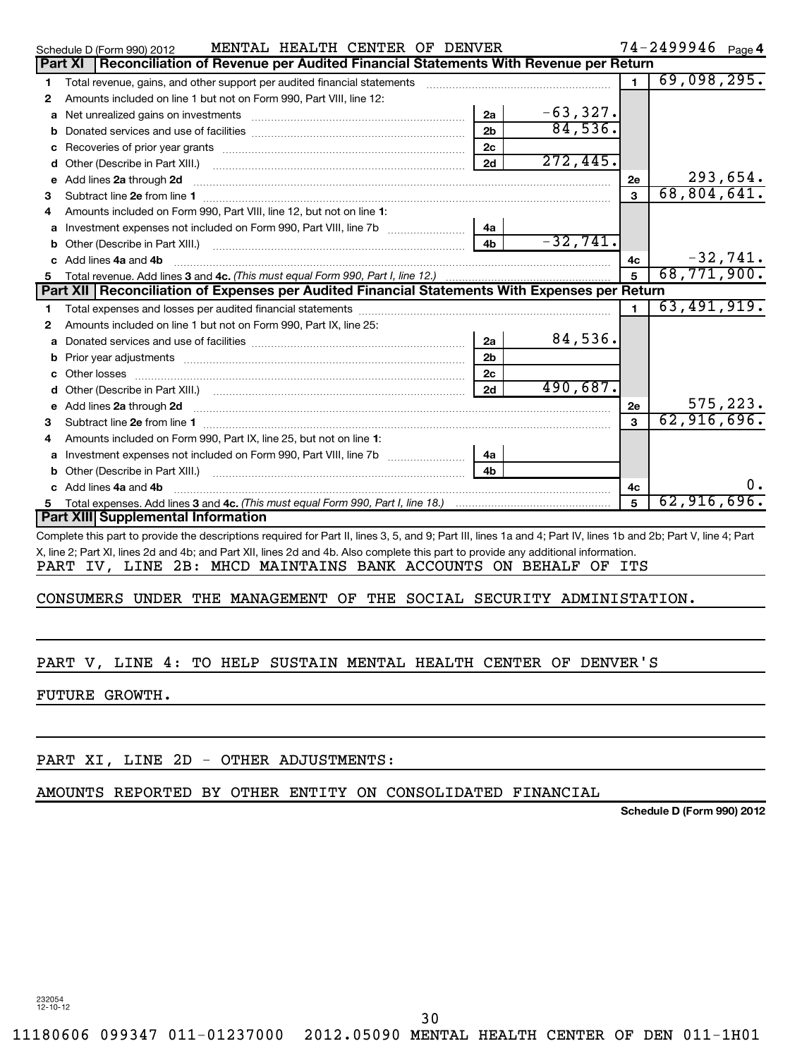| $74 - 2499946$ Page 4<br>MENTAL HEALTH CENTER OF DENVER<br>Schedule D (Form 990) 2012        |                                                                                                                                                                                                                                     |                |            |              |             |  |  |  |  |
|----------------------------------------------------------------------------------------------|-------------------------------------------------------------------------------------------------------------------------------------------------------------------------------------------------------------------------------------|----------------|------------|--------------|-------------|--|--|--|--|
| Part XI   Reconciliation of Revenue per Audited Financial Statements With Revenue per Return |                                                                                                                                                                                                                                     |                |            |              |             |  |  |  |  |
| 1                                                                                            | Total revenue, gains, and other support per audited financial statements                                                                                                                                                            |                |            |              | 69,098,295. |  |  |  |  |
| 2                                                                                            | Amounts included on line 1 but not on Form 990, Part VIII, line 12:                                                                                                                                                                 |                |            |              |             |  |  |  |  |
| a                                                                                            | Net unrealized gains on investments [111] Martin Martin Martin Martin Martin Martin Martin Martin Martin Marti                                                                                                                      | 2a             | $-63,327.$ |              |             |  |  |  |  |
|                                                                                              |                                                                                                                                                                                                                                     | 2 <sub>b</sub> | 84,536.    |              |             |  |  |  |  |
| c                                                                                            |                                                                                                                                                                                                                                     | 2c             |            |              |             |  |  |  |  |
| d                                                                                            | Other (Describe in Part XIII.) [100] [100] [100] [100] [100] [100] [100] [100] [100] [100] [100] [100] [100] [                                                                                                                      | 2d             | 272,445.   |              |             |  |  |  |  |
| e                                                                                            | Add lines 2a through 2d <b>contained a contained a contained a contained a</b> contained a contact the state of the state of the state of the state of the state of the state of the state of the state of the state of the state o |                |            | 2e           | 293,654.    |  |  |  |  |
| з                                                                                            | Subtract line 2e from line 1 <b>manufacture in the contract of the 2e</b> from line 1                                                                                                                                               |                |            | $\mathbf{a}$ | 68,804,641. |  |  |  |  |
| 4                                                                                            | Amounts included on Form 990, Part VIII, line 12, but not on line 1:                                                                                                                                                                |                |            |              |             |  |  |  |  |
| a                                                                                            | Investment expenses not included on Form 990, Part VIII, line 7b                                                                                                                                                                    | 4a             |            |              |             |  |  |  |  |
|                                                                                              |                                                                                                                                                                                                                                     | 4 <sub>b</sub> | $-32,741.$ |              |             |  |  |  |  |
|                                                                                              | Add lines 4a and 4b                                                                                                                                                                                                                 |                |            | 4c           | $-32,741.$  |  |  |  |  |
| 5.                                                                                           | 68,771,900.                                                                                                                                                                                                                         |                |            |              |             |  |  |  |  |
|                                                                                              | Part XII   Reconciliation of Expenses per Audited Financial Statements With Expenses per Return                                                                                                                                     |                |            |              |             |  |  |  |  |
| 1                                                                                            |                                                                                                                                                                                                                                     |                |            | $\mathbf{1}$ | 63,491,919. |  |  |  |  |
| 2                                                                                            | Amounts included on line 1 but not on Form 990, Part IX, line 25:                                                                                                                                                                   |                |            |              |             |  |  |  |  |
| a                                                                                            |                                                                                                                                                                                                                                     | 2a             | 84,536.    |              |             |  |  |  |  |
|                                                                                              |                                                                                                                                                                                                                                     | 2 <sub>b</sub> |            |              |             |  |  |  |  |
| C.                                                                                           |                                                                                                                                                                                                                                     | 2c             |            |              |             |  |  |  |  |
|                                                                                              |                                                                                                                                                                                                                                     | 2d             | 490,687.   |              |             |  |  |  |  |
| e                                                                                            | Add lines 2a through 2d <b>contained a contained a contained a contained a</b> contained a contained a contained a contained a contained a contained a contained a contained a contained a contained a contained a contained a cont |                |            | 2e           | 575, 223.   |  |  |  |  |
| з                                                                                            |                                                                                                                                                                                                                                     |                |            | $\mathbf{a}$ | 62,916,696. |  |  |  |  |
| 4                                                                                            | Amounts included on Form 990, Part IX, line 25, but not on line 1:                                                                                                                                                                  |                |            |              |             |  |  |  |  |
| a                                                                                            |                                                                                                                                                                                                                                     | 4a             |            |              |             |  |  |  |  |
|                                                                                              |                                                                                                                                                                                                                                     | 4 <sub>b</sub> |            |              |             |  |  |  |  |
| c.                                                                                           | 0.<br>Add lines 4a and 4b<br>4c                                                                                                                                                                                                     |                |            |              |             |  |  |  |  |
|                                                                                              |                                                                                                                                                                                                                                     |                |            |              | 62,916,696. |  |  |  |  |
|                                                                                              | Part XIII Supplemental Information                                                                                                                                                                                                  |                |            |              |             |  |  |  |  |
|                                                                                              | Complete this part to provide the descriptions required for Part II, lines 3, 5, and 9; Part III, lines 1a and 4; Part IV, lines 1b and 2b; Part V, line 4; Part                                                                    |                |            |              |             |  |  |  |  |

X, line 2; Part XI, lines 2d and 4b; and Part XII, lines 2d and 4b. Also complete this part to provide any additional information. PART IV, LINE 2B: MHCD MAINTAINS BANK ACCOUNTS ON BEHALF OF ITS

# CONSUMERS UNDER THE MANAGEMENT OF THE SOCIAL SECURITY ADMINISTATION.

# PART V, LINE 4: TO HELP SUSTAIN MENTAL HEALTH CENTER OF DENVER'S

FUTURE GROWTH.

PART XI, LINE 2D - OTHER ADJUSTMENTS:

# AMOUNTS REPORTED BY OTHER ENTITY ON CONSOLIDATED FINANCIAL

**Schedule D (Form 990) 2012**

232054 12-10-12

30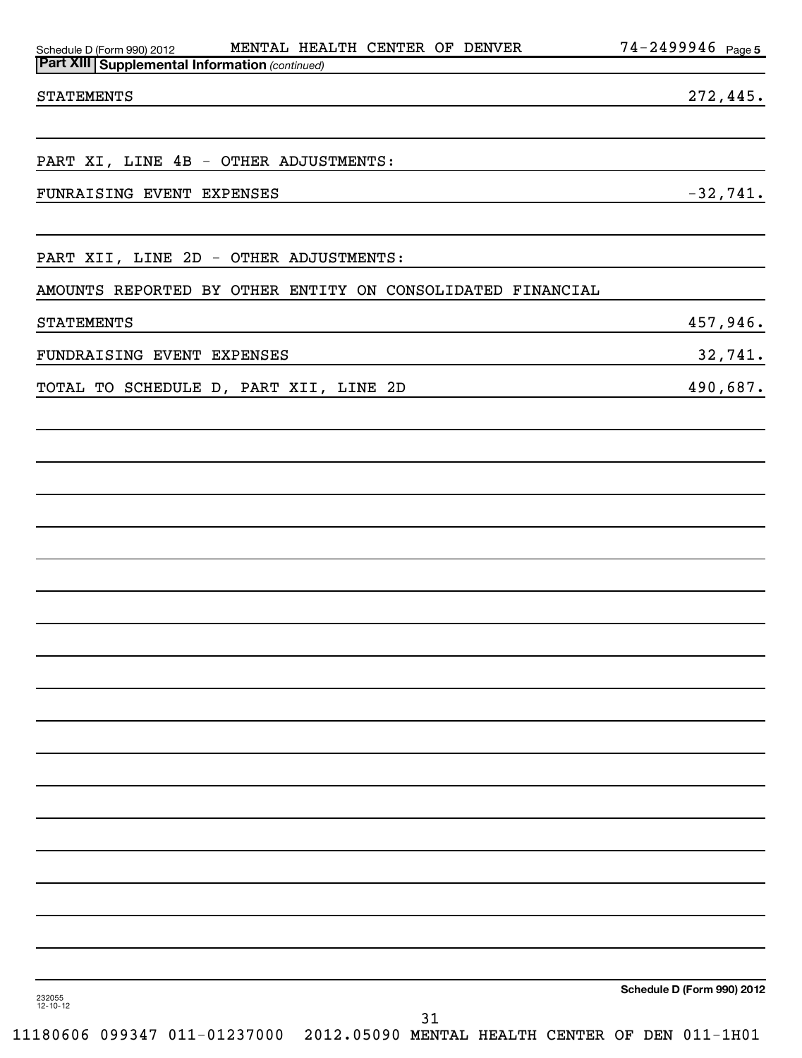| <b>Part XIII   Supplemental Information (continued)</b>    |                            |
|------------------------------------------------------------|----------------------------|
| <b>STATEMENTS</b>                                          | 272,445.                   |
|                                                            |                            |
| PART XI, LINE 4B - OTHER ADJUSTMENTS:                      |                            |
| FUNRAISING EVENT EXPENSES                                  | $-32,741.$                 |
| PART XII, LINE 2D - OTHER ADJUSTMENTS:                     |                            |
|                                                            |                            |
| AMOUNTS REPORTED BY OTHER ENTITY ON CONSOLIDATED FINANCIAL |                            |
| <b>STATEMENTS</b>                                          | 457,946.                   |
| FUNDRAISING EVENT EXPENSES                                 | 32,741.                    |
| TOTAL TO SCHEDULE D, PART XII, LINE 2D                     | 490,687.                   |
|                                                            |                            |
|                                                            |                            |
|                                                            |                            |
|                                                            |                            |
|                                                            |                            |
|                                                            |                            |
|                                                            |                            |
|                                                            |                            |
|                                                            |                            |
|                                                            |                            |
|                                                            |                            |
|                                                            |                            |
|                                                            |                            |
|                                                            |                            |
|                                                            |                            |
|                                                            |                            |
|                                                            |                            |
|                                                            |                            |
|                                                            |                            |
|                                                            | Schedule D (Form 990) 2012 |
| 232055<br>12-10-12                                         | 31                         |

Schedule D (Form 990) 2012 MENTAL HEALTH CENTER OF DENVER / 4-Z4YYY4 b Page

MENTAL HEALTH CENTER OF DENVER

74-2499946 Page 5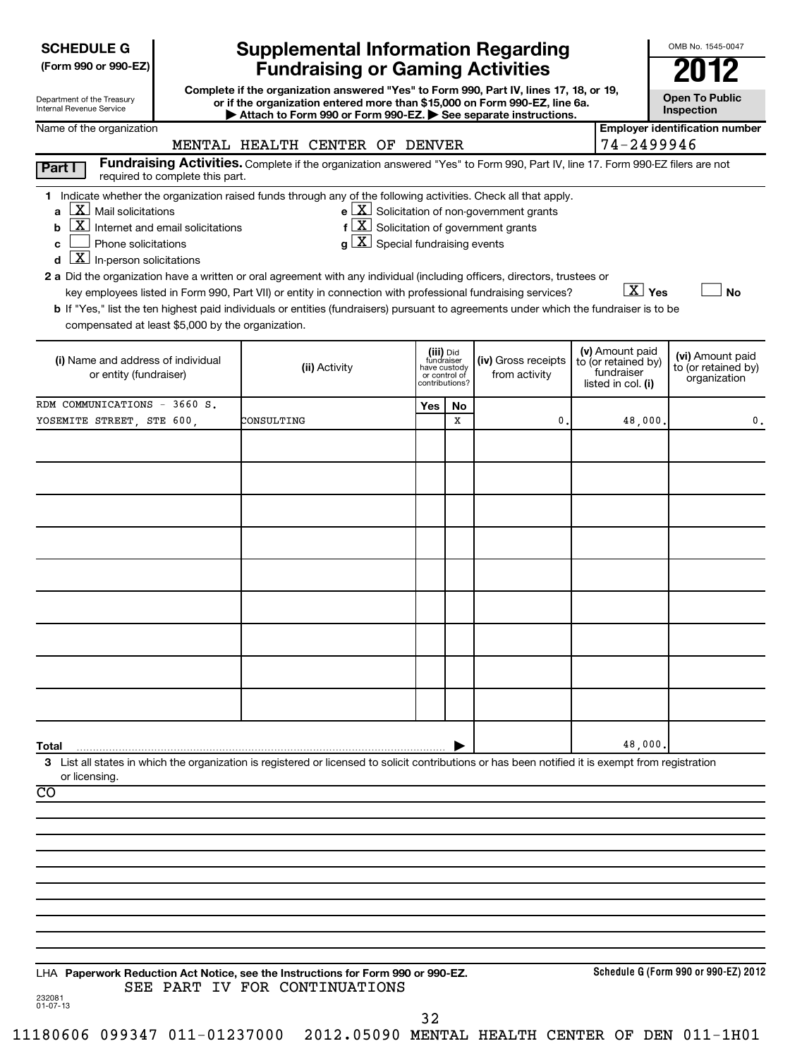| <b>SCHEDULE G</b> |  |
|-------------------|--|
|-------------------|--|

| Department of the Treasury |  |
|----------------------------|--|
| Internal Revenue Service   |  |

# **Supplemental Information Regarding Fundraising or Gaming Activities 2012**

**Complete if the organization answered "Yes" to Form 990, Part IV, lines 17, 18, or 19, or if the organization entered more than \$15,000 on Form 990-EZ, line 6a. | Attach to Form 990 or Form 990-EZ. | See separate instructions.**

**Open To Public Inspection**

OMB No. 1545-0047

| Name of the organization                                                                                                                                                                                                                                                                                                                                                                                                                                                                                                                                                                                                                                                                                                                                    | MENTAL HEALTH CENTER OF DENVER                                                                                                |                                                          |                |                                                                                                                               | 74-2499946                                                                 | <b>Employer identification number</b>                   |
|-------------------------------------------------------------------------------------------------------------------------------------------------------------------------------------------------------------------------------------------------------------------------------------------------------------------------------------------------------------------------------------------------------------------------------------------------------------------------------------------------------------------------------------------------------------------------------------------------------------------------------------------------------------------------------------------------------------------------------------------------------------|-------------------------------------------------------------------------------------------------------------------------------|----------------------------------------------------------|----------------|-------------------------------------------------------------------------------------------------------------------------------|----------------------------------------------------------------------------|---------------------------------------------------------|
| Part I<br>required to complete this part.                                                                                                                                                                                                                                                                                                                                                                                                                                                                                                                                                                                                                                                                                                                   | Fundraising Activities. Complete if the organization answered "Yes" to Form 990, Part IV, line 17. Form 990-EZ filers are not |                                                          |                |                                                                                                                               |                                                                            |                                                         |
| 1 Indicate whether the organization raised funds through any of the following activities. Check all that apply.<br>$\underline{\mathbf{X}}$ Mail solicitations<br>a<br>$\mathbf{X}$<br>Internet and email solicitations<br>b<br>Phone solicitations<br>C<br>$\overline{\mathbf{X}}$ In-person solicitations<br>d<br>2 a Did the organization have a written or oral agreement with any individual (including officers, directors, trustees or<br>key employees listed in Form 990, Part VII) or entity in connection with professional fundraising services?<br>b If "Yes," list the ten highest paid individuals or entities (fundraisers) pursuant to agreements under which the fundraiser is to be<br>compensated at least \$5,000 by the organization. | $g\lfloor X\rfloor$ Special fundraising events                                                                                |                                                          |                | $e$ $\boxed{\text{X}}$ Solicitation of non-government grants<br>$f\left[\frac{X}{X}\right]$ Solicitation of government grants | $\boxed{\text{X}}$ Yes                                                     | <b>No</b>                                               |
| (i) Name and address of individual<br>or entity (fundraiser)                                                                                                                                                                                                                                                                                                                                                                                                                                                                                                                                                                                                                                                                                                | (ii) Activity                                                                                                                 | (iii) Did<br>fundraiser<br>have custody<br>or control of | contributions? | (iv) Gross receipts<br>from activity                                                                                          | (v) Amount paid<br>to (or retained by)<br>fundraiser<br>listed in col. (i) | (vi) Amount paid<br>to (or retained by)<br>organization |
| RDM COMMUNICATIONS - 3660 S.                                                                                                                                                                                                                                                                                                                                                                                                                                                                                                                                                                                                                                                                                                                                |                                                                                                                               | Yes                                                      | No             |                                                                                                                               |                                                                            |                                                         |
| YOSEMITE STREET, STE 600,                                                                                                                                                                                                                                                                                                                                                                                                                                                                                                                                                                                                                                                                                                                                   | CONSULTING                                                                                                                    |                                                          | X              | 0.                                                                                                                            | 48,000                                                                     | $\mathbf 0$ .                                           |
|                                                                                                                                                                                                                                                                                                                                                                                                                                                                                                                                                                                                                                                                                                                                                             |                                                                                                                               |                                                          |                |                                                                                                                               |                                                                            |                                                         |
|                                                                                                                                                                                                                                                                                                                                                                                                                                                                                                                                                                                                                                                                                                                                                             |                                                                                                                               |                                                          |                |                                                                                                                               |                                                                            |                                                         |
|                                                                                                                                                                                                                                                                                                                                                                                                                                                                                                                                                                                                                                                                                                                                                             |                                                                                                                               |                                                          |                |                                                                                                                               |                                                                            |                                                         |
|                                                                                                                                                                                                                                                                                                                                                                                                                                                                                                                                                                                                                                                                                                                                                             |                                                                                                                               |                                                          |                |                                                                                                                               |                                                                            |                                                         |
|                                                                                                                                                                                                                                                                                                                                                                                                                                                                                                                                                                                                                                                                                                                                                             |                                                                                                                               |                                                          |                |                                                                                                                               |                                                                            |                                                         |
| Total                                                                                                                                                                                                                                                                                                                                                                                                                                                                                                                                                                                                                                                                                                                                                       |                                                                                                                               |                                                          |                |                                                                                                                               | 48,000                                                                     |                                                         |
| 3 List all states in which the organization is registered or licensed to solicit contributions or has been notified it is exempt from registration<br>or licensing.                                                                                                                                                                                                                                                                                                                                                                                                                                                                                                                                                                                         |                                                                                                                               |                                                          |                |                                                                                                                               |                                                                            |                                                         |
| $\overline{CO}$                                                                                                                                                                                                                                                                                                                                                                                                                                                                                                                                                                                                                                                                                                                                             |                                                                                                                               |                                                          |                |                                                                                                                               |                                                                            |                                                         |
|                                                                                                                                                                                                                                                                                                                                                                                                                                                                                                                                                                                                                                                                                                                                                             |                                                                                                                               |                                                          |                |                                                                                                                               |                                                                            |                                                         |
|                                                                                                                                                                                                                                                                                                                                                                                                                                                                                                                                                                                                                                                                                                                                                             |                                                                                                                               |                                                          |                |                                                                                                                               |                                                                            |                                                         |
|                                                                                                                                                                                                                                                                                                                                                                                                                                                                                                                                                                                                                                                                                                                                                             |                                                                                                                               |                                                          |                |                                                                                                                               |                                                                            |                                                         |
|                                                                                                                                                                                                                                                                                                                                                                                                                                                                                                                                                                                                                                                                                                                                                             |                                                                                                                               |                                                          |                |                                                                                                                               |                                                                            |                                                         |
|                                                                                                                                                                                                                                                                                                                                                                                                                                                                                                                                                                                                                                                                                                                                                             |                                                                                                                               |                                                          |                |                                                                                                                               |                                                                            |                                                         |
|                                                                                                                                                                                                                                                                                                                                                                                                                                                                                                                                                                                                                                                                                                                                                             |                                                                                                                               |                                                          |                |                                                                                                                               |                                                                            |                                                         |
|                                                                                                                                                                                                                                                                                                                                                                                                                                                                                                                                                                                                                                                                                                                                                             |                                                                                                                               |                                                          |                |                                                                                                                               |                                                                            |                                                         |
| LHA Paperwork Reduction Act Notice, see the Instructions for Form 990 or 990-EZ.<br>232081<br>01-07-13                                                                                                                                                                                                                                                                                                                                                                                                                                                                                                                                                                                                                                                      | SEE PART IV FOR CONTINUATIONS                                                                                                 |                                                          |                |                                                                                                                               |                                                                            | Schedule G (Form 990 or 990-EZ) 2012                    |

32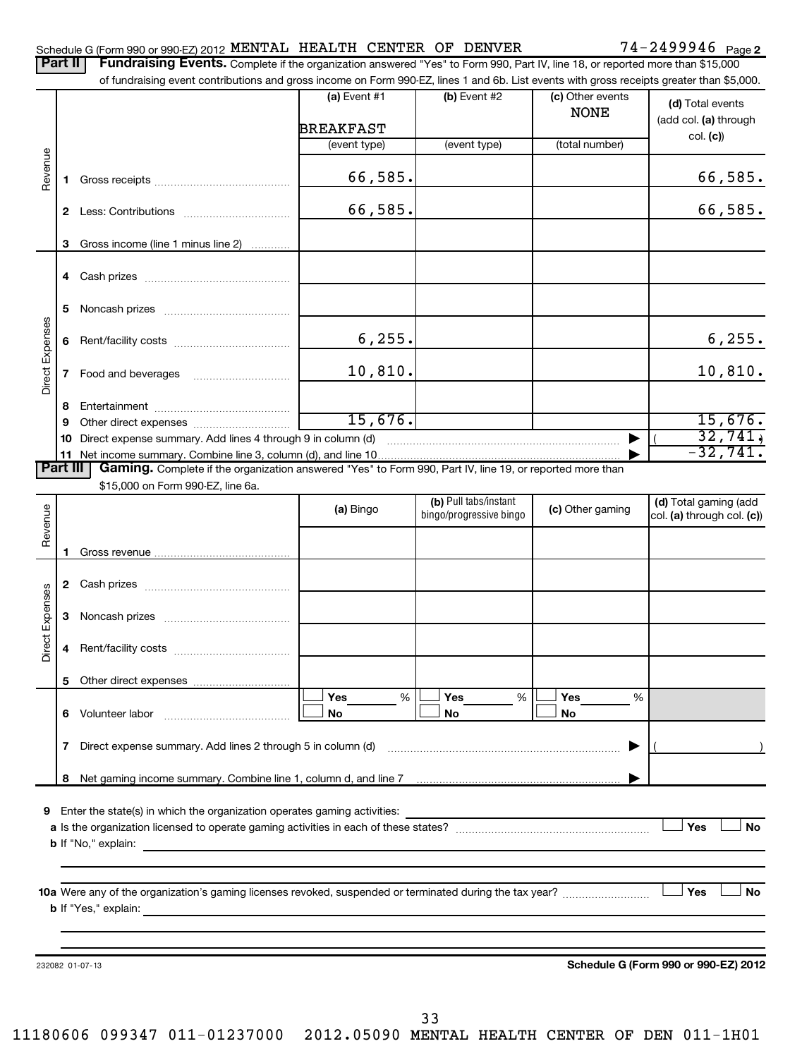|                 | Part II      | <b>Fundraising Events.</b> Complete if the organization answered "Yes" to Form 990, Part IV, line 18, or reported more than \$15,000<br>of fundraising event contributions and gross income on Form 990-EZ, lines 1 and 6b. List events with gross receipts greater than \$5,000. |                             |                         |                                 |                                           |
|-----------------|--------------|-----------------------------------------------------------------------------------------------------------------------------------------------------------------------------------------------------------------------------------------------------------------------------------|-----------------------------|-------------------------|---------------------------------|-------------------------------------------|
|                 |              |                                                                                                                                                                                                                                                                                   | (a) Event $#1$<br>BREAKFAST | (b) Event #2            | (c) Other events<br><b>NONE</b> | (d) Total events<br>(add col. (a) through |
|                 |              |                                                                                                                                                                                                                                                                                   | (event type)                | (event type)            | (total number)                  | col. (c)                                  |
| Revenue         | 1.           |                                                                                                                                                                                                                                                                                   | 66,585.                     |                         |                                 | 66,585.                                   |
|                 | $\mathbf{2}$ |                                                                                                                                                                                                                                                                                   | 66,585.                     |                         |                                 | 66,585.                                   |
|                 | 3            | Gross income (line 1 minus line 2)                                                                                                                                                                                                                                                |                             |                         |                                 |                                           |
|                 | 4            |                                                                                                                                                                                                                                                                                   |                             |                         |                                 |                                           |
|                 | 5            |                                                                                                                                                                                                                                                                                   |                             |                         |                                 |                                           |
|                 | 6            |                                                                                                                                                                                                                                                                                   | 6, 255.                     |                         |                                 | 6, 255.                                   |
| Direct Expenses | 7            |                                                                                                                                                                                                                                                                                   | 10,810.                     |                         |                                 | 10,810.                                   |
|                 | 8            |                                                                                                                                                                                                                                                                                   | 15,676.                     |                         |                                 | 15,676.                                   |
|                 | 9<br>10      | Direct expense summary. Add lines 4 through 9 in column (d)                                                                                                                                                                                                                       |                             |                         |                                 | 32,741,                                   |
|                 |              |                                                                                                                                                                                                                                                                                   |                             |                         |                                 | $-32,741.$                                |
| <b>Part III</b> |              | Gaming. Complete if the organization answered "Yes" to Form 990, Part IV, line 19, or reported more than                                                                                                                                                                          |                             |                         |                                 |                                           |
|                 |              | \$15,000 on Form 990-EZ, line 6a.                                                                                                                                                                                                                                                 |                             | (b) Pull tabs/instant   |                                 | (d) Total gaming (add                     |
| Revenue         |              |                                                                                                                                                                                                                                                                                   | (a) Bingo                   | bingo/progressive bingo | (c) Other gaming                | col. (a) through col. (c))                |
|                 | 1            |                                                                                                                                                                                                                                                                                   |                             |                         |                                 |                                           |
|                 |              |                                                                                                                                                                                                                                                                                   |                             |                         |                                 |                                           |
|                 | 3            |                                                                                                                                                                                                                                                                                   |                             |                         |                                 |                                           |
| Direct Expenses |              |                                                                                                                                                                                                                                                                                   |                             |                         |                                 |                                           |
|                 | 5.           |                                                                                                                                                                                                                                                                                   |                             |                         |                                 |                                           |
|                 |              | 6 Volunteer labor                                                                                                                                                                                                                                                                 | Yes<br>%<br>No              | <b>Yes</b><br>%<br>No   | Yes<br>%<br>No                  |                                           |
|                 |              | 7 Direct expense summary. Add lines 2 through 5 in column (d) matures and contain the summan control of the summan summan summan summan summan summan summan summan summan summan summan summan summan summan summan summan su                                                    |                             |                         |                                 |                                           |
|                 |              |                                                                                                                                                                                                                                                                                   |                             |                         |                                 |                                           |
|                 | 8            | Net gaming income summary. Combine line 1, column d, and line 7 [11] www.assett.com and the summary of Net gaming                                                                                                                                                                 |                             |                         |                                 |                                           |
| 9               |              | Enter the state(s) in which the organization operates gaming activities:                                                                                                                                                                                                          |                             |                         |                                 |                                           |
|                 |              |                                                                                                                                                                                                                                                                                   |                             |                         |                                 | Yes<br><b>No</b>                          |
|                 |              |                                                                                                                                                                                                                                                                                   |                             |                         |                                 |                                           |
|                 |              |                                                                                                                                                                                                                                                                                   |                             |                         |                                 |                                           |
|                 |              |                                                                                                                                                                                                                                                                                   |                             |                         |                                 | <b>No</b><br>Yes                          |
|                 |              |                                                                                                                                                                                                                                                                                   |                             |                         |                                 |                                           |
|                 |              | 232082 01-07-13                                                                                                                                                                                                                                                                   |                             |                         |                                 | Schedule G (Form 990 or 990-EZ) 2012      |
|                 |              |                                                                                                                                                                                                                                                                                   |                             |                         |                                 |                                           |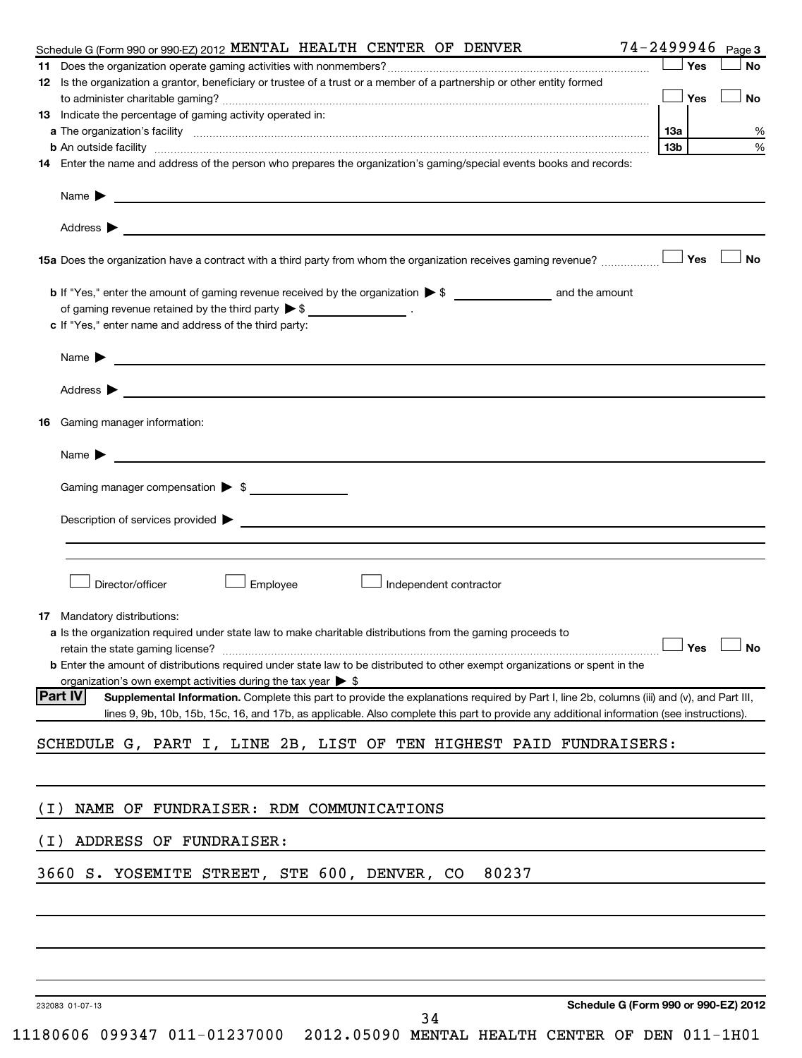|       | Schedule G (Form 990 or 990-EZ) 2012 MENTAL HEALTH CENTER OF DENVER                                                                                                                                                           |     |       | 74-2499946 Page 3 |
|-------|-------------------------------------------------------------------------------------------------------------------------------------------------------------------------------------------------------------------------------|-----|-------|-------------------|
|       |                                                                                                                                                                                                                               |     | ⊥ Yes | No                |
|       | 12 Is the organization a grantor, beneficiary or trustee of a trust or a member of a partnership or other entity formed                                                                                                       |     |       |                   |
|       |                                                                                                                                                                                                                               |     |       | No                |
|       | 13 Indicate the percentage of gaming activity operated in:                                                                                                                                                                    |     |       |                   |
|       |                                                                                                                                                                                                                               | 13a |       | %                 |
|       | <b>b</b> An outside facility <i>www.communicality www.communicality.communicality www.communicality www.communicality.communicality www.communicality.com</i>                                                                 | 13b |       | %                 |
|       | 14 Enter the name and address of the person who prepares the organization's gaming/special events books and records:                                                                                                          |     |       |                   |
|       |                                                                                                                                                                                                                               |     |       |                   |
|       |                                                                                                                                                                                                                               |     |       |                   |
|       | Address $\triangleright$                                                                                                                                                                                                      |     |       |                   |
|       |                                                                                                                                                                                                                               |     |       |                   |
|       | 15a Does the organization have a contract with a third party from whom the organization receives gaming revenue?                                                                                                              |     | Yes   | No                |
|       |                                                                                                                                                                                                                               |     |       |                   |
|       | of gaming revenue retained by the third party $\triangleright$ \$ $\_\_\_\_\_\_\_\_\_\_\_\_\_$ .                                                                                                                              |     |       |                   |
|       | c If "Yes," enter name and address of the third party:                                                                                                                                                                        |     |       |                   |
|       |                                                                                                                                                                                                                               |     |       |                   |
|       |                                                                                                                                                                                                                               |     |       |                   |
|       |                                                                                                                                                                                                                               |     |       |                   |
|       | <b>16</b> Gaming manager information:                                                                                                                                                                                         |     |       |                   |
|       |                                                                                                                                                                                                                               |     |       |                   |
|       |                                                                                                                                                                                                                               |     |       |                   |
|       | Gaming manager compensation > \$                                                                                                                                                                                              |     |       |                   |
|       |                                                                                                                                                                                                                               |     |       |                   |
|       |                                                                                                                                                                                                                               |     |       |                   |
|       |                                                                                                                                                                                                                               |     |       |                   |
|       |                                                                                                                                                                                                                               |     |       |                   |
|       | Director/officer<br>Employee<br>Independent contractor                                                                                                                                                                        |     |       |                   |
|       |                                                                                                                                                                                                                               |     |       |                   |
|       | 17 Mandatory distributions:                                                                                                                                                                                                   |     |       |                   |
|       | a Is the organization required under state law to make charitable distributions from the gaming proceeds to                                                                                                                   |     |       |                   |
|       | retain the state gaming license? $\Box$ No                                                                                                                                                                                    |     |       |                   |
|       | <b>b</b> Enter the amount of distributions required under state law to be distributed to other exempt organizations or spent in the                                                                                           |     |       |                   |
|       | organization's own exempt activities during the tax year > \$<br><b>Part IV</b><br>Supplemental Information. Complete this part to provide the explanations required by Part I, line 2b, columns (iii) and (v), and Part III, |     |       |                   |
|       | lines 9, 9b, 10b, 15b, 15c, 16, and 17b, as applicable. Also complete this part to provide any additional information (see instructions).                                                                                     |     |       |                   |
|       |                                                                                                                                                                                                                               |     |       |                   |
|       | SCHEDULE G, PART I, LINE 2B, LIST OF TEN HIGHEST PAID FUNDRAISERS:                                                                                                                                                            |     |       |                   |
|       |                                                                                                                                                                                                                               |     |       |                   |
|       |                                                                                                                                                                                                                               |     |       |                   |
| ( I ) | NAME OF FUNDRAISER: RDM COMMUNICATIONS                                                                                                                                                                                        |     |       |                   |
| (I)   | ADDRESS OF FUNDRAISER:                                                                                                                                                                                                        |     |       |                   |
|       |                                                                                                                                                                                                                               |     |       |                   |
|       | 3660 S. YOSEMITE STREET, STE 600, DENVER, CO<br>80237                                                                                                                                                                         |     |       |                   |
|       |                                                                                                                                                                                                                               |     |       |                   |
|       |                                                                                                                                                                                                                               |     |       |                   |
|       |                                                                                                                                                                                                                               |     |       |                   |
|       |                                                                                                                                                                                                                               |     |       |                   |
|       |                                                                                                                                                                                                                               |     |       |                   |
|       | Schedule G (Form 990 or 990-EZ) 2012<br>232083 01-07-13<br>34                                                                                                                                                                 |     |       |                   |

<sup>11180606 099347 011-01237000 2012.05090</sup> MENTAL HEALTH CENTER OF DEN 011-1H01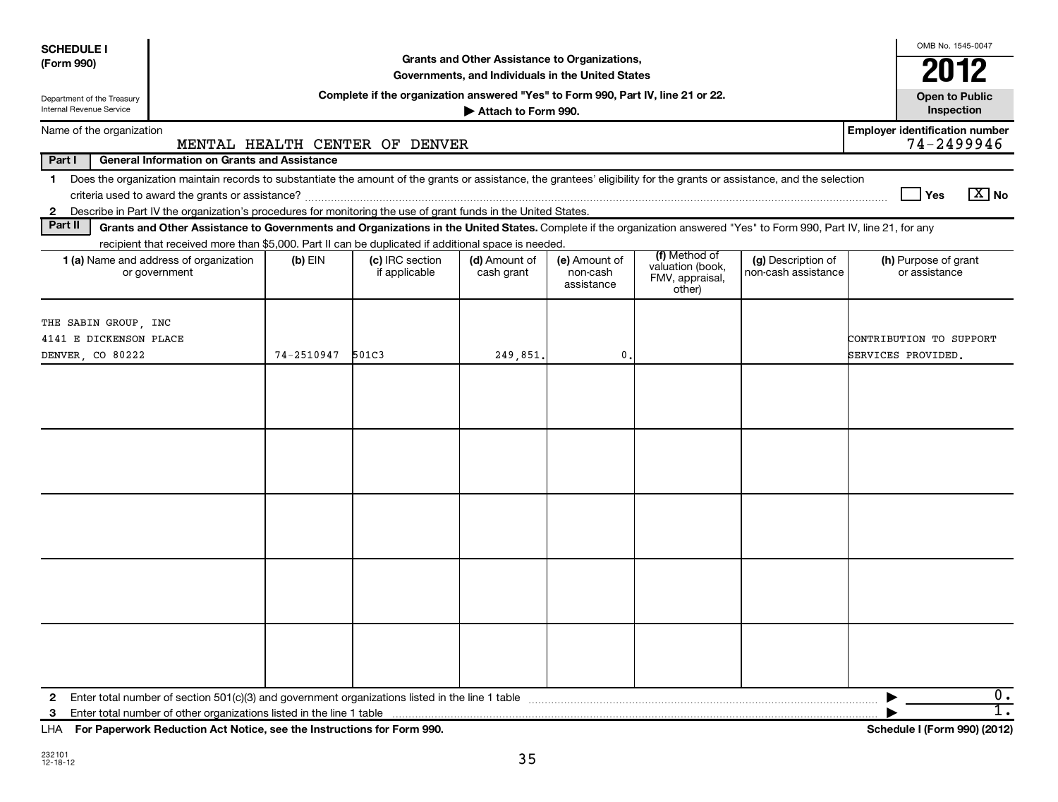| Grants and Other Assistance to Organizations,<br>(Form 990)<br>2012<br>Governments, and Individuals in the United States<br>Complete if the organization answered "Yes" to Form 990, Part IV, line 21 or 22.<br><b>Open to Public</b><br>Department of the Treasury<br>Internal Revenue Service<br>Inspection<br>Attach to Form 990.<br><b>Employer identification number</b><br>Name of the organization<br>74-2499946<br>MENTAL HEALTH CENTER OF DENVER<br>Part I<br><b>General Information on Grants and Assistance</b><br>Does the organization maintain records to substantiate the amount of the grants or assistance, the grantees' eligibility for the grants or assistance, and the selection<br>1<br>$X$ No<br>Yes<br>Describe in Part IV the organization's procedures for monitoring the use of grant funds in the United States.<br>2<br>Part II<br>Grants and Other Assistance to Governments and Organizations in the United States. Complete if the organization answered "Yes" to Form 990, Part IV, line 21, for any<br>recipient that received more than \$5,000. Part II can be duplicated if additional space is needed.<br>(f) Method of<br>1 (a) Name and address of organization<br>(c) IRC section<br>$(b)$ EIN<br>(d) Amount of<br>(e) Amount of<br>(g) Description of<br>(h) Purpose of grant<br>valuation (book,<br>or government<br>if applicable<br>non-cash assistance<br>or assistance<br>cash grant<br>non-cash<br>FMV, appraisal,<br>assistance<br>other)<br>THE SABIN GROUP, INC<br>4141 E DICKENSON PLACE<br>CONTRIBUTION TO SUPPORT<br>74-2510947<br>501C3<br>0<br>SERVICES PROVIDED.<br>DENVER, CO 80222<br>249,851.<br>0.<br>2<br>$\overline{1}$ .<br>Excellence and Distriction Ast Notice and the Instructions for Example 000. | <b>SCHEDULE I</b> |  |  |  |  | OMB No. 1545-0047 |  |
|--------------------------------------------------------------------------------------------------------------------------------------------------------------------------------------------------------------------------------------------------------------------------------------------------------------------------------------------------------------------------------------------------------------------------------------------------------------------------------------------------------------------------------------------------------------------------------------------------------------------------------------------------------------------------------------------------------------------------------------------------------------------------------------------------------------------------------------------------------------------------------------------------------------------------------------------------------------------------------------------------------------------------------------------------------------------------------------------------------------------------------------------------------------------------------------------------------------------------------------------------------------------------------------------------------------------------------------------------------------------------------------------------------------------------------------------------------------------------------------------------------------------------------------------------------------------------------------------------------------------------------------------------------------------------------------------------------------------------------------------------------------------------|-------------------|--|--|--|--|-------------------|--|
|                                                                                                                                                                                                                                                                                                                                                                                                                                                                                                                                                                                                                                                                                                                                                                                                                                                                                                                                                                                                                                                                                                                                                                                                                                                                                                                                                                                                                                                                                                                                                                                                                                                                                                                                                                          |                   |  |  |  |  |                   |  |
|                                                                                                                                                                                                                                                                                                                                                                                                                                                                                                                                                                                                                                                                                                                                                                                                                                                                                                                                                                                                                                                                                                                                                                                                                                                                                                                                                                                                                                                                                                                                                                                                                                                                                                                                                                          |                   |  |  |  |  |                   |  |
|                                                                                                                                                                                                                                                                                                                                                                                                                                                                                                                                                                                                                                                                                                                                                                                                                                                                                                                                                                                                                                                                                                                                                                                                                                                                                                                                                                                                                                                                                                                                                                                                                                                                                                                                                                          |                   |  |  |  |  |                   |  |
| $\mathbf{r}$ $\mathbf{r}$ $\mathbf{r}$ $\mathbf{r}$ $\mathbf{r}$ $\mathbf{r}$ $\mathbf{r}$ $\mathbf{r}$ $\mathbf{r}$ $\mathbf{r}$ $\mathbf{r}$ $\mathbf{r}$ $\mathbf{r}$ $\mathbf{r}$ $\mathbf{r}$ $\mathbf{r}$ $\mathbf{r}$ $\mathbf{r}$ $\mathbf{r}$ $\mathbf{r}$ $\mathbf{r}$ $\mathbf{r}$ $\mathbf{r}$ $\mathbf{r}$ $\mathbf{$                                                                                                                                                                                                                                                                                                                                                                                                                                                                                                                                                                                                                                                                                                                                                                                                                                                                                                                                                                                                                                                                                                                                                                                                                                                                                                                                                                                                                                       |                   |  |  |  |  |                   |  |
|                                                                                                                                                                                                                                                                                                                                                                                                                                                                                                                                                                                                                                                                                                                                                                                                                                                                                                                                                                                                                                                                                                                                                                                                                                                                                                                                                                                                                                                                                                                                                                                                                                                                                                                                                                          |                   |  |  |  |  |                   |  |
|                                                                                                                                                                                                                                                                                                                                                                                                                                                                                                                                                                                                                                                                                                                                                                                                                                                                                                                                                                                                                                                                                                                                                                                                                                                                                                                                                                                                                                                                                                                                                                                                                                                                                                                                                                          |                   |  |  |  |  |                   |  |
|                                                                                                                                                                                                                                                                                                                                                                                                                                                                                                                                                                                                                                                                                                                                                                                                                                                                                                                                                                                                                                                                                                                                                                                                                                                                                                                                                                                                                                                                                                                                                                                                                                                                                                                                                                          |                   |  |  |  |  |                   |  |
|                                                                                                                                                                                                                                                                                                                                                                                                                                                                                                                                                                                                                                                                                                                                                                                                                                                                                                                                                                                                                                                                                                                                                                                                                                                                                                                                                                                                                                                                                                                                                                                                                                                                                                                                                                          |                   |  |  |  |  |                   |  |
|                                                                                                                                                                                                                                                                                                                                                                                                                                                                                                                                                                                                                                                                                                                                                                                                                                                                                                                                                                                                                                                                                                                                                                                                                                                                                                                                                                                                                                                                                                                                                                                                                                                                                                                                                                          |                   |  |  |  |  |                   |  |
|                                                                                                                                                                                                                                                                                                                                                                                                                                                                                                                                                                                                                                                                                                                                                                                                                                                                                                                                                                                                                                                                                                                                                                                                                                                                                                                                                                                                                                                                                                                                                                                                                                                                                                                                                                          |                   |  |  |  |  |                   |  |
|                                                                                                                                                                                                                                                                                                                                                                                                                                                                                                                                                                                                                                                                                                                                                                                                                                                                                                                                                                                                                                                                                                                                                                                                                                                                                                                                                                                                                                                                                                                                                                                                                                                                                                                                                                          |                   |  |  |  |  |                   |  |
|                                                                                                                                                                                                                                                                                                                                                                                                                                                                                                                                                                                                                                                                                                                                                                                                                                                                                                                                                                                                                                                                                                                                                                                                                                                                                                                                                                                                                                                                                                                                                                                                                                                                                                                                                                          |                   |  |  |  |  |                   |  |
|                                                                                                                                                                                                                                                                                                                                                                                                                                                                                                                                                                                                                                                                                                                                                                                                                                                                                                                                                                                                                                                                                                                                                                                                                                                                                                                                                                                                                                                                                                                                                                                                                                                                                                                                                                          |                   |  |  |  |  |                   |  |
|                                                                                                                                                                                                                                                                                                                                                                                                                                                                                                                                                                                                                                                                                                                                                                                                                                                                                                                                                                                                                                                                                                                                                                                                                                                                                                                                                                                                                                                                                                                                                                                                                                                                                                                                                                          |                   |  |  |  |  |                   |  |
|                                                                                                                                                                                                                                                                                                                                                                                                                                                                                                                                                                                                                                                                                                                                                                                                                                                                                                                                                                                                                                                                                                                                                                                                                                                                                                                                                                                                                                                                                                                                                                                                                                                                                                                                                                          |                   |  |  |  |  |                   |  |
|                                                                                                                                                                                                                                                                                                                                                                                                                                                                                                                                                                                                                                                                                                                                                                                                                                                                                                                                                                                                                                                                                                                                                                                                                                                                                                                                                                                                                                                                                                                                                                                                                                                                                                                                                                          |                   |  |  |  |  |                   |  |
|                                                                                                                                                                                                                                                                                                                                                                                                                                                                                                                                                                                                                                                                                                                                                                                                                                                                                                                                                                                                                                                                                                                                                                                                                                                                                                                                                                                                                                                                                                                                                                                                                                                                                                                                                                          |                   |  |  |  |  |                   |  |
|                                                                                                                                                                                                                                                                                                                                                                                                                                                                                                                                                                                                                                                                                                                                                                                                                                                                                                                                                                                                                                                                                                                                                                                                                                                                                                                                                                                                                                                                                                                                                                                                                                                                                                                                                                          |                   |  |  |  |  |                   |  |
|                                                                                                                                                                                                                                                                                                                                                                                                                                                                                                                                                                                                                                                                                                                                                                                                                                                                                                                                                                                                                                                                                                                                                                                                                                                                                                                                                                                                                                                                                                                                                                                                                                                                                                                                                                          |                   |  |  |  |  |                   |  |
|                                                                                                                                                                                                                                                                                                                                                                                                                                                                                                                                                                                                                                                                                                                                                                                                                                                                                                                                                                                                                                                                                                                                                                                                                                                                                                                                                                                                                                                                                                                                                                                                                                                                                                                                                                          |                   |  |  |  |  |                   |  |
|                                                                                                                                                                                                                                                                                                                                                                                                                                                                                                                                                                                                                                                                                                                                                                                                                                                                                                                                                                                                                                                                                                                                                                                                                                                                                                                                                                                                                                                                                                                                                                                                                                                                                                                                                                          |                   |  |  |  |  |                   |  |
|                                                                                                                                                                                                                                                                                                                                                                                                                                                                                                                                                                                                                                                                                                                                                                                                                                                                                                                                                                                                                                                                                                                                                                                                                                                                                                                                                                                                                                                                                                                                                                                                                                                                                                                                                                          |                   |  |  |  |  |                   |  |
|                                                                                                                                                                                                                                                                                                                                                                                                                                                                                                                                                                                                                                                                                                                                                                                                                                                                                                                                                                                                                                                                                                                                                                                                                                                                                                                                                                                                                                                                                                                                                                                                                                                                                                                                                                          |                   |  |  |  |  |                   |  |
|                                                                                                                                                                                                                                                                                                                                                                                                                                                                                                                                                                                                                                                                                                                                                                                                                                                                                                                                                                                                                                                                                                                                                                                                                                                                                                                                                                                                                                                                                                                                                                                                                                                                                                                                                                          |                   |  |  |  |  |                   |  |
|                                                                                                                                                                                                                                                                                                                                                                                                                                                                                                                                                                                                                                                                                                                                                                                                                                                                                                                                                                                                                                                                                                                                                                                                                                                                                                                                                                                                                                                                                                                                                                                                                                                                                                                                                                          |                   |  |  |  |  |                   |  |
|                                                                                                                                                                                                                                                                                                                                                                                                                                                                                                                                                                                                                                                                                                                                                                                                                                                                                                                                                                                                                                                                                                                                                                                                                                                                                                                                                                                                                                                                                                                                                                                                                                                                                                                                                                          |                   |  |  |  |  |                   |  |
|                                                                                                                                                                                                                                                                                                                                                                                                                                                                                                                                                                                                                                                                                                                                                                                                                                                                                                                                                                                                                                                                                                                                                                                                                                                                                                                                                                                                                                                                                                                                                                                                                                                                                                                                                                          |                   |  |  |  |  |                   |  |
|                                                                                                                                                                                                                                                                                                                                                                                                                                                                                                                                                                                                                                                                                                                                                                                                                                                                                                                                                                                                                                                                                                                                                                                                                                                                                                                                                                                                                                                                                                                                                                                                                                                                                                                                                                          |                   |  |  |  |  |                   |  |
|                                                                                                                                                                                                                                                                                                                                                                                                                                                                                                                                                                                                                                                                                                                                                                                                                                                                                                                                                                                                                                                                                                                                                                                                                                                                                                                                                                                                                                                                                                                                                                                                                                                                                                                                                                          |                   |  |  |  |  |                   |  |
|                                                                                                                                                                                                                                                                                                                                                                                                                                                                                                                                                                                                                                                                                                                                                                                                                                                                                                                                                                                                                                                                                                                                                                                                                                                                                                                                                                                                                                                                                                                                                                                                                                                                                                                                                                          |                   |  |  |  |  |                   |  |
|                                                                                                                                                                                                                                                                                                                                                                                                                                                                                                                                                                                                                                                                                                                                                                                                                                                                                                                                                                                                                                                                                                                                                                                                                                                                                                                                                                                                                                                                                                                                                                                                                                                                                                                                                                          |                   |  |  |  |  |                   |  |
|                                                                                                                                                                                                                                                                                                                                                                                                                                                                                                                                                                                                                                                                                                                                                                                                                                                                                                                                                                                                                                                                                                                                                                                                                                                                                                                                                                                                                                                                                                                                                                                                                                                                                                                                                                          |                   |  |  |  |  |                   |  |
|                                                                                                                                                                                                                                                                                                                                                                                                                                                                                                                                                                                                                                                                                                                                                                                                                                                                                                                                                                                                                                                                                                                                                                                                                                                                                                                                                                                                                                                                                                                                                                                                                                                                                                                                                                          |                   |  |  |  |  |                   |  |
|                                                                                                                                                                                                                                                                                                                                                                                                                                                                                                                                                                                                                                                                                                                                                                                                                                                                                                                                                                                                                                                                                                                                                                                                                                                                                                                                                                                                                                                                                                                                                                                                                                                                                                                                                                          |                   |  |  |  |  |                   |  |
|                                                                                                                                                                                                                                                                                                                                                                                                                                                                                                                                                                                                                                                                                                                                                                                                                                                                                                                                                                                                                                                                                                                                                                                                                                                                                                                                                                                                                                                                                                                                                                                                                                                                                                                                                                          |                   |  |  |  |  |                   |  |

**For Paperwork Reduction Act Notice, see the Instructions for Form 990. Schedule I (Form 990) (2012)** LHA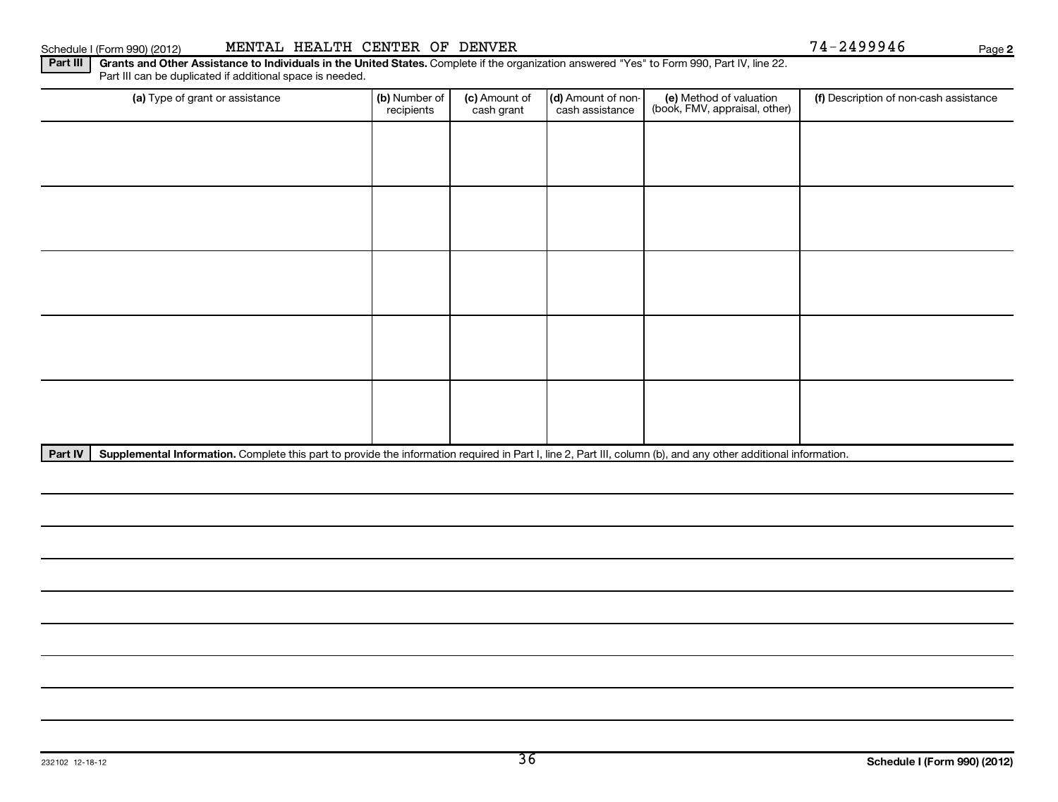# Schedule I (Form 990) (2012) MENTAL HEALTH CENTER OF DENVER 74-2499946 Page

**2**

### Part III | Grants and Other Assistance to Individuals in the United States. Complete if the organization answered "Yes" to Form 990, Part IV, line 22. Part III can be duplicated if additional space is needed.

| (a) Type of grant or assistance | (b) Number of<br>recipients | (c) Amount of<br>cash grant | (d) Amount of non-<br>cash assistance | (e) Method of valuation<br>(book, FMV, appraisal, other) | (f) Description of non-cash assistance |
|---------------------------------|-----------------------------|-----------------------------|---------------------------------------|----------------------------------------------------------|----------------------------------------|
|                                 |                             |                             |                                       |                                                          |                                        |
|                                 |                             |                             |                                       |                                                          |                                        |
|                                 |                             |                             |                                       |                                                          |                                        |
|                                 |                             |                             |                                       |                                                          |                                        |
|                                 |                             |                             |                                       |                                                          |                                        |
|                                 |                             |                             |                                       |                                                          |                                        |
|                                 |                             |                             |                                       |                                                          |                                        |
|                                 |                             |                             |                                       |                                                          |                                        |
|                                 |                             |                             |                                       |                                                          |                                        |
|                                 |                             |                             |                                       |                                                          |                                        |

Part IV | Supplemental Information. Complete this part to provide the information required in Part I, line 2, Part III, column (b), and any other additional information.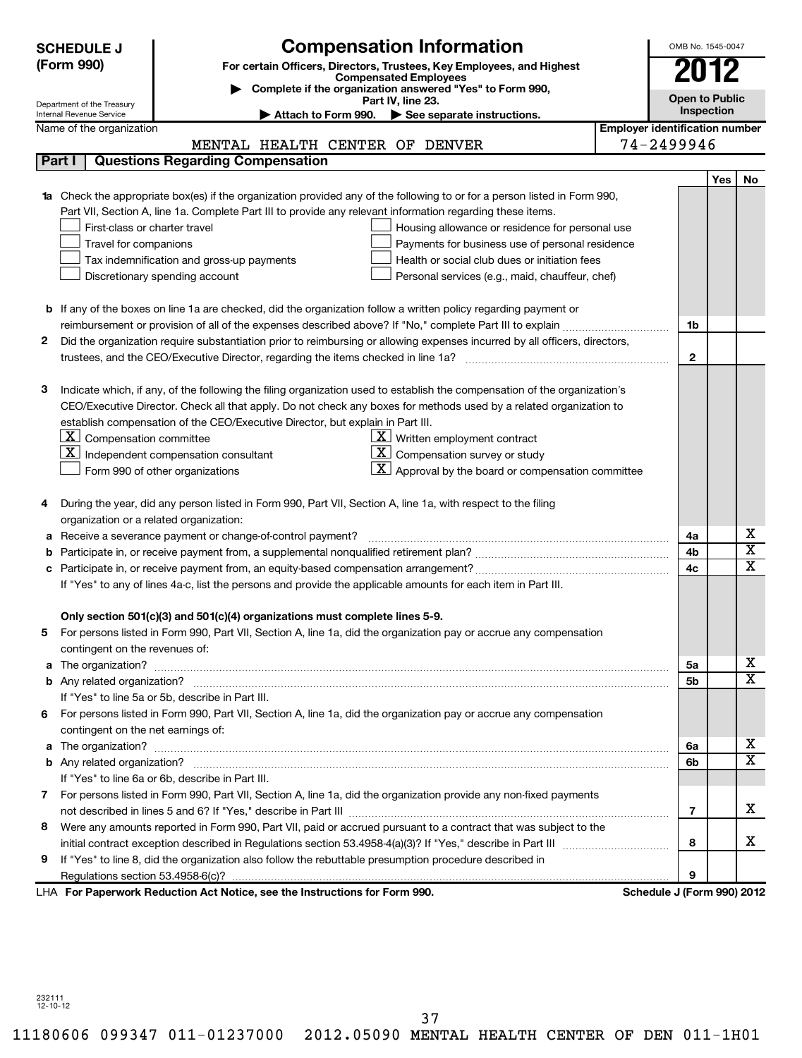|    | <b>SCHEDULE J</b>                                    | <b>Compensation Information</b>                                                                                            |                                       | OMB No. 1545-0047                   |     |                         |
|----|------------------------------------------------------|----------------------------------------------------------------------------------------------------------------------------|---------------------------------------|-------------------------------------|-----|-------------------------|
|    | (Form 990)                                           | For certain Officers, Directors, Trustees, Key Employees, and Highest<br><b>Compensated Employees</b>                      |                                       | 2012                                |     |                         |
|    |                                                      | Complete if the organization answered "Yes" to Form 990,                                                                   |                                       |                                     |     |                         |
|    | Department of the Treasury                           | Part IV, line 23.                                                                                                          |                                       | <b>Open to Public</b><br>Inspection |     |                         |
|    | Internal Revenue Service<br>Name of the organization | See separate instructions.<br>Attach to Form 990.                                                                          | <b>Employer identification number</b> |                                     |     |                         |
|    |                                                      | MENTAL HEALTH CENTER OF DENVER                                                                                             | 74-2499946                            |                                     |     |                         |
|    | Part I                                               | <b>Questions Regarding Compensation</b>                                                                                    |                                       |                                     |     |                         |
|    |                                                      |                                                                                                                            |                                       |                                     | Yes | No                      |
|    |                                                      | 1a Check the appropriate box(es) if the organization provided any of the following to or for a person listed in Form 990,  |                                       |                                     |     |                         |
|    |                                                      | Part VII, Section A, line 1a. Complete Part III to provide any relevant information regarding these items.                 |                                       |                                     |     |                         |
|    | First-class or charter travel                        | Housing allowance or residence for personal use                                                                            |                                       |                                     |     |                         |
|    | Travel for companions                                | Payments for business use of personal residence                                                                            |                                       |                                     |     |                         |
|    |                                                      | Health or social club dues or initiation fees<br>Tax indemnification and gross-up payments                                 |                                       |                                     |     |                         |
|    |                                                      | Personal services (e.g., maid, chauffeur, chef)<br>Discretionary spending account                                          |                                       |                                     |     |                         |
|    |                                                      |                                                                                                                            |                                       |                                     |     |                         |
|    |                                                      | <b>b</b> If any of the boxes on line 1a are checked, did the organization follow a written policy regarding payment or     |                                       |                                     |     |                         |
|    |                                                      |                                                                                                                            |                                       | 1b                                  |     |                         |
| 2  |                                                      | Did the organization require substantiation prior to reimbursing or allowing expenses incurred by all officers, directors, |                                       |                                     |     |                         |
|    |                                                      |                                                                                                                            |                                       | $\overline{2}$                      |     |                         |
|    |                                                      |                                                                                                                            |                                       |                                     |     |                         |
| з  |                                                      | Indicate which, if any, of the following the filing organization used to establish the compensation of the organization's  |                                       |                                     |     |                         |
|    |                                                      | CEO/Executive Director. Check all that apply. Do not check any boxes for methods used by a related organization to         |                                       |                                     |     |                         |
|    |                                                      | establish compensation of the CEO/Executive Director, but explain in Part III.                                             |                                       |                                     |     |                         |
|    | $\underline{\mathbf{X}}$ Compensation committee      | $\underline{\mathbf{X}}$ Written employment contract                                                                       |                                       |                                     |     |                         |
|    |                                                      | $\lfloor \underline{\mathrm{X}} \rfloor$ Compensation survey or study<br>$\mathbf{X}$ Independent compensation consultant  |                                       |                                     |     |                         |
|    |                                                      | $\lfloor \underline{X} \rfloor$ Approval by the board or compensation committee<br>Form 990 of other organizations         |                                       |                                     |     |                         |
|    |                                                      |                                                                                                                            |                                       |                                     |     |                         |
| 4  | organization or a related organization:              | During the year, did any person listed in Form 990, Part VII, Section A, line 1a, with respect to the filing               |                                       |                                     |     |                         |
| а  |                                                      | Receive a severance payment or change-of-control payment?                                                                  |                                       | 4a                                  |     | х                       |
| b  |                                                      |                                                                                                                            |                                       | 4b                                  |     | $\overline{\textbf{x}}$ |
| c  |                                                      |                                                                                                                            |                                       | 4c                                  |     | $\overline{\mathbf{x}}$ |
|    |                                                      | If "Yes" to any of lines 4a-c, list the persons and provide the applicable amounts for each item in Part III.              |                                       |                                     |     |                         |
|    |                                                      |                                                                                                                            |                                       |                                     |     |                         |
|    |                                                      | Only section 501(c)(3) and 501(c)(4) organizations must complete lines 5-9.                                                |                                       |                                     |     |                         |
|    |                                                      | For persons listed in Form 990, Part VII, Section A, line 1a, did the organization pay or accrue any compensation          |                                       |                                     |     |                         |
|    | contingent on the revenues of:                       |                                                                                                                            |                                       |                                     |     |                         |
|    |                                                      |                                                                                                                            |                                       | 5a                                  |     | х                       |
|    |                                                      |                                                                                                                            |                                       | 5 <sub>b</sub>                      |     | $\overline{\mathbf{x}}$ |
|    |                                                      | If "Yes" to line 5a or 5b, describe in Part III.                                                                           |                                       |                                     |     |                         |
| 6. |                                                      | For persons listed in Form 990, Part VII, Section A, line 1a, did the organization pay or accrue any compensation          |                                       |                                     |     |                         |
|    | contingent on the net earnings of:                   |                                                                                                                            |                                       |                                     |     |                         |
|    |                                                      |                                                                                                                            |                                       | 6a                                  |     | х                       |
|    |                                                      |                                                                                                                            |                                       | 6b                                  |     | $\overline{\mathtt{x}}$ |
|    |                                                      | If "Yes" to line 6a or 6b, describe in Part III.                                                                           |                                       |                                     |     |                         |
|    |                                                      | 7 For persons listed in Form 990, Part VII, Section A, line 1a, did the organization provide any non-fixed payments        |                                       |                                     |     |                         |
|    |                                                      |                                                                                                                            |                                       | $\overline{7}$                      |     | x                       |
| 8  |                                                      | Were any amounts reported in Form 990, Part VII, paid or accrued pursuant to a contract that was subject to the            |                                       |                                     |     |                         |
|    |                                                      |                                                                                                                            |                                       | 8                                   |     | x                       |
| 9  |                                                      | If "Yes" to line 8, did the organization also follow the rebuttable presumption procedure described in                     |                                       |                                     |     |                         |
|    |                                                      |                                                                                                                            |                                       | 9                                   |     |                         |
|    |                                                      | LHA For Paperwork Reduction Act Notice, see the Instructions for Form 990.                                                 |                                       | Schedule J (Form 990) 2012          |     |                         |

232111 12-10-12

37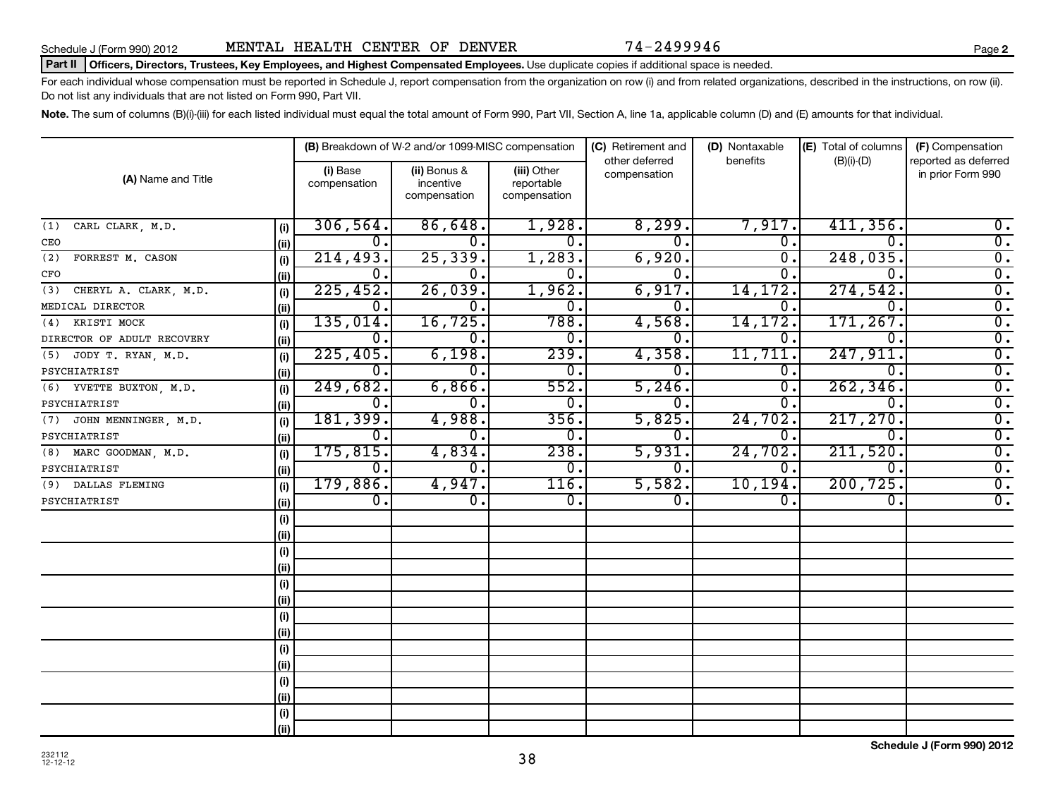Schedule J (Form 990) 2012 **MENTAL HEALTH CENTER OF DENVER** 74-2499946

### Part II | Officers, Directors, Trustees, Key Employees, and Highest Compensated Employees. Use duplicate copies if additional space is needed.

For each individual whose compensation must be reported in Schedule J, report compensation from the organization on row (i) and from related organizations, described in the instructions, on row (ii). Do not list any individuals that are not listed on Form 990, Part VII.

Note. The sum of columns (B)(i)-(iii) for each listed individual must equal the total amount of Form 990, Part VII, Section A, line 1a, applicable column (D) and (E) amounts for that individual.

|                              |      |                          | (B) Breakdown of W-2 and/or 1099-MISC compensation |                                           | (C) Retirement and             | (D) Nontaxable   | (E) Total of columns | (F) Compensation                          |
|------------------------------|------|--------------------------|----------------------------------------------------|-------------------------------------------|--------------------------------|------------------|----------------------|-------------------------------------------|
| (A) Name and Title           |      | (i) Base<br>compensation | (ii) Bonus &<br>incentive<br>compensation          | (iii) Other<br>reportable<br>compensation | other deferred<br>compensation | benefits         | $(B)(i)-(D)$         | reported as deferred<br>in prior Form 990 |
| CARL CLARK, M.D.<br>(1)      | (i)  | 306, 564.                | 86,648.                                            | 1,928.                                    | 8,299.                         | 7,917.           | 411,356.             | $\overline{0}$ .                          |
| CEO                          | (ii) | 0.                       | $\mathbf 0$ .                                      | 0.                                        | $\overline{0}$ .               | $\overline{0}$ . | $\overline{0}$ .     | $\overline{\mathfrak{o}}$ .               |
| FORREST M. CASON<br>(2)      | (i)  | 214, 493.                | 25, 339.                                           | 1,283.                                    | 6,920.                         | σ.               | 248,035.             | $\overline{0}$ .                          |
| CFO                          | (ii) | $\overline{0}$ .         | $\mathbf 0$ .                                      | $\overline{0}$ .                          | $\overline{0}$ .               | 0.               | $\Omega$ .           | $\overline{\mathfrak{o}}$ .               |
| CHERYL A. CLARK, M.D.<br>(3) | (i)  | 225,452.                 | 26,039.                                            | 1,962.                                    | 6,917.                         | 14, 172.         | 274,542.             | $\overline{\mathfrak{o}}$ .               |
| MEDICAL DIRECTOR             | (ii) | $\overline{0}$ .         | $\overline{0}$ .                                   | $\overline{0}$ .                          | 0.                             | О.               | $\overline{0}$ .     | $\overline{\mathfrak{o}}$ .               |
| KRISTI MOCK<br>(4)           | (i)  | 135,014.                 | 16, 725.                                           | 788.                                      | 4,568.                         | 14, 172.         | 171,267              | $\overline{\mathfrak{o}}$ .               |
| DIRECTOR OF ADULT RECOVERY   | (ii) | $\overline{0}$ .         | $\overline{0}$ .                                   | $\overline{0}$ .                          | О.                             | О.               | $\overline{0}$       | $\overline{\mathfrak{o}}$ .               |
| (5) JODY T. RYAN, M.D.       | (i)  | 225,405.                 | 6,198.                                             | 239.                                      | 4,358.                         | 11,711           | 247,911              | $\overline{\mathfrak{o}}$ .               |
| PSYCHIATRIST                 | (ii) | $\overline{0}$ .         | $\overline{0}$ .                                   | $\overline{0}$ .                          | σ.                             | $\overline{0}$ . | $\overline{0}$       | $\overline{0}$ .                          |
| (6) YVETTE BUXTON, M.D.      | (i)  | 249,682.                 | 6,866.                                             | 552.                                      | 5,246.                         | О.               | 262, 346             | $\overline{0}$ .                          |
| PSYCHIATRIST                 | (ii) | $\overline{0}$ .         | 0.                                                 | $\overline{0}$ .                          | $\overline{0}$ .               | 0.               | $\Omega$             | $\overline{0}$ .                          |
| (7) JOHN MENNINGER, M.D.     | (i)  | 181, 399.                | 4,988.                                             | 356.                                      | 5,825.                         | 24,702.          | 217,270              | $\overline{0}$ .                          |
| PSYCHIATRIST                 | (ii) | $\overline{0}$ .         | $\overline{0}$ .                                   | 0.                                        | 0.                             | 0.               | $\overline{0}$ .     | $\overline{0}$ .                          |
| (8) MARC GOODMAN, M.D.       | (i)  | 175,815.                 | 4,834.                                             | 238.                                      | 5,931.                         | 24,702.          | 211,520              | $\overline{0}$ .                          |
| PSYCHIATRIST                 | (ii) | $\overline{0}$ .         | $\overline{0}$ .                                   | $\overline{0}$ .                          | $\overline{0}$ .               | $\overline{0}$ . | $\overline{0}$ .     | $\overline{0}$ .                          |
| (9) DALLAS FLEMING           | (i)  | 179,886.                 | 4,947.                                             | 116.                                      | 5,582.                         | 10, 194.         | 200, 725.            | $\overline{0}$ .                          |
| PSYCHIATRIST                 | (ii) | $\overline{0}$ .         | $\overline{0}$ .                                   | $\overline{0}$ .                          | $\overline{0}$ .               | $\overline{0}$ . | 0.                   | $\overline{0}$ .                          |
|                              | (i)  |                          |                                                    |                                           |                                |                  |                      |                                           |
|                              | (ii) |                          |                                                    |                                           |                                |                  |                      |                                           |
|                              | (i)  |                          |                                                    |                                           |                                |                  |                      |                                           |
|                              | (ii) |                          |                                                    |                                           |                                |                  |                      |                                           |
|                              | (i)  |                          |                                                    |                                           |                                |                  |                      |                                           |
|                              | (ii) |                          |                                                    |                                           |                                |                  |                      |                                           |
|                              | (i)  |                          |                                                    |                                           |                                |                  |                      |                                           |
|                              | (ii) |                          |                                                    |                                           |                                |                  |                      |                                           |
|                              | (i)  |                          |                                                    |                                           |                                |                  |                      |                                           |
|                              | (ii) |                          |                                                    |                                           |                                |                  |                      |                                           |
|                              | (i)  |                          |                                                    |                                           |                                |                  |                      |                                           |
|                              | (ii) |                          |                                                    |                                           |                                |                  |                      |                                           |
|                              | (i)  |                          |                                                    |                                           |                                |                  |                      |                                           |
|                              | (ii) |                          |                                                    |                                           |                                |                  |                      |                                           |

38

**2**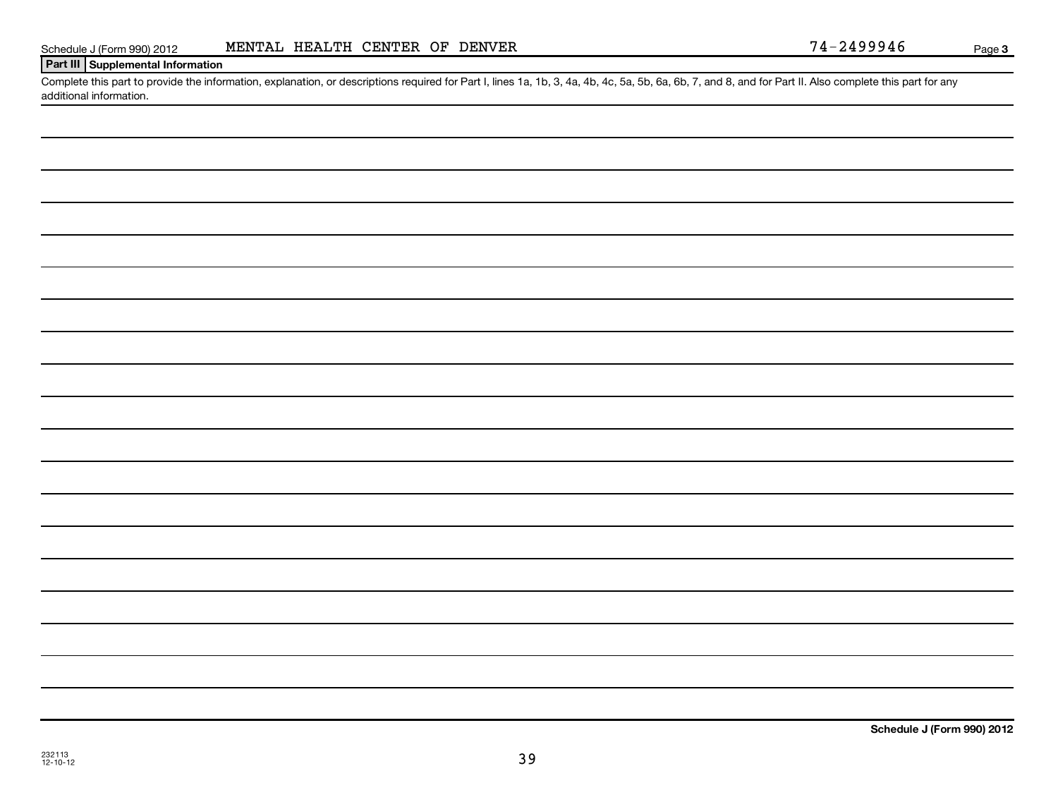| ., |  |
|----|--|
|    |  |

|--|

**3**

# **Part III Supplemental Information**

Complete this part to provide the information, explanation, or descriptions required for Part I, lines 1a, 1b, 3, 4a, 4b, 4c, 5a, 5b, 6a, 6b, 7, and 8, and for Part II. Also complete this part for any additional information.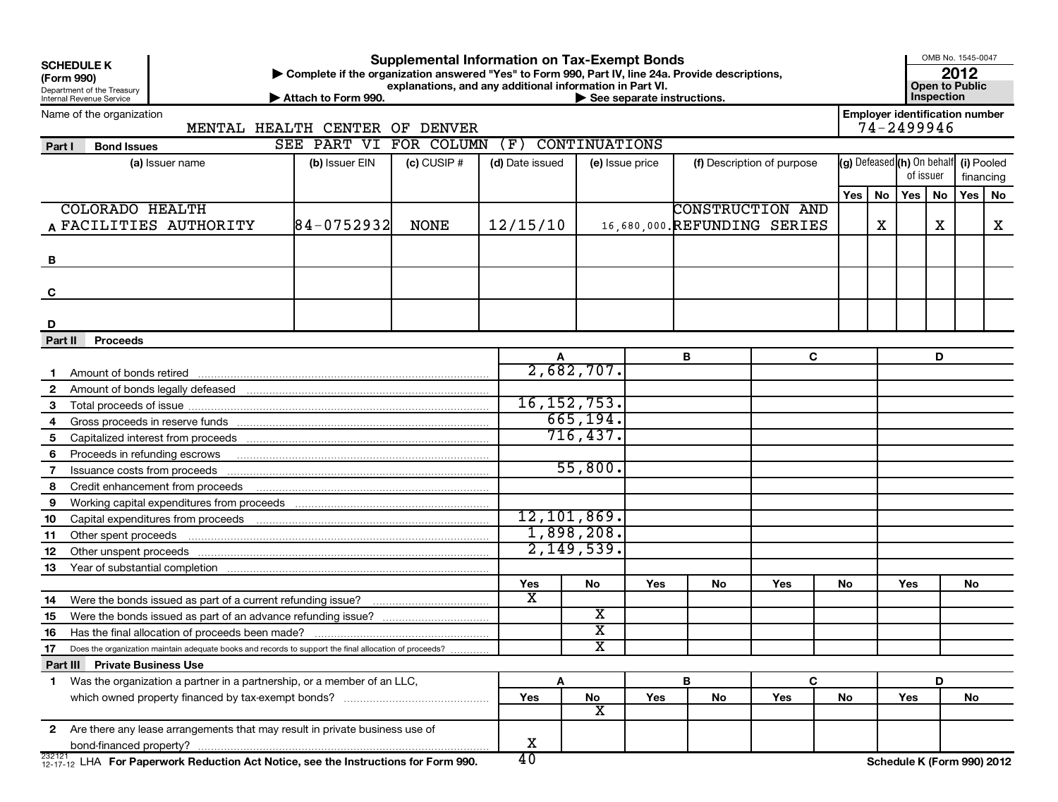| <b>Supplemental Information on Tax-Exempt Bonds</b><br><b>SCHEDULE K</b><br>Complete if the organization answered "Yes" to Form 990, Part IV, line 24a. Provide descriptions,<br>(Form 990)<br>explanations, and any additional information in Part VI.<br>Department of the Treasury<br>Internal Revenue Service<br>Attach to Form 990.<br>$\blacktriangleright$ See separate instructions. |                                |                        |             |                                |                         |                 |                              |                            |     |    |                                       | Inspection | OMB No. 1545-0047<br>2012<br><b>Open to Public</b> |    |
|----------------------------------------------------------------------------------------------------------------------------------------------------------------------------------------------------------------------------------------------------------------------------------------------------------------------------------------------------------------------------------------------|--------------------------------|------------------------|-------------|--------------------------------|-------------------------|-----------------|------------------------------|----------------------------|-----|----|---------------------------------------|------------|----------------------------------------------------|----|
| Name of the organization                                                                                                                                                                                                                                                                                                                                                                     |                                |                        |             |                                |                         |                 |                              |                            |     |    | <b>Employer identification number</b> |            |                                                    |    |
|                                                                                                                                                                                                                                                                                                                                                                                              | MENTAL HEALTH CENTER OF DENVER | SEE PART VI FOR COLUMN |             | (F)                            | <b>CONTINUATIONS</b>    |                 |                              |                            |     |    | 74-2499946                            |            |                                                    |    |
| Part I<br><b>Bond Issues</b>                                                                                                                                                                                                                                                                                                                                                                 |                                |                        |             |                                |                         |                 |                              |                            |     |    | (g) Defeased (h) On behalf (i) Pooled |            |                                                    |    |
| (a) Issuer name                                                                                                                                                                                                                                                                                                                                                                              |                                | (b) Issuer EIN         | (c) CUSIP # | (d) Date issued                |                         | (e) Issue price |                              | (f) Description of purpose |     |    | of issuer                             |            | financing                                          |    |
|                                                                                                                                                                                                                                                                                                                                                                                              |                                |                        |             |                                |                         |                 |                              |                            | Yes | No | Yes                                   | <b>No</b>  | Yes                                                | No |
| <b>COLORADO HEALTH</b>                                                                                                                                                                                                                                                                                                                                                                       |                                |                        |             |                                |                         |                 | <b>CONSTRUCTION AND</b>      |                            |     |    |                                       |            |                                                    |    |
| A FACILITIES AUTHORITY                                                                                                                                                                                                                                                                                                                                                                       |                                | $84 - 0752932$         | <b>NONE</b> | 12/15/10                       |                         |                 | 16,680,000. REFUNDING SERIES |                            |     | X  |                                       | Х          |                                                    | x  |
|                                                                                                                                                                                                                                                                                                                                                                                              |                                |                        |             |                                |                         |                 |                              |                            |     |    |                                       |            |                                                    |    |
| B                                                                                                                                                                                                                                                                                                                                                                                            |                                |                        |             |                                |                         |                 |                              |                            |     |    |                                       |            |                                                    |    |
|                                                                                                                                                                                                                                                                                                                                                                                              |                                |                        |             |                                |                         |                 |                              |                            |     |    |                                       |            |                                                    |    |
| C                                                                                                                                                                                                                                                                                                                                                                                            |                                |                        |             |                                |                         |                 |                              |                            |     |    |                                       |            |                                                    |    |
|                                                                                                                                                                                                                                                                                                                                                                                              |                                |                        |             |                                |                         |                 |                              |                            |     |    |                                       |            |                                                    |    |
| D                                                                                                                                                                                                                                                                                                                                                                                            |                                |                        |             |                                |                         |                 |                              |                            |     |    |                                       |            |                                                    |    |
| Part II<br><b>Proceeds</b>                                                                                                                                                                                                                                                                                                                                                                   |                                |                        |             |                                |                         |                 |                              |                            |     |    |                                       |            |                                                    |    |
|                                                                                                                                                                                                                                                                                                                                                                                              |                                |                        |             |                                |                         |                 | В                            | C                          |     |    |                                       | D          |                                                    |    |
|                                                                                                                                                                                                                                                                                                                                                                                              |                                |                        |             |                                | 2,682,707.              |                 |                              |                            |     |    |                                       |            |                                                    |    |
| $\mathbf{2}$                                                                                                                                                                                                                                                                                                                                                                                 |                                |                        |             |                                |                         |                 |                              |                            |     |    |                                       |            |                                                    |    |
| 3                                                                                                                                                                                                                                                                                                                                                                                            |                                |                        |             |                                | 16, 152, 753.           |                 |                              |                            |     |    |                                       |            |                                                    |    |
|                                                                                                                                                                                                                                                                                                                                                                                              |                                |                        |             |                                | 665, 194.               |                 |                              |                            |     |    |                                       |            |                                                    |    |
| 5                                                                                                                                                                                                                                                                                                                                                                                            |                                |                        |             |                                | 716, 437.               |                 |                              |                            |     |    |                                       |            |                                                    |    |
| 6<br>Proceeds in refunding escrows                                                                                                                                                                                                                                                                                                                                                           |                                |                        |             |                                |                         |                 |                              |                            |     |    |                                       |            |                                                    |    |
| Issuance costs from proceeds<br>7                                                                                                                                                                                                                                                                                                                                                            |                                |                        |             |                                | 55,800.                 |                 |                              |                            |     |    |                                       |            |                                                    |    |
| 8<br>Credit enhancement from proceeds                                                                                                                                                                                                                                                                                                                                                        |                                |                        |             |                                |                         |                 |                              |                            |     |    |                                       |            |                                                    |    |
| 9                                                                                                                                                                                                                                                                                                                                                                                            |                                |                        |             |                                |                         |                 |                              |                            |     |    |                                       |            |                                                    |    |
| 10                                                                                                                                                                                                                                                                                                                                                                                           |                                |                        |             |                                | 12, 101, 869.           |                 |                              |                            |     |    |                                       |            |                                                    |    |
| Other spent proceeds<br>11                                                                                                                                                                                                                                                                                                                                                                   |                                |                        |             |                                | 1,898,208.              |                 |                              |                            |     |    |                                       |            |                                                    |    |
| Other unspent proceeds<br>12                                                                                                                                                                                                                                                                                                                                                                 |                                |                        |             |                                | 2,149,539.              |                 |                              |                            |     |    |                                       |            |                                                    |    |
| 13                                                                                                                                                                                                                                                                                                                                                                                           |                                |                        |             |                                |                         |                 |                              |                            |     |    |                                       |            |                                                    |    |
|                                                                                                                                                                                                                                                                                                                                                                                              |                                |                        |             | Yes<br>$\overline{\mathbf{x}}$ | No                      | Yes             | No                           | Yes                        | No  |    | Yes                                   |            | No                                                 |    |
| Were the bonds issued as part of a current refunding issue?<br>14                                                                                                                                                                                                                                                                                                                            |                                |                        |             |                                | X                       |                 |                              |                            |     |    |                                       |            |                                                    |    |
| Were the bonds issued as part of an advance refunding issue?<br>15                                                                                                                                                                                                                                                                                                                           |                                |                        |             |                                | $\overline{\text{x}}$   |                 |                              |                            |     |    |                                       |            |                                                    |    |
| Has the final allocation of proceeds been made?<br>16                                                                                                                                                                                                                                                                                                                                        |                                |                        |             |                                | $\overline{\textbf{x}}$ |                 |                              |                            |     |    |                                       |            |                                                    |    |
| 17<br>Does the organization maintain adequate books and records to support the final allocation of proceeds?                                                                                                                                                                                                                                                                                 |                                |                        |             |                                |                         |                 |                              |                            |     |    |                                       |            |                                                    |    |
| Part III Private Business Use<br>1 Was the organization a partner in a partnership, or a member of an LLC,                                                                                                                                                                                                                                                                                   |                                |                        |             | A                              |                         |                 | В                            | C                          |     |    |                                       | D          |                                                    |    |
|                                                                                                                                                                                                                                                                                                                                                                                              |                                |                        |             | Yes                            | ${\sf No}$              | Yes             | No                           | Yes                        | No  |    | Yes                                   |            | No                                                 |    |
|                                                                                                                                                                                                                                                                                                                                                                                              |                                |                        |             |                                | $\overline{\textbf{x}}$ |                 |                              |                            |     |    |                                       |            |                                                    |    |
| 2 Are there any lease arrangements that may result in private business use of                                                                                                                                                                                                                                                                                                                |                                |                        |             |                                |                         |                 |                              |                            |     |    |                                       |            |                                                    |    |
|                                                                                                                                                                                                                                                                                                                                                                                              |                                |                        |             | х                              |                         |                 |                              |                            |     |    |                                       |            |                                                    |    |
| $^{232121}_{12-17-12}$ LHA For Paperwork Reduction Act Notice, see the Instructions for Form 990.                                                                                                                                                                                                                                                                                            |                                |                        |             | 40                             |                         |                 |                              |                            |     |    | Schedule K (Form 990) 2012            |            |                                                    |    |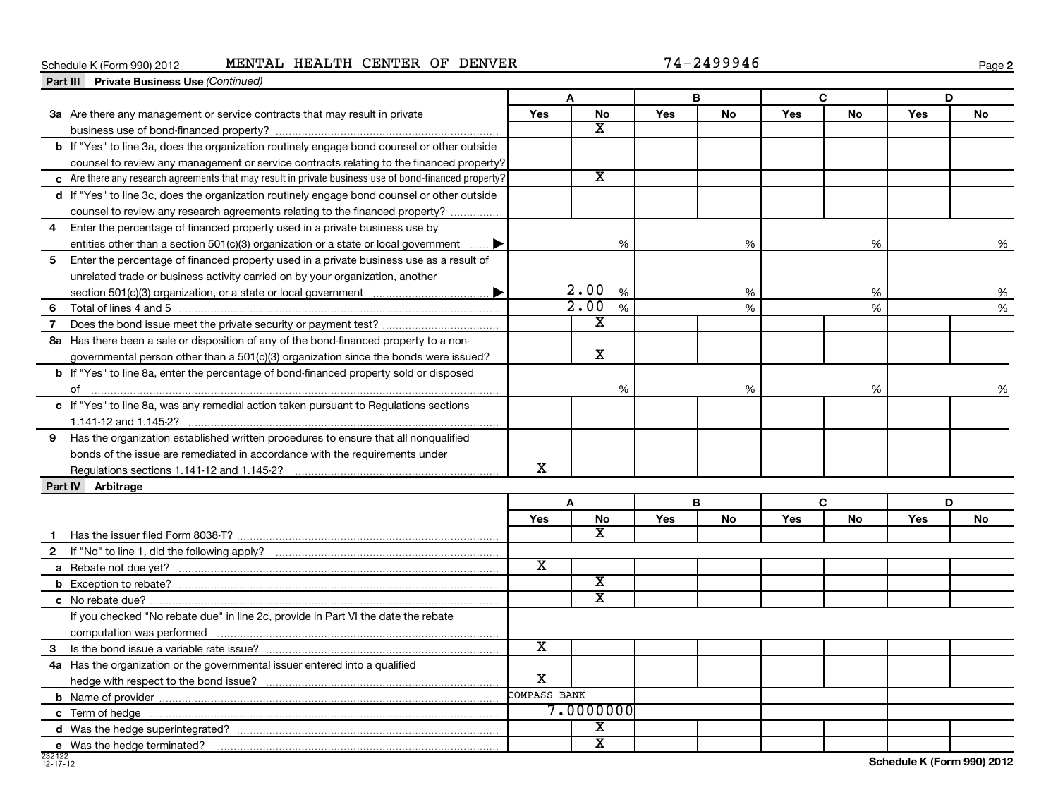# Schedule K (Form 990) 2012 **MENTAL HEALTH CENTER OF DENVER** 74-2499946

**2**

|              | <b>Part III Private Business Use (Continued)</b>                                                       |                         |                         |            |           |            |           |            |    |
|--------------|--------------------------------------------------------------------------------------------------------|-------------------------|-------------------------|------------|-----------|------------|-----------|------------|----|
|              |                                                                                                        | A                       |                         |            | B         |            | C         | D          |    |
|              | 3a Are there any management or service contracts that may result in private                            | Yes                     | No                      | <b>Yes</b> | No        | Yes        | No        | <b>Yes</b> | No |
|              |                                                                                                        |                         | X                       |            |           |            |           |            |    |
|              | b If "Yes" to line 3a, does the organization routinely engage bond counsel or other outside            |                         |                         |            |           |            |           |            |    |
|              | counsel to review any management or service contracts relating to the financed property?               |                         |                         |            |           |            |           |            |    |
|              | c Are there any research agreements that may result in private business use of bond-financed property? |                         | $\overline{\texttt{x}}$ |            |           |            |           |            |    |
|              | d If "Yes" to line 3c, does the organization routinely engage bond counsel or other outside            |                         |                         |            |           |            |           |            |    |
|              | counsel to review any research agreements relating to the financed property?                           |                         |                         |            |           |            |           |            |    |
| 4            | Enter the percentage of financed property used in a private business use by                            |                         |                         |            |           |            |           |            |    |
|              | entities other than a section 501(c)(3) organization or a state or local government $\ldots$           |                         | %                       |            | %         |            | %         |            | %  |
| 5            | Enter the percentage of financed property used in a private business use as a result of                |                         |                         |            |           |            |           |            |    |
|              | unrelated trade or business activity carried on by your organization, another                          |                         |                         |            |           |            |           |            |    |
|              |                                                                                                        |                         | 2.00%                   |            | %         |            | %         |            | %  |
| 6            |                                                                                                        |                         | 2.00<br>$\%$            |            | %         |            | %         |            | %  |
| 7            |                                                                                                        |                         | X                       |            |           |            |           |            |    |
|              | 8a Has there been a sale or disposition of any of the bond-financed property to a non-                 |                         |                         |            |           |            |           |            |    |
|              | governmental person other than a 501(c)(3) organization since the bonds were issued?                   |                         | $\mathbf x$             |            |           |            |           |            |    |
|              | <b>b</b> If "Yes" to line 8a, enter the percentage of bond-financed property sold or disposed          |                         |                         |            |           |            |           |            |    |
|              | of                                                                                                     |                         | %                       |            | %         |            | %         |            | %  |
|              | c If "Yes" to line 8a, was any remedial action taken pursuant to Regulations sections                  |                         |                         |            |           |            |           |            |    |
|              |                                                                                                        |                         |                         |            |           |            |           |            |    |
| 9            | Has the organization established written procedures to ensure that all nonqualified                    |                         |                         |            |           |            |           |            |    |
|              | bonds of the issue are remediated in accordance with the requirements under                            |                         |                         |            |           |            |           |            |    |
|              |                                                                                                        | X                       |                         |            |           |            |           |            |    |
|              | Part IV Arbitrage                                                                                      |                         |                         |            |           |            |           |            |    |
|              |                                                                                                        |                         | A                       |            | B         |            | C         | D          |    |
|              |                                                                                                        | Yes                     | No                      | Yes        | <b>No</b> | <b>Yes</b> | <b>No</b> | Yes        | No |
|              |                                                                                                        |                         | x                       |            |           |            |           |            |    |
| $\mathbf{2}$ |                                                                                                        |                         |                         |            |           |            |           |            |    |
|              |                                                                                                        | $\overline{\text{x}}$   |                         |            |           |            |           |            |    |
|              |                                                                                                        |                         | $\overline{\text{x}}$   |            |           |            |           |            |    |
|              |                                                                                                        |                         | $\overline{\text{x}}$   |            |           |            |           |            |    |
|              | If you checked "No rebate due" in line 2c, provide in Part VI the date the rebate                      |                         |                         |            |           |            |           |            |    |
|              |                                                                                                        |                         |                         |            |           |            |           |            |    |
| 3            |                                                                                                        | $\overline{\textbf{x}}$ |                         |            |           |            |           |            |    |
|              | 4a Has the organization or the governmental issuer entered into a qualified                            |                         |                         |            |           |            |           |            |    |
|              |                                                                                                        | X                       |                         |            |           |            |           |            |    |
|              |                                                                                                        | COMPASS BANK            |                         |            |           |            |           |            |    |
|              |                                                                                                        |                         | 7.0000000               |            |           |            |           |            |    |
|              |                                                                                                        |                         | x                       |            |           |            |           |            |    |
|              | e Was the hedge terminated?                                                                            |                         | $\overline{\text{x}}$   |            |           |            |           |            |    |

J.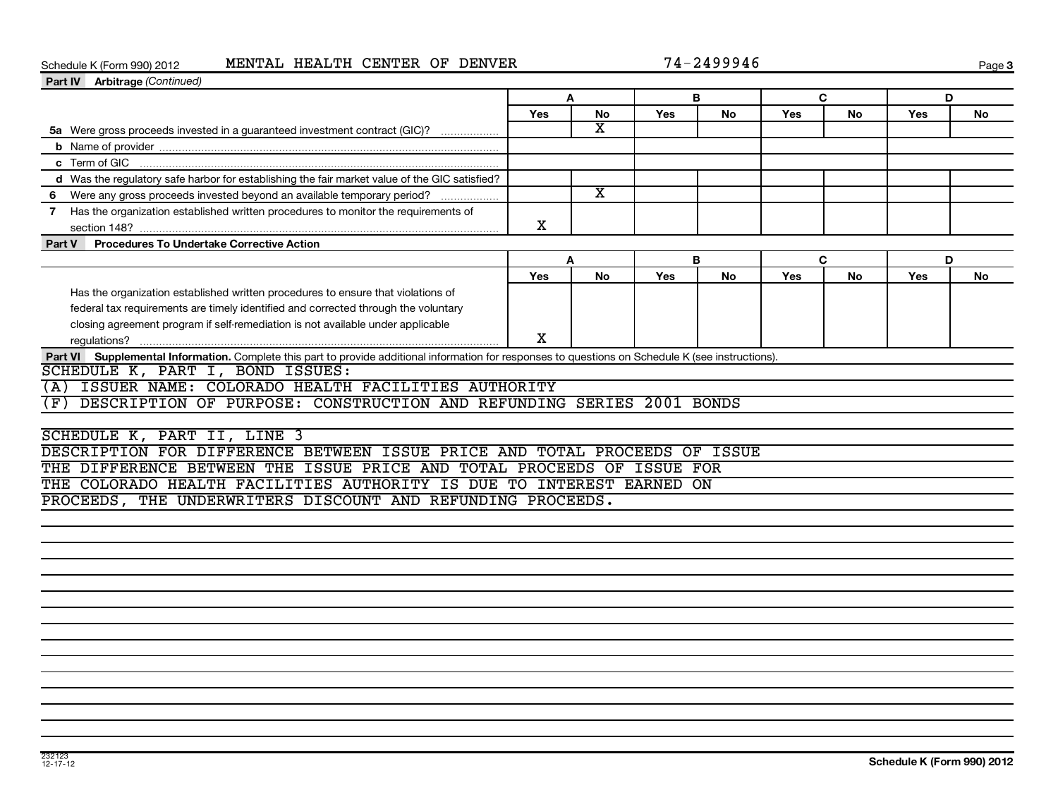# Schedule K (Form 990) 2012 **MENTAL HEALTH CENTER OF DENVER** 74-2499946

| 74-2499946 |  |  |
|------------|--|--|
|            |  |  |

Page 3

| Part IV Arbitrage (Continued)                                                                                                                       |            |                         |     |           |              |           |            |    |
|-----------------------------------------------------------------------------------------------------------------------------------------------------|------------|-------------------------|-----|-----------|--------------|-----------|------------|----|
|                                                                                                                                                     | A          |                         |     | В         | $\mathbf{C}$ |           | D          |    |
|                                                                                                                                                     | <b>Yes</b> | <b>No</b>               | Yes | <b>No</b> | Yes          | <b>No</b> | <b>Yes</b> | No |
| 5a Were gross proceeds invested in a guaranteed investment contract (GIC)?                                                                          |            | $\overline{\text{x}}$   |     |           |              |           |            |    |
|                                                                                                                                                     |            |                         |     |           |              |           |            |    |
| c Term of GIC                                                                                                                                       |            |                         |     |           |              |           |            |    |
| d Was the regulatory safe harbor for establishing the fair market value of the GIC satisfied?                                                       |            |                         |     |           |              |           |            |    |
| 6 Were any gross proceeds invested beyond an available temporary period?                                                                            |            | $\overline{\texttt{x}}$ |     |           |              |           |            |    |
| 7 Has the organization established written procedures to monitor the requirements of                                                                | X          |                         |     |           |              |           |            |    |
| <b>Procedures To Undertake Corrective Action</b><br>Part V                                                                                          |            |                         |     |           |              |           |            |    |
|                                                                                                                                                     | A          |                         |     | B         | $\mathbf{C}$ |           | D          |    |
|                                                                                                                                                     | Yes        | <b>No</b>               | Yes | No        | Yes          | No        | Yes        | No |
| Has the organization established written procedures to ensure that violations of                                                                    |            |                         |     |           |              |           |            |    |
| federal tax requirements are timely identified and corrected through the voluntary                                                                  |            |                         |     |           |              |           |            |    |
| closing agreement program if self-remediation is not available under applicable                                                                     |            |                         |     |           |              |           |            |    |
|                                                                                                                                                     | X          |                         |     |           |              |           |            |    |
| Part VI Supplemental Information. Complete this part to provide additional information for responses to questions on Schedule K (see instructions). |            |                         |     |           |              |           |            |    |
| SCHEDULE K, PART I, BOND ISSUES:                                                                                                                    |            |                         |     |           |              |           |            |    |
| ISSUER NAME: COLORADO HEALTH FACILITIES AUTHORITY<br>(A)                                                                                            |            |                         |     |           |              |           |            |    |
| DESCRIPTION OF PURPOSE: CONSTRUCTION AND REFUNDING SERIES 2001 BONDS<br>(F)                                                                         |            |                         |     |           |              |           |            |    |
|                                                                                                                                                     |            |                         |     |           |              |           |            |    |
| SCHEDULE K, PART II, LINE 3                                                                                                                         |            |                         |     |           |              |           |            |    |
| DESCRIPTION FOR DIFFERENCE BETWEEN ISSUE PRICE AND TOTAL PROCEEDS OF ISSUE                                                                          |            |                         |     |           |              |           |            |    |
| THE DIFFERENCE BETWEEN THE ISSUE PRICE AND TOTAL PROCEEDS OF ISSUE FOR                                                                              |            |                         |     |           |              |           |            |    |
| THE COLORADO HEALTH FACILITIES AUTHORITY IS DUE TO INTEREST EARNED ON                                                                               |            |                         |     |           |              |           |            |    |
| PROCEEDS, THE UNDERWRITERS DISCOUNT AND REFUNDING PROCEEDS.                                                                                         |            |                         |     |           |              |           |            |    |
|                                                                                                                                                     |            |                         |     |           |              |           |            |    |
|                                                                                                                                                     |            |                         |     |           |              |           |            |    |
|                                                                                                                                                     |            |                         |     |           |              |           |            |    |
|                                                                                                                                                     |            |                         |     |           |              |           |            |    |
|                                                                                                                                                     |            |                         |     |           |              |           |            |    |
|                                                                                                                                                     |            |                         |     |           |              |           |            |    |
|                                                                                                                                                     |            |                         |     |           |              |           |            |    |
|                                                                                                                                                     |            |                         |     |           |              |           |            |    |
|                                                                                                                                                     |            |                         |     |           |              |           |            |    |
|                                                                                                                                                     |            |                         |     |           |              |           |            |    |
|                                                                                                                                                     |            |                         |     |           |              |           |            |    |
|                                                                                                                                                     |            |                         |     |           |              |           |            |    |
|                                                                                                                                                     |            |                         |     |           |              |           |            |    |
|                                                                                                                                                     |            |                         |     |           |              |           |            |    |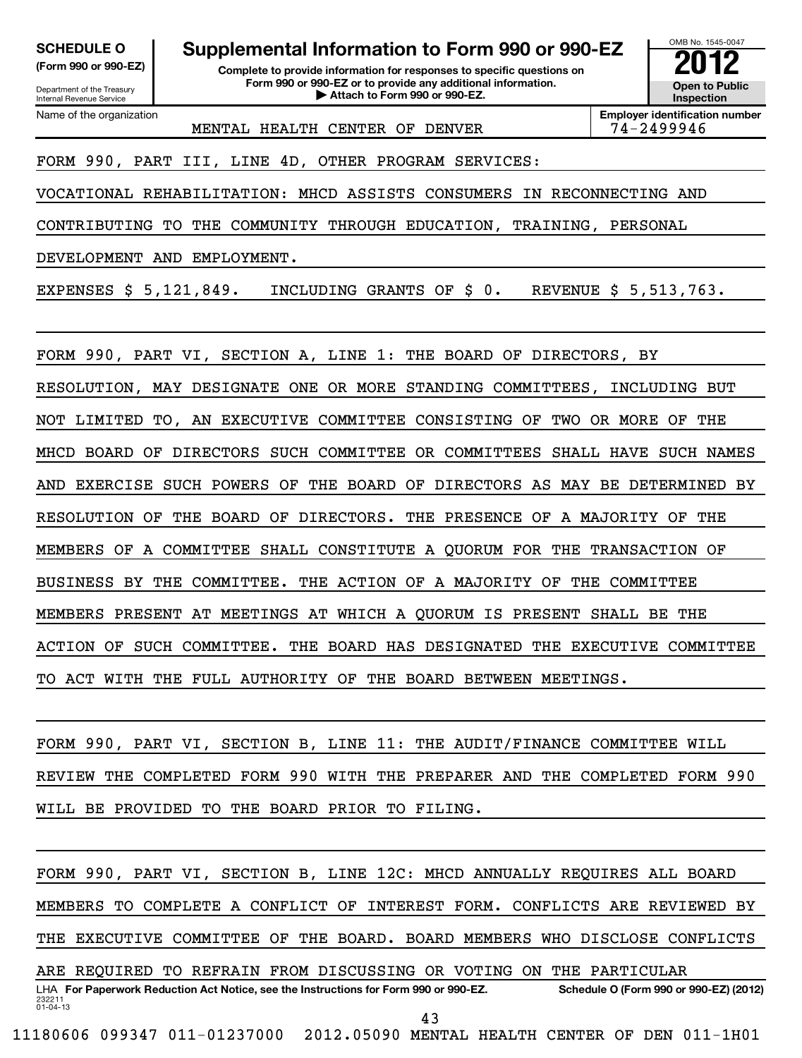Department of the Treasury Internal Revenue Service

Name of the organization

# **SCHEDULE O Supplemental Information to Form 990 or 990-EZ 2012**

**(Form 990 or 990-EZ) Complete to provide information for responses to specific questions on Form 990 or 990-EZ or to provide any additional information.** <del>U</del> Open to Provide any additional information. <br>
→ Attach to Form 990 or 990-EZ.



MENTAL HEALTH CENTER OF DENVER 174-2499946

**Employer identification number**

FORM 990, PART III, LINE 4D, OTHER PROGRAM SERVICES:

VOCATIONAL REHABILITATION: MHCD ASSISTS CONSUMERS IN RECONNECTING AND

CONTRIBUTING TO THE COMMUNITY THROUGH EDUCATION, TRAINING, PERSONAL

DEVELOPMENT AND EMPLOYMENT.

EXPENSES \$ 5,121,849. INCLUDING GRANTS OF \$ 0. REVENUE \$ 5,513,763.

FORM 990, PART VI, SECTION A, LINE 1: THE BOARD OF DIRECTORS, BY RESOLUTION, MAY DESIGNATE ONE OR MORE STANDING COMMITTEES, INCLUDING BUT NOT LIMITED TO, AN EXECUTIVE COMMITTEE CONSISTING OF TWO OR MORE OF THE MHCD BOARD OF DIRECTORS SUCH COMMITTEE OR COMMITTEES SHALL HAVE SUCH NAMES AND EXERCISE SUCH POWERS OF THE BOARD OF DIRECTORS AS MAY BE DETERMINED BY RESOLUTION OF THE BOARD OF DIRECTORS. THE PRESENCE OF A MAJORITY OF THE MEMBERS OF A COMMITTEE SHALL CONSTITUTE A QUORUM FOR THE TRANSACTION OF BUSINESS BY THE COMMITTEE. THE ACTION OF A MAJORITY OF THE COMMITTEE MEMBERS PRESENT AT MEETINGS AT WHICH A QUORUM IS PRESENT SHALL BE THE ACTION OF SUCH COMMITTEE. THE BOARD HAS DESIGNATED THE EXECUTIVE COMMITTEE TO ACT WITH THE FULL AUTHORITY OF THE BOARD BETWEEN MEETINGS.

FORM 990, PART VI, SECTION B, LINE 11: THE AUDIT/FINANCE COMMITTEE WILL REVIEW THE COMPLETED FORM 990 WITH THE PREPARER AND THE COMPLETED FORM 990 WILL BE PROVIDED TO THE BOARD PRIOR TO FILING.

FORM 990, PART VI, SECTION B, LINE 12C: MHCD ANNUALLY REQUIRES ALL BOARD MEMBERS TO COMPLETE A CONFLICT OF INTEREST FORM. CONFLICTS ARE REVIEWED BY THE EXECUTIVE COMMITTEE OF THE BOARD. BOARD MEMBERS WHO DISCLOSE CONFLICTS ARE REQUIRED TO REFRAIN FROM DISCUSSING OR VOTING ON THE PARTICULAR

232211 01-04-13 LHA For Paperwork Reduction Act Notice, see the Instructions for Form 990 or 990-EZ. Schedule O (Form 990 or 990-EZ) (2012) 43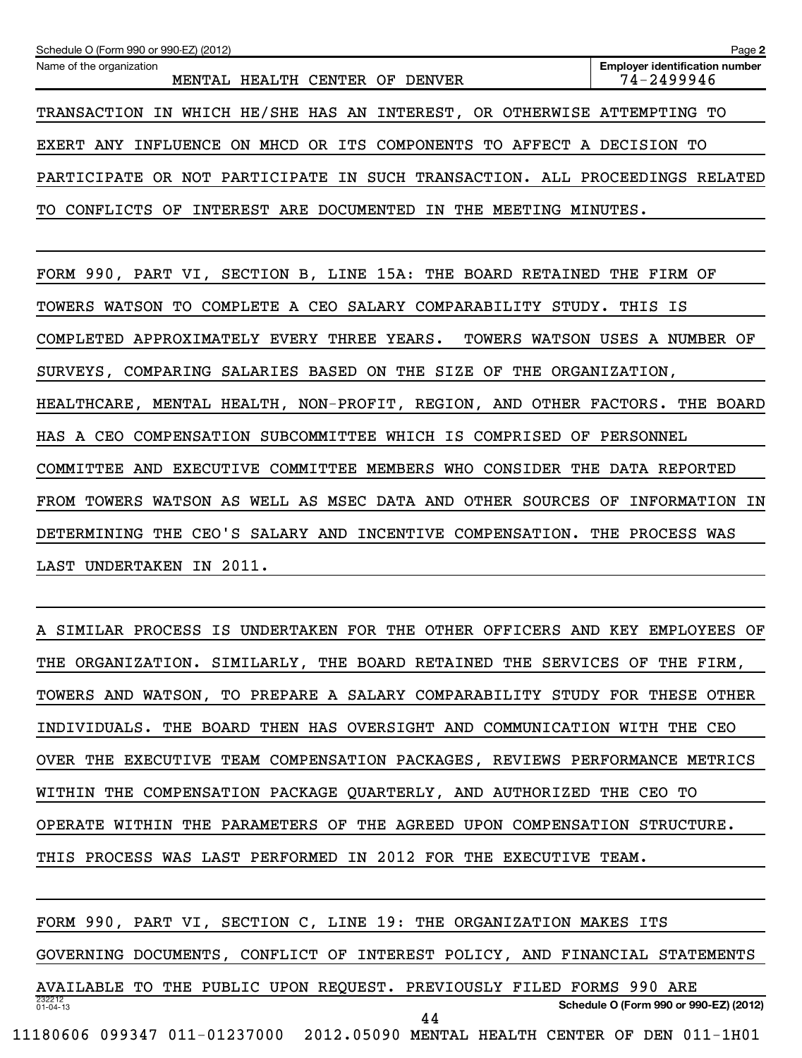| Schedule O (Form 990 or 990-EZ) (2012)                                      | Page 2                                              |
|-----------------------------------------------------------------------------|-----------------------------------------------------|
| Name of the organization<br>MENTAL HEALTH CENTER OF DENVER                  | <b>Employer identification number</b><br>74-2499946 |
| TRANSACTION IN WHICH HE/SHE HAS AN INTEREST, OR OTHERWISE ATTEMPTING TO     |                                                     |
| EXERT ANY INFLUENCE ON MHCD OR ITS COMPONENTS TO AFFECT A DECISION TO       |                                                     |
| PARTICIPATE OR NOT PARTICIPATE IN SUCH TRANSACTION. ALL PROCEEDINGS RELATED |                                                     |
| TO CONFLICTS OF INTEREST ARE DOCUMENTED IN THE MEETING MINUTES.             |                                                     |

FORM 990, PART VI, SECTION B, LINE 15A: THE BOARD RETAINED THE FIRM OF TOWERS WATSON TO COMPLETE A CEO SALARY COMPARABILITY STUDY. THIS IS COMPLETED APPROXIMATELY EVERY THREE YEARS. TOWERS WATSON USES A NUMBER OF SURVEYS, COMPARING SALARIES BASED ON THE SIZE OF THE ORGANIZATION, HEALTHCARE, MENTAL HEALTH, NON-PROFIT, REGION, AND OTHER FACTORS. THE BOARD HAS A CEO COMPENSATION SUBCOMMITTEE WHICH IS COMPRISED OF PERSONNEL COMMITTEE AND EXECUTIVE COMMITTEE MEMBERS WHO CONSIDER THE DATA REPORTED FROM TOWERS WATSON AS WELL AS MSEC DATA AND OTHER SOURCES OF INFORMATION IN DETERMINING THE CEO'S SALARY AND INCENTIVE COMPENSATION. THE PROCESS WAS LAST UNDERTAKEN IN 2011.

A SIMILAR PROCESS IS UNDERTAKEN FOR THE OTHER OFFICERS AND KEY EMPLOYEES OF THE ORGANIZATION. SIMILARLY, THE BOARD RETAINED THE SERVICES OF THE FIRM, TOWERS AND WATSON, TO PREPARE A SALARY COMPARABILITY STUDY FOR THESE OTHER INDIVIDUALS. THE BOARD THEN HAS OVERSIGHT AND COMMUNICATION WITH THE CEO OVER THE EXECUTIVE TEAM COMPENSATION PACKAGES, REVIEWS PERFORMANCE METRICS WITHIN THE COMPENSATION PACKAGE QUARTERLY, AND AUTHORIZED THE CEO TO OPERATE WITHIN THE PARAMETERS OF THE AGREED UPON COMPENSATION STRUCTURE. THIS PROCESS WAS LAST PERFORMED IN 2012 FOR THE EXECUTIVE TEAM.

232212 01-04-13 **Schedule O (Form 990 or 990-EZ) (2012)** FORM 990, PART VI, SECTION C, LINE 19: THE ORGANIZATION MAKES ITS GOVERNING DOCUMENTS, CONFLICT OF INTEREST POLICY, AND FINANCIAL STATEMENTS AVAILABLE TO THE PUBLIC UPON REQUEST. PREVIOUSLY FILED FORMS 990 ARE 11180606 099347 011-01237000 2012.05090 MENTAL HEALTH CENTER OF DEN 011-1H01 44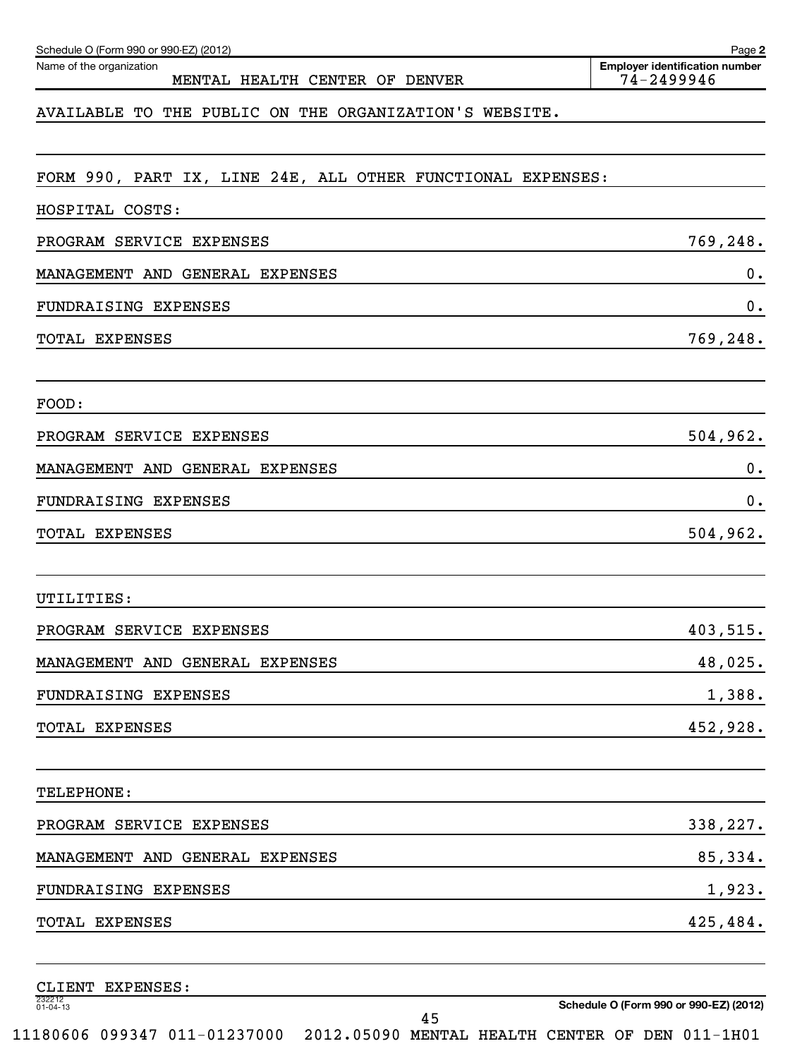| Name of the organization<br>MENTAL HEALTH CENTER OF DENVER                                                                         | <b>Employer identification number</b><br>74-2499946 |
|------------------------------------------------------------------------------------------------------------------------------------|-----------------------------------------------------|
| AVAILABLE TO THE PUBLIC ON THE ORGANIZATION'S WEBSITE.                                                                             |                                                     |
| FORM 990, PART IX, LINE 24E, ALL OTHER FUNCTIONAL EXPENSES:                                                                        |                                                     |
| HOSPITAL COSTS:                                                                                                                    |                                                     |
| PROGRAM SERVICE EXPENSES                                                                                                           | 769,248.                                            |
| MANAGEMENT AND GENERAL EXPENSES                                                                                                    | $0$ .                                               |
| FUNDRAISING EXPENSES                                                                                                               | 0.                                                  |
| TOTAL EXPENSES                                                                                                                     | 769,248.                                            |
| FOOD:                                                                                                                              |                                                     |
| PROGRAM SERVICE EXPENSES                                                                                                           | 504, 962.                                           |
| MANAGEMENT AND GENERAL EXPENSES                                                                                                    | 0.                                                  |
| FUNDRAISING EXPENSES                                                                                                               | 0.                                                  |
| TOTAL EXPENSES                                                                                                                     | 504, 962.                                           |
| UTILITIES:                                                                                                                         |                                                     |
| PROGRAM SERVICE EXPENSES                                                                                                           | 403,515.                                            |
| MANAGEMENT AND GENERAL EXPENSES                                                                                                    | 48,025.                                             |
| FUNDRAISING EXPENSES<br><u> 1990 - Jan Salaman Salaman (j. 1980)</u>                                                               | 1,388.                                              |
| TOTAL EXPENSES                                                                                                                     | 452,928.                                            |
| TELEPHONE:                                                                                                                         |                                                     |
| PROGRAM SERVICE EXPENSES                                                                                                           | 338,227.                                            |
| MANAGEMENT AND GENERAL EXPENSES                                                                                                    | 85,334.                                             |
| FUNDRAISING EXPENSES                                                                                                               | 1,923.                                              |
| TOTAL EXPENSES<br>and the control of the control of the control of the control of the control of the control of the control of the | 425,484.                                            |
| CLIENT EXPENSES:                                                                                                                   |                                                     |

232212 01-04-13

Schedule O (Form 990 or 990-EZ) (2012)

**Schedule O (Form 990 or 990-EZ) (2012)**

**2**

11180606 099347 011-01237000 2012.05090 MENTAL HEALTH CENTER OF DEN 011-1H01

45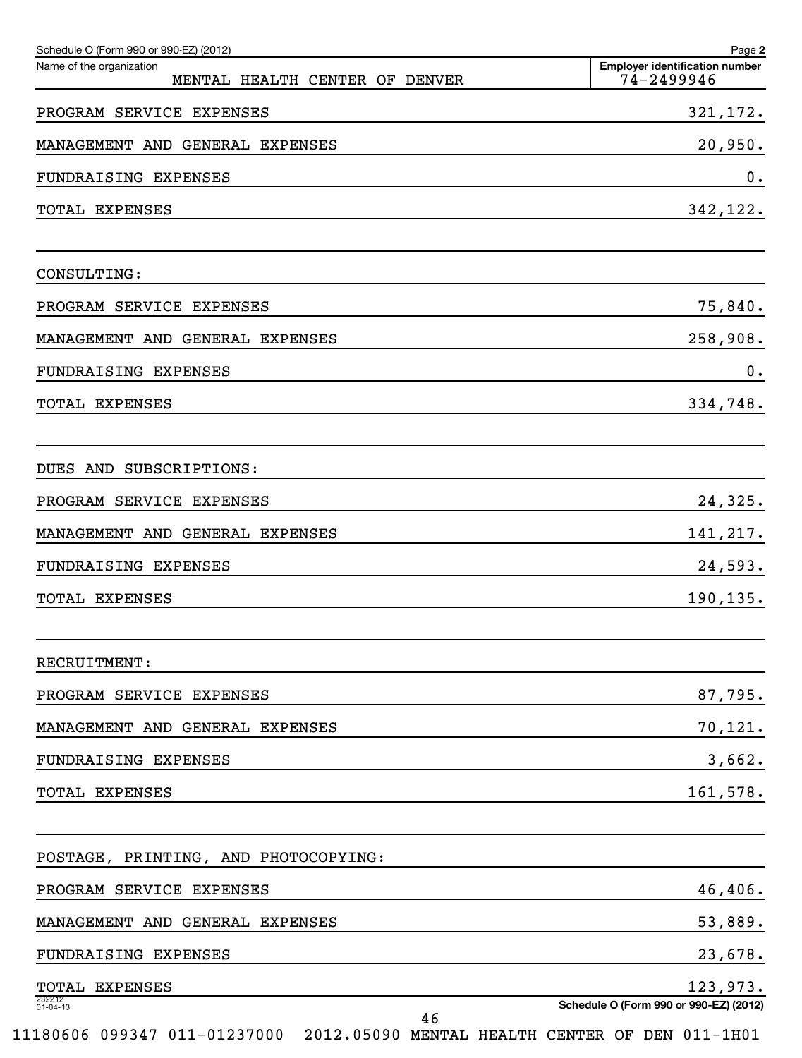| Schedule O (Form 990 or 990-EZ) (2012)                     | Page 2                                              |
|------------------------------------------------------------|-----------------------------------------------------|
| Name of the organization<br>MENTAL HEALTH CENTER OF DENVER | <b>Employer identification number</b><br>74-2499946 |
| PROGRAM SERVICE EXPENSES                                   | 321,172.                                            |
| MANAGEMENT AND GENERAL EXPENSES                            | 20,950.                                             |
| FUNDRAISING EXPENSES                                       | 0.                                                  |
| TOTAL EXPENSES                                             | 342,122.                                            |
| CONSULTING:                                                |                                                     |
| PROGRAM SERVICE EXPENSES                                   | 75,840.                                             |
| MANAGEMENT AND GENERAL EXPENSES                            | 258,908.                                            |
| FUNDRAISING EXPENSES                                       | $0$ .                                               |
| TOTAL EXPENSES                                             | 334,748.                                            |
| DUES AND SUBSCRIPTIONS:                                    |                                                     |
| PROGRAM SERVICE EXPENSES                                   | 24,325.                                             |
| MANAGEMENT AND GENERAL EXPENSES                            | 141,217.                                            |
| FUNDRAISING EXPENSES                                       | 24,593.                                             |
| TOTAL EXPENSES                                             | 190,135.                                            |
| RECRUITMENT:                                               |                                                     |
| PROGRAM SERVICE EXPENSES                                   | 87,795.                                             |
| MANAGEMENT AND GENERAL EXPENSES                            | 70,121.                                             |
| FUNDRAISING EXPENSES                                       | 3,662.                                              |
| TOTAL EXPENSES                                             | 161,578.                                            |
| POSTAGE, PRINTING, AND PHOTOCOPYING:                       |                                                     |
| PROGRAM SERVICE EXPENSES                                   | 46,406.                                             |
| MANAGEMENT AND GENERAL EXPENSES                            | 53,889.                                             |
| FUNDRAISING EXPENSES                                       | 23,678.                                             |
| TOTAL EXPENSES                                             | 123,973.                                            |
| 232212<br>01-04-13<br>46                                   | Schedule O (Form 990 or 990-EZ) (2012)              |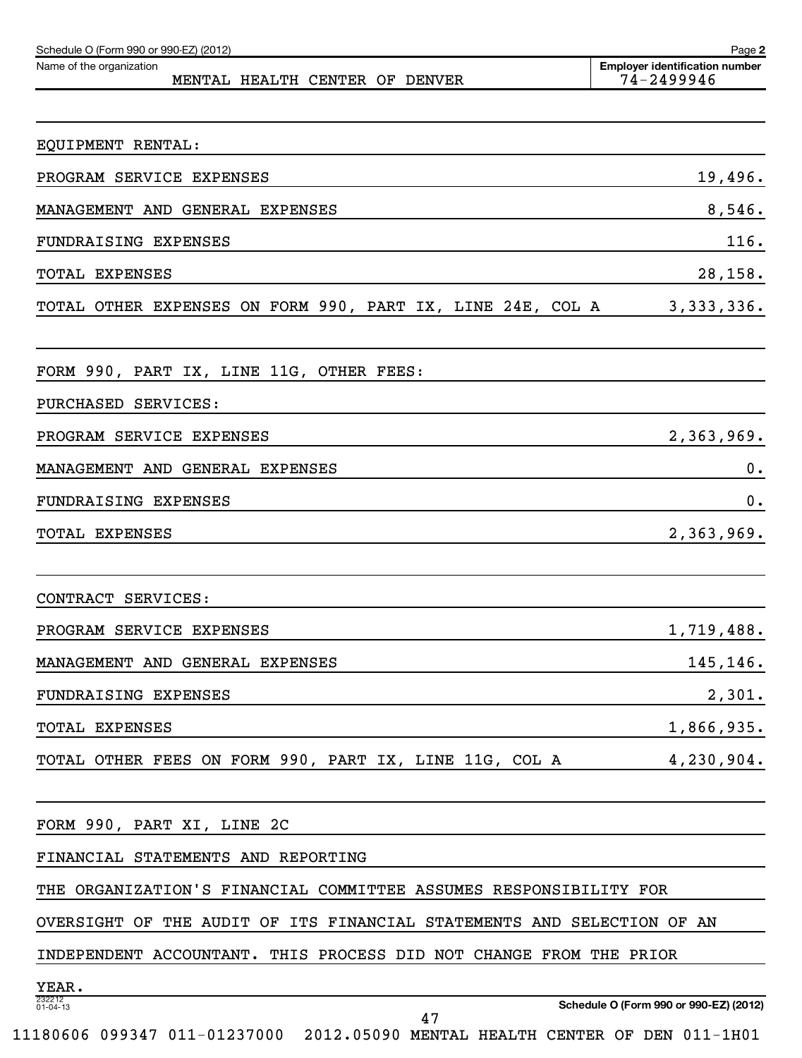| Schedule O (Form 990 or 990-EZ) (2012)<br>Name of the organization<br>MENTAL HEALTH CENTER OF DENVER | Page 2<br><b>Employer identification number</b><br>74-2499946 |
|------------------------------------------------------------------------------------------------------|---------------------------------------------------------------|
|                                                                                                      |                                                               |
| EQUIPMENT RENTAL:                                                                                    |                                                               |
| PROGRAM SERVICE EXPENSES                                                                             | 19,496.                                                       |
| MANAGEMENT AND GENERAL EXPENSES                                                                      | 8,546.                                                        |
| FUNDRAISING EXPENSES                                                                                 | 116.                                                          |
| <b>TOTAL EXPENSES</b>                                                                                | 28,158.                                                       |
| TOTAL OTHER EXPENSES ON FORM 990, PART IX, LINE 24E, COL A                                           | 3, 333, 336.                                                  |
| FORM 990, PART IX, LINE 11G, OTHER FEES:                                                             |                                                               |
| PURCHASED SERVICES:                                                                                  |                                                               |
| PROGRAM SERVICE EXPENSES                                                                             | 2,363,969.                                                    |
| MANAGEMENT AND GENERAL EXPENSES                                                                      | 0.                                                            |
| FUNDRAISING EXPENSES                                                                                 | 0.                                                            |
| <b>TOTAL EXPENSES</b>                                                                                | 2,363,969.                                                    |
|                                                                                                      |                                                               |
| CONTRACT SERVICES:                                                                                   |                                                               |
| PROGRAM SERVICE EXPENSES                                                                             | 1,719,488.                                                    |
| MANAGEMENT AND GENERAL EXPENSES                                                                      | 145,146.                                                      |
| FUNDRAISING EXPENSES                                                                                 | 2,301.                                                        |
| TOTAL EXPENSES                                                                                       | 1,866,935.                                                    |
| TOTAL OTHER FEES ON FORM 990, PART IX, LINE 11G, COL A                                               | 4,230,904.                                                    |
|                                                                                                      |                                                               |
| FORM 990, PART XI, LINE 2C                                                                           |                                                               |
| FINANCIAL STATEMENTS AND REPORTING                                                                   |                                                               |
| THE ORGANIZATION'S FINANCIAL COMMITTEE ASSUMES RESPONSIBILITY FOR                                    |                                                               |
| OVERSIGHT OF THE AUDIT OF ITS FINANCIAL STATEMENTS AND SELECTION OF AN                               |                                                               |
| INDEPENDENT ACCOUNTANT. THIS PROCESS DID NOT CHANGE FROM THE PRIOR                                   |                                                               |
| YEAR.                                                                                                |                                                               |
| 232212<br>01-04-13<br>47                                                                             | Schedule O (Form 990 or 990-EZ) (2012)                        |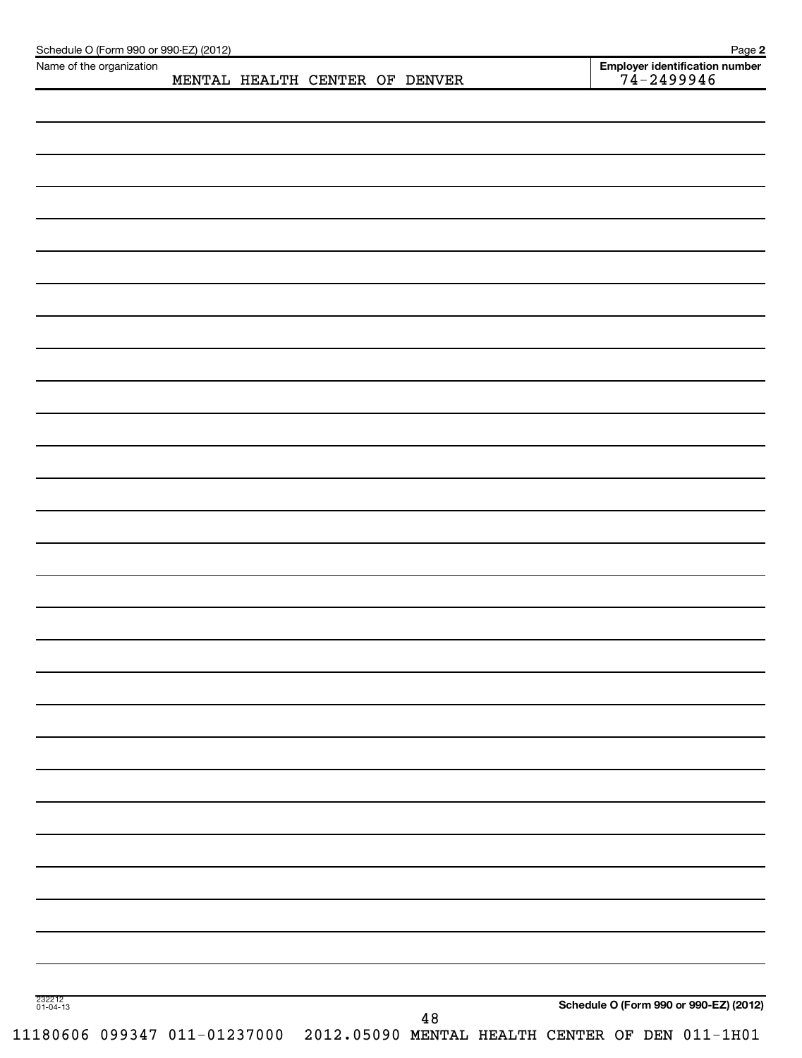| Name of the organization |  | MENTAL HEALTH CENTER OF DENVER |        |  | Employer identification number<br>$74 - 2499946$ |  |
|--------------------------|--|--------------------------------|--------|--|--------------------------------------------------|--|
|                          |  |                                |        |  |                                                  |  |
|                          |  |                                |        |  |                                                  |  |
|                          |  |                                |        |  |                                                  |  |
|                          |  |                                |        |  |                                                  |  |
|                          |  |                                |        |  |                                                  |  |
|                          |  |                                |        |  |                                                  |  |
|                          |  |                                |        |  |                                                  |  |
|                          |  |                                |        |  |                                                  |  |
|                          |  |                                |        |  |                                                  |  |
|                          |  |                                |        |  |                                                  |  |
|                          |  |                                |        |  |                                                  |  |
|                          |  |                                |        |  |                                                  |  |
|                          |  |                                |        |  |                                                  |  |
|                          |  |                                |        |  |                                                  |  |
|                          |  |                                |        |  |                                                  |  |
|                          |  |                                |        |  |                                                  |  |
|                          |  |                                |        |  |                                                  |  |
|                          |  |                                |        |  |                                                  |  |
|                          |  |                                |        |  |                                                  |  |
|                          |  |                                |        |  |                                                  |  |
|                          |  |                                |        |  |                                                  |  |
|                          |  |                                |        |  |                                                  |  |
|                          |  |                                |        |  |                                                  |  |
|                          |  |                                |        |  |                                                  |  |
|                          |  |                                |        |  |                                                  |  |
|                          |  |                                |        |  |                                                  |  |
|                          |  |                                |        |  |                                                  |  |
|                          |  |                                |        |  |                                                  |  |
|                          |  |                                |        |  |                                                  |  |
|                          |  |                                |        |  |                                                  |  |
|                          |  |                                |        |  |                                                  |  |
|                          |  |                                |        |  |                                                  |  |
|                          |  |                                |        |  |                                                  |  |
|                          |  |                                |        |  |                                                  |  |
|                          |  |                                |        |  |                                                  |  |
|                          |  |                                |        |  |                                                  |  |
|                          |  |                                |        |  |                                                  |  |
|                          |  |                                |        |  |                                                  |  |
|                          |  |                                |        |  |                                                  |  |
|                          |  |                                |        |  |                                                  |  |
|                          |  |                                |        |  |                                                  |  |
|                          |  |                                |        |  |                                                  |  |
| 232212<br>01-04-13       |  |                                |        |  | Schedule O (Form 990 or 990-EZ) (2012)           |  |
|                          |  |                                | $4\,8$ |  |                                                  |  |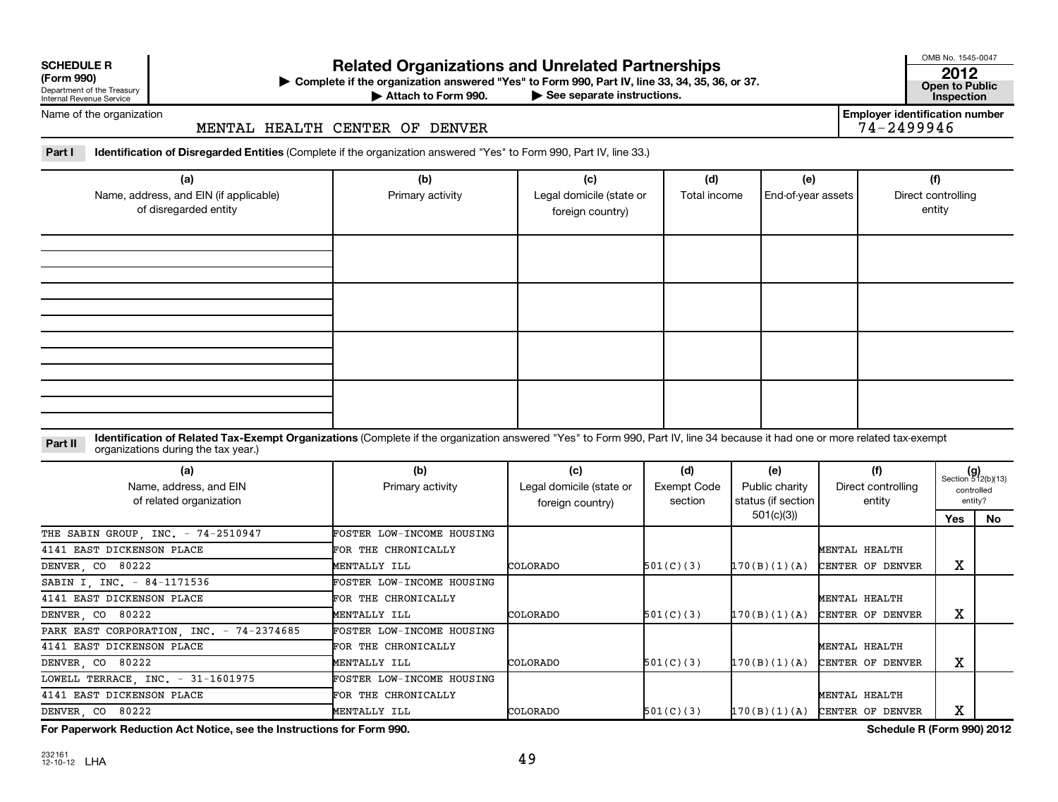| <b>SCHEDULE R</b> |  |  |
|-------------------|--|--|
|                   |  |  |

Department of the Treasury Internal Revenue Service

# **Related Organizations and Unrelated Partnerships 2012**

**(Form 990) Complete if the organization answered "Yes" to Form 990, Part IV, line 33, 34, 35, 36, or 37. Open to Public** | **At to Form 990. Part IV, line 33, 34, 35, 36, or 37.**<br>See separate instructions. **Inspection**<br>Inspection

Attach to Form 990.

OMB No. 1545-0047

**Employer identification number**<br> $74 - 2499946$ 

Name of the organization

# MENTAL HEALTH CENTER OF DENVER

**Part I Identification of Disregarded Entities**  (Complete if the organization answered "Yes" to Form 990, Part IV, line 33.)

| (a)<br>Name, address, and EIN (if applicable)<br>of disregarded entity | (b)<br>Primary activity | (c)<br>Legal domicile (state or<br>foreign country) | (d)<br>Total income | (e)<br>End-of-year assets | (f)<br>Direct controlling<br>entity |
|------------------------------------------------------------------------|-------------------------|-----------------------------------------------------|---------------------|---------------------------|-------------------------------------|
|                                                                        |                         |                                                     |                     |                           |                                     |
|                                                                        |                         |                                                     |                     |                           |                                     |
|                                                                        |                         |                                                     |                     |                           |                                     |
|                                                                        |                         |                                                     |                     |                           |                                     |

Part II ldentification of Related Tax-Exempt Organizations (Complete if the organization answered "Yes" to Form 990, Part IV, line 34 because it had one or more related tax-exempt<br>example: croanizations during the tax veas organizations during the tax year.)

| (a)<br>Name, address, and EIN<br>of related organization | (b)<br>Primary activity          | (c)<br>Legal domicile (state or<br>foreign country) | (d)<br>Exempt Code<br>section | (e)<br>Public charity<br>status (if section | (f)<br>Direct controlling<br>entity | $(g)$<br>Section 512(b)(13) | controlled<br>entity? |
|----------------------------------------------------------|----------------------------------|-----------------------------------------------------|-------------------------------|---------------------------------------------|-------------------------------------|-----------------------------|-----------------------|
|                                                          |                                  |                                                     |                               | 501(c)(3))                                  |                                     | Yes                         | No                    |
| THE SABIN GROUP, INC. - 74-2510947                       | <b>FOSTER LOW-INCOME HOUSING</b> |                                                     |                               |                                             |                                     |                             |                       |
| 4141 EAST DICKENSON PLACE                                | FOR THE CHRONICALLY              |                                                     |                               |                                             | MENTAL HEALTH                       |                             |                       |
| DENVER, CO 80222                                         | MENTALLY ILL                     | <b>COLORADO</b>                                     | 501(C)(3)                     | 170(B)(1)(A)                                | CENTER OF DENVER                    | х                           |                       |
| SABIN I, INC. - 84-1171536                               | <b>FOSTER LOW-INCOME HOUSING</b> |                                                     |                               |                                             |                                     |                             |                       |
| 4141 EAST DICKENSON PLACE                                | FOR THE CHRONICALLY              |                                                     |                               |                                             | MENTAL HEALTH                       |                             |                       |
| DENVER, CO 80222                                         | MENTALLY ILL                     | <b>COLORADO</b>                                     | 501(C)(3)                     | 170(B)(1)(A)                                | CENTER OF DENVER                    | х                           |                       |
| PARK EAST CORPORATION, INC. - 74-2374685                 | FOSTER LOW-INCOME HOUSING        |                                                     |                               |                                             |                                     |                             |                       |
| 4141 EAST DICKENSON PLACE                                | FOR THE CHRONICALLY              |                                                     |                               |                                             | MENTAL HEALTH                       |                             |                       |
| DENVER, CO 80222                                         | MENTALLY ILL                     | <b>COLORADO</b>                                     | 501(C)(3)                     | 170(B)(1)(A)                                | CENTER OF DENVER                    | х                           |                       |
| LOWELL TERRACE, INC. - 31-1601975                        | <b>FOSTER LOW-INCOME HOUSING</b> |                                                     |                               |                                             |                                     |                             |                       |
| 4141 EAST DICKENSON PLACE                                | FOR THE CHRONICALLY              |                                                     |                               |                                             | MENTAL HEALTH                       |                             |                       |
| DENVER, CO 80222                                         | MENTALLY ILL                     | <b>COLORADO</b>                                     | 501(C)(3)                     | 170(B)(1)(A)                                | CENTER OF DENVER                    | х                           |                       |

**For Paperwork Reduction Act Notice, see the Instructions for Form 990. Schedule R (Form 990) 2012**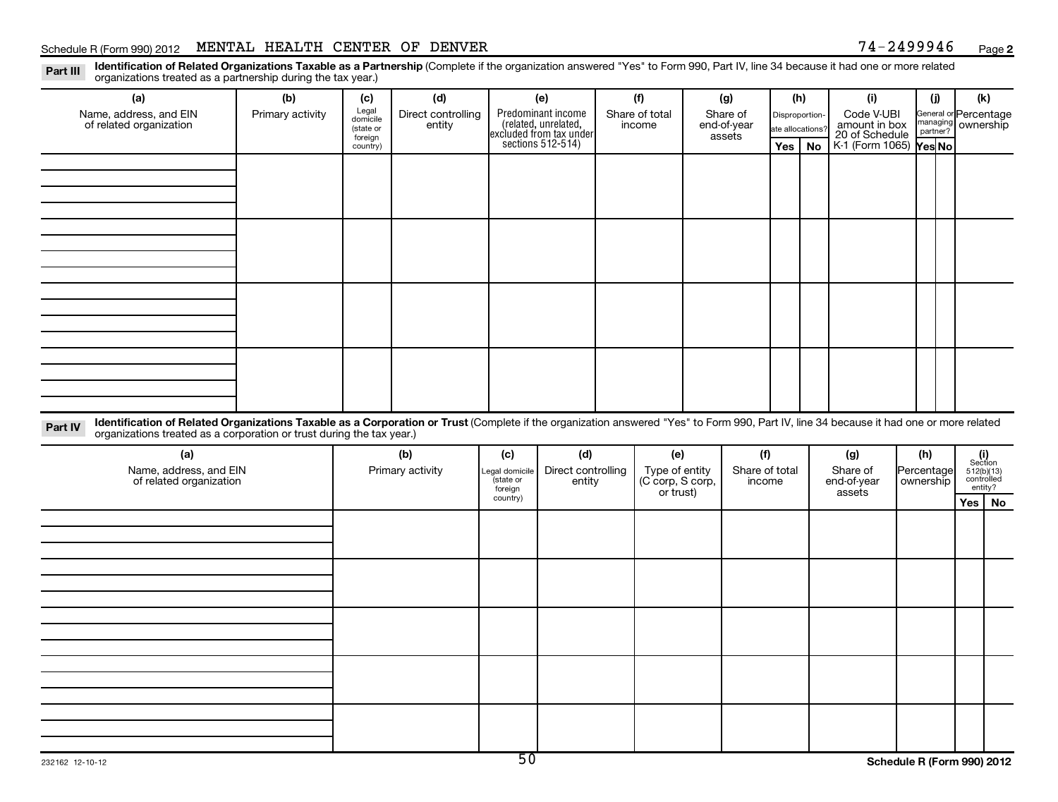# Schedule R (Form 990) 2012 MENTAL HEALTH CENTER OF DENVER  $74-2499946$  Page

**2**

Part III Identification of Related Organizations Taxable as a Partnership (Complete if the organization answered "Yes" to Form 990, Part IV, line 34 because it had one or more related<br>Read to reconizations tracted as a par organizations treated as a partnership during the tax year.)

| (a)                                                                                                                                                                                                                                                                         | (b)              | (c)                  | (d)                          |                     | (e)                                                                                        | (f)                                | (g)                   | (h)              |           | (i)                                              | (i)                                         | (k)                                                                                                                                                    |  |
|-----------------------------------------------------------------------------------------------------------------------------------------------------------------------------------------------------------------------------------------------------------------------------|------------------|----------------------|------------------------------|---------------------|--------------------------------------------------------------------------------------------|------------------------------------|-----------------------|------------------|-----------|--------------------------------------------------|---------------------------------------------|--------------------------------------------------------------------------------------------------------------------------------------------------------|--|
| Name, address, and EIN<br>of related organization                                                                                                                                                                                                                           | Primary activity | Legal<br>domicile    | Direct controlling<br>entity |                     | Predominant income<br>(related, unrelated,<br>excluded from tax under<br>sections 512-514) | Share of total<br>income           | Share of              | Disproportion-   |           | Code V-UBI                                       | General or Percentage<br>managing ownership |                                                                                                                                                        |  |
|                                                                                                                                                                                                                                                                             |                  | (state or<br>foreign |                              |                     |                                                                                            |                                    | end-of-year<br>assets | ate allocations? |           | amount in box<br>20 of Schedule                  | managing<br>partner?                        |                                                                                                                                                        |  |
|                                                                                                                                                                                                                                                                             |                  | country)             |                              |                     |                                                                                            |                                    |                       | Yes $ $          | <b>No</b> | K-1 (Form 1065)                                  | Yes No                                      |                                                                                                                                                        |  |
|                                                                                                                                                                                                                                                                             |                  |                      |                              |                     |                                                                                            |                                    |                       |                  |           |                                                  |                                             |                                                                                                                                                        |  |
|                                                                                                                                                                                                                                                                             |                  |                      |                              |                     |                                                                                            |                                    |                       |                  |           |                                                  |                                             |                                                                                                                                                        |  |
|                                                                                                                                                                                                                                                                             |                  |                      |                              |                     |                                                                                            |                                    |                       |                  |           |                                                  |                                             |                                                                                                                                                        |  |
|                                                                                                                                                                                                                                                                             |                  |                      |                              |                     |                                                                                            |                                    |                       |                  |           |                                                  |                                             |                                                                                                                                                        |  |
|                                                                                                                                                                                                                                                                             |                  |                      |                              |                     |                                                                                            |                                    |                       |                  |           |                                                  |                                             |                                                                                                                                                        |  |
|                                                                                                                                                                                                                                                                             |                  |                      |                              |                     |                                                                                            |                                    |                       |                  |           |                                                  |                                             |                                                                                                                                                        |  |
|                                                                                                                                                                                                                                                                             |                  |                      |                              |                     |                                                                                            |                                    |                       |                  |           |                                                  |                                             |                                                                                                                                                        |  |
|                                                                                                                                                                                                                                                                             |                  |                      |                              |                     |                                                                                            |                                    |                       |                  |           |                                                  |                                             |                                                                                                                                                        |  |
|                                                                                                                                                                                                                                                                             |                  |                      |                              |                     |                                                                                            |                                    |                       |                  |           |                                                  |                                             |                                                                                                                                                        |  |
|                                                                                                                                                                                                                                                                             |                  |                      |                              |                     |                                                                                            |                                    |                       |                  |           |                                                  |                                             |                                                                                                                                                        |  |
|                                                                                                                                                                                                                                                                             |                  |                      |                              |                     |                                                                                            |                                    |                       |                  |           |                                                  |                                             |                                                                                                                                                        |  |
|                                                                                                                                                                                                                                                                             |                  |                      |                              |                     |                                                                                            |                                    |                       |                  |           |                                                  |                                             |                                                                                                                                                        |  |
|                                                                                                                                                                                                                                                                             |                  |                      |                              |                     |                                                                                            |                                    |                       |                  |           |                                                  |                                             |                                                                                                                                                        |  |
|                                                                                                                                                                                                                                                                             |                  |                      |                              |                     |                                                                                            |                                    |                       |                  |           |                                                  |                                             |                                                                                                                                                        |  |
| Identification of Related Organizations Taxable as a Corporation or Trust (Complete if the organization answered "Yes" to Form 990, Part IV, line 34 because it had one or more related<br>Part IV<br>organizations treated as a corporation or trust during the tax year.) |                  |                      |                              |                     |                                                                                            |                                    |                       |                  |           |                                                  |                                             |                                                                                                                                                        |  |
| (a)                                                                                                                                                                                                                                                                         |                  |                      | (b)                          | (c)                 | (d)                                                                                        | (e)                                | (f)                   |                  |           | (g)                                              | (h)                                         |                                                                                                                                                        |  |
| Name, address, and EIN                                                                                                                                                                                                                                                      |                  |                      | Primary activity             | Legal domicile      | Direct controlling                                                                         | Type of entity<br>(C corp, S corp, | Share of total        |                  |           | Share of                                         | Percentage                                  | $\begin{array}{c}\n\begin{array}{c}\n\text{(i)}\\ \text{Section} \\ 512(\text{b})(13)\\ \text{controlled} \\ \text{entity?}\n\end{array}\n\end{array}$ |  |
| of related organization                                                                                                                                                                                                                                                     |                  |                      |                              | state or<br>foreign | entity                                                                                     | or trust)                          | income                |                  |           | end-of-year<br>assets                            | ownership                                   |                                                                                                                                                        |  |
|                                                                                                                                                                                                                                                                             |                  |                      |                              | country)            |                                                                                            |                                    |                       |                  |           |                                                  |                                             | Yes   No                                                                                                                                               |  |
|                                                                                                                                                                                                                                                                             |                  |                      |                              |                     |                                                                                            |                                    |                       |                  |           |                                                  |                                             |                                                                                                                                                        |  |
|                                                                                                                                                                                                                                                                             |                  |                      |                              |                     |                                                                                            |                                    |                       |                  |           |                                                  |                                             |                                                                                                                                                        |  |
|                                                                                                                                                                                                                                                                             |                  |                      |                              |                     |                                                                                            |                                    |                       |                  |           |                                                  |                                             |                                                                                                                                                        |  |
|                                                                                                                                                                                                                                                                             |                  |                      |                              |                     |                                                                                            |                                    |                       |                  |           |                                                  |                                             |                                                                                                                                                        |  |
|                                                                                                                                                                                                                                                                             |                  |                      |                              |                     |                                                                                            |                                    |                       |                  |           |                                                  |                                             |                                                                                                                                                        |  |
|                                                                                                                                                                                                                                                                             |                  |                      |                              |                     |                                                                                            |                                    |                       |                  |           |                                                  |                                             |                                                                                                                                                        |  |
|                                                                                                                                                                                                                                                                             |                  |                      |                              |                     |                                                                                            |                                    |                       |                  |           |                                                  |                                             |                                                                                                                                                        |  |
|                                                                                                                                                                                                                                                                             |                  |                      |                              |                     |                                                                                            |                                    |                       |                  |           |                                                  |                                             |                                                                                                                                                        |  |
|                                                                                                                                                                                                                                                                             |                  |                      |                              |                     |                                                                                            |                                    |                       |                  |           |                                                  |                                             |                                                                                                                                                        |  |
|                                                                                                                                                                                                                                                                             |                  |                      |                              |                     |                                                                                            |                                    |                       |                  |           |                                                  |                                             |                                                                                                                                                        |  |
|                                                                                                                                                                                                                                                                             |                  |                      |                              |                     |                                                                                            |                                    |                       |                  |           |                                                  |                                             |                                                                                                                                                        |  |
|                                                                                                                                                                                                                                                                             |                  |                      |                              |                     |                                                                                            |                                    |                       |                  |           |                                                  |                                             |                                                                                                                                                        |  |
|                                                                                                                                                                                                                                                                             |                  |                      |                              |                     |                                                                                            |                                    |                       |                  |           |                                                  |                                             |                                                                                                                                                        |  |
|                                                                                                                                                                                                                                                                             |                  |                      |                              | ᇚ                   |                                                                                            |                                    |                       |                  |           | $0.1 \tImes$ $\theta$ $\theta$ $\theta$ $\theta$ |                                             |                                                                                                                                                        |  |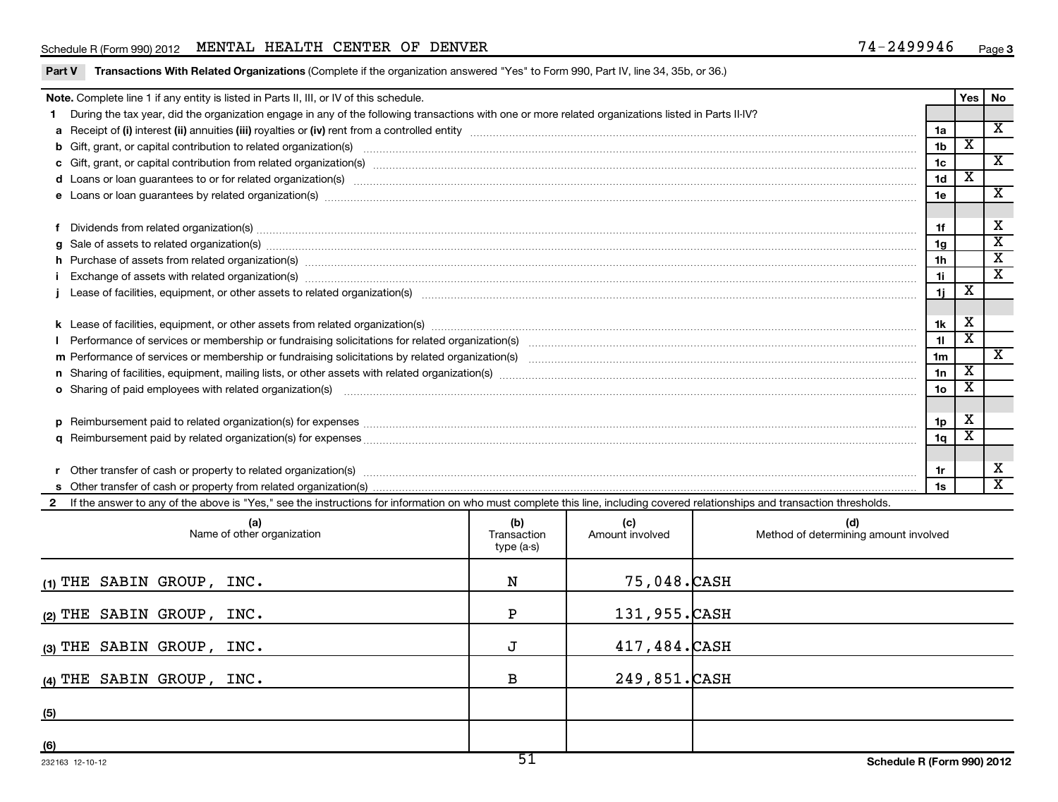# Schedule R (Form 990) 2012 MENTAL HEALTH CENTER OF DENVER  $74-2499946$  Page

|  | <b>Part V</b> Transactions With Related Organizations (Complete if the organization answered "Yes" to Form 990, Part IV, line 34, 35b, or 36.) |
|--|------------------------------------------------------------------------------------------------------------------------------------------------|
|--|------------------------------------------------------------------------------------------------------------------------------------------------|

|     | Note. Complete line 1 if any entity is listed in Parts II, III, or IV of this schedule.                                                                                                                                        |             |                        |                                       |                       | Yes                     | No                      |  |
|-----|--------------------------------------------------------------------------------------------------------------------------------------------------------------------------------------------------------------------------------|-------------|------------------------|---------------------------------------|-----------------------|-------------------------|-------------------------|--|
|     | 1 During the tax year, did the organization engage in any of the following transactions with one or more related organizations listed in Parts II-IV?                                                                          |             |                        |                                       |                       |                         |                         |  |
|     |                                                                                                                                                                                                                                |             |                        |                                       | 1a                    |                         | $\overline{\mathbf{x}}$ |  |
|     | b Gift, grant, or capital contribution to related organization(s) manufactured content to content and contribution to related organization(s) manufactured content and content of the content of the content of the content of |             |                        |                                       | 1 <sub>b</sub>        | x                       |                         |  |
|     |                                                                                                                                                                                                                                |             |                        |                                       | 1c                    |                         | $\overline{\mathbf{X}}$ |  |
|     |                                                                                                                                                                                                                                |             |                        |                                       | 1 <sub>d</sub>        | $\overline{\mathbf{X}}$ |                         |  |
|     |                                                                                                                                                                                                                                |             |                        |                                       | 1e                    |                         | $\overline{\mathbf{X}}$ |  |
|     |                                                                                                                                                                                                                                |             |                        |                                       |                       |                         | X                       |  |
|     |                                                                                                                                                                                                                                |             |                        |                                       | 1f                    |                         | $\overline{\text{x}}$   |  |
| q   | Sale of assets to related organization(s) www.assettion.com/www.assettion.com/www.assettion.com/www.assettion.com/www.assettion.com/www.assettion.com/www.assettion.com/www.assettion.com/www.assettion.com/www.assettion.com/ |             |                        |                                       | 1 <sub>g</sub>        |                         | $\overline{\textbf{x}}$ |  |
|     | h Purchase of assets from related organization(s) manufactured content to content the content of the content of the content of the content of the content of the content of the content of the content of the content of the c |             |                        |                                       | 1h                    |                         |                         |  |
|     | Exchange of assets with related organization(s) material content and content and content and content and content and content and content and content and content and content and content and content and content and content a |             |                        |                                       | 1i                    |                         | $\overline{\mathbf{x}}$ |  |
|     | j Lease of facilities, equipment, or other assets to related organization(s) manufaction content and content to the content of the content of facilities, equipment, or other assets to related organization(s) manufaction co |             |                        |                                       | 1j                    | $\overline{\textbf{x}}$ |                         |  |
|     |                                                                                                                                                                                                                                |             |                        |                                       | 1k                    | X                       |                         |  |
|     |                                                                                                                                                                                                                                |             |                        |                                       | 11                    | $\overline{\text{x}}$   |                         |  |
|     |                                                                                                                                                                                                                                |             |                        |                                       | 1 <sub>m</sub>        |                         | $\overline{\mathbf{X}}$ |  |
|     |                                                                                                                                                                                                                                |             |                        |                                       |                       |                         |                         |  |
|     |                                                                                                                                                                                                                                |             |                        |                                       | 1n<br>10 <sub>o</sub> | X<br>х                  |                         |  |
|     |                                                                                                                                                                                                                                |             |                        |                                       |                       |                         |                         |  |
|     |                                                                                                                                                                                                                                |             |                        |                                       | 1p                    | X                       |                         |  |
|     |                                                                                                                                                                                                                                |             |                        |                                       | 1 <sub>q</sub>        | $\overline{\mathbf{X}}$ |                         |  |
|     |                                                                                                                                                                                                                                |             |                        |                                       |                       |                         |                         |  |
|     |                                                                                                                                                                                                                                |             |                        |                                       | 1r                    |                         | х                       |  |
|     |                                                                                                                                                                                                                                |             |                        |                                       | 1s                    |                         | $\overline{\mathbf{x}}$ |  |
|     | If the answer to any of the above is "Yes," see the instructions for information on who must complete this line, including covered relationships and transaction thresholds.                                                   |             |                        |                                       |                       |                         |                         |  |
|     | (a)                                                                                                                                                                                                                            | (b)         |                        | (d)                                   |                       |                         |                         |  |
|     | Name of other organization                                                                                                                                                                                                     | Transaction | (c)<br>Amount involved | Method of determining amount involved |                       |                         |                         |  |
|     |                                                                                                                                                                                                                                | $type(a-s)$ |                        |                                       |                       |                         |                         |  |
|     |                                                                                                                                                                                                                                | N           | 75,048.CASH            |                                       |                       |                         |                         |  |
|     | (1) THE SABIN GROUP, INC.                                                                                                                                                                                                      |             |                        |                                       |                       |                         |                         |  |
|     | (2) THE SABIN GROUP, INC.                                                                                                                                                                                                      | Ρ           | 131,955.CASH           |                                       |                       |                         |                         |  |
|     | (3) THE SABIN GROUP, INC.                                                                                                                                                                                                      | J           | 417,484.CASH           |                                       |                       |                         |                         |  |
|     | $(4)$ THE SABIN GROUP, INC.                                                                                                                                                                                                    | в           | 249,851.CASH           |                                       |                       |                         |                         |  |
|     |                                                                                                                                                                                                                                |             |                        |                                       |                       |                         |                         |  |
| (5) |                                                                                                                                                                                                                                |             |                        |                                       |                       |                         |                         |  |
|     |                                                                                                                                                                                                                                |             |                        |                                       |                       |                         |                         |  |
| (6) |                                                                                                                                                                                                                                |             |                        |                                       |                       |                         |                         |  |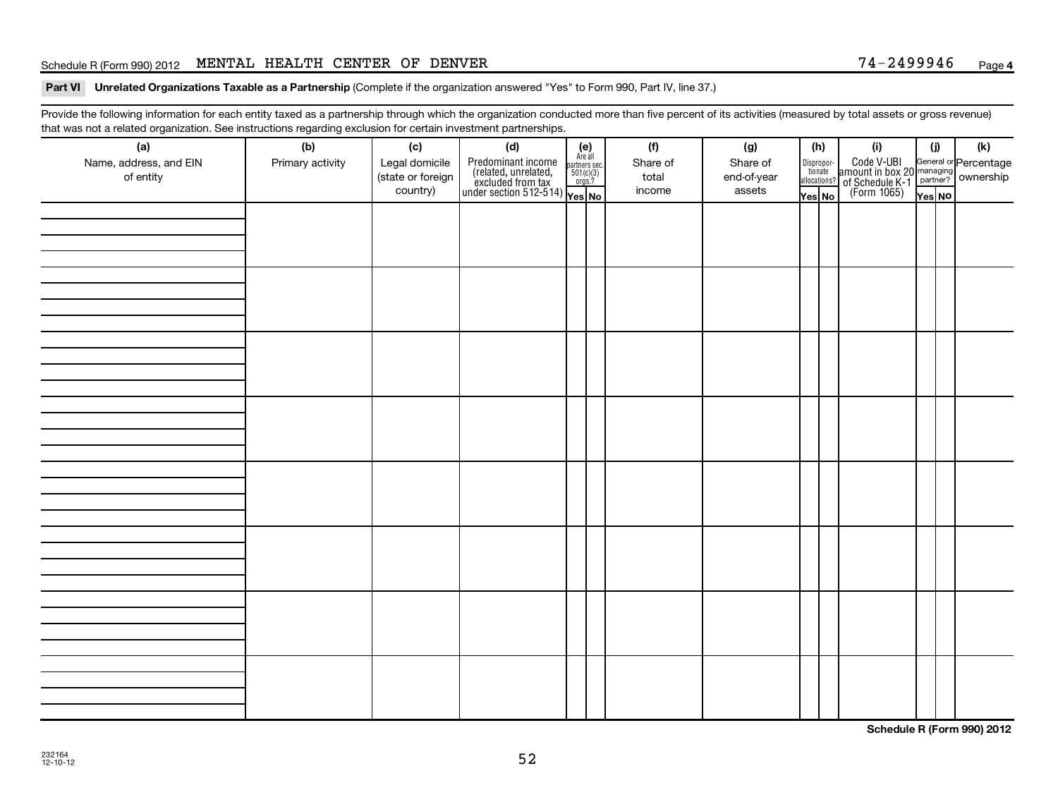# Schedule R (Form 990) 2012 MENTAL HEALTH CENTER OF DENVER  $74-2499946$  Page

### Part VI Unrelated Organizations Taxable as a Partnership (Complete if the organization answered "Yes" to Form 990, Part IV, line 37.)

Provide the following information for each entity taxed as a partnership through which the organization conducted more than five percent of its activities (measured by total assets or gross revenue) that was not a related organization. See instructions regarding exclusion for certain investment partnerships.

| (a)<br>Name, address, and EIN<br>of entity | (b)<br>Primary activity | (c)<br>Legal domicile<br>(state or foreign<br>country) | (d)<br>$\begin{array}{ l l } \hline \text{Predfominant income} & \text{Area} \\ \hline \text{(related, unrelated,} & \text{501(c)(3)} \\ \text{excluded from tax} & \text{501(c)(3)} \\ \text{under section 512-514)} & \text{Yes. No} \\\hline \end{array}$ | $(e)$<br>Are all<br>partners sec.<br>$501(c)(3)$<br>orgs.? | (f)<br>Share of<br>total<br>income | (g)<br>Share of<br>end-of-year<br>assets | (h)<br>Yes No | (i)<br>Dispropor-<br>Code V-UBI<br>dionate amount in box 20 managing<br>allocations? of Schedule K-1<br>Yes No (Form 1065)<br>Yes No | (i)<br>Yes NO | (k) |
|--------------------------------------------|-------------------------|--------------------------------------------------------|--------------------------------------------------------------------------------------------------------------------------------------------------------------------------------------------------------------------------------------------------------------|------------------------------------------------------------|------------------------------------|------------------------------------------|---------------|--------------------------------------------------------------------------------------------------------------------------------------|---------------|-----|
|                                            |                         |                                                        |                                                                                                                                                                                                                                                              |                                                            |                                    |                                          |               |                                                                                                                                      |               |     |
|                                            |                         |                                                        |                                                                                                                                                                                                                                                              |                                                            |                                    |                                          |               |                                                                                                                                      |               |     |
|                                            |                         |                                                        |                                                                                                                                                                                                                                                              |                                                            |                                    |                                          |               |                                                                                                                                      |               |     |
|                                            |                         |                                                        |                                                                                                                                                                                                                                                              |                                                            |                                    |                                          |               |                                                                                                                                      |               |     |
|                                            |                         |                                                        |                                                                                                                                                                                                                                                              |                                                            |                                    |                                          |               |                                                                                                                                      |               |     |
|                                            |                         |                                                        |                                                                                                                                                                                                                                                              |                                                            |                                    |                                          |               |                                                                                                                                      |               |     |
|                                            |                         |                                                        |                                                                                                                                                                                                                                                              |                                                            |                                    |                                          |               |                                                                                                                                      |               |     |
|                                            |                         |                                                        |                                                                                                                                                                                                                                                              |                                                            |                                    |                                          |               |                                                                                                                                      |               |     |

**Schedule R (Form 990) 2012**